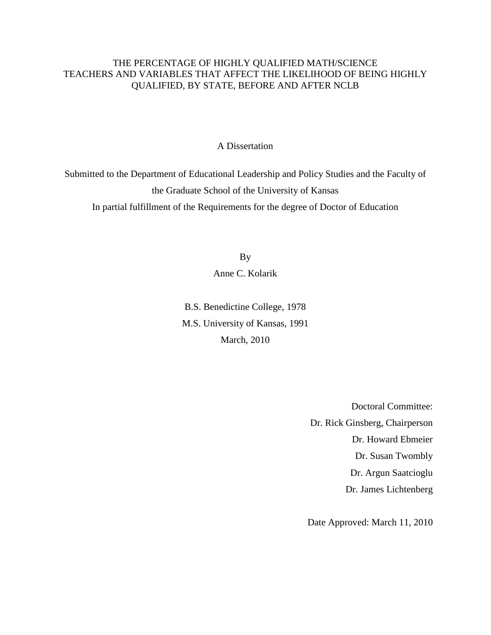# THE PERCENTAGE OF HIGHLY QUALIFIED MATH/SCIENCE TEACHERS AND VARIABLES THAT AFFECT THE LIKELIHOOD OF BEING HIGHLY QUALIFIED, BY STATE, BEFORE AND AFTER NCLB

# A Dissertation

Submitted to the Department of Educational Leadership and Policy Studies and the Faculty of the Graduate School of the University of Kansas In partial fulfillment of the Requirements for the degree of Doctor of Education

By

Anne C. Kolarik

B.S. Benedictine College, 1978 M.S. University of Kansas, 1991 March, 2010

> Doctoral Committee: Dr. Rick Ginsberg, Chairperson Dr. Howard Ebmeier Dr. Susan Twombly Dr. Argun Saatcioglu Dr. James Lichtenberg

Date Approved: March 11, 2010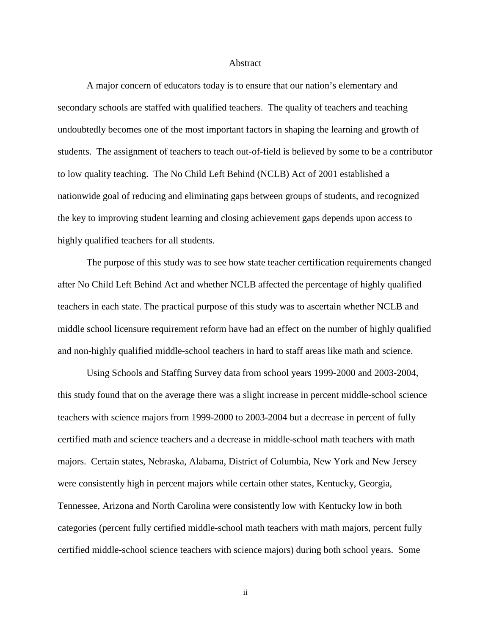#### Abstract

A major concern of educators today is to ensure that our nation's elementary and secondary schools are staffed with qualified teachers. The quality of teachers and teaching undoubtedly becomes one of the most important factors in shaping the learning and growth of students. The assignment of teachers to teach out-of-field is believed by some to be a contributor to low quality teaching. The No Child Left Behind (NCLB) Act of 2001 established a nationwide goal of reducing and eliminating gaps between groups of students, and recognized the key to improving student learning and closing achievement gaps depends upon access to highly qualified teachers for all students.

The purpose of this study was to see how state teacher certification requirements changed after No Child Left Behind Act and whether NCLB affected the percentage of highly qualified teachers in each state. The practical purpose of this study was to ascertain whether NCLB and middle school licensure requirement reform have had an effect on the number of highly qualified and non-highly qualified middle-school teachers in hard to staff areas like math and science.

Using Schools and Staffing Survey data from school years 1999-2000 and 2003-2004, this study found that on the average there was a slight increase in percent middle-school science teachers with science majors from 1999-2000 to 2003-2004 but a decrease in percent of fully certified math and science teachers and a decrease in middle-school math teachers with math majors. Certain states, Nebraska, Alabama, District of Columbia, New York and New Jersey were consistently high in percent majors while certain other states, Kentucky, Georgia, Tennessee, Arizona and North Carolina were consistently low with Kentucky low in both categories (percent fully certified middle-school math teachers with math majors, percent fully certified middle-school science teachers with science majors) during both school years. Some

ii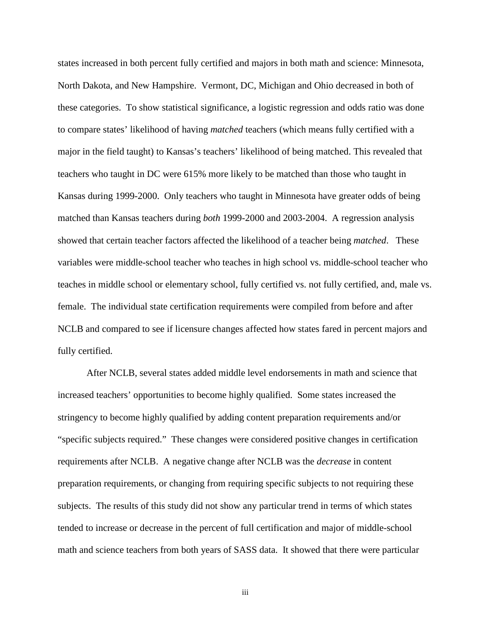states increased in both percent fully certified and majors in both math and science: Minnesota, North Dakota, and New Hampshire. Vermont, DC, Michigan and Ohio decreased in both of these categories. To show statistical significance, a logistic regression and odds ratio was done to compare states' likelihood of having *matched* teachers (which means fully certified with a major in the field taught) to Kansas's teachers' likelihood of being matched. This revealed that teachers who taught in DC were 615% more likely to be matched than those who taught in Kansas during 1999-2000. Only teachers who taught in Minnesota have greater odds of being matched than Kansas teachers during *both* 1999-2000 and 2003-2004. A regression analysis showed that certain teacher factors affected the likelihood of a teacher being *matched*. These variables were middle-school teacher who teaches in high school vs. middle-school teacher who teaches in middle school or elementary school, fully certified vs. not fully certified, and, male vs. female. The individual state certification requirements were compiled from before and after NCLB and compared to see if licensure changes affected how states fared in percent majors and fully certified.

After NCLB, several states added middle level endorsements in math and science that increased teachers' opportunities to become highly qualified. Some states increased the stringency to become highly qualified by adding content preparation requirements and/or "specific subjects required." These changes were considered positive changes in certification requirements after NCLB. A negative change after NCLB was the *decrease* in content preparation requirements, or changing from requiring specific subjects to not requiring these subjects. The results of this study did not show any particular trend in terms of which states tended to increase or decrease in the percent of full certification and major of middle-school math and science teachers from both years of SASS data. It showed that there were particular

iii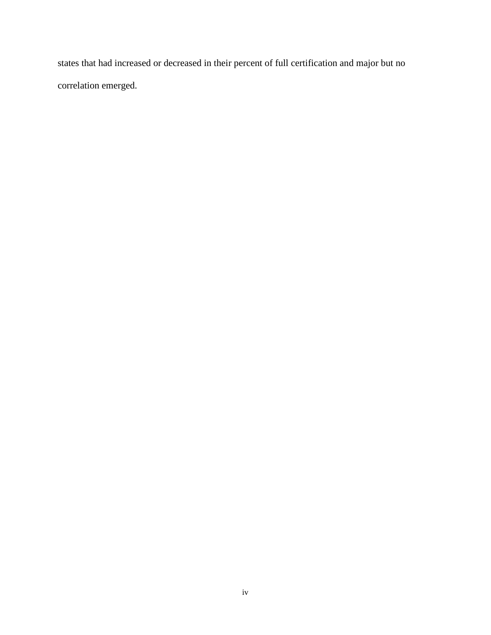states that had increased or decreased in their percent of full certification and major but no correlation emerged.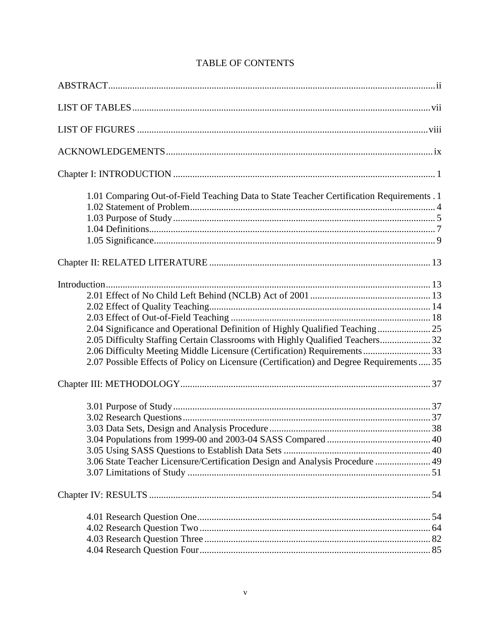| 1.01 Comparing Out-of-Field Teaching Data to State Teacher Certification Requirements . 1                                                                                                                                                                                                                                              |  |
|----------------------------------------------------------------------------------------------------------------------------------------------------------------------------------------------------------------------------------------------------------------------------------------------------------------------------------------|--|
|                                                                                                                                                                                                                                                                                                                                        |  |
| 2.04 Significance and Operational Definition of Highly Qualified Teaching 25<br>2.05 Difficulty Staffing Certain Classrooms with Highly Qualified Teachers 32<br>2.06 Difficulty Meeting Middle Licensure (Certification) Requirements  33<br>2.07 Possible Effects of Policy on Licensure (Certification) and Degree Requirements  35 |  |
|                                                                                                                                                                                                                                                                                                                                        |  |
| 3.06 State Teacher Licensure/Certification Design and Analysis Procedure  49                                                                                                                                                                                                                                                           |  |
|                                                                                                                                                                                                                                                                                                                                        |  |
|                                                                                                                                                                                                                                                                                                                                        |  |

# **TABLE OF CONTENTS**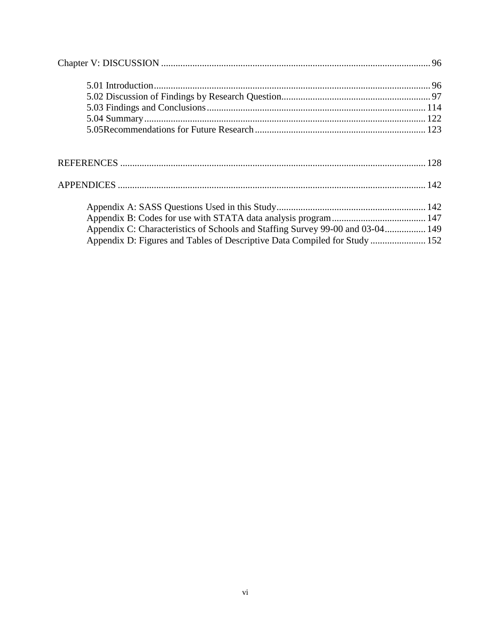| Appendix C: Characteristics of Schools and Staffing Survey 99-00 and 03-04 149 |  |
|--------------------------------------------------------------------------------|--|
| Appendix D: Figures and Tables of Descriptive Data Compiled for Study  152     |  |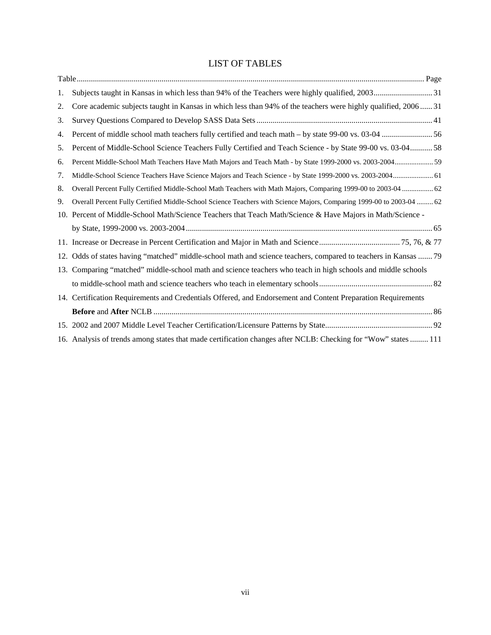# LIST OF TABLES

| 1. |                                                                                                                      |
|----|----------------------------------------------------------------------------------------------------------------------|
| 2. | Core academic subjects taught in Kansas in which less than 94% of the teachers were highly qualified, 2006 31        |
| 3. |                                                                                                                      |
| 4. |                                                                                                                      |
| 5. | Percent of Middle-School Science Teachers Fully Certified and Teach Science - by State 99-00 vs. 03-0458             |
| 6. | Percent Middle-School Math Teachers Have Math Majors and Teach Math - by State 1999-2000 vs. 2003-2004 59            |
| 7. | Middle-School Science Teachers Have Science Majors and Teach Science - by State 1999-2000 vs. 2003-2004 61           |
| 8. | Overall Percent Fully Certified Middle-School Math Teachers with Math Majors, Comparing 1999-00 to 2003-04  62       |
| 9. | Overall Percent Fully Certified Middle-School Science Teachers with Science Majors, Comparing 1999-00 to 2003-04  62 |
|    | 10. Percent of Middle-School Math/Science Teachers that Teach Math/Science & Have Majors in Math/Science -           |
|    |                                                                                                                      |
|    |                                                                                                                      |
|    | 12. Odds of states having "matched" middle-school math and science teachers, compared to teachers in Kansas  79      |
|    | 13. Comparing "matched" middle-school math and science teachers who teach in high schools and middle schools         |
|    |                                                                                                                      |
|    | 14. Certification Requirements and Credentials Offered, and Endorsement and Content Preparation Requirements         |
|    |                                                                                                                      |
|    |                                                                                                                      |
|    | 16. Analysis of trends among states that made certification changes after NCLB: Checking for "Wow" states  111       |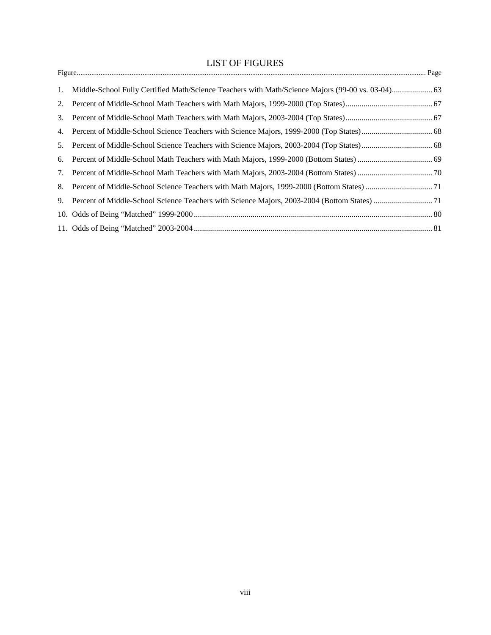# LIST OF FIGURES

|    | 1. Middle-School Fully Certified Math/Science Teachers with Math/Science Majors (99-00 vs. 03-04) 63 |
|----|------------------------------------------------------------------------------------------------------|
|    |                                                                                                      |
|    |                                                                                                      |
|    |                                                                                                      |
| 5. |                                                                                                      |
| 6. |                                                                                                      |
|    |                                                                                                      |
|    |                                                                                                      |
|    |                                                                                                      |
|    |                                                                                                      |
|    |                                                                                                      |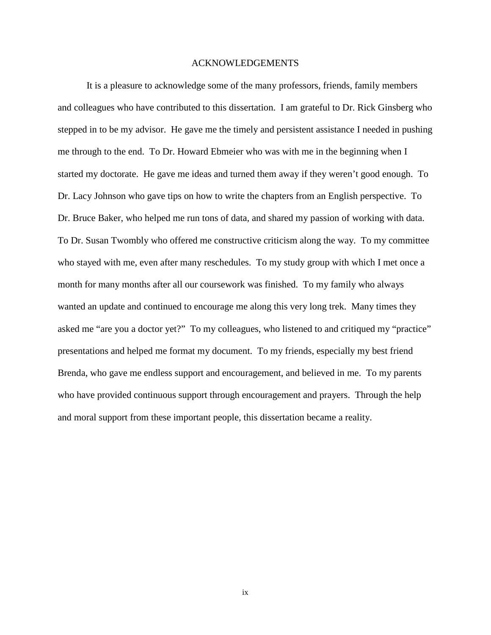## ACKNOWLEDGEMENTS

 It is a pleasure to acknowledge some of the many professors, friends, family members and colleagues who have contributed to this dissertation. I am grateful to Dr. Rick Ginsberg who stepped in to be my advisor. He gave me the timely and persistent assistance I needed in pushing me through to the end. To Dr. Howard Ebmeier who was with me in the beginning when I started my doctorate. He gave me ideas and turned them away if they weren't good enough. To Dr. Lacy Johnson who gave tips on how to write the chapters from an English perspective. To Dr. Bruce Baker, who helped me run tons of data, and shared my passion of working with data. To Dr. Susan Twombly who offered me constructive criticism along the way. To my committee who stayed with me, even after many reschedules. To my study group with which I met once a month for many months after all our coursework was finished. To my family who always wanted an update and continued to encourage me along this very long trek. Many times they asked me "are you a doctor yet?" To my colleagues, who listened to and critiqued my "practice" presentations and helped me format my document. To my friends, especially my best friend Brenda, who gave me endless support and encouragement, and believed in me. To my parents who have provided continuous support through encouragement and prayers. Through the help and moral support from these important people, this dissertation became a reality.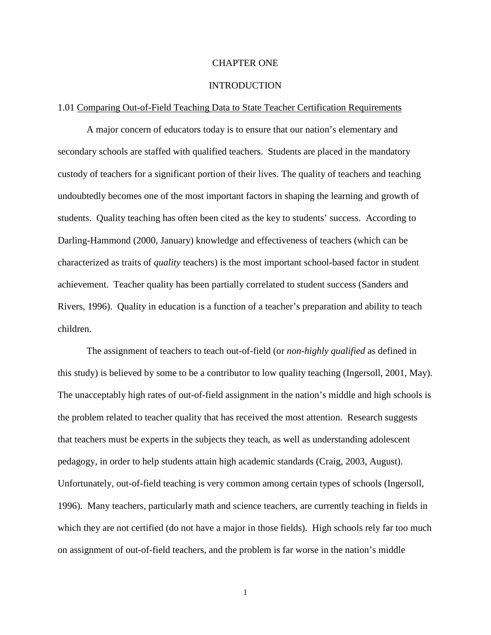#### CHAPTER ONE

### **INTRODUCTION**

#### 1.01 Comparing Out-of-Field Teaching Data to State Teacher Certification Requirements

A major concern of educators today is to ensure that our nation's elementary and secondary schools are staffed with qualified teachers. Students are placed in the mandatory custody of teachers for a significant portion of their lives. The quality of teachers and teaching undoubtedly becomes one of the most important factors in shaping the learning and growth of students. Quality teaching has often been cited as the key to students' success. According to Darling-Hammond (2000, January) knowledge and effectiveness of teachers (which can be characterized as traits of *quality* teachers) is the most important school-based factor in student achievement. Teacher quality has been partially correlated to student success (Sanders and Rivers, 1996). Quality in education is a function of a teacher's preparation and ability to teach children.

The assignment of teachers to teach out-of-field (or *non-highly qualified* as defined in this study) is believed by some to be a contributor to low quality teaching (Ingersoll, 2001, May). The unacceptably high rates of out-of-field assignment in the nation's middle and high schools is the problem related to teacher quality that has received the most attention. Research suggests that teachers must be experts in the subjects they teach, as well as understanding adolescent pedagogy, in order to help students attain high academic standards (Craig, 2003, August). Unfortunately, out-of-field teaching is very common among certain types of schools (Ingersoll, 1996). Many teachers, particularly math and science teachers, are currently teaching in fields in which they are not certified (do not have a major in those fields). High schools rely far too much on assignment of out-of-field teachers, and the problem is far worse in the nation's middle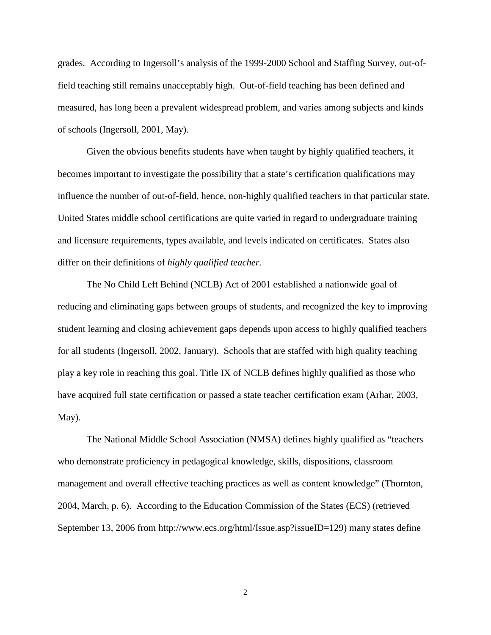grades. According to Ingersoll's analysis of the 1999-2000 School and Staffing Survey, out-offield teaching still remains unacceptably high. Out-of-field teaching has been defined and measured, has long been a prevalent widespread problem, and varies among subjects and kinds of schools (Ingersoll, 2001, May).

Given the obvious benefits students have when taught by highly qualified teachers, it becomes important to investigate the possibility that a state's certification qualifications may influence the number of out-of-field, hence, non-highly qualified teachers in that particular state. United States middle school certifications are quite varied in regard to undergraduate training and licensure requirements, types available, and levels indicated on certificates. States also differ on their definitions of *highly qualified teacher.* 

 The No Child Left Behind (NCLB) Act of 2001 established a nationwide goal of reducing and eliminating gaps between groups of students, and recognized the key to improving student learning and closing achievement gaps depends upon access to highly qualified teachers for all students (Ingersoll, 2002, January). Schools that are staffed with high quality teaching play a key role in reaching this goal. Title IX of NCLB defines highly qualified as those who have acquired full state certification or passed a state teacher certification exam (Arhar, 2003, May).

The National Middle School Association (NMSA) defines highly qualified as "teachers who demonstrate proficiency in pedagogical knowledge, skills, dispositions, classroom management and overall effective teaching practices as well as content knowledge" (Thornton, 2004, March, p. 6). According to the Education Commission of the States (ECS) (retrieved September 13, 2006 from http://www.ecs.org/html/Issue.asp?issueID=129) many states define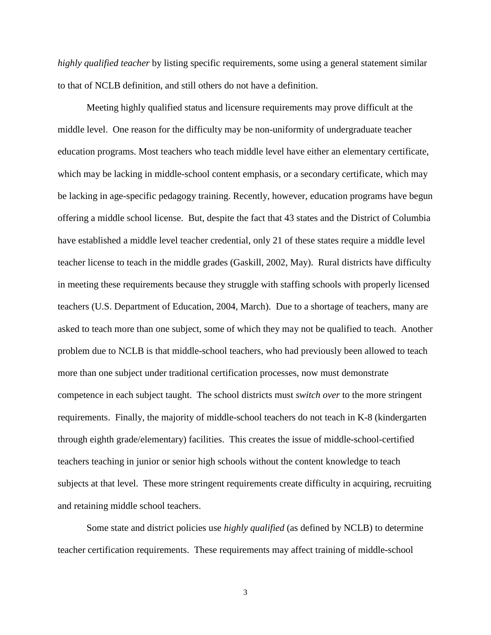*highly qualified teacher* by listing specific requirements, some using a general statement similar to that of NCLB definition, and still others do not have a definition.

Meeting highly qualified status and licensure requirements may prove difficult at the middle level. One reason for the difficulty may be non-uniformity of undergraduate teacher education programs. Most teachers who teach middle level have either an elementary certificate, which may be lacking in middle-school content emphasis, or a secondary certificate, which may be lacking in age-specific pedagogy training. Recently, however, education programs have begun offering a middle school license. But, despite the fact that 43 states and the District of Columbia have established a middle level teacher credential, only 21 of these states require a middle level teacher license to teach in the middle grades (Gaskill, 2002, May). Rural districts have difficulty in meeting these requirements because they struggle with staffing schools with properly licensed teachers (U.S. Department of Education, 2004, March). Due to a shortage of teachers, many are asked to teach more than one subject, some of which they may not be qualified to teach. Another problem due to NCLB is that middle-school teachers, who had previously been allowed to teach more than one subject under traditional certification processes, now must demonstrate competence in each subject taught. The school districts must *switch over* to the more stringent requirements. Finally, the majority of middle-school teachers do not teach in K-8 (kindergarten through eighth grade/elementary) facilities. This creates the issue of middle-school-certified teachers teaching in junior or senior high schools without the content knowledge to teach subjects at that level. These more stringent requirements create difficulty in acquiring, recruiting and retaining middle school teachers.

Some state and district policies use *highly qualified* (as defined by NCLB) to determine teacher certification requirements. These requirements may affect training of middle-school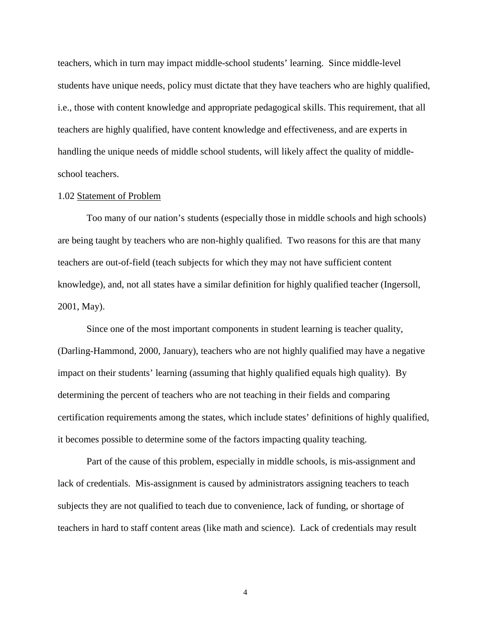teachers, which in turn may impact middle-school students' learning. Since middle-level students have unique needs, policy must dictate that they have teachers who are highly qualified, i.e., those with content knowledge and appropriate pedagogical skills. This requirement, that all teachers are highly qualified, have content knowledge and effectiveness, and are experts in handling the unique needs of middle school students, will likely affect the quality of middleschool teachers.

## 1.02 Statement of Problem

 Too many of our nation's students (especially those in middle schools and high schools) are being taught by teachers who are non-highly qualified. Two reasons for this are that many teachers are out-of-field (teach subjects for which they may not have sufficient content knowledge), and, not all states have a similar definition for highly qualified teacher (Ingersoll, 2001, May).

Since one of the most important components in student learning is teacher quality, (Darling-Hammond, 2000, January), teachers who are not highly qualified may have a negative impact on their students' learning (assuming that highly qualified equals high quality). By determining the percent of teachers who are not teaching in their fields and comparing certification requirements among the states, which include states' definitions of highly qualified, it becomes possible to determine some of the factors impacting quality teaching.

Part of the cause of this problem, especially in middle schools, is mis-assignment and lack of credentials. Mis-assignment is caused by administrators assigning teachers to teach subjects they are not qualified to teach due to convenience, lack of funding, or shortage of teachers in hard to staff content areas (like math and science). Lack of credentials may result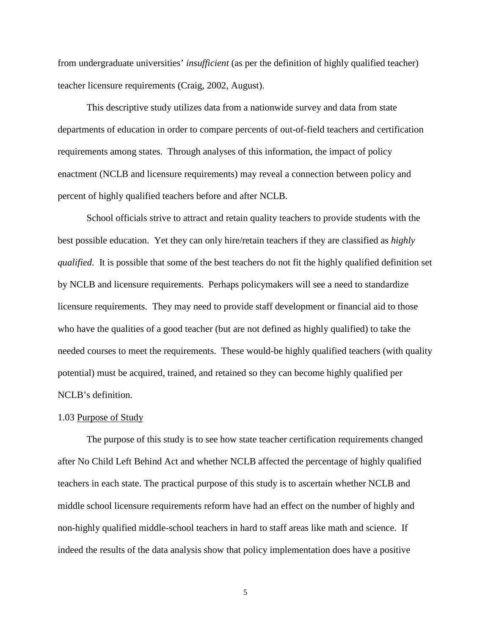from undergraduate universities' *insufficient* (as per the definition of highly qualified teacher) teacher licensure requirements (Craig, 2002, August).

This descriptive study utilizes data from a nationwide survey and data from state departments of education in order to compare percents of out-of-field teachers and certification requirements among states. Through analyses of this information, the impact of policy enactment (NCLB and licensure requirements) may reveal a connection between policy and percent of highly qualified teachers before and after NCLB.

School officials strive to attract and retain quality teachers to provide students with the best possible education. Yet they can only hire/retain teachers if they are classified as *highly qualified.* It is possible that some of the best teachers do not fit the highly qualified definition set by NCLB and licensure requirements. Perhaps policymakers will see a need to standardize licensure requirements. They may need to provide staff development or financial aid to those who have the qualities of a good teacher (but are not defined as highly qualified) to take the needed courses to meet the requirements. These would-be highly qualified teachers (with quality potential) must be acquired, trained, and retained so they can become highly qualified per NCLB's definition.

#### 1.03 Purpose of Study

The purpose of this study is to see how state teacher certification requirements changed after No Child Left Behind Act and whether NCLB affected the percentage of highly qualified teachers in each state. The practical purpose of this study is to ascertain whether NCLB and middle school licensure requirements reform have had an effect on the number of highly and non-highly qualified middle-school teachers in hard to staff areas like math and science. If indeed the results of the data analysis show that policy implementation does have a positive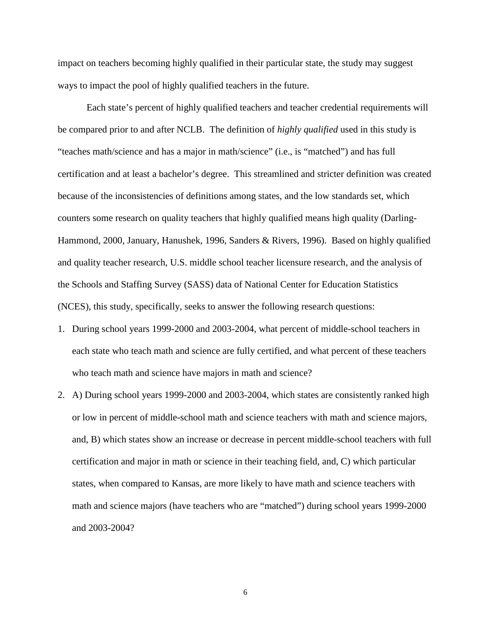impact on teachers becoming highly qualified in their particular state, the study may suggest ways to impact the pool of highly qualified teachers in the future.

Each state's percent of highly qualified teachers and teacher credential requirements will be compared prior to and after NCLB. The definition of *highly qualified* used in this study is "teaches math/science and has a major in math/science" (i.e., is "matched") and has full certification and at least a bachelor's degree. This streamlined and stricter definition was created because of the inconsistencies of definitions among states, and the low standards set, which counters some research on quality teachers that highly qualified means high quality (Darling-Hammond, 2000, January, Hanushek, 1996, Sanders & Rivers, 1996). Based on highly qualified and quality teacher research, U.S. middle school teacher licensure research, and the analysis of the Schools and Staffing Survey (SASS) data of National Center for Education Statistics (NCES), this study, specifically, seeks to answer the following research questions:

- 1. During school years 1999-2000 and 2003-2004, what percent of middle-school teachers in each state who teach math and science are fully certified, and what percent of these teachers who teach math and science have majors in math and science?
- 2. A) During school years 1999-2000 and 2003-2004, which states are consistently ranked high or low in percent of middle-school math and science teachers with math and science majors, and, B) which states show an increase or decrease in percent middle-school teachers with full certification and major in math or science in their teaching field, and, C) which particular states, when compared to Kansas, are more likely to have math and science teachers with math and science majors (have teachers who are "matched") during school years 1999-2000 and 2003-2004?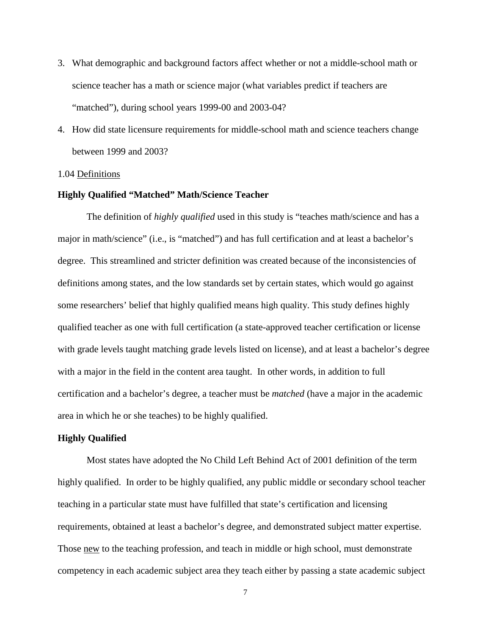- 3. What demographic and background factors affect whether or not a middle-school math or science teacher has a math or science major (what variables predict if teachers are "matched"), during school years 1999-00 and 2003-04?
- 4. How did state licensure requirements for middle-school math and science teachers change between 1999 and 2003?

### 1.04 Definitions

#### **Highly Qualified "Matched" Math/Science Teacher**

The definition of *highly qualified* used in this study is "teaches math/science and has a major in math/science" (i.e., is "matched") and has full certification and at least a bachelor's degree. This streamlined and stricter definition was created because of the inconsistencies of definitions among states, and the low standards set by certain states, which would go against some researchers' belief that highly qualified means high quality. This study defines highly qualified teacher as one with full certification (a state-approved teacher certification or license with grade levels taught matching grade levels listed on license), and at least a bachelor's degree with a major in the field in the content area taught. In other words, in addition to full certification and a bachelor's degree, a teacher must be *matched* (have a major in the academic area in which he or she teaches) to be highly qualified.

## **Highly Qualified**

Most states have adopted the No Child Left Behind Act of 2001 definition of the term highly qualified. In order to be highly qualified, any public middle or secondary school teacher teaching in a particular state must have fulfilled that state's certification and licensing requirements, obtained at least a bachelor's degree, and demonstrated subject matter expertise. Those new to the teaching profession, and teach in middle or high school, must demonstrate competency in each academic subject area they teach either by passing a state academic subject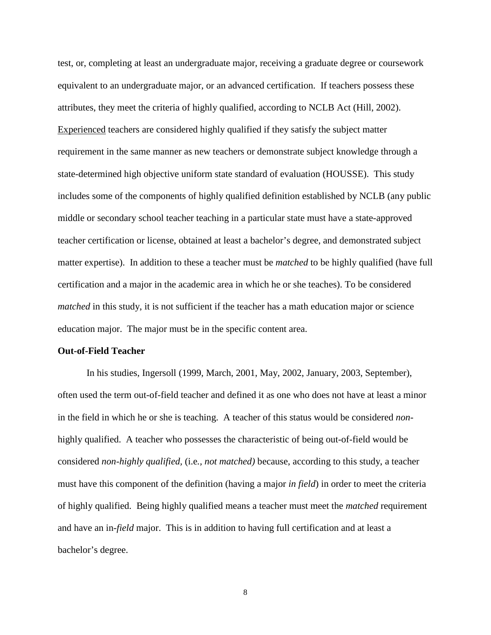test, or, completing at least an undergraduate major, receiving a graduate degree or coursework equivalent to an undergraduate major, or an advanced certification. If teachers possess these attributes, they meet the criteria of highly qualified, according to NCLB Act (Hill, 2002). Experienced teachers are considered highly qualified if they satisfy the subject matter requirement in the same manner as new teachers or demonstrate subject knowledge through a state-determined high objective uniform state standard of evaluation (HOUSSE). This study includes some of the components of highly qualified definition established by NCLB (any public middle or secondary school teacher teaching in a particular state must have a state-approved teacher certification or license, obtained at least a bachelor's degree, and demonstrated subject matter expertise). In addition to these a teacher must be *matched* to be highly qualified (have full certification and a major in the academic area in which he or she teaches). To be considered *matched* in this study, it is not sufficient if the teacher has a math education major or science education major. The major must be in the specific content area.

#### **Out-of-Field Teacher**

 In his studies, Ingersoll (1999, March, 2001, May, 2002, January, 2003, September), often used the term out-of-field teacher and defined it as one who does not have at least a minor in the field in which he or she is teaching. A teacher of this status would be considered *non*highly qualified. A teacher who possesses the characteristic of being out-of-field would be considered *non-highly qualified,* (i.e*., not matched)* because, according to this study, a teacher must have this component of the definition (having a major *in field*) in order to meet the criteria of highly qualified. Being highly qualified means a teacher must meet the *matched* requirement and have an in-*field* major. This is in addition to having full certification and at least a bachelor's degree.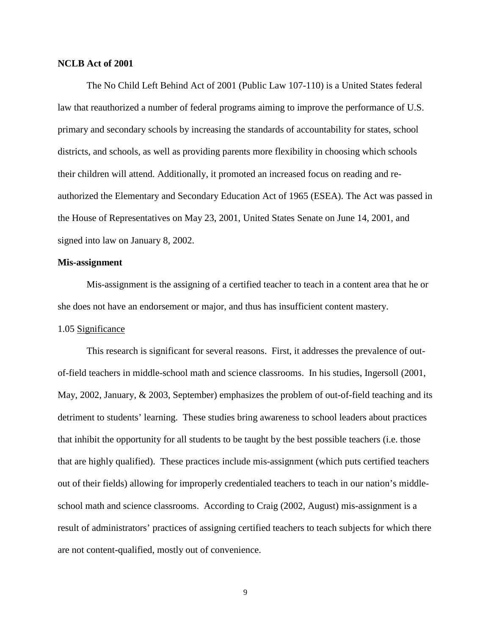### **NCLB Act of 2001**

The No Child Left Behind Act of 2001 (Public Law 107-110) is a United States federal law that reauthorized a number of federal programs aiming to improve the performance of U.S. primary and secondary schools by increasing the standards of accountability for states, school districts, and schools, as well as providing parents more flexibility in choosing which schools their children will attend. Additionally, it promoted an increased focus on reading and reauthorized the Elementary and Secondary Education Act of 1965 (ESEA). The Act was passed in the House of Representatives on May 23, 2001, United States Senate on June 14, 2001, and signed into law on January 8, 2002.

#### **Mis-assignment**

Mis-assignment is the assigning of a certified teacher to teach in a content area that he or she does not have an endorsement or major, and thus has insufficient content mastery. 1.05 Significance

This research is significant for several reasons. First, it addresses the prevalence of outof-field teachers in middle-school math and science classrooms. In his studies, Ingersoll (2001, May, 2002, January, & 2003, September) emphasizes the problem of out-of-field teaching and its detriment to students' learning. These studies bring awareness to school leaders about practices that inhibit the opportunity for all students to be taught by the best possible teachers (i.e. those that are highly qualified). These practices include mis-assignment (which puts certified teachers out of their fields) allowing for improperly credentialed teachers to teach in our nation's middleschool math and science classrooms.According to Craig (2002, August) mis-assignment is a result of administrators' practices of assigning certified teachers to teach subjects for which there are not content-qualified, mostly out of convenience.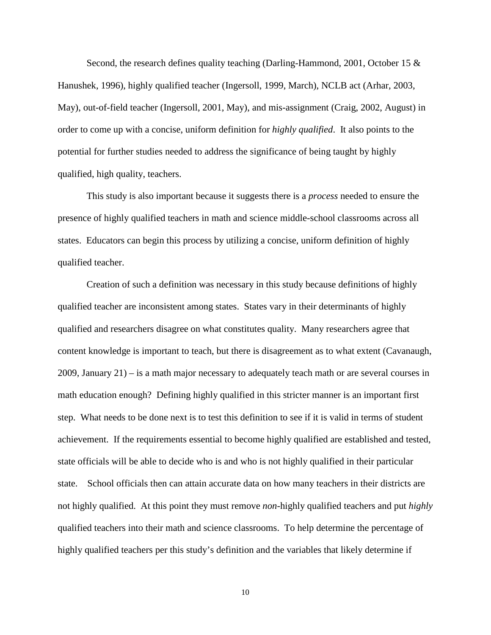Second, the research defines quality teaching (Darling-Hammond, 2001, October 15  $\&$ Hanushek, 1996), highly qualified teacher (Ingersoll, 1999, March), NCLB act (Arhar, 2003, May), out-of-field teacher (Ingersoll, 2001, May), and mis-assignment (Craig, 2002, August) in order to come up with a concise, uniform definition for *highly qualified*. It also points to the potential for further studies needed to address the significance of being taught by highly qualified, high quality, teachers.

This study is also important because it suggests there is a *process* needed to ensure the presence of highly qualified teachers in math and science middle-school classrooms across all states. Educators can begin this process by utilizing a concise, uniform definition of highly qualified teacher.

Creation of such a definition was necessary in this study because definitions of highly qualified teacher are inconsistent among states. States vary in their determinants of highly qualified and researchers disagree on what constitutes quality. Many researchers agree that content knowledge is important to teach, but there is disagreement as to what extent (Cavanaugh, 2009, January 21) – is a math major necessary to adequately teach math or are several courses in math education enough? Defining highly qualified in this stricter manner is an important first step. What needs to be done next is to test this definition to see if it is valid in terms of student achievement. If the requirements essential to become highly qualified are established and tested, state officials will be able to decide who is and who is not highly qualified in their particular state. School officials then can attain accurate data on how many teachers in their districts are not highly qualified. At this point they must remove *non*-highly qualified teachers and put *highly* qualified teachers into their math and science classrooms. To help determine the percentage of highly qualified teachers per this study's definition and the variables that likely determine if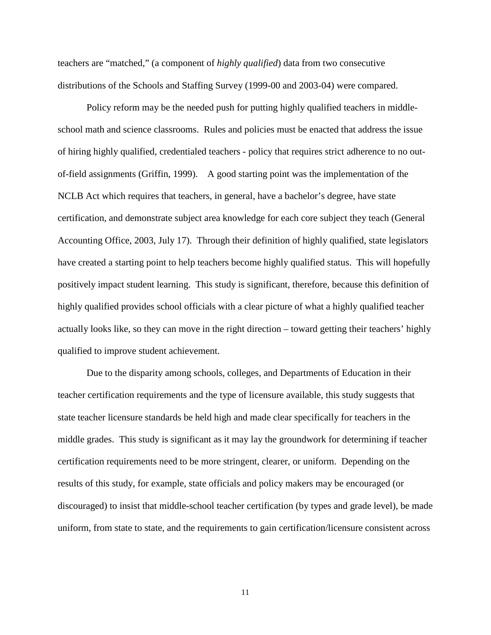teachers are "matched," (a component of *highly qualified*) data from two consecutive distributions of the Schools and Staffing Survey (1999-00 and 2003-04) were compared.

Policy reform may be the needed push for putting highly qualified teachers in middleschool math and science classrooms. Rules and policies must be enacted that address the issue of hiring highly qualified, credentialed teachers - policy that requires strict adherence to no outof-field assignments (Griffin, 1999). A good starting point was the implementation of the NCLB Act which requires that teachers, in general, have a bachelor's degree, have state certification, and demonstrate subject area knowledge for each core subject they teach (General Accounting Office, 2003, July 17). Through their definition of highly qualified, state legislators have created a starting point to help teachers become highly qualified status. This will hopefully positively impact student learning. This study is significant, therefore, because this definition of highly qualified provides school officials with a clear picture of what a highly qualified teacher actually looks like, so they can move in the right direction – toward getting their teachers' highly qualified to improve student achievement.

Due to the disparity among schools, colleges, and Departments of Education in their teacher certification requirements and the type of licensure available, this study suggests that state teacher licensure standards be held high and made clear specifically for teachers in the middle grades. This study is significant as it may lay the groundwork for determining if teacher certification requirements need to be more stringent, clearer, or uniform. Depending on the results of this study, for example, state officials and policy makers may be encouraged (or discouraged) to insist that middle-school teacher certification (by types and grade level), be made uniform, from state to state, and the requirements to gain certification/licensure consistent across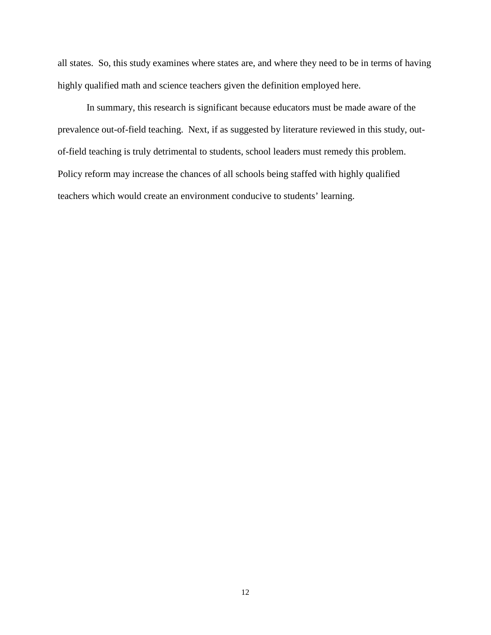all states. So, this study examines where states are, and where they need to be in terms of having highly qualified math and science teachers given the definition employed here.

In summary, this research is significant because educators must be made aware of the prevalence out-of-field teaching. Next, if as suggested by literature reviewed in this study, outof-field teaching is truly detrimental to students, school leaders must remedy this problem. Policy reform may increase the chances of all schools being staffed with highly qualified teachers which would create an environment conducive to students' learning.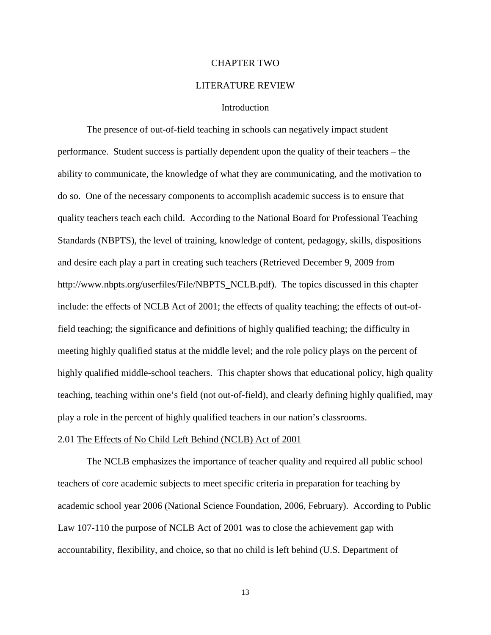#### CHAPTER TWO

#### LITERATURE REVIEW

### **Introduction**

 The presence of out-of-field teaching in schools can negatively impact student performance. Student success is partially dependent upon the quality of their teachers – the ability to communicate, the knowledge of what they are communicating, and the motivation to do so. One of the necessary components to accomplish academic success is to ensure that quality teachers teach each child. According to the National Board for Professional Teaching Standards (NBPTS), the level of training, knowledge of content, pedagogy, skills, dispositions and desire each play a part in creating such teachers (Retrieved December 9, 2009 from http://www.nbpts.org/userfiles/File/NBPTS\_NCLB.pdf). The topics discussed in this chapter include: the effects of NCLB Act of 2001; the effects of quality teaching; the effects of out-offield teaching; the significance and definitions of highly qualified teaching; the difficulty in meeting highly qualified status at the middle level; and the role policy plays on the percent of highly qualified middle-school teachers. This chapter shows that educational policy, high quality teaching, teaching within one's field (not out-of-field), and clearly defining highly qualified, may play a role in the percent of highly qualified teachers in our nation's classrooms.

#### 2.01 The Effects of No Child Left Behind (NCLB) Act of 2001

 The NCLB emphasizes the importance of teacher quality and required all public school teachers of core academic subjects to meet specific criteria in preparation for teaching by academic school year 2006 (National Science Foundation, 2006, February). According to Public Law 107-110 the purpose of NCLB Act of 2001 was to close the achievement gap with accountability, flexibility, and choice, so that no child is left behind (U.S. Department of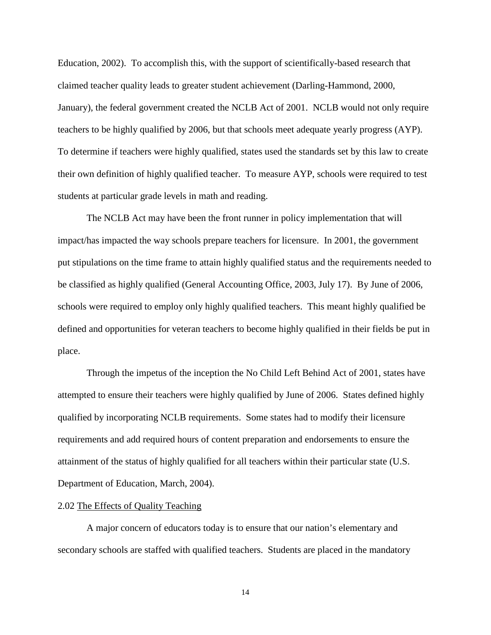Education, 2002). To accomplish this, with the support of scientifically-based research that claimed teacher quality leads to greater student achievement (Darling-Hammond, 2000, January), the federal government created the NCLB Act of 2001. NCLB would not only require teachers to be highly qualified by 2006, but that schools meet adequate yearly progress (AYP). To determine if teachers were highly qualified, states used the standards set by this law to create their own definition of highly qualified teacher. To measure AYP, schools were required to test students at particular grade levels in math and reading.

 The NCLB Act may have been the front runner in policy implementation that will impact/has impacted the way schools prepare teachers for licensure. In 2001, the government put stipulations on the time frame to attain highly qualified status and the requirements needed to be classified as highly qualified (General Accounting Office, 2003, July 17). By June of 2006, schools were required to employ only highly qualified teachers. This meant highly qualified be defined and opportunities for veteran teachers to become highly qualified in their fields be put in place.

Through the impetus of the inception the No Child Left Behind Act of 2001, states have attempted to ensure their teachers were highly qualified by June of 2006. States defined highly qualified by incorporating NCLB requirements. Some states had to modify their licensure requirements and add required hours of content preparation and endorsements to ensure the attainment of the status of highly qualified for all teachers within their particular state (U.S. Department of Education, March, 2004).

#### 2.02 The Effects of Quality Teaching

A major concern of educators today is to ensure that our nation's elementary and secondary schools are staffed with qualified teachers. Students are placed in the mandatory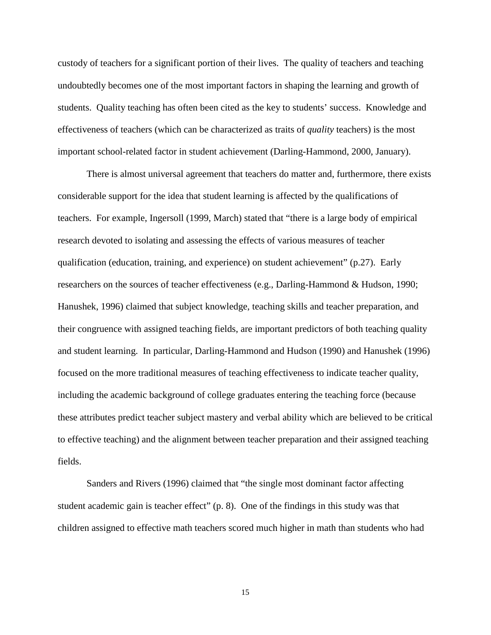custody of teachers for a significant portion of their lives. The quality of teachers and teaching undoubtedly becomes one of the most important factors in shaping the learning and growth of students. Quality teaching has often been cited as the key to students' success. Knowledge and effectiveness of teachers (which can be characterized as traits of *quality* teachers) is the most important school-related factor in student achievement (Darling-Hammond, 2000, January).

There is almost universal agreement that teachers do matter and, furthermore, there exists considerable support for the idea that student learning is affected by the qualifications of teachers. For example, Ingersoll (1999, March) stated that "there is a large body of empirical research devoted to isolating and assessing the effects of various measures of teacher qualification (education, training, and experience) on student achievement" (p.27). Early researchers on the sources of teacher effectiveness (e.g., Darling-Hammond & Hudson, 1990; Hanushek, 1996) claimed that subject knowledge, teaching skills and teacher preparation, and their congruence with assigned teaching fields, are important predictors of both teaching quality and student learning. In particular, Darling-Hammond and Hudson (1990) and Hanushek (1996) focused on the more traditional measures of teaching effectiveness to indicate teacher quality, including the academic background of college graduates entering the teaching force (because these attributes predict teacher subject mastery and verbal ability which are believed to be critical to effective teaching) and the alignment between teacher preparation and their assigned teaching fields.

Sanders and Rivers (1996) claimed that "the single most dominant factor affecting student academic gain is teacher effect" (p. 8). One of the findings in this study was that children assigned to effective math teachers scored much higher in math than students who had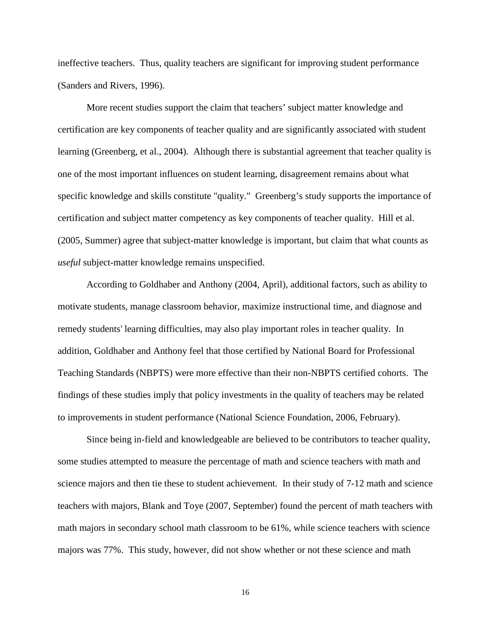ineffective teachers. Thus, quality teachers are significant for improving student performance (Sanders and Rivers, 1996).

More recent studies support the claim that teachers' subject matter knowledge and certification are key components of teacher quality and are significantly associated with student learning (Greenberg, et al., 2004). Although there is substantial agreement that teacher quality is one of the most important influences on student learning, disagreement remains about what specific knowledge and skills constitute "quality." Greenberg's study supports the importance of certification and subject matter competency as key components of teacher quality. Hill et al. (2005, Summer) agree that subject-matter knowledge is important, but claim that what counts as *useful* subject-matter knowledge remains unspecified.

According to Goldhaber and Anthony (2004, April), additional factors, such as ability to motivate students, manage classroom behavior, maximize instructional time, and diagnose and remedy students' learning difficulties, may also play important roles in teacher quality. In addition, Goldhaber and Anthony feel that those certified by National Board for Professional Teaching Standards (NBPTS) were more effective than their non-NBPTS certified cohorts. The findings of these studies imply that policy investments in the quality of teachers may be related to improvements in student performance (National Science Foundation, 2006, February).

Since being in-field and knowledgeable are believed to be contributors to teacher quality, some studies attempted to measure the percentage of math and science teachers with math and science majors and then tie these to student achievement. In their study of 7-12 math and science teachers with majors, Blank and Toye (2007, September) found the percent of math teachers with math majors in secondary school math classroom to be 61%, while science teachers with science majors was 77%. This study, however, did not show whether or not these science and math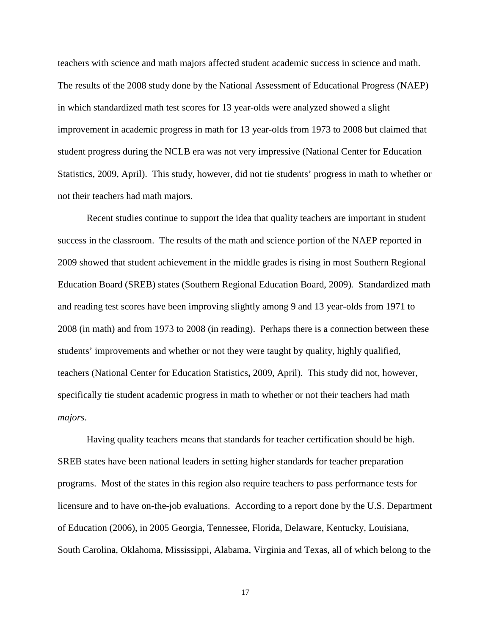teachers with science and math majors affected student academic success in science and math. The results of the 2008 study done by the National Assessment of Educational Progress (NAEP) in which standardized math test scores for 13 year-olds were analyzed showed a slight improvement in academic progress in math for 13 year-olds from 1973 to 2008 but claimed that student progress during the NCLB era was not very impressive (National Center for Education Statistics, 2009, April). This study, however, did not tie students' progress in math to whether or not their teachers had math majors.

 Recent studies continue to support the idea that quality teachers are important in student success in the classroom. The results of the math and science portion of the NAEP reported in 2009 showed that student achievement in the middle grades is rising in most Southern Regional Education Board (SREB) states (Southern Regional Education Board, 2009)*.* Standardized math and reading test scores have been improving slightly among 9 and 13 year-olds from 1971 to 2008 (in math) and from 1973 to 2008 (in reading). Perhaps there is a connection between these students' improvements and whether or not they were taught by quality, highly qualified, teachers (National Center for Education Statistics**,** 2009, April). This study did not, however, specifically tie student academic progress in math to whether or not their teachers had math *majors*.

 Having quality teachers means that standards for teacher certification should be high. SREB states have been national leaders in setting higher standards for teacher preparation programs. Most of the states in this region also require teachers to pass performance tests for licensure and to have on-the-job evaluations. According to a report done by the U.S. Department of Education (2006), in 2005 Georgia, Tennessee, Florida, Delaware, Kentucky, Louisiana, South Carolina, Oklahoma, Mississippi, Alabama, Virginia and Texas, all of which belong to the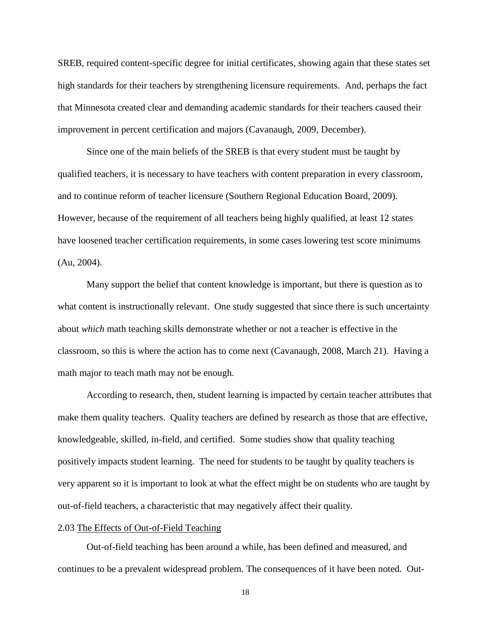SREB, required content-specific degree for initial certificates, showing again that these states set high standards for their teachers by strengthening licensure requirements. And, perhaps the fact that Minnesota created clear and demanding academic standards for their teachers caused their improvement in percent certification and majors (Cavanaugh, 2009, December).

 Since one of the main beliefs of the SREB is that every student must be taught by qualified teachers, it is necessary to have teachers with content preparation in every classroom, and to continue reform of teacher licensure (Southern Regional Education Board, 2009). However, because of the requirement of all teachers being highly qualified, at least 12 states have loosened teacher certification requirements, in some cases lowering test score minimums (Au, 2004).

 Many support the belief that content knowledge is important, but there is question as to what content is instructionally relevant. One study suggested that since there is such uncertainty about *which* math teaching skills demonstrate whether or not a teacher is effective in the classroom, so this is where the action has to come next (Cavanaugh, 2008, March 21). Having a math major to teach math may not be enough.

According to research, then, student learning is impacted by certain teacher attributes that make them quality teachers. Quality teachers are defined by research as those that are effective, knowledgeable, skilled, in-field, and certified. Some studies show that quality teaching positively impacts student learning. The need for students to be taught by quality teachers is very apparent so it is important to look at what the effect might be on students who are taught by out-of-field teachers, a characteristic that may negatively affect their quality.

## 2.03 The Effects of Out-of-Field Teaching

Out-of-field teaching has been around a while, has been defined and measured, and continues to be a prevalent widespread problem. The consequences of it have been noted. Out-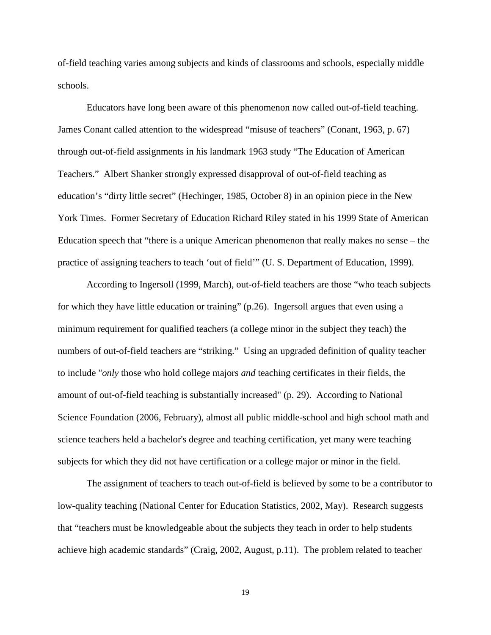of-field teaching varies among subjects and kinds of classrooms and schools, especially middle schools.

Educators have long been aware of this phenomenon now called out-of-field teaching. James Conant called attention to the widespread "misuse of teachers" (Conant, 1963, p. 67) through out-of-field assignments in his landmark 1963 study "The Education of American Teachers." Albert Shanker strongly expressed disapproval of out-of-field teaching as education's "dirty little secret" (Hechinger, 1985, October 8) in an opinion piece in the New York Times. Former Secretary of Education Richard Riley stated in his 1999 State of American Education speech that "there is a unique American phenomenon that really makes no sense – the practice of assigning teachers to teach 'out of field'" (U. S. Department of Education, 1999).

According to Ingersoll (1999, March), out-of-field teachers are those "who teach subjects for which they have little education or training" (p.26).Ingersoll argues that even using a minimum requirement for qualified teachers (a college minor in the subject they teach) the numbers of out-of-field teachers are "striking." Using an upgraded definition of quality teacher to include "*only* those who hold college majors *and* teaching certificates in their fields, the amount of out-of-field teaching is substantially increased" (p. 29). According to National Science Foundation (2006, February), almost all public middle-school and high school math and science teachers held a bachelor's degree and teaching certification, yet many were teaching subjects for which they did not have certification or a college major or minor in the field.

The assignment of teachers to teach out-of-field is believed by some to be a contributor to low-quality teaching (National Center for Education Statistics, 2002, May). Research suggests that "teachers must be knowledgeable about the subjects they teach in order to help students achieve high academic standards" (Craig, 2002, August, p.11). The problem related to teacher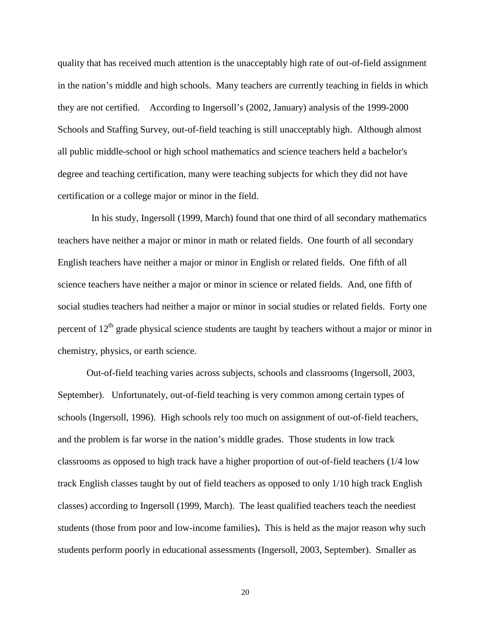quality that has received much attention is the unacceptably high rate of out-of-field assignment in the nation's middle and high schools. Many teachers are currently teaching in fields in which they are not certified. According to Ingersoll's (2002, January) analysis of the 1999-2000 Schools and Staffing Survey, out-of-field teaching is still unacceptably high. Although almost all public middle-school or high school mathematics and science teachers held a bachelor's degree and teaching certification, many were teaching subjects for which they did not have certification or a college major or minor in the field.

 In his study, Ingersoll (1999, March) found that one third of all secondary mathematics teachers have neither a major or minor in math or related fields. One fourth of all secondary English teachers have neither a major or minor in English or related fields. One fifth of all science teachers have neither a major or minor in science or related fields. And, one fifth of social studies teachers had neither a major or minor in social studies or related fields. Forty one percent of  $12<sup>th</sup>$  grade physical science students are taught by teachers without a major or minor in chemistry, physics, or earth science.

Out-of-field teaching varies across subjects, schools and classrooms (Ingersoll, 2003, September).Unfortunately, out-of-field teaching is very common among certain types of schools (Ingersoll, 1996). High schools rely too much on assignment of out-of-field teachers, and the problem is far worse in the nation's middle grades. Those students in low track classrooms as opposed to high track have a higher proportion of out-of-field teachers (1/4 low track English classes taught by out of field teachers as opposed to only 1/10 high track English classes) according to Ingersoll (1999, March).The least qualified teachers teach the neediest students (those from poor and low-income families)**.** This is held as the major reason why such students perform poorly in educational assessments (Ingersoll, 2003, September). Smaller as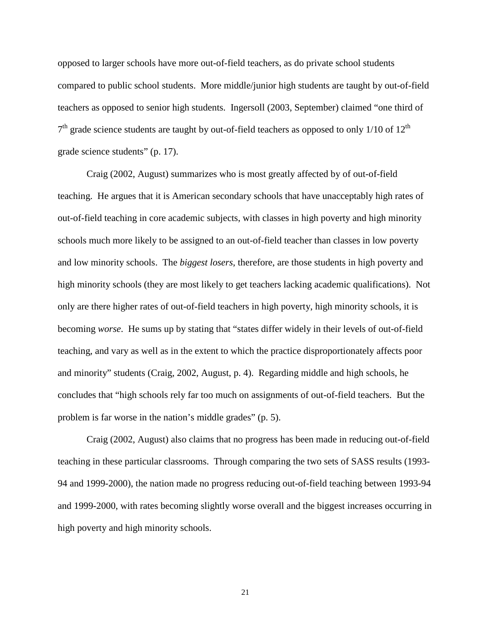opposed to larger schools have more out-of-field teachers, as do private school students compared to public school students. More middle/junior high students are taught by out-of-field teachers as opposed to senior high students. Ingersoll (2003, September) claimed "one third of  $7<sup>th</sup>$  grade science students are taught by out-of-field teachers as opposed to only 1/10 of 12<sup>th</sup> grade science students" (p. 17).

Craig (2002, August) summarizes who is most greatly affected by of out-of-field teaching. He argues that it is American secondary schools that have unacceptably high rates of out-of-field teaching in core academic subjects, with classes in high poverty and high minority schools much more likely to be assigned to an out-of-field teacher than classes in low poverty and low minority schools. The *biggest losers*, therefore, are those students in high poverty and high minority schools (they are most likely to get teachers lacking academic qualifications). Not only are there higher rates of out-of-field teachers in high poverty, high minority schools, it is becoming *worse*. He sums up by stating that "states differ widely in their levels of out-of-field teaching, and vary as well as in the extent to which the practice disproportionately affects poor and minority" students (Craig, 2002, August, p. 4). Regarding middle and high schools, he concludes that "high schools rely far too much on assignments of out-of-field teachers. But the problem is far worse in the nation's middle grades" (p. 5).

Craig (2002, August) also claims that no progress has been made in reducing out-of-field teaching in these particular classrooms. Through comparing the two sets of SASS results (1993- 94 and 1999-2000), the nation made no progress reducing out-of-field teaching between 1993-94 and 1999-2000, with rates becoming slightly worse overall and the biggest increases occurring in high poverty and high minority schools.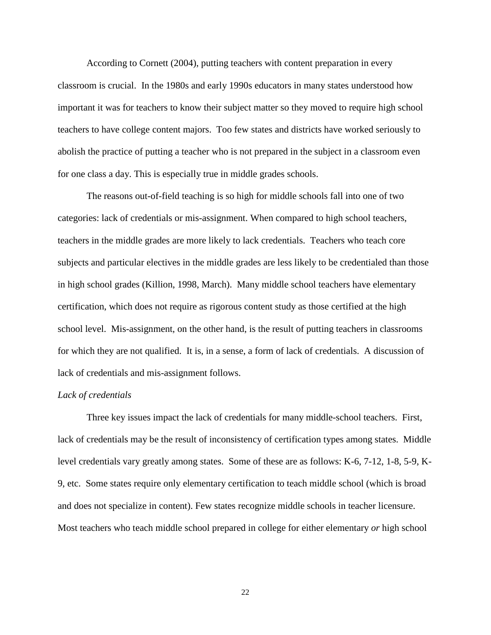According to Cornett (2004), putting teachers with content preparation in every classroom is crucial. In the 1980s and early 1990s educators in many states understood how important it was for teachers to know their subject matter so they moved to require high school teachers to have college content majors. Too few states and districts have worked seriously to abolish the practice of putting a teacher who is not prepared in the subject in a classroom even for one class a day. This is especially true in middle grades schools.

 The reasons out-of-field teaching is so high for middle schools fall into one of two categories: lack of credentials or mis-assignment. When compared to high school teachers, teachers in the middle grades are more likely to lack credentials. Teachers who teach core subjects and particular electives in the middle grades are less likely to be credentialed than those in high school grades (Killion, 1998, March). Many middle school teachers have elementary certification, which does not require as rigorous content study as those certified at the high school level. Mis-assignment, on the other hand, is the result of putting teachers in classrooms for which they are not qualified. It is, in a sense, a form of lack of credentials. A discussion of lack of credentials and mis-assignment follows.

#### *Lack of credentials*

Three key issues impact the lack of credentials for many middle-school teachers. First, lack of credentials may be the result of inconsistency of certification types among states. Middle level credentials vary greatly among states. Some of these are as follows: K-6, 7-12, 1-8, 5-9, K-9, etc. Some states require only elementary certification to teach middle school (which is broad and does not specialize in content). Few states recognize middle schools in teacher licensure. Most teachers who teach middle school prepared in college for either elementary *or* high school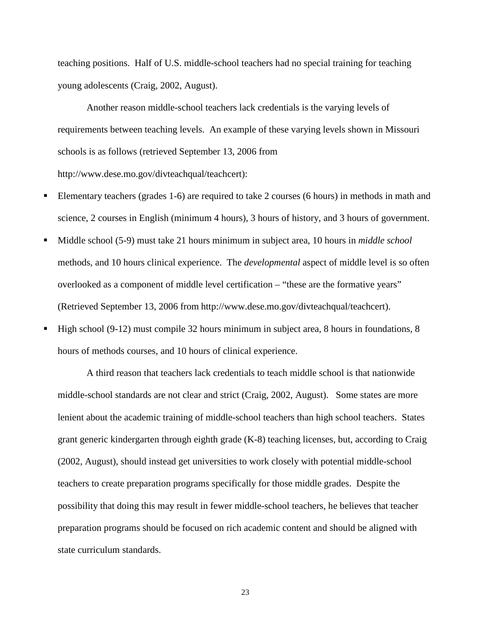teaching positions. Half of U.S. middle-school teachers had no special training for teaching young adolescents (Craig, 2002, August).

 Another reason middle-school teachers lack credentials is the varying levels of requirements between teaching levels. An example of these varying levels shown in Missouri schools is as follows (retrieved September 13, 2006 from http://www.dese.mo.gov/divteachqual/teachcert):

- Elementary teachers (grades 1-6) are required to take 2 courses (6 hours) in methods in math and science, 2 courses in English (minimum 4 hours), 3 hours of history, and 3 hours of government.
- Middle school (5-9) must take 21 hours minimum in subject area, 10 hours in *middle school* methods, and 10 hours clinical experience. The *developmental* aspect of middle level is so often overlooked as a component of middle level certification – "these are the formative years" (Retrieved September 13, 2006 from http://www.dese.mo.gov/divteachqual/teachcert).
- High school (9-12) must compile 32 hours minimum in subject area, 8 hours in foundations, 8 hours of methods courses, and 10 hours of clinical experience.

A third reason that teachers lack credentials to teach middle school is that nationwide middle-school standards are not clear and strict (Craig, 2002, August). Some states are more lenient about the academic training of middle-school teachers than high school teachers. States grant generic kindergarten through eighth grade (K-8) teaching licenses, but, according to Craig (2002, August), should instead get universities to work closely with potential middle-school teachers to create preparation programs specifically for those middle grades. Despite the possibility that doing this may result in fewer middle-school teachers, he believes that teacher preparation programs should be focused on rich academic content and should be aligned with state curriculum standards.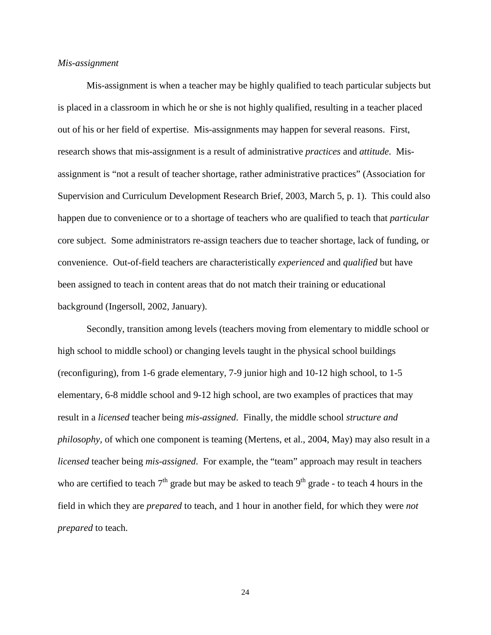## *Mis-assignment*

Mis-assignment is when a teacher may be highly qualified to teach particular subjects but is placed in a classroom in which he or she is not highly qualified, resulting in a teacher placed out of his or her field of expertise. Mis-assignments may happen for several reasons. First, research shows that mis-assignment is a result of administrative *practices* and *attitude*. Misassignment is "not a result of teacher shortage, rather administrative practices" (Association for Supervision and Curriculum Development Research Brief, 2003, March 5, p. 1). This could also happen due to convenience or to a shortage of teachers who are qualified to teach that *particular* core subject. Some administrators re-assign teachers due to teacher shortage, lack of funding, or convenience. Out-of-field teachers are characteristically *experienced* and *qualified* but have been assigned to teach in content areas that do not match their training or educational background (Ingersoll, 2002, January).

Secondly, transition among levels (teachers moving from elementary to middle school or high school to middle school) or changing levels taught in the physical school buildings (reconfiguring), from 1-6 grade elementary, 7-9 junior high and 10-12 high school, to 1-5 elementary, 6-8 middle school and 9-12 high school, are two examples of practices that may result in a *licensed* teacher being *mis-assigned*. Finally, the middle school *structure and philosophy,* of which one component is teaming (Mertens, et al., 2004, May) may also result in a *licensed* teacher being *mis-assigned*. For example, the "team" approach may result in teachers who are certified to teach  $7<sup>th</sup>$  grade but may be asked to teach  $9<sup>th</sup>$  grade - to teach 4 hours in the field in which they are *prepared* to teach, and 1 hour in another field, for which they were *not prepared* to teach.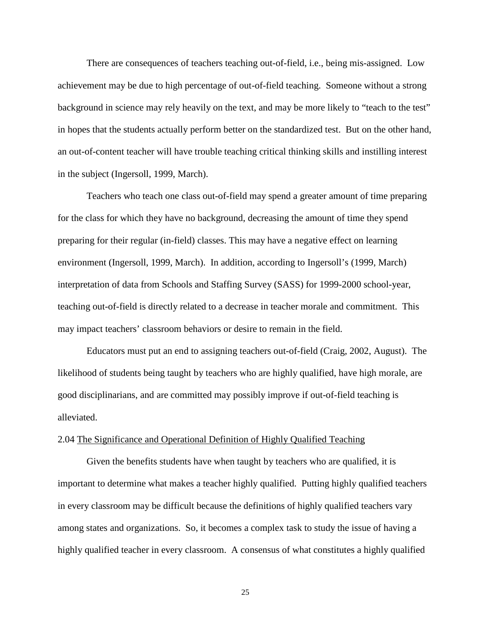There are consequences of teachers teaching out-of-field, i.e., being mis-assigned. Low achievement may be due to high percentage of out-of-field teaching. Someone without a strong background in science may rely heavily on the text, and may be more likely to "teach to the test" in hopes that the students actually perform better on the standardized test. But on the other hand, an out-of-content teacher will have trouble teaching critical thinking skills and instilling interest in the subject (Ingersoll, 1999, March).

Teachers who teach one class out-of-field may spend a greater amount of time preparing for the class for which they have no background, decreasing the amount of time they spend preparing for their regular (in-field) classes. This may have a negative effect on learning environment (Ingersoll, 1999, March). In addition, according to Ingersoll's (1999, March) interpretation of data from Schools and Staffing Survey (SASS) for 1999-2000 school-year, teaching out-of-field is directly related to a decrease in teacher morale and commitment. This may impact teachers' classroom behaviors or desire to remain in the field.

Educators must put an end to assigning teachers out-of-field (Craig, 2002, August). The likelihood of students being taught by teachers who are highly qualified, have high morale, are good disciplinarians, and are committed may possibly improve if out-of-field teaching is alleviated.

#### 2.04 The Significance and Operational Definition of Highly Qualified Teaching

Given the benefits students have when taught by teachers who are qualified, it is important to determine what makes a teacher highly qualified. Putting highly qualified teachers in every classroom may be difficult because the definitions of highly qualified teachers vary among states and organizations. So, it becomes a complex task to study the issue of having a highly qualified teacher in every classroom. A consensus of what constitutes a highly qualified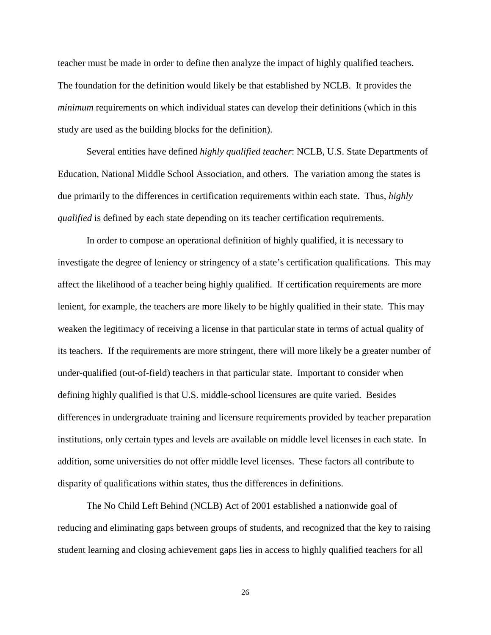teacher must be made in order to define then analyze the impact of highly qualified teachers. The foundation for the definition would likely be that established by NCLB. It provides the *minimum* requirements on which individual states can develop their definitions (which in this study are used as the building blocks for the definition).

Several entities have defined *highly qualified teacher*: NCLB, U.S. State Departments of Education, National Middle School Association, and others. The variation among the states is due primarily to the differences in certification requirements within each state. Thus, *highly qualified* is defined by each state depending on its teacher certification requirements.

In order to compose an operational definition of highly qualified, it is necessary to investigate the degree of leniency or stringency of a state's certification qualifications. This may affect the likelihood of a teacher being highly qualified. If certification requirements are more lenient, for example, the teachers are more likely to be highly qualified in their state. This may weaken the legitimacy of receiving a license in that particular state in terms of actual quality of its teachers. If the requirements are more stringent, there will more likely be a greater number of under-qualified (out-of-field) teachers in that particular state. Important to consider when defining highly qualified is that U.S. middle-school licensures are quite varied. Besides differences in undergraduate training and licensure requirements provided by teacher preparation institutions, only certain types and levels are available on middle level licenses in each state. In addition, some universities do not offer middle level licenses. These factors all contribute to disparity of qualifications within states, thus the differences in definitions.

The No Child Left Behind (NCLB) Act of 2001 established a nationwide goal of reducing and eliminating gaps between groups of students, and recognized that the key to raising student learning and closing achievement gaps lies in access to highly qualified teachers for all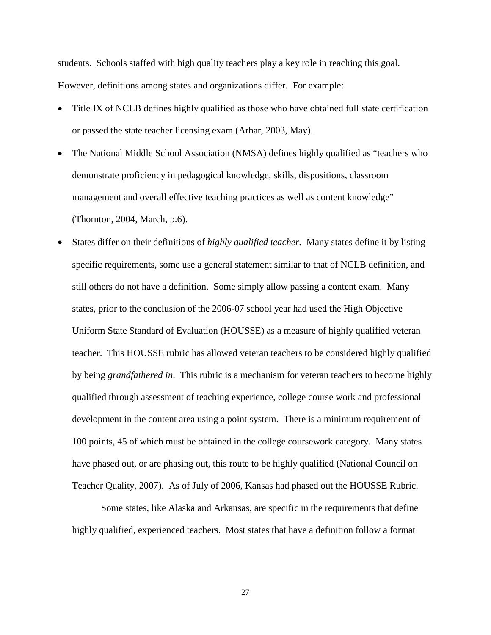students. Schools staffed with high quality teachers play a key role in reaching this goal. However, definitions among states and organizations differ. For example:

- Title IX of NCLB defines highly qualified as those who have obtained full state certification or passed the state teacher licensing exam (Arhar, 2003, May).
- The National Middle School Association (NMSA) defines highly qualified as "teachers who demonstrate proficiency in pedagogical knowledge, skills, dispositions, classroom management and overall effective teaching practices as well as content knowledge" (Thornton, 2004, March, p.6).
- States differ on their definitions of *highly qualified teacher.* Many states define it by listing specific requirements, some use a general statement similar to that of NCLB definition, and still others do not have a definition. Some simply allow passing a content exam. Many states, prior to the conclusion of the 2006-07 school year had used the High Objective Uniform State Standard of Evaluation (HOUSSE) as a measure of highly qualified veteran teacher. This HOUSSE rubric has allowed veteran teachers to be considered highly qualified by being *grandfathered in*. This rubric is a mechanism for veteran teachers to become highly qualified through assessment of teaching experience, college course work and professional development in the content area using a point system. There is a minimum requirement of 100 points, 45 of which must be obtained in the college coursework category. Many states have phased out, or are phasing out, this route to be highly qualified (National Council on Teacher Quality, 2007). As of July of 2006, Kansas had phased out the HOUSSE Rubric.

Some states, like Alaska and Arkansas, are specific in the requirements that define highly qualified, experienced teachers. Most states that have a definition follow a format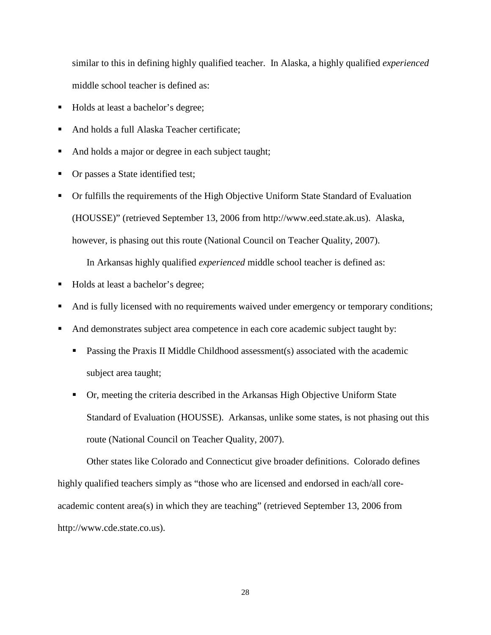similar to this in defining highly qualified teacher. In Alaska, a highly qualified *experienced* middle school teacher is defined as:

- Holds at least a bachelor's degree;
- And holds a full Alaska Teacher certificate;
- And holds a major or degree in each subject taught;
- Or passes a State identified test;
- Or fulfills the requirements of the High Objective Uniform State Standard of Evaluation (HOUSSE)" (retrieved September 13, 2006 from http://www.eed.state.ak.us).Alaska, however, is phasing out this route (National Council on Teacher Quality, 2007).

In Arkansas highly qualified *experienced* middle school teacher is defined as:

- Holds at least a bachelor's degree;
- And is fully licensed with no requirements waived under emergency or temporary conditions;
- And demonstrates subject area competence in each core academic subject taught by:
	- **Passing the Praxis II Middle Childhood assessment(s) associated with the academic** subject area taught;
	- Or, meeting the criteria described in the Arkansas High Objective Uniform State Standard of Evaluation (HOUSSE). Arkansas, unlike some states, is not phasing out this route (National Council on Teacher Quality, 2007).

 Other states like Colorado and Connecticut give broader definitions. Colorado defines highly qualified teachers simply as "those who are licensed and endorsed in each/all coreacademic content area(s) in which they are teaching" (retrieved September 13, 2006 from http://www.cde.state.co.us).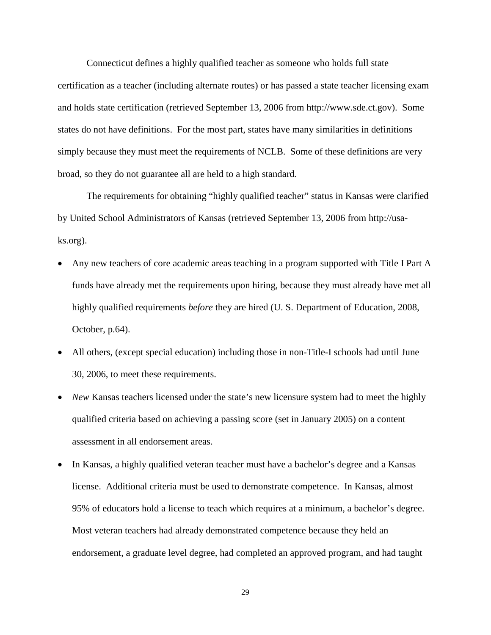Connecticut defines a highly qualified teacher as someone who holds full state certification as a teacher (including alternate routes) or has passed a state teacher licensing exam and holds state certification (retrieved September 13, 2006 from http://www.sde.ct.gov). Some states do not have definitions. For the most part, states have many similarities in definitions simply because they must meet the requirements of NCLB. Some of these definitions are very broad, so they do not guarantee all are held to a high standard.

The requirements for obtaining "highly qualified teacher" status in Kansas were clarified by United School Administrators of Kansas (retrieved September 13, 2006 from http://usaks.org).

- Any new teachers of core academic areas teaching in a program supported with Title I Part A funds have already met the requirements upon hiring, because they must already have met all highly qualified requirements *before* they are hired (U. S. Department of Education, 2008, October, p.64).
- All others, (except special education) including those in non-Title-I schools had until June 30, 2006, to meet these requirements.
- *New* Kansas teachers licensed under the state's new licensure system had to meet the highly qualified criteria based on achieving a passing score (set in January 2005) on a content assessment in all endorsement areas.
- In Kansas, a highly qualified veteran teacher must have a bachelor's degree and a Kansas license. Additional criteria must be used to demonstrate competence. In Kansas, almost 95% of educators hold a license to teach which requires at a minimum, a bachelor's degree. Most veteran teachers had already demonstrated competence because they held an endorsement, a graduate level degree, had completed an approved program, and had taught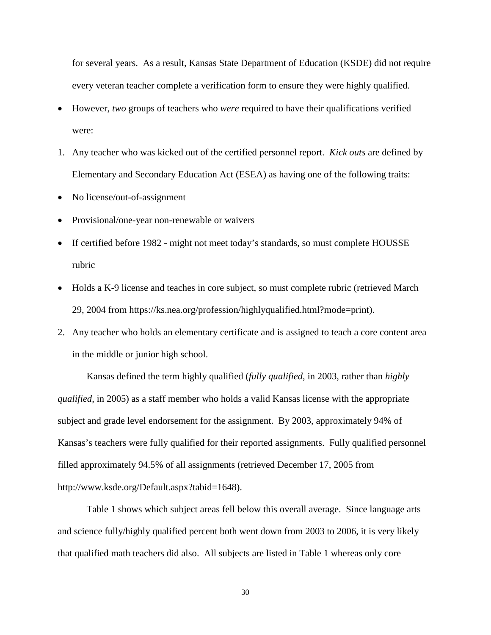for several years. As a result, Kansas State Department of Education (KSDE) did not require every veteran teacher complete a verification form to ensure they were highly qualified.

- However, *two* groups of teachers who *were* required to have their qualifications verified were:
- 1. Any teacher who was kicked out of the certified personnel report. *Kick outs* are defined by Elementary and Secondary Education Act (ESEA) as having one of the following traits:
- No license/out-of-assignment
- Provisional/one-year non-renewable or waivers
- If certified before 1982 might not meet today's standards, so must complete HOUSSE rubric
- Holds a K-9 license and teaches in core subject, so must complete rubric (retrieved March 29, 2004 from https://ks.nea.org/profession/highlyqualified.html?mode=print).
- 2. Any teacher who holds an elementary certificate and is assigned to teach a core content area in the middle or junior high school.

Kansas defined the term highly qualified (*fully qualified*, in 2003, rather than *highly qualified*, in 2005) as a staff member who holds a valid Kansas license with the appropriate subject and grade level endorsement for the assignment. By 2003, approximately 94% of Kansas's teachers were fully qualified for their reported assignments. Fully qualified personnel filled approximately 94.5% of all assignments (retrieved December 17, 2005 from http://www.ksde.org/Default.aspx?tabid=1648).

 Table 1 shows which subject areas fell below this overall average. Since language arts and science fully/highly qualified percent both went down from 2003 to 2006, it is very likely that qualified math teachers did also. All subjects are listed in Table 1 whereas only core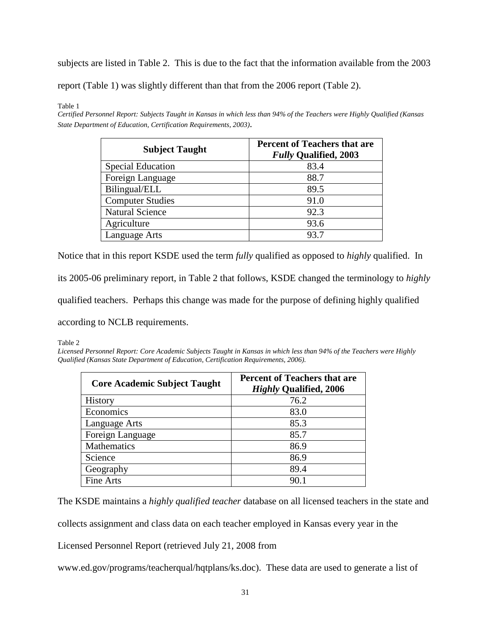subjects are listed in Table 2. This is due to the fact that the information available from the 2003

report (Table 1) was slightly different than that from the 2006 report (Table 2).

Table 1

*Certified Personnel Report: Subjects Taught in Kansas in which less than 94% of the Teachers were Highly Qualified (Kansas State Department of Education, Certification Requirements, 2003)*.

| <b>Subject Taught</b>    | <b>Percent of Teachers that are</b><br><b>Fully Qualified, 2003</b> |
|--------------------------|---------------------------------------------------------------------|
| <b>Special Education</b> | 83.4                                                                |
| Foreign Language         | 88.7                                                                |
| Bilingual/ELL            | 89.5                                                                |
| <b>Computer Studies</b>  | 91.0                                                                |
| <b>Natural Science</b>   | 92.3                                                                |
| Agriculture              | 93.6                                                                |
| Language Arts            | 93.7                                                                |

Notice that in this report KSDE used the term *fully* qualified as opposed to *highly* qualified. In

its 2005-06 preliminary report, in Table 2 that follows, KSDE changed the terminology to *highly* 

qualified teachers. Perhaps this change was made for the purpose of defining highly qualified

according to NCLB requirements.

Table 2

*Licensed Personnel Report: Core Academic Subjects Taught in Kansas in which less than 94% of the Teachers were Highly Qualified (Kansas State Department of Education, Certification Requirements, 2006).* 

| <b>Core Academic Subject Taught</b> | <b>Percent of Teachers that are</b><br><b>Highly Qualified, 2006</b> |
|-------------------------------------|----------------------------------------------------------------------|
| <b>History</b>                      | 76.2                                                                 |
| Economics                           | 83.0                                                                 |
| Language Arts                       | 85.3                                                                 |
| Foreign Language                    | 85.7                                                                 |
| Mathematics                         | 86.9                                                                 |
| Science                             | 86.9                                                                 |
| Geography                           | 89.4                                                                 |
| Fine Arts                           | 90.1                                                                 |

The KSDE maintains a *highly qualified teacher* database on all licensed teachers in the state and

collects assignment and class data on each teacher employed in Kansas every year in the

Licensed Personnel Report (retrieved July 21, 2008 from

www.ed.gov/programs/teacherqual/hqtplans/ks.doc). These data are used to generate a list of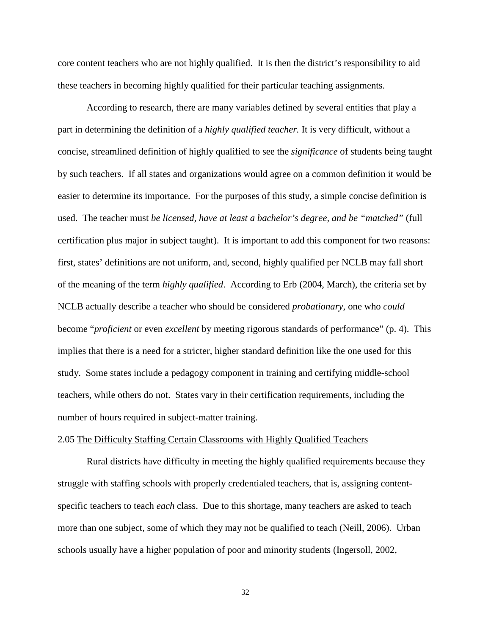core content teachers who are not highly qualified. It is then the district's responsibility to aid these teachers in becoming highly qualified for their particular teaching assignments.

According to research, there are many variables defined by several entities that play a part in determining the definition of a *highly qualified teacher.* It is very difficult, without a concise, streamlined definition of highly qualified to see the *significance* of students being taught by such teachers. If all states and organizations would agree on a common definition it would be easier to determine its importance. For the purposes of this study, a simple concise definition is used. The teacher must *be licensed, have at least a bachelor's degree, and be "matched"* (full certification plus major in subject taught). It is important to add this component for two reasons: first, states' definitions are not uniform, and, second, highly qualified per NCLB may fall short of the meaning of the term *highly qualified*. According to Erb (2004, March), the criteria set by NCLB actually describe a teacher who should be considered *probationary*, one who *could* become "*proficient* or even *excellent* by meeting rigorous standards of performance" (p. 4). This implies that there is a need for a stricter, higher standard definition like the one used for this study. Some states include a pedagogy component in training and certifying middle-school teachers, while others do not. States vary in their certification requirements, including the number of hours required in subject-matter training.

#### 2.05 The Difficulty Staffing Certain Classrooms with Highly Qualified Teachers

Rural districts have difficulty in meeting the highly qualified requirements because they struggle with staffing schools with properly credentialed teachers, that is, assigning contentspecific teachers to teach *each* class. Due to this shortage, many teachers are asked to teach more than one subject, some of which they may not be qualified to teach (Neill, 2006). Urban schools usually have a higher population of poor and minority students (Ingersoll, 2002,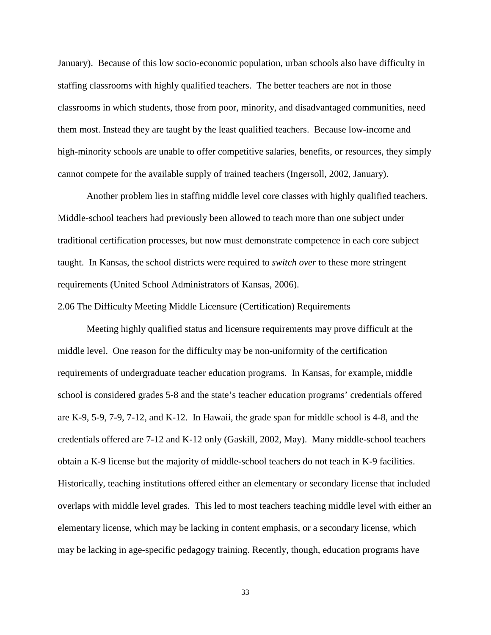January). Because of this low socio-economic population, urban schools also have difficulty in staffing classrooms with highly qualified teachers. The better teachers are not in those classrooms in which students, those from poor, minority, and disadvantaged communities, need them most. Instead they are taught by the least qualified teachers. Because low-income and high-minority schools are unable to offer competitive salaries, benefits, or resources, they simply cannot compete for the available supply of trained teachers (Ingersoll, 2002, January).

Another problem lies in staffing middle level core classes with highly qualified teachers. Middle-school teachers had previously been allowed to teach more than one subject under traditional certification processes, but now must demonstrate competence in each core subject taught. In Kansas, the school districts were required to *switch over* to these more stringent requirements (United School Administrators of Kansas, 2006).

#### 2.06 The Difficulty Meeting Middle Licensure (Certification) Requirements

Meeting highly qualified status and licensure requirements may prove difficult at the middle level. One reason for the difficulty may be non-uniformity of the certification requirements of undergraduate teacher education programs. In Kansas, for example, middle school is considered grades 5-8 and the state's teacher education programs' credentials offered are K-9, 5-9, 7-9, 7-12, and K-12. In Hawaii, the grade span for middle school is 4-8, and the credentials offered are 7-12 and K-12 only (Gaskill, 2002, May). Many middle-school teachers obtain a K-9 license but the majority of middle-school teachers do not teach in K-9 facilities. Historically, teaching institutions offered either an elementary or secondary license that included overlaps with middle level grades. This led to most teachers teaching middle level with either an elementary license, which may be lacking in content emphasis, or a secondary license, which may be lacking in age-specific pedagogy training. Recently, though, education programs have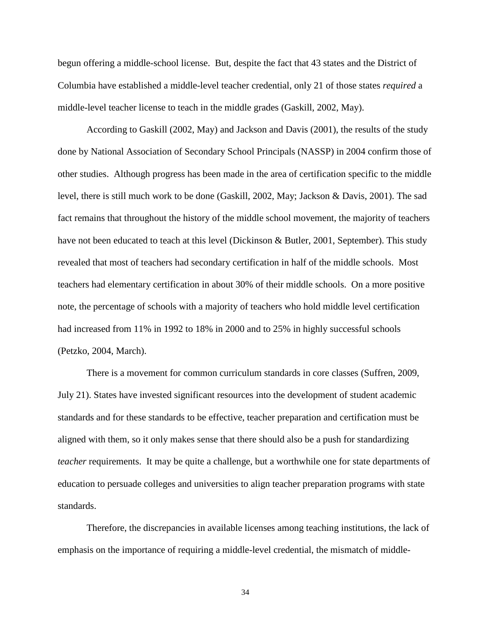begun offering a middle-school license. But, despite the fact that 43 states and the District of Columbia have established a middle-level teacher credential, only 21 of those states *required* a middle-level teacher license to teach in the middle grades (Gaskill, 2002, May).

According to Gaskill (2002, May) and Jackson and Davis (2001), the results of the study done by National Association of Secondary School Principals (NASSP) in 2004 confirm those of other studies. Although progress has been made in the area of certification specific to the middle level, there is still much work to be done (Gaskill, 2002, May; Jackson & Davis, 2001). The sad fact remains that throughout the history of the middle school movement, the majority of teachers have not been educated to teach at this level (Dickinson & Butler, 2001, September). This study revealed that most of teachers had secondary certification in half of the middle schools. Most teachers had elementary certification in about 30% of their middle schools. On a more positive note, the percentage of schools with a majority of teachers who hold middle level certification had increased from 11% in 1992 to 18% in 2000 and to 25% in highly successful schools (Petzko, 2004, March).

There is a movement for common curriculum standards in core classes (Suffren, 2009, July 21). States have invested significant resources into the development of student academic standards and for these standards to be effective, teacher preparation and certification must be aligned with them, so it only makes sense that there should also be a push for standardizing *teacher* requirements. It may be quite a challenge, but a worthwhile one for state departments of education to persuade colleges and universities to align teacher preparation programs with state standards.

Therefore, the discrepancies in available licenses among teaching institutions, the lack of emphasis on the importance of requiring a middle-level credential, the mismatch of middle-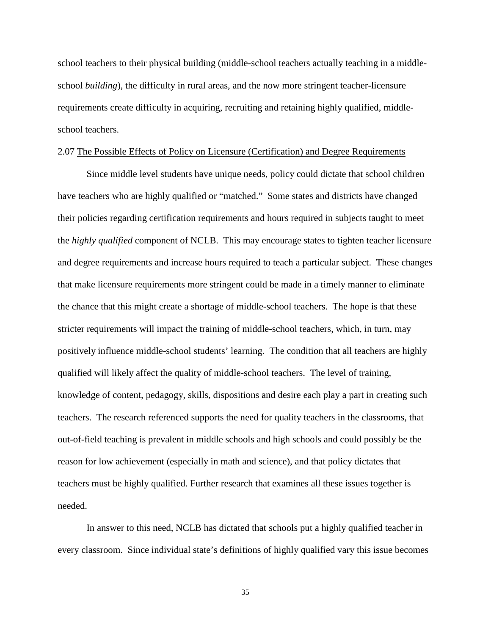school teachers to their physical building (middle-school teachers actually teaching in a middleschool *building*), the difficulty in rural areas, and the now more stringent teacher-licensure requirements create difficulty in acquiring, recruiting and retaining highly qualified, middleschool teachers.

# 2.07 The Possible Effects of Policy on Licensure (Certification) and Degree Requirements

Since middle level students have unique needs, policy could dictate that school children have teachers who are highly qualified or "matched." Some states and districts have changed their policies regarding certification requirements and hours required in subjects taught to meet the *highly qualified* component of NCLB. This may encourage states to tighten teacher licensure and degree requirements and increase hours required to teach a particular subject. These changes that make licensure requirements more stringent could be made in a timely manner to eliminate the chance that this might create a shortage of middle-school teachers. The hope is that these stricter requirements will impact the training of middle-school teachers, which, in turn, may positively influence middle-school students' learning. The condition that all teachers are highly qualified will likely affect the quality of middle-school teachers. The level of training, knowledge of content, pedagogy, skills, dispositions and desire each play a part in creating such teachers. The research referenced supports the need for quality teachers in the classrooms, that out-of-field teaching is prevalent in middle schools and high schools and could possibly be the reason for low achievement (especially in math and science), and that policy dictates that teachers must be highly qualified. Further research that examines all these issues together is needed.

In answer to this need, NCLB has dictated that schools put a highly qualified teacher in every classroom. Since individual state's definitions of highly qualified vary this issue becomes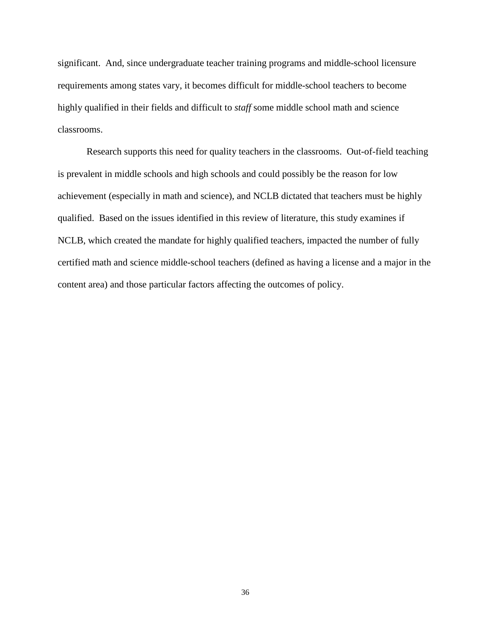significant. And, since undergraduate teacher training programs and middle-school licensure requirements among states vary, it becomes difficult for middle-school teachers to become highly qualified in their fields and difficult to *staff* some middle school math and science classrooms.

Research supports this need for quality teachers in the classrooms. Out-of-field teaching is prevalent in middle schools and high schools and could possibly be the reason for low achievement (especially in math and science), and NCLB dictated that teachers must be highly qualified. Based on the issues identified in this review of literature, this study examines if NCLB, which created the mandate for highly qualified teachers, impacted the number of fully certified math and science middle-school teachers (defined as having a license and a major in the content area) and those particular factors affecting the outcomes of policy.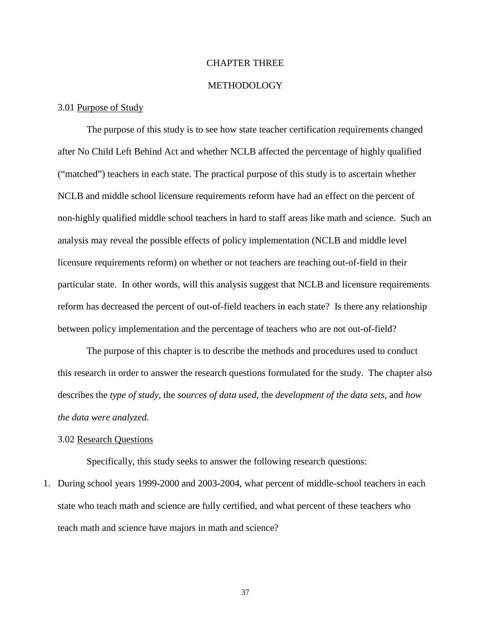# CHAPTER THREE

# METHODOLOGY

### 3.01 Purpose of Study

The purpose of this study is to see how state teacher certification requirements changed after No Child Left Behind Act and whether NCLB affected the percentage of highly qualified ("matched") teachers in each state. The practical purpose of this study is to ascertain whether NCLB and middle school licensure requirements reform have had an effect on the percent of non-highly qualified middle school teachers in hard to staff areas like math and science. Such an analysis may reveal the possible effects of policy implementation (NCLB and middle level licensure requirements reform) on whether or not teachers are teaching out-of-field in their particular state. In other words, will this analysis suggest that NCLB and licensure requirements reform has decreased the percent of out-of-field teachers in each state? Is there any relationship between policy implementation and the percentage of teachers who are not out-of-field?

The purpose of this chapter is to describe the methods and procedures used to conduct this research in order to answer the research questions formulated for the study. The chapter also describes the *type of study*, the *sources of data used*, the *development of the data sets,* and *how the data were analyzed*.

## 3.02 Research Questions

Specifically, this study seeks to answer the following research questions:

1. During school years 1999-2000 and 2003-2004, what percent of middle-school teachers in each state who teach math and science are fully certified, and what percent of these teachers who teach math and science have majors in math and science?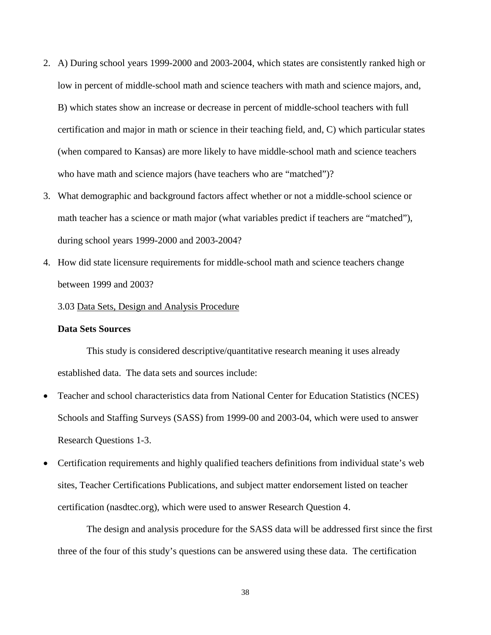- 2. A) During school years 1999-2000 and 2003-2004, which states are consistently ranked high or low in percent of middle-school math and science teachers with math and science majors, and, B) which states show an increase or decrease in percent of middle-school teachers with full certification and major in math or science in their teaching field, and, C) which particular states (when compared to Kansas) are more likely to have middle-school math and science teachers who have math and science majors (have teachers who are "matched")?
- 3. What demographic and background factors affect whether or not a middle-school science or math teacher has a science or math major (what variables predict if teachers are "matched"), during school years 1999-2000 and 2003-2004?
- 4. How did state licensure requirements for middle-school math and science teachers change between 1999 and 2003?

#### 3.03 Data Sets, Design and Analysis Procedure

## **Data Sets Sources**

This study is considered descriptive/quantitative research meaning it uses already established data. The data sets and sources include:

- Teacher and school characteristics data from National Center for Education Statistics (NCES) Schools and Staffing Surveys (SASS) from 1999-00 and 2003-04, which were used to answer Research Questions 1-3.
- Certification requirements and highly qualified teachers definitions from individual state's web sites, Teacher Certifications Publications, and subject matter endorsement listed on teacher certification (nasdtec.org), which were used to answer Research Question 4.

The design and analysis procedure for the SASS data will be addressed first since the first three of the four of this study's questions can be answered using these data. The certification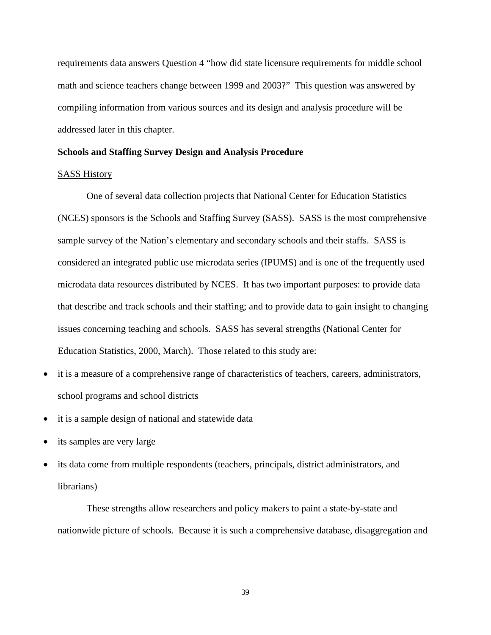requirements data answers Question 4 "how did state licensure requirements for middle school math and science teachers change between 1999 and 2003?" This question was answered by compiling information from various sources and its design and analysis procedure will be addressed later in this chapter.

### **Schools and Staffing Survey Design and Analysis Procedure**

### SASS History

One of several data collection projects that National Center for Education Statistics (NCES) sponsors is the Schools and Staffing Survey (SASS). SASS is the most comprehensive sample survey of the Nation's elementary and secondary schools and their staffs. SASS is considered an integrated public use microdata series (IPUMS) and is one of the frequently used microdata data resources distributed by NCES. It has two important purposes: to provide data that describe and track schools and their staffing; and to provide data to gain insight to changing issues concerning teaching and schools. SASS has several strengths (National Center for Education Statistics, 2000, March). Those related to this study are:

- it is a measure of a comprehensive range of characteristics of teachers, careers, administrators, school programs and school districts
- it is a sample design of national and statewide data
- its samples are very large
- its data come from multiple respondents (teachers, principals, district administrators, and librarians)

These strengths allow researchers and policy makers to paint a state-by-state and nationwide picture of schools. Because it is such a comprehensive database, disaggregation and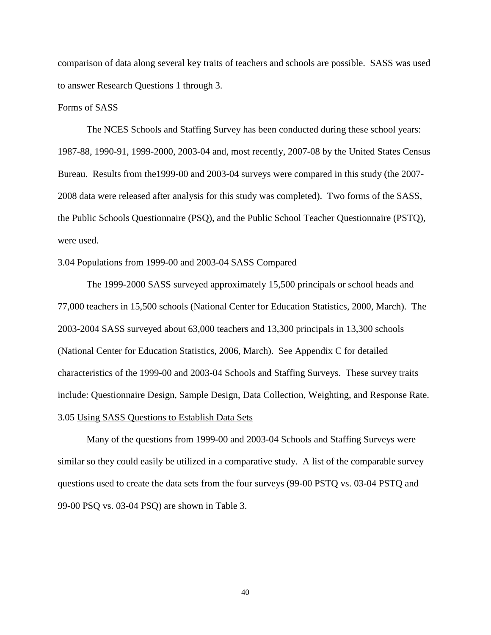comparison of data along several key traits of teachers and schools are possible. SASS was used to answer Research Questions 1 through 3.

## Forms of SASS

The NCES Schools and Staffing Survey has been conducted during these school years: 1987-88, 1990-91, 1999-2000, 2003-04 and, most recently, 2007-08 by the United States Census Bureau. Results from the1999-00 and 2003-04 surveys were compared in this study (the 2007- 2008 data were released after analysis for this study was completed). Two forms of the SASS, the Public Schools Questionnaire (PSQ), and the Public School Teacher Questionnaire (PSTQ), were used.

## 3.04 Populations from 1999-00 and 2003-04 SASS Compared

The 1999-2000 SASS surveyed approximately 15,500 principals or school heads and 77,000 teachers in 15,500 schools (National Center for Education Statistics, 2000, March). The 2003-2004 SASS surveyed about 63,000 teachers and 13,300 principals in 13,300 schools (National Center for Education Statistics, 2006, March). See Appendix C for detailed characteristics of the 1999-00 and 2003-04 Schools and Staffing Surveys. These survey traits include: Questionnaire Design, Sample Design, Data Collection, Weighting, and Response Rate. 3.05 Using SASS Questions to Establish Data Sets

Many of the questions from 1999-00 and 2003-04 Schools and Staffing Surveys were similar so they could easily be utilized in a comparative study. A list of the comparable survey questions used to create the data sets from the four surveys (99-00 PSTQ vs. 03-04 PSTQ and 99-00 PSQ vs. 03-04 PSQ) are shown in Table 3.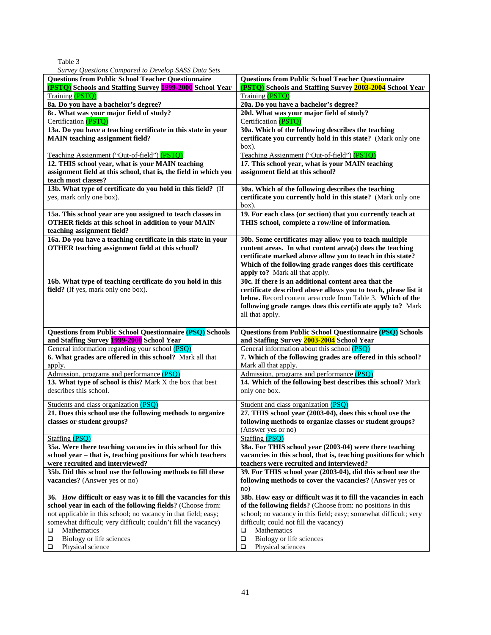| × |  |
|---|--|
|   |  |

*Survey Questions Compared to Develop SASS Data Sets*

| ourvey guestions compared to Develop brisb Data Sets<br><b>Questions from Public School Teacher Questionnaire</b><br>(PSTQ) Schools and Staffing Survey 1999-2000 School Year | <b>Questions from Public School Teacher Questionnaire</b><br>(PSTQ) Schools and Staffing Survey 2003-2004 School Year           |
|-------------------------------------------------------------------------------------------------------------------------------------------------------------------------------|---------------------------------------------------------------------------------------------------------------------------------|
| <b>Training (PSTQ)</b>                                                                                                                                                        | Training (PSTQ)                                                                                                                 |
| 8a. Do you have a bachelor's degree?                                                                                                                                          | 20a. Do you have a bachelor's degree?                                                                                           |
| 8c. What was your major field of study?                                                                                                                                       | 20d. What was your major field of study?                                                                                        |
| Certification (PSTQ)                                                                                                                                                          | Certification (PSTQ)                                                                                                            |
| 13a. Do you have a teaching certificate in this state in your                                                                                                                 | 30a. Which of the following describes the teaching                                                                              |
| <b>MAIN</b> teaching assignment field?                                                                                                                                        | certificate you currently hold in this state? (Mark only one<br>box).                                                           |
| <u>Teaching Assignment ("Out-of-field")</u> (PSTO)                                                                                                                            | Teaching Assignment ("Out-of-field") (PSTO)                                                                                     |
| 12. THIS school year, what is your MAIN teaching                                                                                                                              | 17. This school year, what is your MAIN teaching                                                                                |
| assignment field at this school, that is, the field in which you<br>teach most classes?                                                                                       | assignment field at this school?                                                                                                |
| 13b. What type of certificate do you hold in this field? (If                                                                                                                  | 30a. Which of the following describes the teaching                                                                              |
| yes, mark only one box).                                                                                                                                                      | certificate you currently hold in this state? (Mark only one                                                                    |
|                                                                                                                                                                               | box).                                                                                                                           |
| 15a. This school year are you assigned to teach classes in<br>OTHER fields at this school in addition to your MAIN<br>teaching assignment field?                              | 19. For each class (or section) that you currently teach at<br>THIS school, complete a row/line of information.                 |
| 16a. Do you have a teaching certificate in this state in your                                                                                                                 | 30b. Some certificates may allow you to teach multiple                                                                          |
| OTHER teaching assignment field at this school?                                                                                                                               | content areas. In what content area(s) does the teaching                                                                        |
|                                                                                                                                                                               | certificate marked above allow you to teach in this state?                                                                      |
|                                                                                                                                                                               | Which of the following grade ranges does this certificate                                                                       |
|                                                                                                                                                                               | apply to? Mark all that apply.<br>30c. If there is an additional content area that the                                          |
| 16b. What type of teaching certificate do you hold in this<br>field? (If yes, mark only one box).                                                                             | certificate described above allows you to teach, please list it                                                                 |
|                                                                                                                                                                               | below. Record content area code from Table 3. Which of the                                                                      |
|                                                                                                                                                                               | following grade ranges does this certificate apply to? Mark                                                                     |
|                                                                                                                                                                               | all that apply.                                                                                                                 |
|                                                                                                                                                                               |                                                                                                                                 |
| Questions from Public School Questionnaire (PSQ) Schools                                                                                                                      | Questions from Public School Questionnaire (PSQ) Schools                                                                        |
| and Staffing Survey 1999-2000 School Year<br>General information regarding your school (PSQ)                                                                                  | and Staffing Survey 2003-2004 School Year<br>General information about this school (PSQ)                                        |
| 6. What grades are offered in this school? Mark all that                                                                                                                      | 7. Which of the following grades are offered in this school?                                                                    |
| apply.                                                                                                                                                                        | Mark all that apply.                                                                                                            |
| Admission, programs and performance (PSQ)                                                                                                                                     | Admission, programs and performance (PSQ)                                                                                       |
| 13. What type of school is this? Mark X the box that best                                                                                                                     | 14. Which of the following best describes this school? Mark                                                                     |
| describes this school.                                                                                                                                                        | only one box.                                                                                                                   |
| Students and class organization (PSQ)                                                                                                                                         | Student and class organization (PSQ)                                                                                            |
| 21. Does this school use the following methods to organize                                                                                                                    | 27. THIS school year (2003-04), does this school use the                                                                        |
| classes or student groups?                                                                                                                                                    | following methods to organize classes or student groups?                                                                        |
|                                                                                                                                                                               | (Answer yes or no)                                                                                                              |
| Staffing (PSQ)<br>35a. Were there teaching vacancies in this school for this                                                                                                  | <b>Staffing (PSQ)</b><br>38a. For THIS school year (2003-04) were there teaching                                                |
| school year – that is, teaching positions for which teachers                                                                                                                  | vacancies in this school, that is, teaching positions for which                                                                 |
| were recruited and interviewed?                                                                                                                                               | teachers were recruited and interviewed?                                                                                        |
| 35b. Did this school use the following methods to fill these                                                                                                                  | 39. For THIS school year (2003-04), did this school use the                                                                     |
| vacancies? (Answer yes or no)                                                                                                                                                 | following methods to cover the vacancies? (Answer yes or                                                                        |
|                                                                                                                                                                               | no)                                                                                                                             |
| 36. How difficult or easy was it to fill the vacancies for this                                                                                                               | 38b. How easy or difficult was it to fill the vacancies in each                                                                 |
| school year in each of the following fields? (Choose from:<br>not applicable in this school; no vacancy in that field; easy;                                                  | of the following fields? (Choose from: no positions in this<br>school; no vacancy in this field; easy; somewhat difficult; very |
| somewhat difficult; very difficult; couldn't fill the vacancy)                                                                                                                | difficult; could not fill the vacancy)                                                                                          |
| □<br>Mathematics                                                                                                                                                              | Mathematics<br>□                                                                                                                |
| Biology or life sciences<br>❏                                                                                                                                                 | Biology or life sciences<br>$\Box$                                                                                              |
|                                                                                                                                                                               | Physical sciences                                                                                                               |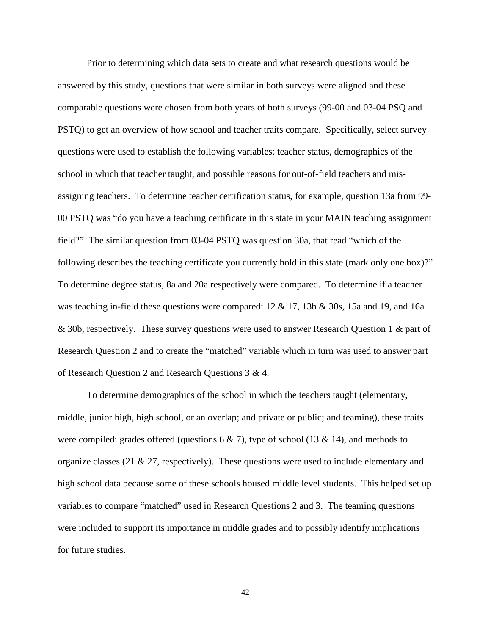Prior to determining which data sets to create and what research questions would be answered by this study, questions that were similar in both surveys were aligned and these comparable questions were chosen from both years of both surveys (99-00 and 03-04 PSQ and PSTQ) to get an overview of how school and teacher traits compare. Specifically, select survey questions were used to establish the following variables: teacher status, demographics of the school in which that teacher taught, and possible reasons for out-of-field teachers and misassigning teachers. To determine teacher certification status, for example, question 13a from 99- 00 PSTQ was "do you have a teaching certificate in this state in your MAIN teaching assignment field?" The similar question from 03-04 PSTQ was question 30a, that read "which of the following describes the teaching certificate you currently hold in this state (mark only one box)?" To determine degree status, 8a and 20a respectively were compared. To determine if a teacher was teaching in-field these questions were compared:  $12 \& 17$ ,  $13b \& 30s$ ,  $15a$  and  $19$ , and  $16a$ & 30b, respectively. These survey questions were used to answer Research Question 1 & part of Research Question 2 and to create the "matched" variable which in turn was used to answer part of Research Question 2 and Research Questions 3 & 4.

To determine demographics of the school in which the teachers taught (elementary, middle, junior high, high school, or an overlap; and private or public; and teaming), these traits were compiled: grades offered (questions  $6 \& 7$ ), type of school (13  $\&$  14), and methods to organize classes (21  $\&$  27, respectively). These questions were used to include elementary and high school data because some of these schools housed middle level students. This helped set up variables to compare "matched" used in Research Questions 2 and 3. The teaming questions were included to support its importance in middle grades and to possibly identify implications for future studies.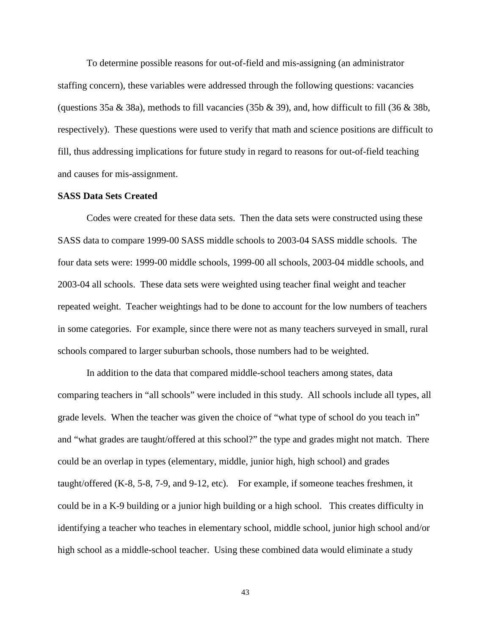To determine possible reasons for out-of-field and mis-assigning (an administrator staffing concern), these variables were addressed through the following questions: vacancies (questions 35a & 38a), methods to fill vacancies (35b & 39), and, how difficult to fill (36 & 38b, respectively). These questions were used to verify that math and science positions are difficult to fill, thus addressing implications for future study in regard to reasons for out-of-field teaching and causes for mis-assignment.

## **SASS Data Sets Created**

Codes were created for these data sets. Then the data sets were constructed using these SASS data to compare 1999-00 SASS middle schools to 2003-04 SASS middle schools. The four data sets were: 1999-00 middle schools, 1999-00 all schools, 2003-04 middle schools, and 2003-04 all schools. These data sets were weighted using teacher final weight and teacher repeated weight. Teacher weightings had to be done to account for the low numbers of teachers in some categories. For example, since there were not as many teachers surveyed in small, rural schools compared to larger suburban schools, those numbers had to be weighted.

In addition to the data that compared middle-school teachers among states, data comparing teachers in "all schools" were included in this study. All schools include all types, all grade levels. When the teacher was given the choice of "what type of school do you teach in" and "what grades are taught/offered at this school?" the type and grades might not match. There could be an overlap in types (elementary, middle, junior high, high school) and grades taught/offered (K-8, 5-8, 7-9, and 9-12, etc). For example, if someone teaches freshmen, it could be in a K-9 building or a junior high building or a high school. This creates difficulty in identifying a teacher who teaches in elementary school, middle school, junior high school and/or high school as a middle-school teacher. Using these combined data would eliminate a study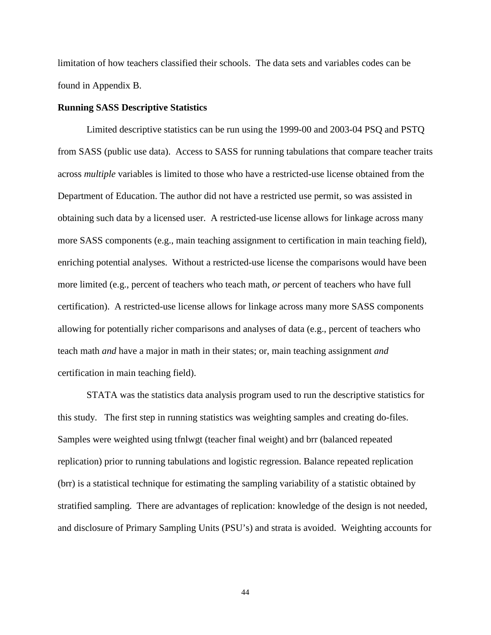limitation of how teachers classified their schools. The data sets and variables codes can be found in Appendix B.

## **Running SASS Descriptive Statistics**

Limited descriptive statistics can be run using the 1999-00 and 2003-04 PSQ and PSTQ from SASS (public use data). Access to SASS for running tabulations that compare teacher traits across *multiple* variables is limited to those who have a restricted-use license obtained from the Department of Education. The author did not have a restricted use permit, so was assisted in obtaining such data by a licensed user. A restricted-use license allows for linkage across many more SASS components (e.g., main teaching assignment to certification in main teaching field), enriching potential analyses. Without a restricted-use license the comparisons would have been more limited (e.g., percent of teachers who teach math, *or* percent of teachers who have full certification). A restricted-use license allows for linkage across many more SASS components allowing for potentially richer comparisons and analyses of data (e.g., percent of teachers who teach math *and* have a major in math in their states; or, main teaching assignment *and* certification in main teaching field).

STATA was the statistics data analysis program used to run the descriptive statistics for this study. The first step in running statistics was weighting samples and creating do-files. Samples were weighted using tfnlwgt (teacher final weight) and brr (balanced repeated replication) prior to running tabulations and logistic regression. Balance repeated replication (brr) is a statistical technique for estimating the sampling variability of a statistic obtained by stratified sampling. There are advantages of replication: knowledge of the design is not needed, and disclosure of Primary Sampling Units (PSU's) and strata is avoided. Weighting accounts for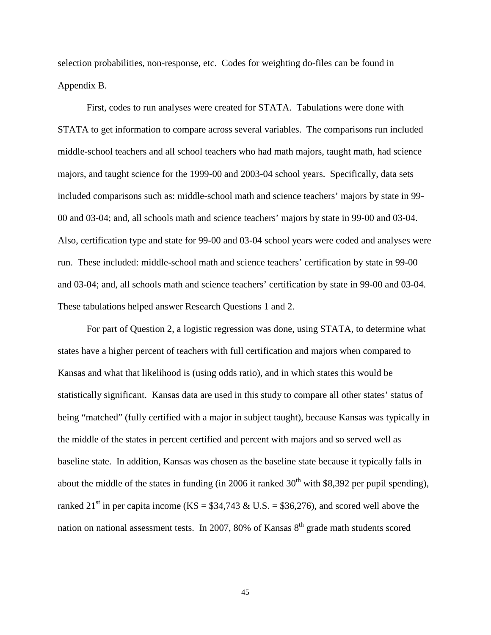selection probabilities, non-response, etc. Codes for weighting do-files can be found in Appendix B.

First, codes to run analyses were created for STATA. Tabulations were done with STATA to get information to compare across several variables. The comparisons run included middle-school teachers and all school teachers who had math majors, taught math, had science majors, and taught science for the 1999-00 and 2003-04 school years. Specifically, data sets included comparisons such as: middle-school math and science teachers' majors by state in 99- 00 and 03-04; and, all schools math and science teachers' majors by state in 99-00 and 03-04. Also, certification type and state for 99-00 and 03-04 school years were coded and analyses were run. These included: middle-school math and science teachers' certification by state in 99-00 and 03-04; and, all schools math and science teachers' certification by state in 99-00 and 03-04. These tabulations helped answer Research Questions 1 and 2.

 For part of Question 2, a logistic regression was done, using STATA, to determine what states have a higher percent of teachers with full certification and majors when compared to Kansas and what that likelihood is (using odds ratio), and in which states this would be statistically significant. Kansas data are used in this study to compare all other states' status of being "matched" (fully certified with a major in subject taught), because Kansas was typically in the middle of the states in percent certified and percent with majors and so served well as baseline state. In addition, Kansas was chosen as the baseline state because it typically falls in about the middle of the states in funding (in 2006 it ranked  $30<sup>th</sup>$  with \$8,392 per pupil spending), ranked 21<sup>st</sup> in per capita income (KS =  $$34,743 \& U.S. = $36,276$ ), and scored well above the nation on national assessment tests. In 2007, 80% of Kansas 8<sup>th</sup> grade math students scored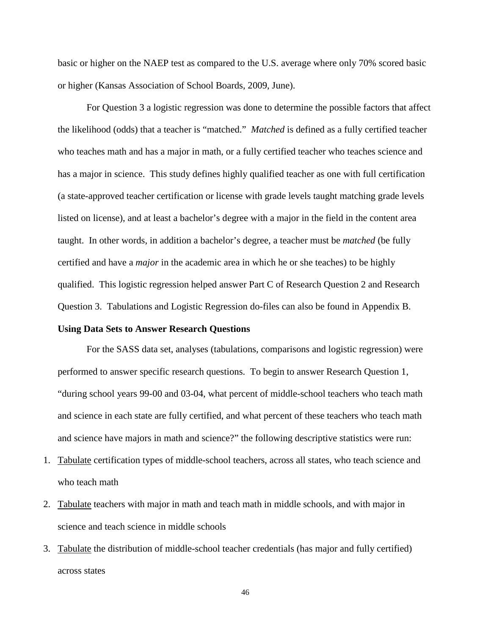basic or higher on the NAEP test as compared to the U.S. average where only 70% scored basic or higher (Kansas Association of School Boards, 2009, June).

For Question 3 a logistic regression was done to determine the possible factors that affect the likelihood (odds) that a teacher is "matched." *Matched* is defined as a fully certified teacher who teaches math and has a major in math, or a fully certified teacher who teaches science and has a major in science. This study defines highly qualified teacher as one with full certification (a state-approved teacher certification or license with grade levels taught matching grade levels listed on license), and at least a bachelor's degree with a major in the field in the content area taught. In other words, in addition a bachelor's degree, a teacher must be *matched* (be fully certified and have a *major* in the academic area in which he or she teaches) to be highly qualified. This logistic regression helped answer Part C of Research Question 2 and Research Question 3. Tabulations and Logistic Regression do-files can also be found in Appendix B.

### **Using Data Sets to Answer Research Questions**

For the SASS data set, analyses (tabulations, comparisons and logistic regression) were performed to answer specific research questions. To begin to answer Research Question 1, "during school years 99-00 and 03-04, what percent of middle-school teachers who teach math and science in each state are fully certified, and what percent of these teachers who teach math and science have majors in math and science?" the following descriptive statistics were run:

- 1. Tabulate certification types of middle-school teachers, across all states, who teach science and who teach math
- 2. Tabulate teachers with major in math and teach math in middle schools, and with major in science and teach science in middle schools
- 3. Tabulate the distribution of middle-school teacher credentials (has major and fully certified) across states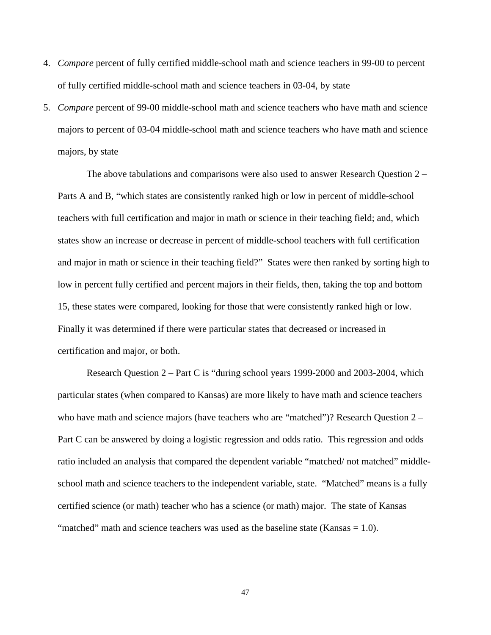- 4. *Compare* percent of fully certified middle-school math and science teachers in 99-00 to percent of fully certified middle-school math and science teachers in 03-04, by state
- 5. *Compare* percent of 99-00 middle-school math and science teachers who have math and science majors to percent of 03-04 middle-school math and science teachers who have math and science majors, by state

The above tabulations and comparisons were also used to answer Research Question 2 – Parts A and B, "which states are consistently ranked high or low in percent of middle-school teachers with full certification and major in math or science in their teaching field; and, which states show an increase or decrease in percent of middle-school teachers with full certification and major in math or science in their teaching field?" States were then ranked by sorting high to low in percent fully certified and percent majors in their fields, then, taking the top and bottom 15, these states were compared, looking for those that were consistently ranked high or low. Finally it was determined if there were particular states that decreased or increased in certification and major, or both.

Research Question 2 – Part C is "during school years 1999-2000 and 2003-2004, which particular states (when compared to Kansas) are more likely to have math and science teachers who have math and science majors (have teachers who are "matched")? Research Question 2 – Part C can be answered by doing a logistic regression and odds ratio. This regression and odds ratio included an analysis that compared the dependent variable "matched/ not matched" middleschool math and science teachers to the independent variable, state. "Matched" means is a fully certified science (or math) teacher who has a science (or math) major. The state of Kansas "matched" math and science teachers was used as the baseline state (Kansas = 1.0).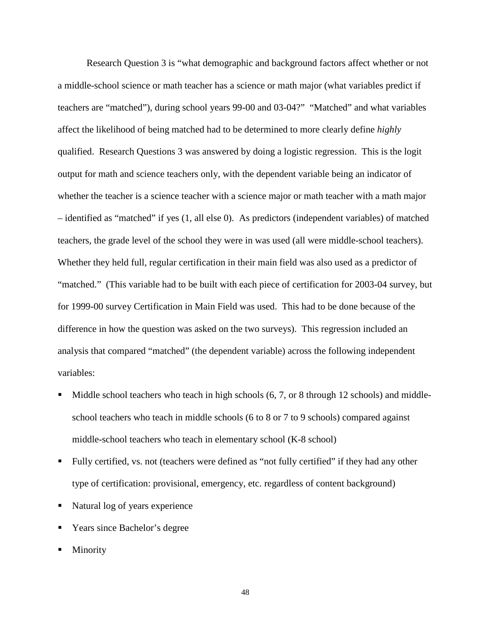Research Question 3 is "what demographic and background factors affect whether or not a middle-school science or math teacher has a science or math major (what variables predict if teachers are "matched"), during school years 99-00 and 03-04?" "Matched" and what variables affect the likelihood of being matched had to be determined to more clearly define *highly*  qualified. Research Questions 3 was answered by doing a logistic regression. This is the logit output for math and science teachers only, with the dependent variable being an indicator of whether the teacher is a science teacher with a science major or math teacher with a math major – identified as "matched" if yes (1, all else 0). As predictors (independent variables) of matched teachers, the grade level of the school they were in was used (all were middle-school teachers). Whether they held full, regular certification in their main field was also used as a predictor of "matched." (This variable had to be built with each piece of certification for 2003-04 survey, but for 1999-00 survey Certification in Main Field was used. This had to be done because of the difference in how the question was asked on the two surveys). This regression included an analysis that compared "matched" (the dependent variable) across the following independent variables:

- Middle school teachers who teach in high schools  $(6, 7, or 8$  through 12 schools) and middleschool teachers who teach in middle schools (6 to 8 or 7 to 9 schools) compared against middle-school teachers who teach in elementary school (K-8 school)
- Fully certified, vs. not (teachers were defined as "not fully certified" if they had any other type of certification: provisional, emergency, etc. regardless of content background)
- Natural log of years experience
- Years since Bachelor's degree
- Minority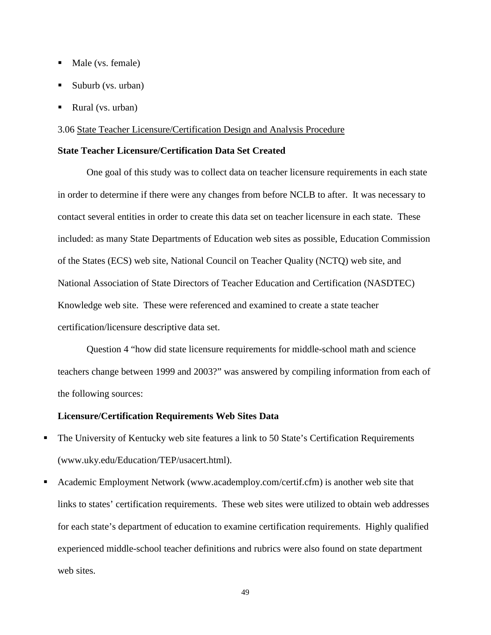- Male (vs. female)
- Suburb (vs. urban)
- Rural (vs. urban)

## 3.06 State Teacher Licensure/Certification Design and Analysis Procedure

# **State Teacher Licensure/Certification Data Set Created**

One goal of this study was to collect data on teacher licensure requirements in each state in order to determine if there were any changes from before NCLB to after. It was necessary to contact several entities in order to create this data set on teacher licensure in each state. These included: as many State Departments of Education web sites as possible, Education Commission of the States (ECS) web site, National Council on Teacher Quality (NCTQ) web site, and National Association of State Directors of Teacher Education and Certification (NASDTEC) Knowledge web site. These were referenced and examined to create a state teacher certification/licensure descriptive data set.

Question 4 "how did state licensure requirements for middle-school math and science teachers change between 1999 and 2003?" was answered by compiling information from each of the following sources:

# **Licensure/Certification Requirements Web Sites Data**

- The University of Kentucky web site features a link to 50 State's Certification Requirements (www.uky.edu/Education/TEP/usacert.html).
- Academic Employment Network (www.academploy.com/certif.cfm) is another web site that links to states' certification requirements. These web sites were utilized to obtain web addresses for each state's department of education to examine certification requirements. Highly qualified experienced middle-school teacher definitions and rubrics were also found on state department web sites.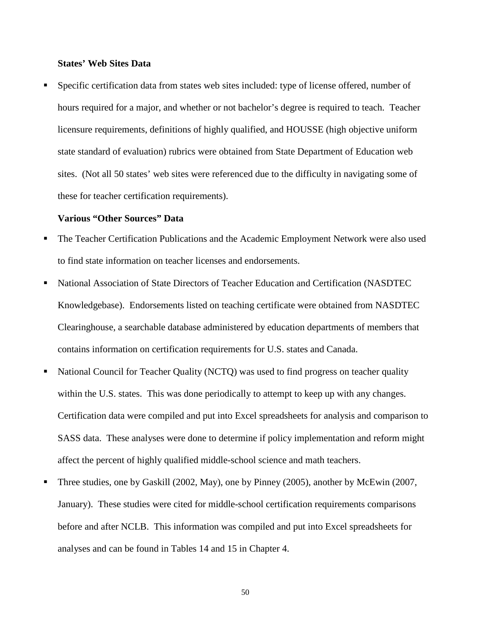# **States' Web Sites Data**

 Specific certification data from states web sites included: type of license offered, number of hours required for a major, and whether or not bachelor's degree is required to teach. Teacher licensure requirements, definitions of highly qualified, and HOUSSE (high objective uniform state standard of evaluation) rubrics were obtained from State Department of Education web sites. (Not all 50 states' web sites were referenced due to the difficulty in navigating some of these for teacher certification requirements).

#### **Various "Other Sources" Data**

- The Teacher Certification Publications and the Academic Employment Network were also used to find state information on teacher licenses and endorsements.
- National Association of State Directors of Teacher Education and Certification (NASDTEC Knowledgebase). Endorsements listed on teaching certificate were obtained from NASDTEC Clearinghouse, a searchable database administered by education departments of members that contains information on certification requirements for U.S. states and Canada.
- National Council for Teacher Quality (NCTQ) was used to find progress on teacher quality within the U.S. states. This was done periodically to attempt to keep up with any changes. Certification data were compiled and put into Excel spreadsheets for analysis and comparison to SASS data. These analyses were done to determine if policy implementation and reform might affect the percent of highly qualified middle-school science and math teachers.
- Three studies, one by Gaskill (2002, May), one by Pinney (2005), another by McEwin (2007, January). These studies were cited for middle-school certification requirements comparisons before and after NCLB. This information was compiled and put into Excel spreadsheets for analyses and can be found in Tables 14 and 15 in Chapter 4.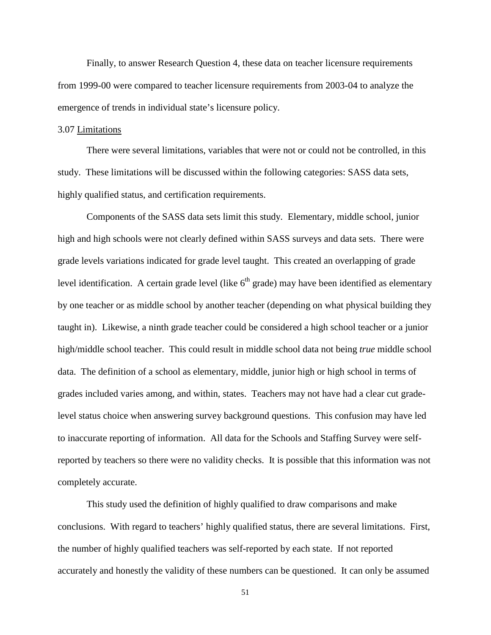Finally, to answer Research Question 4, these data on teacher licensure requirements from 1999-00 were compared to teacher licensure requirements from 2003-04 to analyze the emergence of trends in individual state's licensure policy.

## 3.07 Limitations

There were several limitations, variables that were not or could not be controlled, in this study. These limitations will be discussed within the following categories: SASS data sets, highly qualified status, and certification requirements.

Components of the SASS data sets limit this study. Elementary, middle school, junior high and high schools were not clearly defined within SASS surveys and data sets. There were grade levels variations indicated for grade level taught. This created an overlapping of grade level identification. A certain grade level (like  $6<sup>th</sup>$  grade) may have been identified as elementary by one teacher or as middle school by another teacher (depending on what physical building they taught in). Likewise, a ninth grade teacher could be considered a high school teacher or a junior high/middle school teacher. This could result in middle school data not being *true* middle school data. The definition of a school as elementary, middle, junior high or high school in terms of grades included varies among, and within, states. Teachers may not have had a clear cut gradelevel status choice when answering survey background questions. This confusion may have led to inaccurate reporting of information. All data for the Schools and Staffing Survey were selfreported by teachers so there were no validity checks. It is possible that this information was not completely accurate.

This study used the definition of highly qualified to draw comparisons and make conclusions. With regard to teachers' highly qualified status, there are several limitations. First, the number of highly qualified teachers was self-reported by each state. If not reported accurately and honestly the validity of these numbers can be questioned. It can only be assumed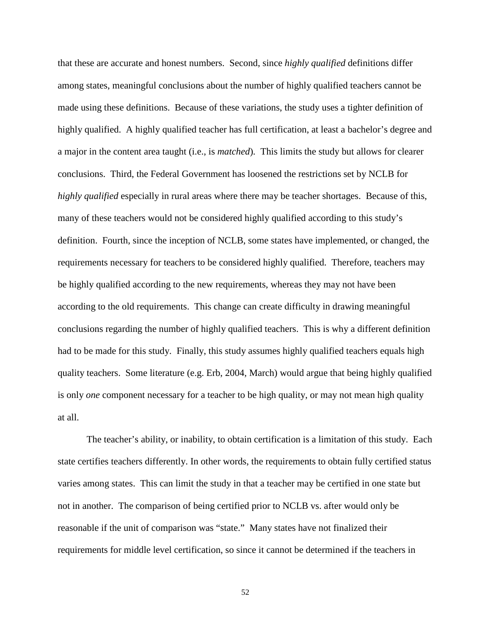that these are accurate and honest numbers. Second, since *highly qualified* definitions differ among states, meaningful conclusions about the number of highly qualified teachers cannot be made using these definitions. Because of these variations, the study uses a tighter definition of highly qualified. A highly qualified teacher has full certification, at least a bachelor's degree and a major in the content area taught (i.e., is *matched*)*.* This limits the study but allows for clearer conclusions. Third, the Federal Government has loosened the restrictions set by NCLB for *highly qualified* especially in rural areas where there may be teacher shortages. Because of this, many of these teachers would not be considered highly qualified according to this study's definition. Fourth, since the inception of NCLB, some states have implemented, or changed, the requirements necessary for teachers to be considered highly qualified. Therefore, teachers may be highly qualified according to the new requirements, whereas they may not have been according to the old requirements. This change can create difficulty in drawing meaningful conclusions regarding the number of highly qualified teachers. This is why a different definition had to be made for this study. Finally, this study assumes highly qualified teachers equals high quality teachers. Some literature (e.g. Erb, 2004, March) would argue that being highly qualified is only *one* component necessary for a teacher to be high quality, or may not mean high quality at all.

The teacher's ability, or inability, to obtain certification is a limitation of this study. Each state certifies teachers differently. In other words, the requirements to obtain fully certified status varies among states. This can limit the study in that a teacher may be certified in one state but not in another. The comparison of being certified prior to NCLB vs. after would only be reasonable if the unit of comparison was "state." Many states have not finalized their requirements for middle level certification, so since it cannot be determined if the teachers in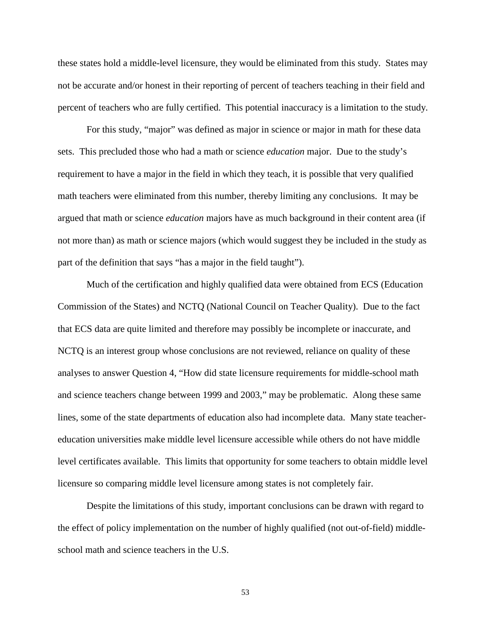these states hold a middle-level licensure, they would be eliminated from this study. States may not be accurate and/or honest in their reporting of percent of teachers teaching in their field and percent of teachers who are fully certified. This potential inaccuracy is a limitation to the study.

For this study, "major" was defined as major in science or major in math for these data sets. This precluded those who had a math or science *education* major. Due to the study's requirement to have a major in the field in which they teach, it is possible that very qualified math teachers were eliminated from this number, thereby limiting any conclusions. It may be argued that math or science *education* majors have as much background in their content area (if not more than) as math or science majors (which would suggest they be included in the study as part of the definition that says "has a major in the field taught").

Much of the certification and highly qualified data were obtained from ECS (Education Commission of the States) and NCTQ (National Council on Teacher Quality). Due to the fact that ECS data are quite limited and therefore may possibly be incomplete or inaccurate, and NCTQ is an interest group whose conclusions are not reviewed, reliance on quality of these analyses to answer Question 4, "How did state licensure requirements for middle-school math and science teachers change between 1999 and 2003," may be problematic. Along these same lines, some of the state departments of education also had incomplete data. Many state teachereducation universities make middle level licensure accessible while others do not have middle level certificates available. This limits that opportunity for some teachers to obtain middle level licensure so comparing middle level licensure among states is not completely fair.

Despite the limitations of this study, important conclusions can be drawn with regard to the effect of policy implementation on the number of highly qualified (not out-of-field) middleschool math and science teachers in the U.S.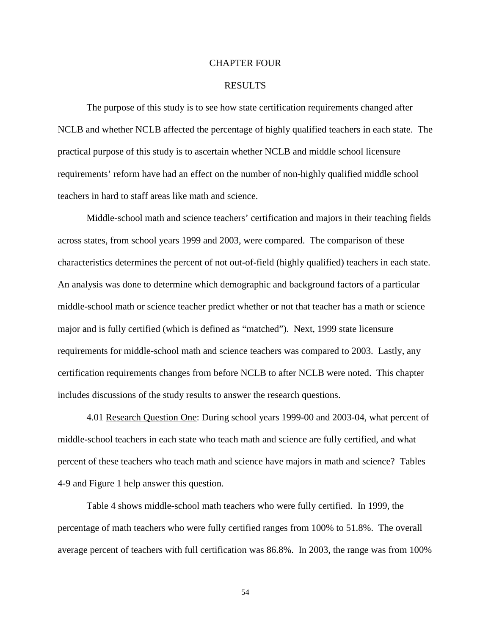#### CHAPTER FOUR

### RESULTS

 The purpose of this study is to see how state certification requirements changed after NCLB and whether NCLB affected the percentage of highly qualified teachers in each state. The practical purpose of this study is to ascertain whether NCLB and middle school licensure requirements' reform have had an effect on the number of non-highly qualified middle school teachers in hard to staff areas like math and science.

Middle-school math and science teachers' certification and majors in their teaching fields across states, from school years 1999 and 2003, were compared. The comparison of these characteristics determines the percent of not out-of-field (highly qualified) teachers in each state. An analysis was done to determine which demographic and background factors of a particular middle-school math or science teacher predict whether or not that teacher has a math or science major and is fully certified (which is defined as "matched"). Next, 1999 state licensure requirements for middle-school math and science teachers was compared to 2003. Lastly, any certification requirements changes from before NCLB to after NCLB were noted. This chapter includes discussions of the study results to answer the research questions.

4.01 Research Question One: During school years 1999-00 and 2003-04, what percent of middle-school teachers in each state who teach math and science are fully certified, and what percent of these teachers who teach math and science have majors in math and science? Tables 4-9 and Figure 1 help answer this question.

Table 4 shows middle-school math teachers who were fully certified. In 1999, the percentage of math teachers who were fully certified ranges from 100% to 51.8%. The overall average percent of teachers with full certification was 86.8%. In 2003, the range was from 100%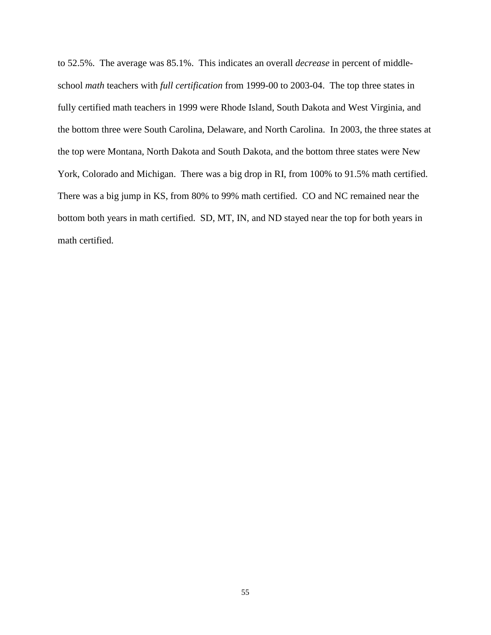to 52.5%. The average was 85.1%. This indicates an overall *decrease* in percent of middleschool *math* teachers with *full certification* from 1999-00 to 2003-04. The top three states in fully certified math teachers in 1999 were Rhode Island, South Dakota and West Virginia, and the bottom three were South Carolina, Delaware, and North Carolina. In 2003, the three states at the top were Montana, North Dakota and South Dakota, and the bottom three states were New York, Colorado and Michigan. There was a big drop in RI, from 100% to 91.5% math certified. There was a big jump in KS, from 80% to 99% math certified. CO and NC remained near the bottom both years in math certified. SD, MT, IN, and ND stayed near the top for both years in math certified.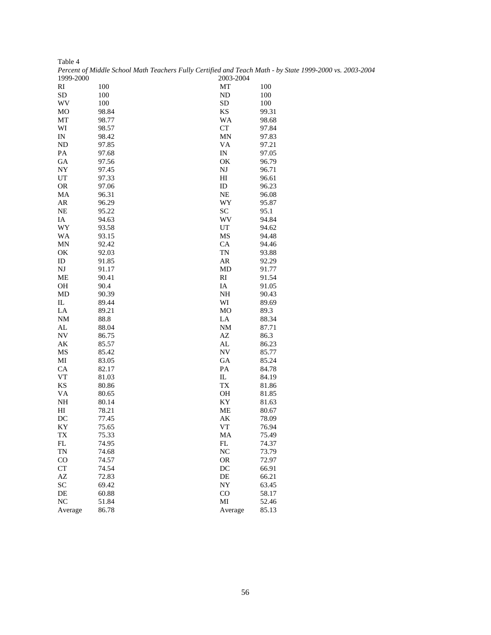|           | Percent of Middle School Math Teachers Fully Certified and Teach Math - by Stai |                |       |
|-----------|---------------------------------------------------------------------------------|----------------|-------|
| 1999-2000 |                                                                                 | 2003-2004      |       |
| RI        | 100                                                                             | MT             | 100   |
| <b>SD</b> | 100                                                                             | ND             | 100   |
| WV        | 100                                                                             | SD             | 100   |
| MO        | 98.84                                                                           | KS             | 99.31 |
| MT        | 98.77                                                                           | WA             | 98.68 |
| WI        | 98.57                                                                           | CT             | 97.84 |
| IN        | 98.42                                                                           | MN             | 97.83 |
| ND        | 97.85                                                                           | VA             | 97.21 |
| PA        | 97.68                                                                           | IN             | 97.05 |
| GA        | 97.56                                                                           | OK             | 96.79 |
| NY        | 97.45                                                                           | NJ             | 96.71 |
| UT        | 97.33                                                                           | H <sub>I</sub> | 96.61 |
| <b>OR</b> | 97.06                                                                           | ID             | 96.23 |
| MA        | 96.31                                                                           | <b>NE</b>      | 96.08 |
| AR        | 96.29                                                                           | WY             | 95.87 |
| <b>NE</b> | 95.22                                                                           | SC             | 95.1  |
| IA        | 94.63                                                                           | WV             | 94.84 |
| WY        |                                                                                 |                |       |
|           | 93.58                                                                           | UT             | 94.62 |
| WA        | 93.15                                                                           | MS             | 94.48 |
| MN        | 92.42                                                                           | CA             | 94.46 |
| OK        | 92.03                                                                           | TN             | 93.88 |
| ID        | 91.85                                                                           | AR             | 92.29 |
| NJ        | 91.17                                                                           | MD             | 91.77 |
| ME        | 90.41                                                                           | RI             | 91.54 |
| OH        | 90.4                                                                            | IA             | 91.05 |
| MD        | 90.39                                                                           | NH             | 90.43 |
| IL        | 89.44                                                                           | WI             | 89.69 |
| LA        | 89.21                                                                           | MO             | 89.3  |
| NM        | 88.8                                                                            | LA             | 88.34 |
| AL        | 88.04                                                                           | NM             | 87.71 |
| NV        | 86.75                                                                           | AZ             | 86.3  |
| AK        | 85.57                                                                           | AL             | 86.23 |
| MS        | 85.42                                                                           | ${\rm NV}$     | 85.77 |
| MI        | 83.05                                                                           | GA             | 85.24 |
| CA        | 82.17                                                                           | PA             | 84.78 |
| VT        | 81.03                                                                           | IL             | 84.19 |
| KS        | 80.86                                                                           | TX             | 81.86 |
| VA        | 80.65                                                                           | OH             | 81.85 |
| NH        | 80.14                                                                           | KY             | 81.63 |
| НІ        | 78.21                                                                           | ME             | 80.67 |
| DC        | 77.45                                                                           | AK             | 78.09 |
| ΚY        | 75.65                                                                           | VT             | 76.94 |
| TX        | 75.33                                                                           | MA             | 75.49 |
| FL        | 74.95                                                                           | FL             | 74.37 |
|           |                                                                                 |                | 73.79 |
| TN        | 74.68                                                                           | NC             |       |
| $\rm CO$  | 74.57                                                                           | <b>OR</b>      | 72.97 |
| CT        | 74.54                                                                           | DC             | 66.91 |
| AΖ        | 72.83                                                                           | DE             | 66.21 |
| SC        | 69.42                                                                           | NY             | 63.45 |
| DE        | 60.88                                                                           | $\rm CO$       | 58.17 |
| NC        | 51.84                                                                           | MI             | 52.46 |
| Average   | 86.78                                                                           | Average        | 85.13 |

| Table 4   |                                                                                                          |
|-----------|----------------------------------------------------------------------------------------------------------|
|           | Percent of Middle School Math Teachers Fully Certified and Teach Math - by State 1999-2000 vs. 2003-2004 |
| 1999-2000 | 2003-2004                                                                                                |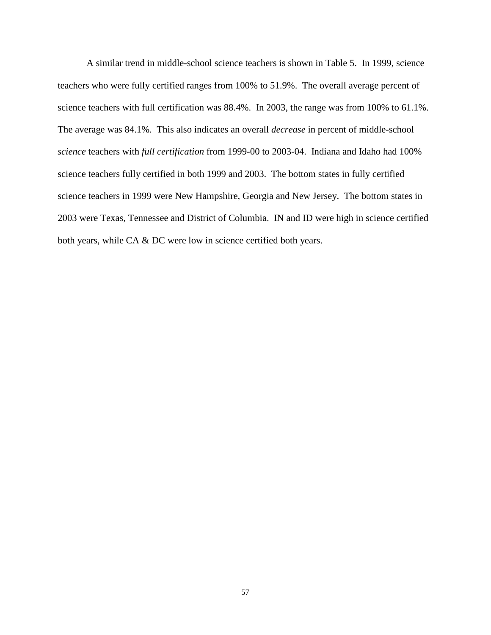A similar trend in middle-school science teachers is shown in Table 5. In 1999, science teachers who were fully certified ranges from 100% to 51.9%. The overall average percent of science teachers with full certification was 88.4%. In 2003, the range was from 100% to 61.1%. The average was 84.1%. This also indicates an overall *decrease* in percent of middle-school *science* teachers with *full certification* from 1999-00 to 2003-04. Indiana and Idaho had 100% science teachers fully certified in both 1999 and 2003. The bottom states in fully certified science teachers in 1999 were New Hampshire, Georgia and New Jersey. The bottom states in 2003 were Texas, Tennessee and District of Columbia. IN and ID were high in science certified both years, while CA & DC were low in science certified both years.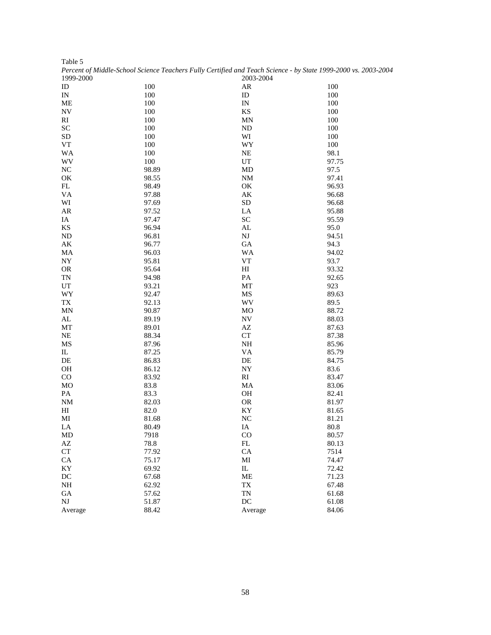|                          | Percent of Middle-School Science Teachers Fully Certified and Teach Science - by State 1999-2000 vs. 2003-2004 |                           |          |
|--------------------------|----------------------------------------------------------------------------------------------------------------|---------------------------|----------|
| 1999-2000                |                                                                                                                | 2003-2004                 |          |
| ID                       | 100                                                                                                            | AR                        | 100      |
| IN                       | 100                                                                                                            | ID                        | 100      |
| ME                       | 100                                                                                                            | $\mathop{\text{IN}}$      | 100      |
| <b>NV</b>                | 100                                                                                                            | KS                        | 100      |
| RI                       | 100                                                                                                            | <b>MN</b>                 | 100      |
| <b>SC</b>                | 100                                                                                                            | $\rm ND$                  | 100      |
| <b>SD</b>                | 100                                                                                                            | WI                        | 100      |
| VT                       | 100                                                                                                            | WY                        | 100      |
| WA                       | 100                                                                                                            | NE                        | 98.1     |
| WV                       | 100                                                                                                            | UT                        | 97.75    |
| NC                       | 98.89                                                                                                          | MD                        | 97.5     |
| OK                       | 98.55                                                                                                          | $\rm{NM}$                 | 97.41    |
| FL                       | 98.49                                                                                                          | OK                        | 96.93    |
| VA                       | 97.88                                                                                                          | AK                        | 96.68    |
|                          |                                                                                                                |                           |          |
| WI                       | 97.69                                                                                                          | <b>SD</b>                 | 96.68    |
| AR                       | 97.52                                                                                                          | LA                        | 95.88    |
| IA                       | 97.47                                                                                                          | SC                        | 95.59    |
| KS                       | 96.94                                                                                                          | AL                        | 95.0     |
| ND                       | 96.81                                                                                                          | $\mathbf{N}\mathbf{J}$    | 94.51    |
| $\mathbf{A}\mathbf{K}$   | 96.77                                                                                                          | ${\rm GA}$                | 94.3     |
| MA                       | 96.03                                                                                                          | <b>WA</b>                 | 94.02    |
| NY                       | 95.81                                                                                                          | ${\rm VT}$                | 93.7     |
| <b>OR</b>                | 95.64                                                                                                          | $\rm HI$                  | 93.32    |
| TN                       | 94.98                                                                                                          | PA                        | 92.65    |
| UT                       | 93.21                                                                                                          | MT                        | 923      |
| WY                       | 92.47                                                                                                          | MS                        | 89.63    |
| $\mathcal{T}\mathcal{X}$ | 92.13                                                                                                          | WV                        | 89.5     |
| <b>MN</b>                | 90.87                                                                                                          | <b>MO</b>                 | 88.72    |
| AL                       | 89.19                                                                                                          | <b>NV</b>                 | 88.03    |
| MT                       | 89.01                                                                                                          | $\mathbf{A}\mathbf{Z}$    | 87.63    |
| <b>NE</b>                | 88.34                                                                                                          | CT                        | 87.38    |
| MS                       | 87.96                                                                                                          | $\rm NH$                  | 85.96    |
| IL                       | 87.25                                                                                                          | VA                        | 85.79    |
| DE                       | 86.83                                                                                                          | $\rm DE$                  | 84.75    |
| $\rm OH$                 | 86.12                                                                                                          | NY                        | 83.6     |
| CO                       | 83.92                                                                                                          | RI                        | 83.47    |
| MO                       | 83.8                                                                                                           | MA                        | 83.06    |
| PA                       | 83.3                                                                                                           | OH                        | 82.41    |
| $\rm{NM}$                | 82.03                                                                                                          | ${\sf OR}$                | 81.97    |
| HI                       | 82.0                                                                                                           | KY                        | 81.65    |
| MI                       | 81.68                                                                                                          | NC                        | 81.21    |
| LA                       | 80.49                                                                                                          | IA                        | $80.8\,$ |
|                          |                                                                                                                |                           | 80.57    |
| MD                       | 7918                                                                                                           | $_{\rm CO}$<br>${\rm FL}$ |          |
| AZ                       | 78.8                                                                                                           |                           | 80.13    |
| ${\cal C}{\cal T}$       | 77.92                                                                                                          | CA                        | 7514     |
| CA                       | 75.17                                                                                                          | $\mathbf{M}\mathbf{I}$    | 74.47    |
| KY                       | 69.92                                                                                                          | IL                        | 72.42    |
| DC                       | 67.68                                                                                                          | ME                        | 71.23    |
| NH                       | 62.92                                                                                                          | $\mathcal{T}\mathcal{X}$  | 67.48    |
| GA                       | 57.62                                                                                                          | <b>TN</b>                 | 61.68    |
| NJ                       | 51.87                                                                                                          | DC                        | 61.08    |
| Average                  | 88.42                                                                                                          | Average                   | 84.06    |

Table 5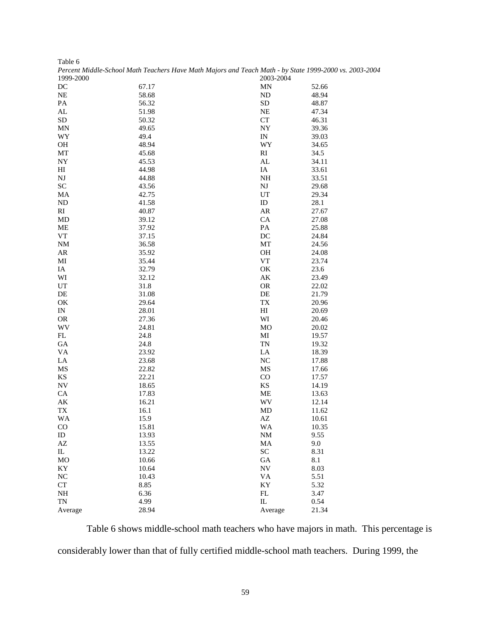| Table 6                |                                                                                                        |                          |       |
|------------------------|--------------------------------------------------------------------------------------------------------|--------------------------|-------|
|                        | Percent Middle-School Math Teachers Have Math Majors and Teach Math - by State 1999-2000 vs. 2003-2004 |                          |       |
| 1999-2000              |                                                                                                        | 2003-2004                |       |
| DC                     | 67.17                                                                                                  | MN                       | 52.66 |
| NE                     | 58.68                                                                                                  | ND                       | 48.94 |
| PA                     | 56.32                                                                                                  | ${\rm SD}$               | 48.87 |
| AL                     | 51.98                                                                                                  | <b>NE</b>                | 47.34 |
| SD                     | 50.32                                                                                                  | ${\cal C}{\cal T}$       | 46.31 |
| MN                     | 49.65                                                                                                  | NY                       | 39.36 |
| WY                     | 49.4                                                                                                   | IN                       | 39.03 |
| <b>OH</b>              | 48.94                                                                                                  | WY                       | 34.65 |
| MT                     | 45.68                                                                                                  | $\mathbf{R}\mathbf{I}$   | 34.5  |
| NY                     | 45.53                                                                                                  | AL                       | 34.11 |
| HI                     | 44.98                                                                                                  | IA                       | 33.61 |
| NJ                     | 44.88                                                                                                  | $\rm NH$                 | 33.51 |
| ${\rm SC}$             |                                                                                                        | NJ                       |       |
|                        | 43.56                                                                                                  |                          | 29.68 |
| MA                     | 42.75                                                                                                  | UT                       | 29.34 |
| ND                     | 41.58                                                                                                  | ID                       | 28.1  |
| RI                     | 40.87                                                                                                  | ${\sf AR}$               | 27.67 |
| MD                     | 39.12                                                                                                  | CA                       | 27.08 |
| ME                     | 37.92                                                                                                  | PA                       | 25.88 |
| VT                     | 37.15                                                                                                  | DC                       | 24.84 |
| NM                     | 36.58                                                                                                  | MT                       | 24.56 |
| AR                     | 35.92                                                                                                  | OH                       | 24.08 |
| MI                     | 35.44                                                                                                  | ${\rm VT}$               | 23.74 |
| IA                     | 32.79                                                                                                  | OK                       | 23.6  |
| WI                     | 32.12                                                                                                  | AK                       | 23.49 |
| UT                     | 31.8                                                                                                   | <b>OR</b>                | 22.02 |
| DE                     | 31.08                                                                                                  | DE                       | 21.79 |
| OK                     | 29.64                                                                                                  | ${\rm T}{\rm X}$         | 20.96 |
| IN                     | 28.01                                                                                                  | H                        | 20.69 |
| <b>OR</b>              | 27.36                                                                                                  | WI                       | 20.46 |
| WV                     | 24.81                                                                                                  | MO                       | 20.02 |
| FL                     | 24.8                                                                                                   | MI                       | 19.57 |
| GA                     | 24.8                                                                                                   | TN                       | 19.32 |
| VA                     | 23.92                                                                                                  | LA                       | 18.39 |
| LA                     | 23.68                                                                                                  | NC                       | 17.88 |
| MS                     | 22.82                                                                                                  | MS                       | 17.66 |
| KS                     | 22.21                                                                                                  | CO                       | 17.57 |
| NV                     | 18.65                                                                                                  | $\mathbf{K}\mathbf{S}$   | 14.19 |
| CA                     | 17.83                                                                                                  | ME                       | 13.63 |
| AΚ                     | 16.21                                                                                                  | WV                       | 12.14 |
| TX                     | 16.1                                                                                                   | MD                       | 11.62 |
| WA                     | 15.9                                                                                                   | AΖ                       | 10.61 |
| $\rm CO$               | 15.81                                                                                                  | WA                       | 10.35 |
| ID                     | 13.93                                                                                                  | $\rm{NM}$                | 9.55  |
| AZ                     | 13.55                                                                                                  | MA                       | 9.0   |
| $_{\rm IL}$            | 13.22                                                                                                  | <b>SC</b>                | 8.31  |
|                        |                                                                                                        |                          |       |
| MO                     | 10.66                                                                                                  | $\rm GA$                 | 8.1   |
| $\mathbf{K}\mathbf{Y}$ | 10.64                                                                                                  | $\ensuremath{\text{NV}}$ | 8.03  |
| NC                     | 10.43                                                                                                  | VA                       | 5.51  |
| ${\cal C}{\cal T}$     | 8.85                                                                                                   | KY                       | 5.32  |
| NH                     | 6.36                                                                                                   | ${\rm FL}$               | 3.47  |
| TN                     | 4.99                                                                                                   | ${\rm IL}$               | 0.54  |
| Average                | 28.94                                                                                                  | Average                  | 21.34 |

 Table 6 shows middle-school math teachers who have majors in math. This percentage is considerably lower than that of fully certified middle-school math teachers. During 1999, the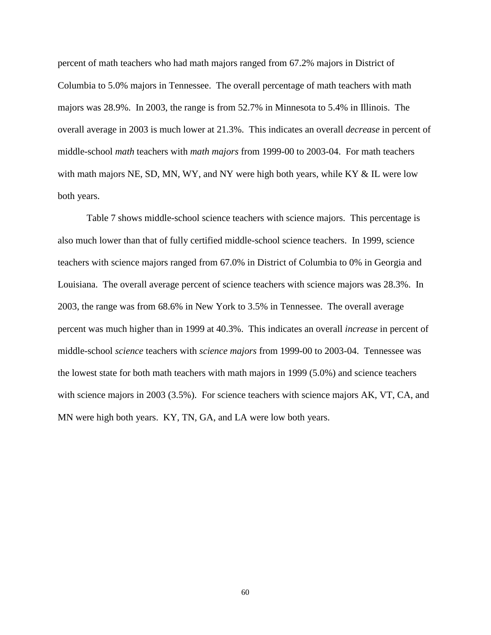percent of math teachers who had math majors ranged from 67.2% majors in District of Columbia to 5.0% majors in Tennessee. The overall percentage of math teachers with math majors was 28.9%. In 2003, the range is from 52.7% in Minnesota to 5.4% in Illinois. The overall average in 2003 is much lower at 21.3%. This indicates an overall *decrease* in percent of middle-school *math* teachers with *math majors* from 1999-00 to 2003-04. For math teachers with math majors NE, SD, MN, WY, and NY were high both years, while KY & IL were low both years.

Table 7 shows middle-school science teachers with science majors. This percentage is also much lower than that of fully certified middle-school science teachers. In 1999, science teachers with science majors ranged from 67.0% in District of Columbia to 0% in Georgia and Louisiana. The overall average percent of science teachers with science majors was 28.3%. In 2003, the range was from 68.6% in New York to 3.5% in Tennessee. The overall average percent was much higher than in 1999 at 40.3%. This indicates an overall *increase* in percent of middle-school *science* teachers with *science majors* from 1999-00 to 2003-04. Tennessee was the lowest state for both math teachers with math majors in 1999 (5.0%) and science teachers with science majors in 2003 (3.5%). For science teachers with science majors AK, VT, CA, and MN were high both years. KY, TN, GA, and LA were low both years.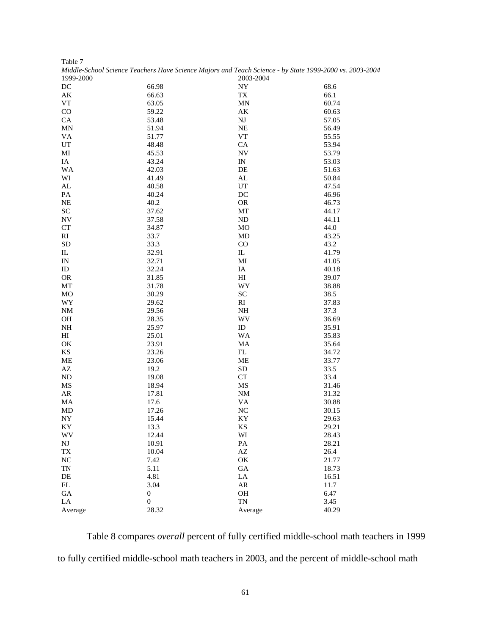|                  | Middle-School Science Teachers Have Science Majors and Teach Science - by State 1999-2000 vs. 2003-2004 |                        |               |
|------------------|---------------------------------------------------------------------------------------------------------|------------------------|---------------|
| 1999-2000        |                                                                                                         | 2003-2004              |               |
| DC               | 66.98                                                                                                   | NY                     | 68.6          |
| AK               | 66.63                                                                                                   | ${\rm T}{\rm X}$       | 66.1          |
| <b>VT</b>        | 63.05                                                                                                   | MN                     | 60.74         |
| CO               | 59.22                                                                                                   | АK                     | 60.63         |
| CA               | 53.48                                                                                                   | NJ                     | 57.05         |
| MN               | 51.94                                                                                                   | NE                     | 56.49         |
| <b>VA</b>        | 51.77                                                                                                   | ${\rm VT}$             | 55.55         |
| UT               | 48.48                                                                                                   | CA                     | 53.94         |
| MI               | 45.53                                                                                                   | <b>NV</b>              | 53.79         |
| IA               | 43.24                                                                                                   | IN                     | 53.03         |
| WA               | 42.03                                                                                                   | DE                     | 51.63         |
| WI               | 41.49                                                                                                   | AL                     | 50.84         |
| ${\rm AL}$       | 40.58                                                                                                   | UT                     | 47.54         |
| PA               | 40.24                                                                                                   | DC                     | 46.96         |
| <b>NE</b>        | 40.2                                                                                                    | <b>OR</b>              | 46.73         |
| <b>SC</b>        | 37.62                                                                                                   | MT                     | 44.17         |
| <b>NV</b>        | 37.58                                                                                                   | <b>ND</b>              | 44.11         |
| <b>CT</b>        | 34.87                                                                                                   | MO                     | 44.0          |
| RI               | 33.7                                                                                                    | MD                     | 43.25         |
| SD               | 33.3                                                                                                    | CO                     | 43.2          |
| IL               | 32.91                                                                                                   | $\mathbf{I}$           | 41.79         |
| IN               | 32.71                                                                                                   | MI                     | 41.05         |
| ID               | 32.24                                                                                                   | IA                     | 40.18         |
| <b>OR</b>        | 31.85                                                                                                   | H <sub>I</sub>         | 39.07         |
| MT               | 31.78                                                                                                   | WY                     | 38.88         |
| MO               | 30.29                                                                                                   | <b>SC</b>              | 38.5          |
| WY               | 29.62                                                                                                   | RI                     | 37.83         |
| <b>NM</b>        | 29.56                                                                                                   | NH                     | 37.3          |
| <b>OH</b>        | 28.35                                                                                                   | WV                     | 36.69         |
| $\rm NH$         | 25.97                                                                                                   | ID                     | 35.91         |
| HI               | 25.01                                                                                                   | WA                     | 35.83         |
| $\mathrm{OK}$    | 23.91                                                                                                   | MA                     | 35.64         |
| KS               | 23.26                                                                                                   | FL                     | 34.72         |
| ME               | 23.06                                                                                                   | ME                     | 33.77         |
| AZ               | 19.2                                                                                                    | ${\rm SD}$             | 33.5          |
| <b>ND</b>        | 19.08                                                                                                   | CT                     | 33.4          |
| MS               | 18.94                                                                                                   | MS                     | 31.46         |
| AR               | 17.81                                                                                                   | <b>NM</b>              | 31.32         |
| MA               | 17.6                                                                                                    | <b>VA</b>              | 30.88         |
| MD               | 17.26                                                                                                   | NC                     | 30.15         |
| NY               | 15.44                                                                                                   | KY                     | 29.63         |
| KY               | 13.3                                                                                                    | KS                     | 29.21         |
| <b>WV</b>        | 12.44                                                                                                   | WI                     | 28.43         |
| $_{\rm NJ}$      | 10.91                                                                                                   | PA                     | 28.21         |
| TX               | 10.04                                                                                                   | $\mathbf{A}\mathbf{Z}$ | 26.4          |
| NC               | 7.42                                                                                                    | OK                     | 21.77         |
| TN               | 5.11                                                                                                    | ${\rm GA}$             | 18.73         |
|                  |                                                                                                         |                        |               |
| DE<br>FL         | 4.81<br>3.04                                                                                            | LA<br>${\sf AR}$       | 16.51<br>11.7 |
|                  |                                                                                                         |                        |               |
| GA<br>${\rm LA}$ | $\boldsymbol{0}$<br>$\mathbf{0}$                                                                        | OH<br><b>TN</b>        | 6.47          |
|                  | 28.32                                                                                                   |                        | 3.45          |
| Average          |                                                                                                         | Average                | 40.29         |

Table 7

Table 8 compares *overall* percent of fully certified middle-school math teachers in 1999 to fully certified middle-school math teachers in 2003, and the percent of middle-school math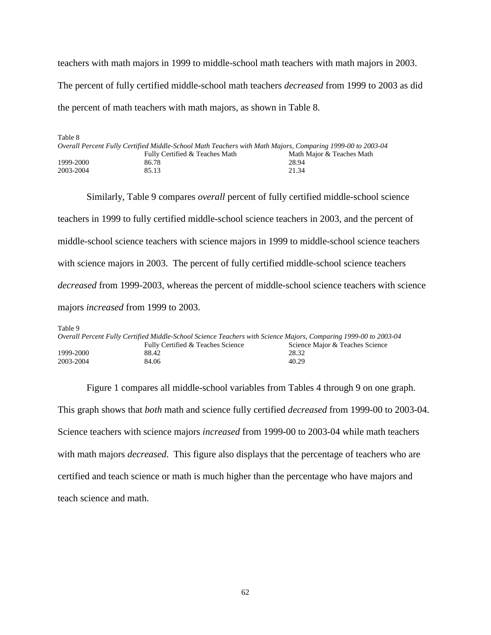teachers with math majors in 1999 to middle-school math teachers with math majors in 2003. The percent of fully certified middle-school math teachers *decreased* from 1999 to 2003 as did the percent of math teachers with math majors, as shown in Table 8.

| Table 8   |                                                                                                            |                           |
|-----------|------------------------------------------------------------------------------------------------------------|---------------------------|
|           | Overall Percent Fully Certified Middle-School Math Teachers with Math Majors, Comparing 1999-00 to 2003-04 |                           |
|           | Fully Certified & Teaches Math                                                                             | Math Major & Teaches Math |
| 1999-2000 | 86.78                                                                                                      | 28.94                     |
| 2003-2004 | 85.13                                                                                                      | 21.34                     |

Similarly, Table 9 compares *overall* percent of fully certified middle-school science teachers in 1999 to fully certified middle-school science teachers in 2003, and the percent of middle-school science teachers with science majors in 1999 to middle-school science teachers with science majors in 2003. The percent of fully certified middle-school science teachers *decreased* from 1999-2003, whereas the percent of middle-school science teachers with science majors *increased* from 1999 to 2003.

Table 9

| Overall Percent Fully Certified Middle-School Science Teachers with Science Majors, Comparing 1999-00 to 2003-04 |                                   |                                 |
|------------------------------------------------------------------------------------------------------------------|-----------------------------------|---------------------------------|
|                                                                                                                  | Fully Certified & Teaches Science | Science Major & Teaches Science |
| 1999-2000                                                                                                        | 88.42                             | 28.32                           |
| 2003-2004                                                                                                        | 84.06                             | 40.29                           |

Figure 1 compares all middle-school variables from Tables 4 through 9 on one graph. This graph shows that *both* math and science fully certified *decreased* from 1999-00 to 2003-04. Science teachers with science majors *increased* from 1999-00 to 2003-04 while math teachers with math majors *decreased*. This figure also displays that the percentage of teachers who are certified and teach science or math is much higher than the percentage who have majors and teach science and math.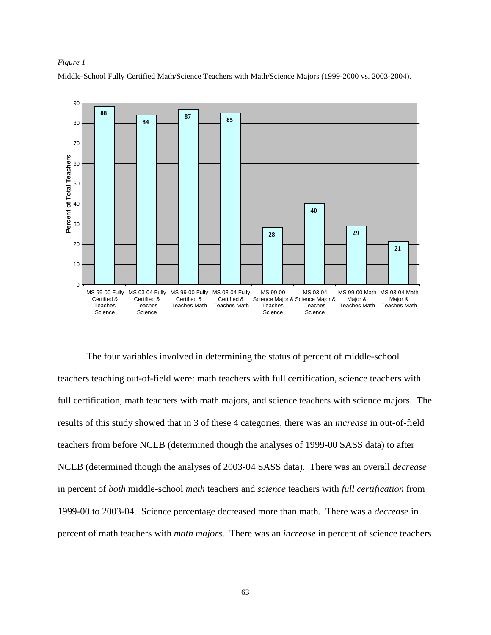## *Figure 1*

Middle-School Fully Certified Math/Science Teachers with Math/Science Majors (1999-2000 vs. 2003-2004).



The four variables involved in determining the status of percent of middle-school teachers teaching out-of-field were: math teachers with full certification, science teachers with full certification, math teachers with math majors, and science teachers with science majors. The results of this study showed that in 3 of these 4 categories, there was an *increase* in out-of-field teachers from before NCLB (determined though the analyses of 1999-00 SASS data) to after NCLB (determined though the analyses of 2003-04 SASS data). There was an overall *decrease* in percent of *both* middle-school *math* teachers and *science* teachers with *full certification* from 1999-00 to 2003-04. Science percentage decreased more than math. There was a *decrease* in percent of math teachers with *math majors*. There was an *increase* in percent of science teachers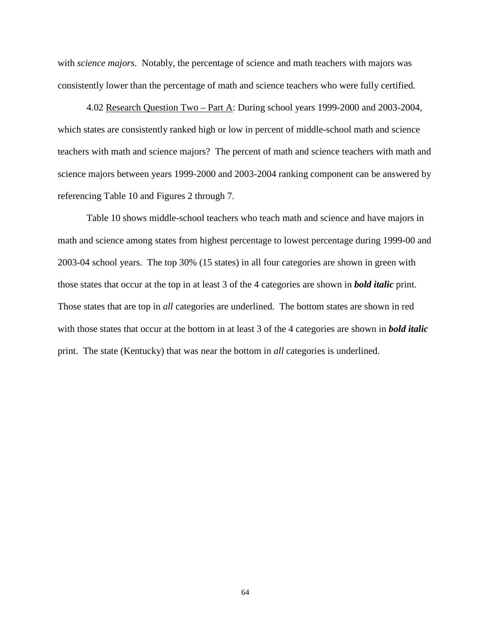with *science majors*. Notably, the percentage of science and math teachers with majors was consistently lower than the percentage of math and science teachers who were fully certified.

4.02 Research Question Two – Part A: During school years 1999-2000 and 2003-2004, which states are consistently ranked high or low in percent of middle-school math and science teachers with math and science majors? The percent of math and science teachers with math and science majors between years 1999-2000 and 2003-2004 ranking component can be answered by referencing Table 10 and Figures 2 through 7.

Table 10 shows middle-school teachers who teach math and science and have majors in math and science among states from highest percentage to lowest percentage during 1999-00 and 2003-04 school years. The top 30% (15 states) in all four categories are shown in green with those states that occur at the top in at least 3 of the 4 categories are shown in *bold italic* print. Those states that are top in *all* categories are underlined. The bottom states are shown in red with those states that occur at the bottom in at least 3 of the 4 categories are shown in *bold italic* print. The state (Kentucky) that was near the bottom in *all* categories is underlined.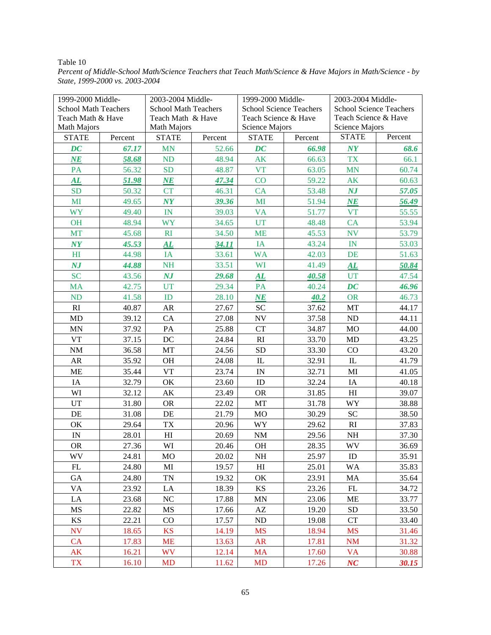### Table 10

*Percent of Middle-School Math/Science Teachers that Teach Math/Science & Have Majors in Math/Science - by State, 1999-2000 vs. 2003-2004* 

| 1999-2000 Middle-              |         | 2003-2004 Middle-               |              | 1999-2000 Middle-              |         | 2003-2004 Middle-               |         |  |
|--------------------------------|---------|---------------------------------|--------------|--------------------------------|---------|---------------------------------|---------|--|
| <b>School Math Teachers</b>    |         | <b>School Math Teachers</b>     |              | <b>School Science Teachers</b> |         | <b>School Science Teachers</b>  |         |  |
| Teach Math & Have              |         | Teach Math & Have               |              | Teach Science & Have           |         | Teach Science & Have            |         |  |
| <b>Math Majors</b>             |         | Math Majors                     |              | Science Majors                 |         | Science Majors                  |         |  |
| <b>STATE</b>                   | Percent | <b>STATE</b>                    | Percent      | <b>STATE</b>                   | Percent | <b>STATE</b>                    | Percent |  |
| DC                             | 67.17   | <b>MN</b>                       | 52.66        | $\overline{DC}$                | 66.98   | $\boldsymbol{N} \boldsymbol{Y}$ | 68.6    |  |
| NE                             | 58.68   | ND                              | 48.94        | <b>AK</b>                      | 66.63   | <b>TX</b>                       | 66.1    |  |
| <b>PA</b>                      | 56.32   | <b>SD</b>                       | 48.87        | <b>VT</b>                      | 63.05   | <b>MN</b>                       | 60.74   |  |
| $\boldsymbol{A}\boldsymbol{L}$ | 51.98   | $N\!E$                          | 47.34        | CO                             | 59.22   | AK                              | 60.63   |  |
| <b>SD</b>                      | 50.32   | <b>CT</b>                       | 46.31        | CA                             | 53.48   | $N\!J$                          | 57.05   |  |
| MI                             | 49.65   | $\boldsymbol{N}$                | 39.36        | MI                             | 51.94   | $N\!E$                          | 56.49   |  |
| <b>WY</b>                      | 49.40   | IN                              | 39.03        | <b>VA</b>                      | 51.77   | <b>VT</b>                       | 55.55   |  |
| <b>OH</b>                      | 48.94   | <b>WY</b>                       | 34.65        | <b>UT</b>                      | 48.48   | CA                              | 53.94   |  |
| <b>MT</b>                      | 45.68   | RI                              | 34.50        | <b>ME</b>                      | 45.53   | <b>NV</b>                       | 53.79   |  |
| $\boldsymbol{N}$               | 45.53   | $\boldsymbol{A}\boldsymbol{L}$  | <b>34.11</b> | IA                             | 43.24   | IN                              | 53.03   |  |
| H <sub>I</sub>                 | 44.98   | IA                              | 33.61        | <b>WA</b>                      | 42.03   | DE                              | 51.63   |  |
| NJ                             | 44.88   | <b>NH</b>                       | 33.51        | WI                             | 41.49   | ${\bf \overline{AL}}$           | 50.84   |  |
| <b>SC</b>                      | 43.56   | $\boldsymbol{N} \boldsymbol{J}$ | 29.68        | AL                             | 40.58   | <b>UT</b>                       | 47.54   |  |
| <b>MA</b>                      | 42.75   | <b>UT</b>                       | 29.34        | PA                             | 40.24   | $\bm{D}\bm{C}$                  | 46.96   |  |
| <b>ND</b>                      | 41.58   | ID                              | 28.10        | <b>NE</b>                      | 40.2    | <b>OR</b>                       | 46.73   |  |
| RI                             | 40.87   | AR                              | 27.67        | SC                             | 37.62   | MT                              | 44.17   |  |
| MD                             | 39.12   | CA                              | 27.08        | <b>NV</b>                      | 37.58   | ND                              | 44.11   |  |
| MN                             | 37.92   | $\mathbf{PA}$                   | 25.88        | <b>CT</b>                      | 34.87   | MO                              | 44.00   |  |
| <b>VT</b>                      | 37.15   | DC                              | 24.84        | RI                             | 33.70   | MD                              | 43.25   |  |
| NM                             | 36.58   | MT                              | 24.56        | <b>SD</b>                      | 33.30   | CO                              | 43.20   |  |
| AR                             | 35.92   | OH                              | 24.08        | $\rm IL$                       | 32.91   | IL                              | 41.79   |  |
| ME                             | 35.44   | <b>VT</b>                       | 23.74        | $\ensuremath{\text{IN}}$       | 32.71   | MI                              | 41.05   |  |
| IA                             | 32.79   | OK                              | 23.60        | ID                             | 32.24   | IA                              | 40.18   |  |
| WI                             | 32.12   | AK                              | 23.49        | <b>OR</b>                      | 31.85   | H <sub>I</sub>                  | 39.07   |  |
| <b>UT</b>                      | 31.80   | <b>OR</b>                       | 22.02        | MT                             | 31.78   | WY                              | 38.88   |  |
| DE                             | 31.08   | DE                              | 21.79        | MO                             | 30.29   | <b>SC</b>                       | 38.50   |  |
| OK                             | 29.64   | <b>TX</b>                       | 20.96        | WY                             | 29.62   | RI                              | 37.83   |  |
| $\ensuremath{\text{IN}}$       | 28.01   | H                               | 20.69        | $\rm{NM}$                      | 29.56   | NH                              | 37.30   |  |
| <b>OR</b>                      | 27.36   | WI                              | 20.46        | OH                             | 28.35   | WV                              | 36.69   |  |
| WV                             | 24.81   | MO                              | 20.02        | $\rm NH$                       | 25.97   | ${\rm ID}$                      | 35.91   |  |
| FL                             | 24.80   | MI                              | 19.57        | H <sub>I</sub>                 | 25.01   | <b>WA</b>                       | 35.83   |  |
| GA                             | 24.80   | $\mathbf{TN}$                   | 19.32        | OK                             | 23.91   | MA                              | 35.64   |  |
| <b>VA</b>                      | 23.92   | LA                              | 18.39        | KS                             | 23.26   | FL                              | 34.72   |  |
| LA                             | 23.68   | NC                              | 17.88        | MN                             | 23.06   | <b>ME</b>                       | 33.77   |  |
| MS                             | 22.82   | MS                              | 17.66        | AZ                             | 19.20   | <b>SD</b>                       | 33.50   |  |
| $\mathop{\rm KS}\nolimits$     | 22.21   | CO                              | 17.57        | $\rm ND$                       | 19.08   | CT                              | 33.40   |  |
| <b>NV</b>                      | 18.65   | <b>KS</b>                       | 14.19        | <b>MS</b>                      | 18.94   | <b>MS</b>                       | 31.46   |  |
| CA                             | 17.83   | <b>ME</b>                       | 13.63        | AR                             | 17.81   | <b>NM</b>                       | 31.32   |  |
| AK                             | 16.21   | <b>WV</b>                       | 12.14        | MA                             | 17.60   | <b>VA</b>                       | 30.88   |  |
| <b>TX</b>                      | 16.10   | <b>MD</b>                       | 11.62        | <b>MD</b>                      | 17.26   | NC                              | 30.15   |  |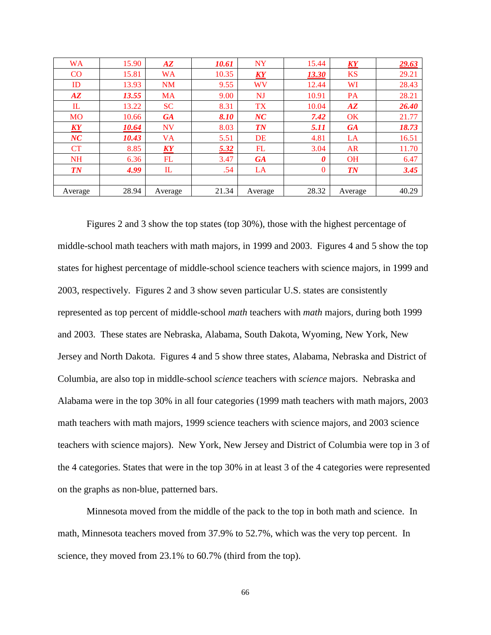| <b>WA</b>     | 15.90 | $\bm{A}\bm{Z}$ | 10.61 | <b>NY</b>                       | 15.44    | <b>KY</b>           | 29.63 |
|---------------|-------|----------------|-------|---------------------------------|----------|---------------------|-------|
| CO            | 15.81 | <b>WA</b>      | 10.35 | $\boldsymbol{K} \boldsymbol{Y}$ | 13.30    | <b>KS</b>           | 29.21 |
| ID            | 13.93 | <b>NM</b>      | 9.55  | WV                              | 12.44    | WI                  | 28.43 |
| $A\mathbf{Z}$ | 13.55 | MA             | 9.00  | NJ                              | 10.91    | <b>PA</b>           | 28.21 |
| IL            | 13.22 | <b>SC</b>      | 8.31  | <b>TX</b>                       | 10.04    | $A\mathbf{Z}$       | 26.40 |
| <b>MO</b>     | 10.66 | <b>GA</b>      | 8.10  | NC                              | 7.42     | <b>OK</b>           | 21.77 |
| KY            | 10.64 | <b>NV</b>      | 8.03  | <b>TN</b>                       | 5.11     | <b>GA</b>           | 18.73 |
| NC            | 10.43 | <b>VA</b>      | 5.51  | DE                              | 4.81     | LA                  | 16.51 |
| CT            | 8.85  | KY             | 5.32  | FL                              | 3.04     | AR                  | 11.70 |
| <b>NH</b>     | 6.36  | FL             | 3.47  | <b>GA</b>                       | 0        | <b>OH</b>           | 6.47  |
| $\sqrt{TN}$   | 4.99  | IL             | .54   | LA                              | $\Omega$ | $\boldsymbol{T\!N}$ | 3.45  |
|               |       |                |       |                                 |          |                     |       |
| Average       | 28.94 | Average        | 21.34 | Average                         | 28.32    | Average             | 40.29 |

 Figures 2 and 3 show the top states (top 30%), those with the highest percentage of middle-school math teachers with math majors, in 1999 and 2003. Figures 4 and 5 show the top states for highest percentage of middle-school science teachers with science majors, in 1999 and 2003, respectively. Figures 2 and 3 show seven particular U.S. states are consistently represented as top percent of middle-school *math* teachers with *math* majors, during both 1999 and 2003. These states are Nebraska, Alabama, South Dakota, Wyoming, New York, New Jersey and North Dakota. Figures 4 and 5 show three states, Alabama, Nebraska and District of Columbia, are also top in middle-school *science* teachers with *science* majors. Nebraska and Alabama were in the top 30% in all four categories (1999 math teachers with math majors, 2003 math teachers with math majors, 1999 science teachers with science majors, and 2003 science teachers with science majors). New York, New Jersey and District of Columbia were top in 3 of the 4 categories. States that were in the top 30% in at least 3 of the 4 categories were represented on the graphs as non-blue, patterned bars.

Minnesota moved from the middle of the pack to the top in both math and science. In math, Minnesota teachers moved from 37.9% to 52.7%, which was the very top percent. In science, they moved from 23.1% to 60.7% (third from the top).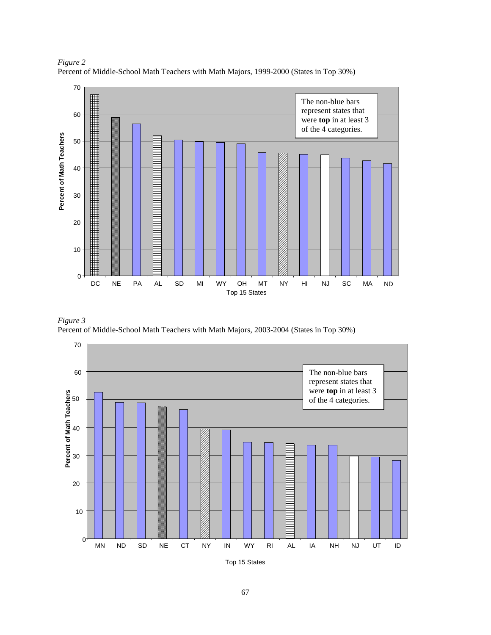

*Figure 2*  Percent of Middle-School Math Teachers with Math Majors, 1999-2000 (States in Top 30%)





Top 15 States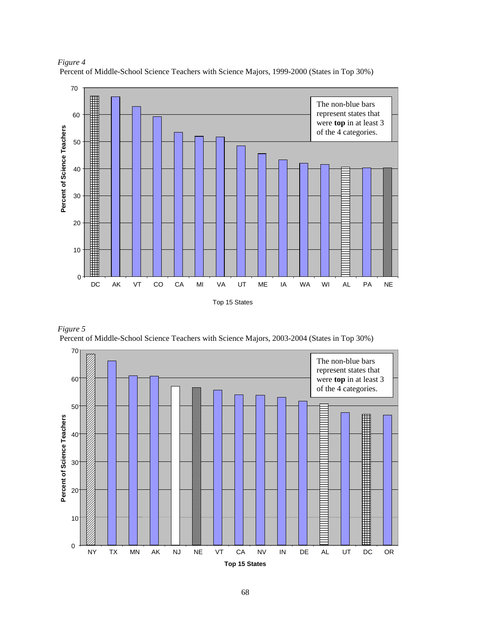

*Figure 4* Percent of Middle-School Science Teachers with Science Majors, 1999-2000 (States in Top 30%)



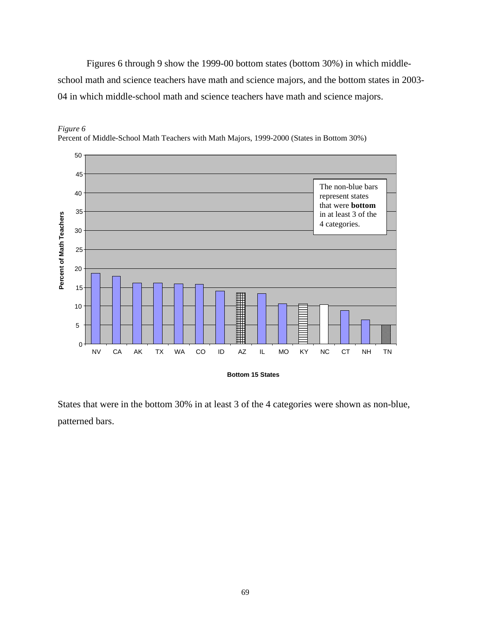Figures 6 through 9 show the 1999-00 bottom states (bottom 30%) in which middleschool math and science teachers have math and science majors, and the bottom states in 2003- 04 in which middle-school math and science teachers have math and science majors.



*Figure 6*  Percent of Middle-School Math Teachers with Math Majors, 1999-2000 (States in Bottom 30%)

States that were in the bottom 30% in at least 3 of the 4 categories were shown as non-blue, patterned bars.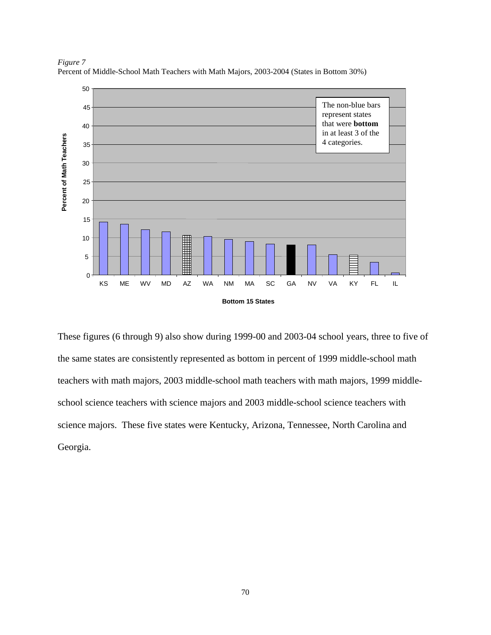

*Figure 7*  Percent of Middle-School Math Teachers with Math Majors, 2003-2004 (States in Bottom 30%)

These figures (6 through 9) also show during 1999-00 and 2003-04 school years, three to five of the same states are consistently represented as bottom in percent of 1999 middle-school math teachers with math majors, 2003 middle-school math teachers with math majors, 1999 middleschool science teachers with science majors and 2003 middle-school science teachers with science majors. These five states were Kentucky, Arizona, Tennessee, North Carolina and Georgia.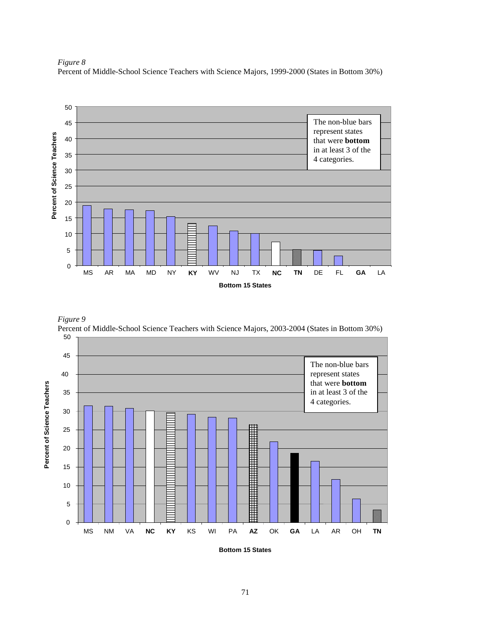

*Figure 8*  Percent of Middle-School Science Teachers with Science Majors, 1999-2000 (States in Bottom 30%)



**Bottom 15 States**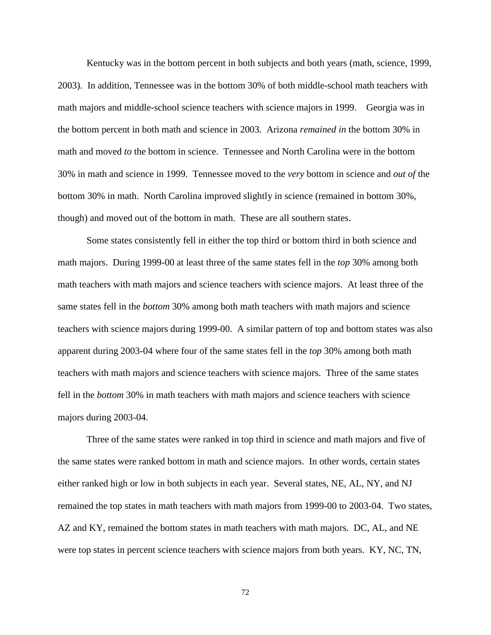Kentucky was in the bottom percent in both subjects and both years (math, science, 1999, 2003). In addition, Tennessee was in the bottom 30% of both middle-school math teachers with math majors and middle-school science teachers with science majors in 1999. Georgia was in the bottom percent in both math and science in 2003. Arizona *remained in* the bottom 30% in math and moved *to* the bottom in science. Tennessee and North Carolina were in the bottom 30% in math and science in 1999. Tennessee moved to the *very* bottom in science and *out of* the bottom 30% in math. North Carolina improved slightly in science (remained in bottom 30%, though) and moved out of the bottom in math. These are all southern states.

Some states consistently fell in either the top third or bottom third in both science and math majors. During 1999-00 at least three of the same states fell in the *top* 30% among both math teachers with math majors and science teachers with science majors. At least three of the same states fell in the *bottom* 30% among both math teachers with math majors and science teachers with science majors during 1999-00. A similar pattern of top and bottom states was also apparent during 2003-04 where four of the same states fell in the *top* 30% among both math teachers with math majors and science teachers with science majors. Three of the same states fell in the *bottom* 30% in math teachers with math majors and science teachers with science majors during 2003-04.

Three of the same states were ranked in top third in science and math majors and five of the same states were ranked bottom in math and science majors. In other words, certain states either ranked high or low in both subjects in each year. Several states, NE, AL, NY, and NJ remained the top states in math teachers with math majors from 1999-00 to 2003-04. Two states, AZ and KY, remained the bottom states in math teachers with math majors. DC, AL, and NE were top states in percent science teachers with science majors from both years. KY, NC, TN,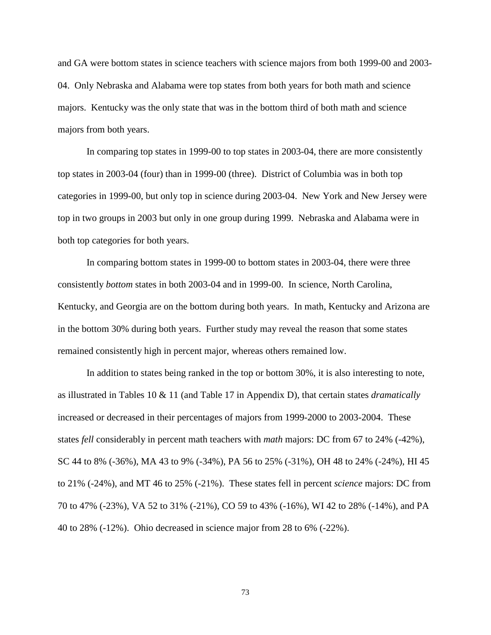and GA were bottom states in science teachers with science majors from both 1999-00 and 2003- 04. Only Nebraska and Alabama were top states from both years for both math and science majors. Kentucky was the only state that was in the bottom third of both math and science majors from both years.

In comparing top states in 1999-00 to top states in 2003-04, there are more consistently top states in 2003-04 (four) than in 1999-00 (three). District of Columbia was in both top categories in 1999-00, but only top in science during 2003-04. New York and New Jersey were top in two groups in 2003 but only in one group during 1999. Nebraska and Alabama were in both top categories for both years.

In comparing bottom states in 1999-00 to bottom states in 2003-04, there were three consistently *bottom* states in both 2003-04 and in 1999-00. In science, North Carolina, Kentucky, and Georgia are on the bottom during both years. In math, Kentucky and Arizona are in the bottom 30% during both years. Further study may reveal the reason that some states remained consistently high in percent major, whereas others remained low.

In addition to states being ranked in the top or bottom 30%, it is also interesting to note, as illustrated in Tables 10 & 11 (and Table 17 in Appendix D), that certain states *dramatically* increased or decreased in their percentages of majors from 1999-2000 to 2003-2004. These states *fell* considerably in percent math teachers with *math* majors: DC from 67 to 24% (-42%), SC 44 to 8% (-36%), MA 43 to 9% (-34%), PA 56 to 25% (-31%), OH 48 to 24% (-24%), HI 45 to 21% (-24%), and MT 46 to 25% (-21%). These states fell in percent *science* majors: DC from 70 to 47% (-23%), VA 52 to 31% (-21%), CO 59 to 43% (-16%), WI 42 to 28% (-14%), and PA 40 to 28% (-12%). Ohio decreased in science major from 28 to 6% (-22%).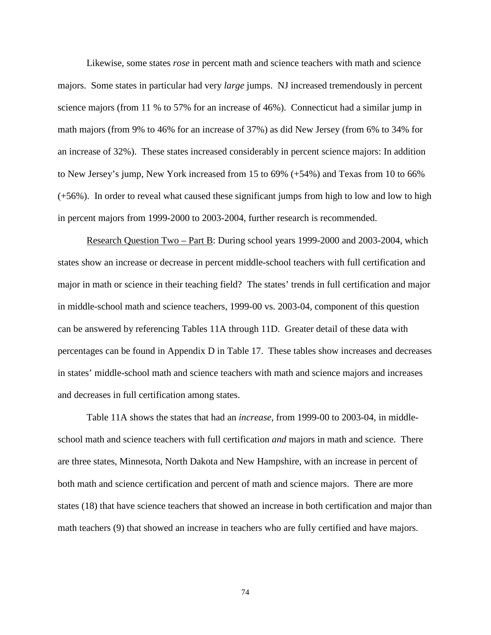Likewise, some states *rose* in percent math and science teachers with math and science majors. Some states in particular had very *large* jumps. NJ increased tremendously in percent science majors (from 11 % to 57% for an increase of 46%). Connecticut had a similar jump in math majors (from 9% to 46% for an increase of 37%) as did New Jersey (from 6% to 34% for an increase of 32%). These states increased considerably in percent science majors: In addition to New Jersey's jump, New York increased from 15 to 69% (+54%) and Texas from 10 to 66% (+56%). In order to reveal what caused these significant jumps from high to low and low to high in percent majors from 1999-2000 to 2003-2004, further research is recommended.

Research Question Two – Part B: During school years 1999-2000 and 2003-2004, which states show an increase or decrease in percent middle-school teachers with full certification and major in math or science in their teaching field? The states' trends in full certification and major in middle-school math and science teachers, 1999-00 vs. 2003-04, component of this question can be answered by referencing Tables 11A through 11D. Greater detail of these data with percentages can be found in Appendix D in Table 17. These tables show increases and decreases in states' middle-school math and science teachers with math and science majors and increases and decreases in full certification among states.

Table 11A shows the states that had an *increase*, from 1999-00 to 2003-04, in middleschool math and science teachers with full certification *and* majors in math and science. There are three states, Minnesota, North Dakota and New Hampshire, with an increase in percent of both math and science certification and percent of math and science majors. There are more states (18) that have science teachers that showed an increase in both certification and major than math teachers (9) that showed an increase in teachers who are fully certified and have majors.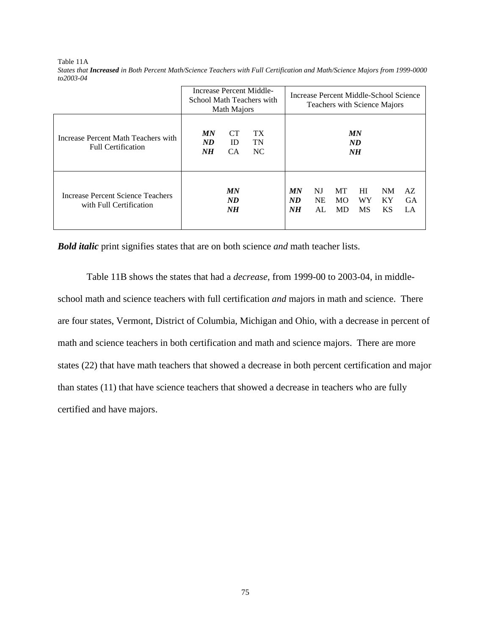|                                                                  | Increase Percent Middle-<br>School Math Teachers with | Math Majors                  |                              | Increase Percent Middle-School Science<br>Teachers with Science Majors                                                                                        |  |  |  |  |           |
|------------------------------------------------------------------|-------------------------------------------------------|------------------------------|------------------------------|---------------------------------------------------------------------------------------------------------------------------------------------------------------|--|--|--|--|-----------|
| Increase Percent Math Teachers with<br><b>Full Certification</b> | MN<br>ND<br>NH                                        | <b>CT</b><br>ID<br><b>CA</b> | TX <sup>-</sup><br>TN<br>NC. | MN<br>ND<br>NH<br>MN<br>HI<br>MT<br><b>NM</b><br>NJ<br>AZ<br>ND<br><b>NE</b><br>WY<br>MO.<br>KY<br>N <sub>H</sub><br><b>MS</b><br>ΚS<br>AL<br><b>MD</b><br>LA |  |  |  |  |           |
| Increase Percent Science Teachers<br>with Full Certification     |                                                       | MN<br>ND<br>NH               |                              |                                                                                                                                                               |  |  |  |  | <b>GA</b> |

Table 11A *States that Increased in Both Percent Math/Science Teachers with Full Certification and Math/Science Majors from 1999-0000 to2003-04*

*Bold italic* print signifies states that are on both science *and* math teacher lists.

Table 11B shows the states that had a *decrease*, from 1999-00 to 2003-04, in middleschool math and science teachers with full certification *and* majors in math and science. There are four states, Vermont, District of Columbia, Michigan and Ohio, with a decrease in percent of math and science teachers in both certification and math and science majors. There are more states (22) that have math teachers that showed a decrease in both percent certification and major than states (11) that have science teachers that showed a decrease in teachers who are fully certified and have majors.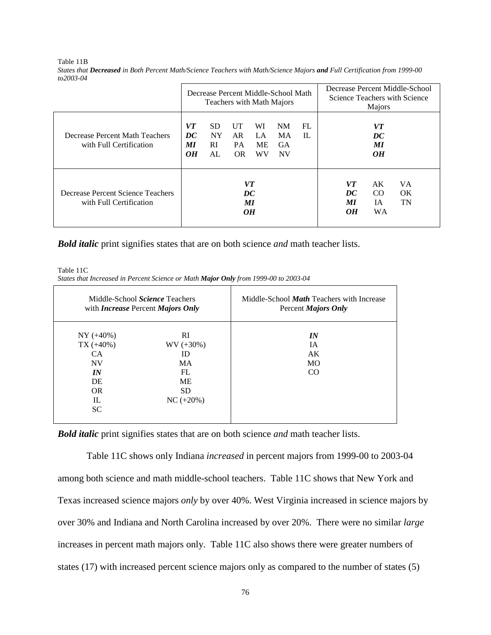|                                                              |                      | Decrease Percent Middle-School Math<br>Teachers with Math Majors |                               |                             |                                           |          |                            | Decrease Percent Middle-School<br>Science Teachers with Science<br>Majors<br>VT<br>DC<br>МI<br>OН<br>VT<br>AK<br>VA. |          |  |  |
|--------------------------------------------------------------|----------------------|------------------------------------------------------------------|-------------------------------|-----------------------------|-------------------------------------------|----------|----------------------------|----------------------------------------------------------------------------------------------------------------------|----------|--|--|
| Decrease Percent Math Teachers<br>with Full Certification    | VT<br>DC<br>МI<br>OH | <b>SD</b><br><b>NY</b><br><b>RI</b><br>AL                        | UT<br>AR<br><b>PA</b><br>OR.  | WI<br>LA<br><b>ME</b><br>WV | NM<br><b>MA</b><br><b>GA</b><br><b>NV</b> | FL<br>IL |                            |                                                                                                                      |          |  |  |
| Decrease Percent Science Teachers<br>with Full Certification |                      |                                                                  | DC<br><b>MI</b><br>$\theta$ H | VT                          |                                           |          | DC<br>МI<br>O <sub>H</sub> | CO<br>IA<br><b>WA</b>                                                                                                | OK<br>TN |  |  |

Table 11B *States that Decreased in Both Percent Math/Science Teachers with Math/Science Majors and Full Certification from 1999-00 to2003-04* 

*Bold italic* print signifies states that are on both science *and* math teacher lists.

Table 11C *States that Increased in Percent Science or Math Major Only from 1999-00 to 2003-04* 

|                                                                               | Middle-School <i>Science</i> Teachers<br>with <i>Increase</i> Percent <i>Majors Only</i> | Middle-School <i>Math</i> Teachers with Increase<br>Percent <i>Majors Only</i> |
|-------------------------------------------------------------------------------|------------------------------------------------------------------------------------------|--------------------------------------------------------------------------------|
| $NY (+40%)$<br>$TX (+40%)$<br>CA.<br><b>NV</b><br>IN<br>DE<br><b>OR</b><br>IL | <sub>RI</sub><br>$WV (+30%)$<br>ID<br>MA.<br>FL<br><b>ME</b><br>SD.<br>$NC (+20\%)$      | IN<br><b>IA</b><br>AK<br>MO<br>CO                                              |
| SC.                                                                           |                                                                                          |                                                                                |

*Bold italic* print signifies states that are on both science *and* math teacher lists.

Table 11C shows only Indiana *increased* in percent majors from 1999-00 to 2003-04 among both science and math middle-school teachers. Table 11C shows that New York and Texas increased science majors *only* by over 40%. West Virginia increased in science majors by over 30% and Indiana and North Carolina increased by over 20%. There were no similar *large* increases in percent math majors only. Table 11C also shows there were greater numbers of states (17) with increased percent science majors only as compared to the number of states (5)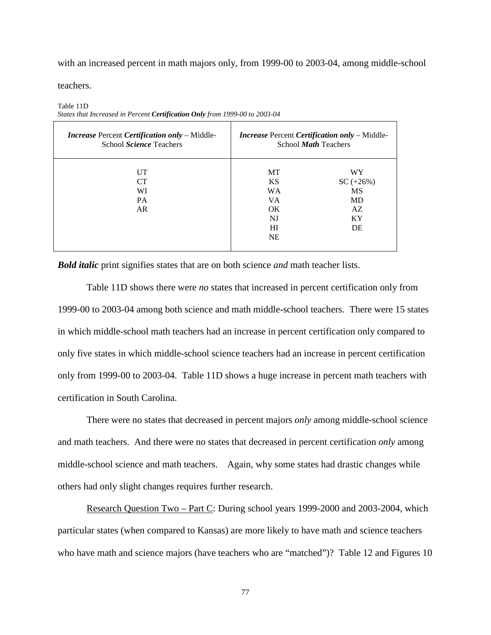with an increased percent in math majors only, from 1999-00 to 2003-04, among middle-school

teachers.

*Increase* Percent *Certification only* – Middle-School *Science* Teachers *Increase* Percent *Certification only* – Middle-School *Math* Teachers UT CT WI PA AR MT KS WA VA OK NJ HI NE WY SC (+26%) MS MD AZ KY DE

Table 11D *States that Increased in Percent Certification Only from 1999-00 to 2003-04* 

*Bold italic* print signifies states that are on both science *and* math teacher lists.

Table 11D shows there were *no* states that increased in percent certification only from 1999-00 to 2003-04 among both science and math middle-school teachers. There were 15 states in which middle-school math teachers had an increase in percent certification only compared to only five states in which middle-school science teachers had an increase in percent certification only from 1999-00 to 2003-04. Table 11D shows a huge increase in percent math teachers with certification in South Carolina.

There were no states that decreased in percent majors *only* among middle-school science and math teachers. And there were no states that decreased in percent certification *only* among middle-school science and math teachers. Again, why some states had drastic changes while others had only slight changes requires further research.

Research Question Two – Part C: During school years 1999-2000 and 2003-2004, which particular states (when compared to Kansas) are more likely to have math and science teachers who have math and science majors (have teachers who are "matched")? Table 12 and Figures 10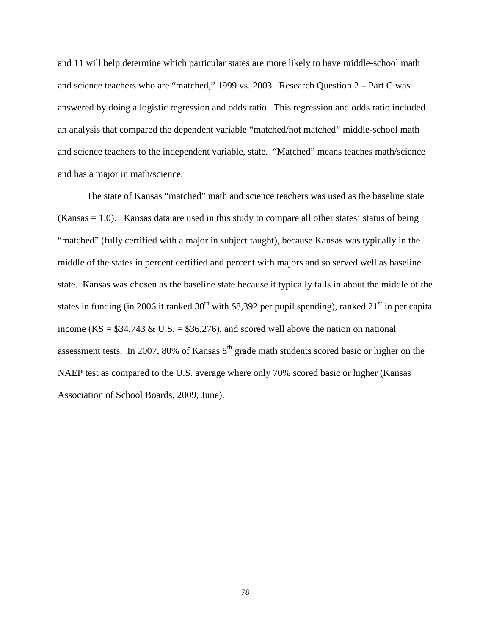and 11 will help determine which particular states are more likely to have middle-school math and science teachers who are "matched," 1999 vs. 2003. Research Question 2 – Part C was answered by doing a logistic regression and odds ratio. This regression and odds ratio included an analysis that compared the dependent variable "matched/not matched" middle-school math and science teachers to the independent variable, state. "Matched" means teaches math/science and has a major in math/science.

The state of Kansas "matched" math and science teachers was used as the baseline state  $(Kansas = 1.0)$ . Kansas data are used in this study to compare all other states' status of being "matched" (fully certified with a major in subject taught), because Kansas was typically in the middle of the states in percent certified and percent with majors and so served well as baseline state. Kansas was chosen as the baseline state because it typically falls in about the middle of the states in funding (in 2006 it ranked  $30<sup>th</sup>$  with \$8,392 per pupil spending), ranked  $21<sup>st</sup>$  in per capita income (KS =  $$34,743 \& U.S. = $36,276$ ), and scored well above the nation on national assessment tests. In 2007, 80% of Kansas  $8<sup>th</sup>$  grade math students scored basic or higher on the NAEP test as compared to the U.S. average where only 70% scored basic or higher (Kansas Association of School Boards, 2009, June).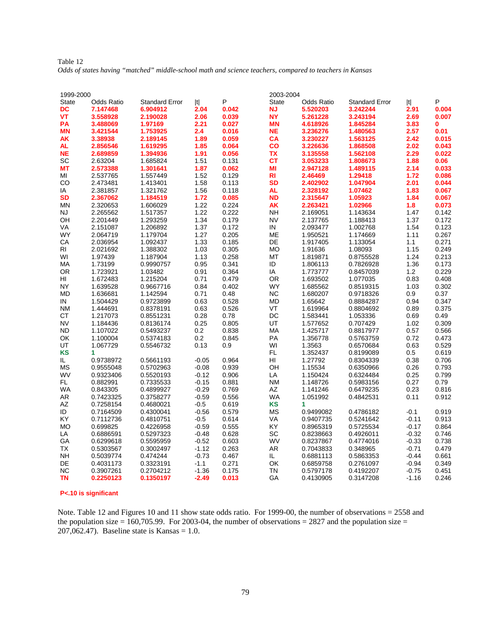| Table 12                                                                                                |  |  |  |  |
|---------------------------------------------------------------------------------------------------------|--|--|--|--|
| Odds of states having "matched" middle-school math and science teachers, compared to teachers in Kansas |  |  |  |  |

| 1999-2000              |                   |                       |                    |                | 2003-2004    |                        |                       |                    |                |
|------------------------|-------------------|-----------------------|--------------------|----------------|--------------|------------------------|-----------------------|--------------------|----------------|
| State                  | <b>Odds Ratio</b> | <b>Standard Error</b> | t                  | P              | <b>State</b> | <b>Odds Ratio</b>      | <b>Standard Error</b> | t                  | P              |
| DC                     | 7.147468          | 6.904912              | 2.04               | 0.042          | <b>NJ</b>    | 5.520203               | 3.242244              | 2.91               | 0.004          |
| VT                     | 3.558928          | 2.190028              | 2.06               | 0.039          | <b>NY</b>    | 5.261228               | 3.243194              | 2.69               | 0.007          |
| PA                     | 3.488069          | 1.97169               | 2.21               | 0.027          | <b>MN</b>    | 4.618926               | 1.845284              | 3.83               | 0              |
| <b>MN</b>              | 3.421544          | 1.753925              | 2.4                | 0.016          | <b>NE</b>    | 3.236276               | 1.480563              | 2.57               | 0.01           |
| AK                     | 3.38938           | 2.189145              | 1.89               | 0.059          | CA           | 3.230227               | 1.563125              | 2.42               | 0.015          |
| AL                     | 2.856546          | 1.619295              | 1.85               | 0.064          | CO           | 3.226636               | 1.868508              | 2.02               | 0.043          |
| <b>NE</b>              | 2.689859          | 1.394936              | 1.91               | 0.056          | <b>TX</b>    | 3.135558               | 1.562108              | 2.29               | 0.022          |
| SC                     | 2.63204           | 1.685824              | 1.51               | 0.131          | СT           | 3.053233               | 1.808673              | 1.88               | 0.06           |
| <b>MT</b>              | 2.573388          | 1.301641              | 1.87               | 0.062          | ΜI           | 2.947128               | 1.489115              | 2.14               | 0.033          |
| МI                     | 2.537765          | 1.557449              | 1.52               | 0.129          | <b>RI</b>    | 2.46469                | 1.29418               | 1.72               | 0.086          |
| CO                     | 2.473481          | 1.413401              | 1.58               | 0.113          | <b>SD</b>    | 2.402902               | 1.047904              | 2.01               | 0.044          |
| IA                     | 2.381857          | 1.321762              | 1.56               | 0.118          | <b>AL</b>    | 2.328192               | 1.07462               | 1.83               | 0.067          |
| <b>SD</b>              | 2.367062          | 1.184519              | 1.72               | 0.085          | <b>ND</b>    | 2.315647               | 1.05923               | 1.84               | 0.067          |
| MN                     | 2.320653          | 1.606029              | 1.22               | 0.224          | AK           | 2.263421               | 1.02966               | 1.8                | 0.073          |
| NJ                     | 2.265562          | 1.517357              | 1.22               | 0.222          | NΗ           | 2.169051               | 1.143634              | 1.47               | 0.142          |
| OН                     | 2.201449          | 1.293259              | 1.34               | 0.179          | <b>NV</b>    | 2.137765               | 1.188413              | 1.37               | 0.172          |
| VA                     | 2.151087          | 1.206892              | 1.37               | 0.172          | IN           | 2.093477               | 1.002768              | 1.54               | 0.123          |
| <b>WY</b>              | 2.064719          | 1.179704              | 1.27               | 0.205          | ME           | 1.950521               | 1.174669              | 1.11               | 0.267          |
| СA                     | 2.036954          | 1.092437              | 1.33               | 0.185          | DE           | 1.917405               | 1.133054              | 1.1                | 0.271          |
| RI                     | 2.021692          | 1.388302              | 1.03               | 0.305          | <b>MO</b>    | 1.91636                | 1.08093               | 1.15               | 0.249          |
| WI                     | 1.97439           | 1.187904              | 1.13               | 0.258          | MT           | 1.819871               | 0.8755528             | 1.24               | 0.213          |
| МA                     | 1.73199           | 0.9990757             | 0.95               | 0.341          | ID           | 1.806113               | 0.7826928             | 1.36               | 0.173          |
| <b>OR</b>              | 1.723921          | 1.03482               | 0.91               | 0.364          | IA           | 1.773777               | 0.8457039             | 1.2                | 0.229          |
| HI                     | 1.672483          | 1.215204              | 0.71               | 0.479          | OR           | 1.693502               | 1.077035              | 0.83               | 0.408          |
| NY                     | 1.639528          | 0.9667716             | 0.84               | 0.402          | <b>WY</b>    | 1.685562               | 0.8519315             | 1.03               | 0.302          |
| <b>MD</b>              | 1.636681          | 1.142594              | 0.71               | 0.48           | <b>NC</b>    | 1.680207               | 0.9718326             | 0.9                | 0.37           |
| IN                     | 1.504429          | 0.9723899             | 0.63               | 0.528          | <b>MD</b>    | 1.65642                | 0.8884287             | 0.94               | 0.347          |
| <b>NM</b>              | 1.444691          | 0.8378191             | 0.63               | 0.526          | VT           | 1.619964               | 0.8804692             | 0.89               | 0.375          |
| <b>CT</b>              | 1.217073          | 0.8551231             | 0.28               | 0.78           | DC           | 1.583441               | 1.053336              | 0.69               | 0.49           |
| <b>NV</b>              | 1.184436          | 0.8136174             | 0.25               | 0.805          | UT           | 1.577652               | 0.707429              | 1.02               | 0.309          |
| <b>ND</b>              | 1.107022          | 0.5493237             | 0.2                | 0.838          | <b>MA</b>    | 1.425717               | 0.8817977             | 0.57               | 0.566          |
| OK                     | 1.100004          | 0.5374183             | 0.2                | 0.845          | PA           | 1.356778               | 0.5763759             | 0.72               | 0.473          |
| UT                     | 1.067729          | 0.5546732             | 0.13               | 0.9            | WI           | 1.3563                 | 0.6570684             | 0.63               | 0.529          |
| KS                     | 1                 |                       |                    |                | FL           | 1.352437               | 0.8199089             | $0.5\,$            | 0.619          |
| IL.                    | 0.9738972         | 0.5661193             | $-0.05$            | 0.964          | HI           | 1.27792                | 0.8304339             | 0.38               | 0.706          |
| MS                     | 0.9555048         | 0.5702963             | $-0.08$            | 0.939          | OH           | 1.15534                | 0.6350966             | 0.26               | 0.793          |
| <b>WV</b>              | 0.9323406         | 0.5520193             | $-0.12$            | 0.906          | LA           | 1.150424               | 0.6324484             | 0.25               | 0.799          |
| FL.                    | 0.882991          | 0.7335533             | $-0.15$            | 0.881          | <b>NM</b>    | 1.148726               | 0.5983156             | 0.27               | 0.79           |
| <b>WA</b>              | 0.843305          | 0.4899927             | $-0.29$            | 0.769          | AZ           | 1.141246               | 0.6479235             | 0.23               | 0.816          |
| AR                     | 0.7423325         | 0.3758277             | $-0.59$            | 0.556          | <b>WA</b>    | 1.051992               | 0.4842531             | 0.11               | 0.912          |
| AZ                     | 0.7258154         | 0.4680021             | $-0.5$             | 0.619          | <b>KS</b>    | 1                      |                       |                    |                |
| ID                     | 0.7164509         | 0.4300041             | $-0.56$            | 0.579          | МS           | 0.9499082              | 0.4786182             | $-0.1$             | 0.919          |
| KY                     | 0.7112736         | 0.4810751             | $-0.5$             | 0.614          | <b>VA</b>    | 0.9407735              | 0.5241642             | $-0.11$            | 0.913          |
| <b>MO</b>              | 0.699825          | 0.4226958             | $-0.59$            | 0.555          | KY.          | 0.8965319              | 0.5725534             | $-0.17$            | 0.864          |
| LA                     | 0.6886591         | 0.5297323             | $-0.48$            | 0.628          | SC           | 0.8238663              | 0.4926011             | $-0.32$            | 0.746          |
| GA                     | 0.6299618         | 0.5595959             | $-0.52$            | 0.603          | <b>WV</b>    | 0.8237867              | 0.4774016             | $-0.33$            | 0.738          |
| TX<br><b>NH</b>        | 0.5303567         | 0.3002497             | $-1.12$            | 0.263<br>0.467 | AR<br>IL.    | 0.7043833<br>0.6881113 | 0.348965              | $-0.71$<br>$-0.44$ | 0.479<br>0.661 |
| DE                     | 0.5039774         | 0.474244              | $-0.73$<br>$-1.1$  | 0.271          | OK           |                        | 0.5863353             | $-0.94$            |                |
|                        | 0.4031173         | 0.3323191             |                    |                | <b>TN</b>    | 0.6859758              | 0.2761097             |                    | 0.349          |
| <b>NC</b><br><b>TN</b> | 0.3907261         | 0.2704212             | $-1.36$<br>$-2.49$ | 0.175          | GA           | 0.5797178              | 0.4192207             | -0.75              | 0.451          |
|                        | 0.2250123         | 0.1350197             |                    | 0.013          |              | 0.4130905              | 0.3147208             | $-1.16$            | 0.246          |

**P<.10 is significant** 

Note. Table 12 and Figures 10 and 11 show state odds ratio. For 1999-00, the number of observations = 2558 and the population size = 160,705.99. For 2003-04, the number of observations = 2827 and the population size = 207,062.47). Baseline state is Kansas =  $1.0$ .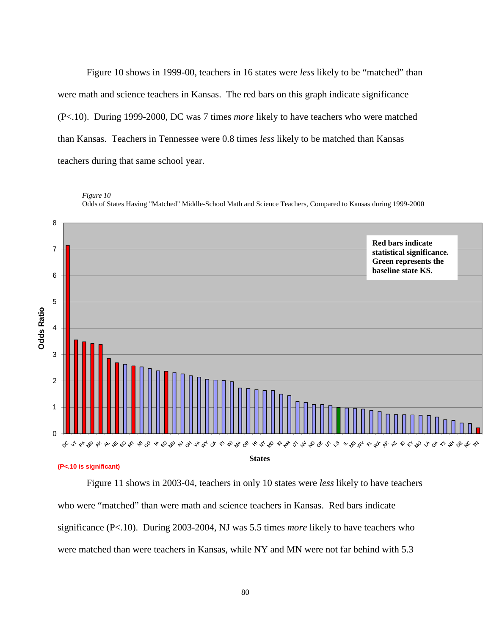Figure 10 shows in 1999-00, teachers in 16 states were *less* likely to be "matched" than were math and science teachers in Kansas. The red bars on this graph indicate significance (P<.10). During 1999-2000, DC was 7 times *more* likely to have teachers who were matched than Kansas. Teachers in Tennessee were 0.8 times *less* likely to be matched than Kansas teachers during that same school year.



*Figure 10* Odds of States Having "Matched" Middle-School Math and Science Teachers, Compared to Kansas during 1999-2000

Figure 11 shows in 2003-04, teachers in only 10 states were *less* likely to have teachers who were "matched" than were math and science teachers in Kansas. Red bars indicate significance (P<.10). During 2003-2004, NJ was 5.5 times *more* likely to have teachers who were matched than were teachers in Kansas, while NY and MN were not far behind with 5.3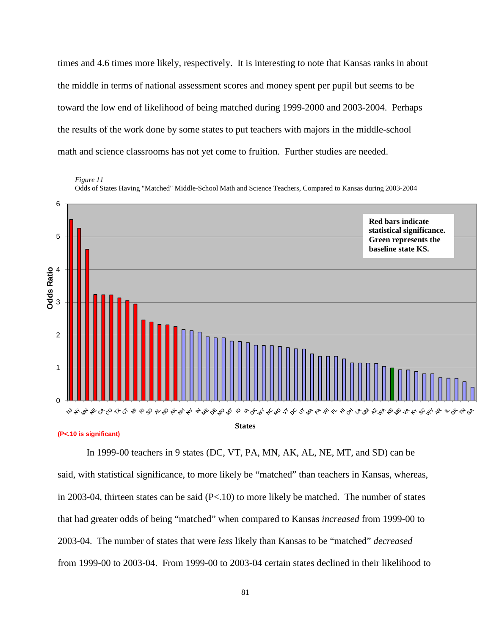times and 4.6 times more likely, respectively. It is interesting to note that Kansas ranks in about the middle in terms of national assessment scores and money spent per pupil but seems to be toward the low end of likelihood of being matched during 1999-2000 and 2003-2004. Perhaps the results of the work done by some states to put teachers with majors in the middle-school math and science classrooms has not yet come to fruition. Further studies are needed.

*Figure 11*

Odds of States Having "Matched" Middle-School Math and Science Teachers, Compared to Kansas during 2003-2004



In 1999-00 teachers in 9 states (DC, VT, PA, MN, AK, AL, NE, MT, and SD) can be said, with statistical significance, to more likely be "matched" than teachers in Kansas, whereas, in 2003-04, thirteen states can be said (P<.10) to more likely be matched. The number of states that had greater odds of being "matched" when compared to Kansas *increased* from 1999-00 to 2003-04. The number of states that were *less* likely than Kansas to be "matched" *decreased* from 1999-00 to 2003-04. From 1999-00 to 2003-04 certain states declined in their likelihood to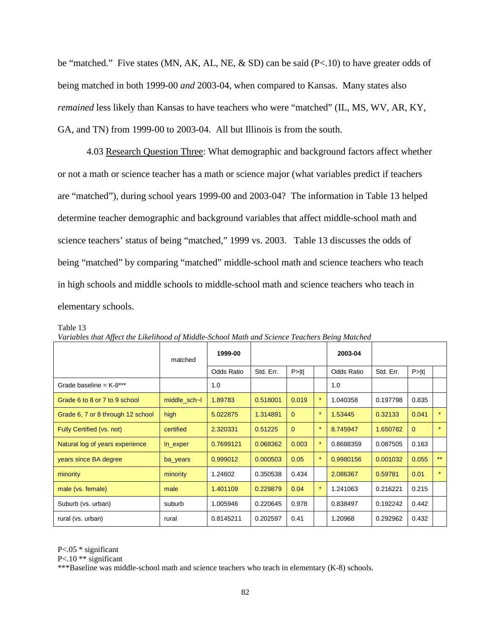be "matched." Five states (MN, AK, AL, NE, & SD) can be said (P<.10) to have greater odds of being matched in both 1999-00 *and* 2003-04, when compared to Kansas. Many states also *remained* less likely than Kansas to have teachers who were "matched" (IL, MS, WV, AR, KY, GA, and TN) from 1999-00 to 2003-04. All but Illinois is from the south.

4.03 Research Question Three: What demographic and background factors affect whether or not a math or science teacher has a math or science major (what variables predict if teachers are "matched"), during school years 1999-00 and 2003-04? The information in Table 13 helped determine teacher demographic and background variables that affect middle-school math and science teachers' status of being "matched," 1999 vs. 2003. Table 13 discusses the odds of being "matched" by comparing "matched" middle-school math and science teachers who teach in high schools and middle schools to middle-school math and science teachers who teach in elementary schools.

| variables inal Affect the Liketinood of Midate-School Main and Science Teachers Deing Maichea |              |            |           |          |         |            |           |          |         |
|-----------------------------------------------------------------------------------------------|--------------|------------|-----------|----------|---------|------------|-----------|----------|---------|
|                                                                                               | matched      | 1999-00    |           |          |         | 2003-04    |           |          |         |
|                                                                                               |              | Odds Ratio | Std. Err. | P >  t   |         | Odds Ratio | Std. Err. | P >  t   |         |
| Grade baseline = $K-8***$                                                                     |              | 1.0        |           |          |         | 1.0        |           |          |         |
| Grade 6 to 8 or 7 to 9 school                                                                 | middle sch-I | 1.89783    | 0.518001  | 0.019    |         | 1.040358   | 0.197798  | 0.835    |         |
| Grade 6, 7 or 8 through 12 school                                                             | high         | 5.022875   | 1.314891  | $\Omega$ | $\star$ | 1.53445    | 0.32133   | 0.041    | $\star$ |
| Fully Certified (vs. not)                                                                     | certified    | 2.320331   | 0.51225   | $\Omega$ | $\star$ | 8.745947   | 1.650782  | $\Omega$ | $\star$ |
| Natural log of years experience                                                               | In_exper     | 0.7699121  | 0.068362  | 0.003    |         | 0.8688359  | 0.087505  | 0.163    |         |
| years since BA degree                                                                         | ba_years     | 0.999012   | 0.000503  | 0.05     |         | 0.9980156  | 0.001032  | 0.055    | $***$   |
| minority                                                                                      | minority     | 1.24602    | 0.350538  | 0.434    |         | 2.086367   | 0.59781   | 0.01     | $\star$ |
| male (vs. female)                                                                             | male         | 1.401109   | 0.229879  | 0.04     |         | 1.241063   | 0.216221  | 0.215    |         |
| Suburb (vs. urban)                                                                            | suburb       | 1.005946   | 0.220645  | 0.978    |         | 0.838497   | 0.192242  | 0.442    |         |
| rural (vs. urban)                                                                             | rural        | 0.8145211  | 0.202597  | 0.41     |         | 1.20968    | 0.292962  | 0.432    |         |

Table 13

| Variables that Affect the Likelihood of Middle-School Math and Science Teachers Being Matched |  |  |  |
|-----------------------------------------------------------------------------------------------|--|--|--|
|                                                                                               |  |  |  |

P<.05 \* significant

P<.10 \*\* significant

\*\*\*Baseline was middle-school math and science teachers who teach in elementary (K-8) schools.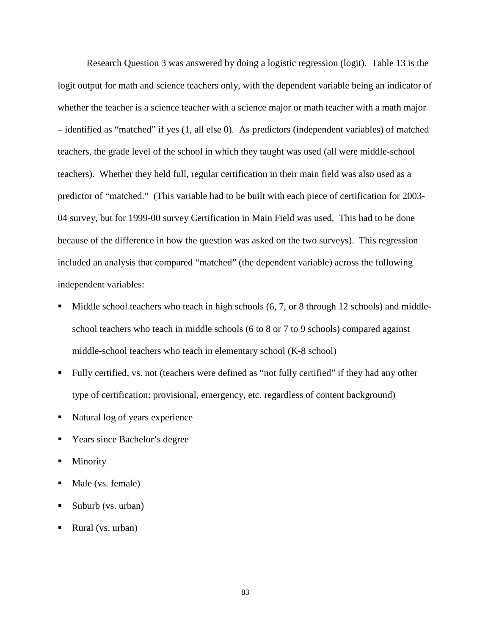Research Question 3 was answered by doing a logistic regression (logit). Table 13 is the logit output for math and science teachers only, with the dependent variable being an indicator of whether the teacher is a science teacher with a science major or math teacher with a math major – identified as "matched" if yes (1, all else 0). As predictors (independent variables) of matched teachers, the grade level of the school in which they taught was used (all were middle-school teachers). Whether they held full, regular certification in their main field was also used as a predictor of "matched." (This variable had to be built with each piece of certification for 2003- 04 survey, but for 1999-00 survey Certification in Main Field was used. This had to be done because of the difference in how the question was asked on the two surveys). This regression included an analysis that compared "matched" (the dependent variable) across the following independent variables:

- Middle school teachers who teach in high schools  $(6, 7, or 8$  through 12 schools) and middleschool teachers who teach in middle schools (6 to 8 or 7 to 9 schools) compared against middle-school teachers who teach in elementary school (K-8 school)
- Fully certified, vs. not (teachers were defined as "not fully certified" if they had any other type of certification: provisional, emergency, etc. regardless of content background)
- Natural log of years experience
- Years since Bachelor's degree
- Minority
- Male (vs. female)
- Suburb (vs. urban)
- Rural (vs. urban)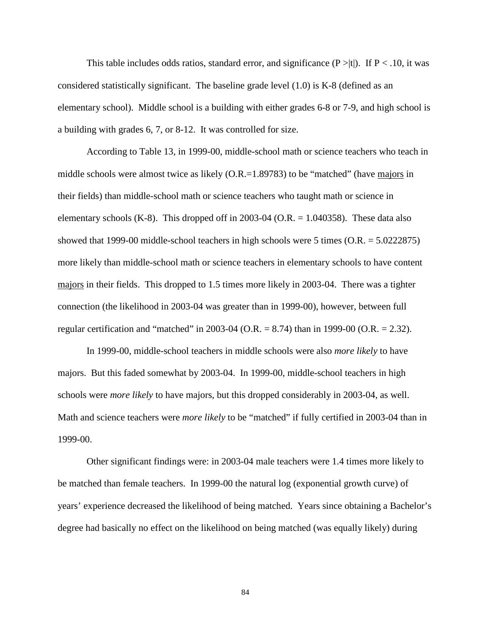This table includes odds ratios, standard error, and significance  $(P > |t|)$ . If  $P < .10$ , it was considered statistically significant. The baseline grade level (1.0) is K-8 (defined as an elementary school). Middle school is a building with either grades 6-8 or 7-9, and high school is a building with grades 6, 7, or 8-12. It was controlled for size.

According to Table 13, in 1999-00, middle-school math or science teachers who teach in middle schools were almost twice as likely (O.R.=1.89783) to be "matched" (have majors in their fields) than middle-school math or science teachers who taught math or science in elementary schools (K-8). This dropped off in 2003-04 (O.R.  $= 1.040358$ ). These data also showed that 1999-00 middle-school teachers in high schools were 5 times (O.R. = 5.0222875) more likely than middle-school math or science teachers in elementary schools to have content majors in their fields. This dropped to 1.5 times more likely in 2003-04. There was a tighter connection (the likelihood in 2003-04 was greater than in 1999-00), however, between full regular certification and "matched" in 2003-04 (O.R. = 8.74) than in 1999-00 (O.R. = 2.32).

In 1999-00, middle-school teachers in middle schools were also *more likely* to have majors. But this faded somewhat by 2003-04. In 1999-00, middle-school teachers in high schools were *more likely* to have majors, but this dropped considerably in 2003-04, as well. Math and science teachers were *more likely* to be "matched" if fully certified in 2003-04 than in 1999-00.

Other significant findings were: in 2003-04 male teachers were 1.4 times more likely to be matched than female teachers. In 1999-00 the natural log (exponential growth curve) of years' experience decreased the likelihood of being matched. Years since obtaining a Bachelor's degree had basically no effect on the likelihood on being matched (was equally likely) during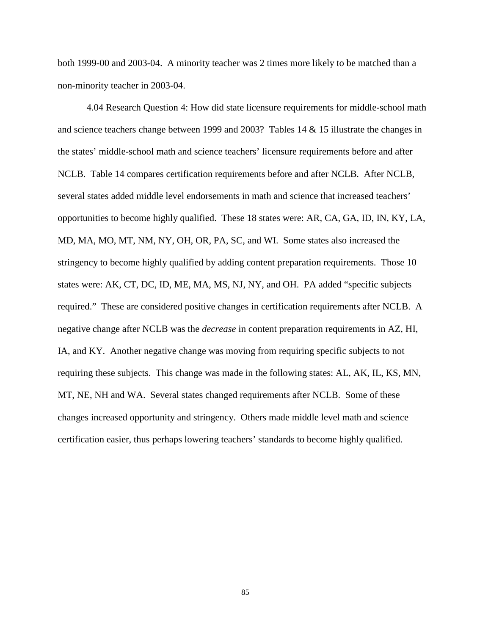both 1999-00 and 2003-04. A minority teacher was 2 times more likely to be matched than a non-minority teacher in 2003-04.

4.04 Research Question 4: How did state licensure requirements for middle-school math and science teachers change between 1999 and 2003? Tables 14 & 15 illustrate the changes in the states' middle-school math and science teachers' licensure requirements before and after NCLB. Table 14 compares certification requirements before and after NCLB. After NCLB, several states added middle level endorsements in math and science that increased teachers' opportunities to become highly qualified. These 18 states were: AR, CA, GA, ID, IN, KY, LA, MD, MA, MO, MT, NM, NY, OH, OR, PA, SC, and WI. Some states also increased the stringency to become highly qualified by adding content preparation requirements. Those 10 states were: AK, CT, DC, ID, ME, MA, MS, NJ, NY, and OH. PA added "specific subjects required." These are considered positive changes in certification requirements after NCLB. A negative change after NCLB was the *decrease* in content preparation requirements in AZ, HI, IA, and KY. Another negative change was moving from requiring specific subjects to not requiring these subjects. This change was made in the following states: AL, AK, IL, KS, MN, MT, NE, NH and WA. Several states changed requirements after NCLB. Some of these changes increased opportunity and stringency. Others made middle level math and science certification easier, thus perhaps lowering teachers' standards to become highly qualified.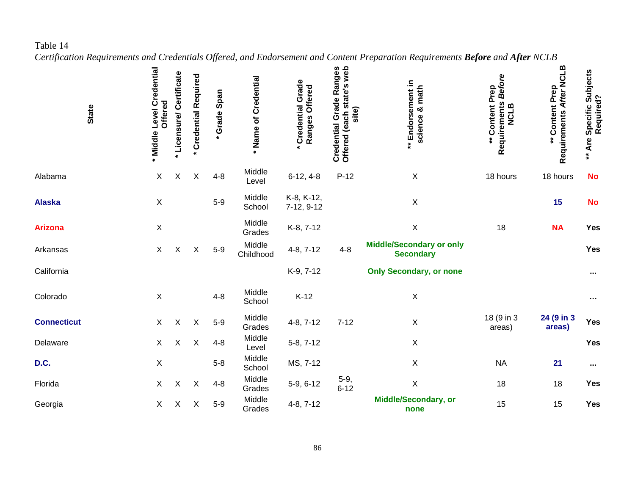Table 14

*Certification Requirements and Credentials Offered, and Endorsement and Content Preparation Requirements Before and After NCLB*

| <b>State</b>       | * Middle Level Credential<br>Offered | Licensure/Certificate     | * Credential Required     | * Grade Span | * Name of Credential | Credential Grade<br>Ranges Offered | Credential Grade Ranges<br>Offered (each state's web<br>site) | ** Endorsement in<br>science & math                 | <b>Before</b><br>** Content Prep<br>Requirements<br><b>NCLB</b> | Requirements After NCLB<br>** Content Prep | ** Are Specific Subjects<br>Required? |
|--------------------|--------------------------------------|---------------------------|---------------------------|--------------|----------------------|------------------------------------|---------------------------------------------------------------|-----------------------------------------------------|-----------------------------------------------------------------|--------------------------------------------|---------------------------------------|
| Alabama            | X                                    | X                         | $\boldsymbol{\mathsf{X}}$ | $4 - 8$      | Middle<br>Level      | $6-12, 4-8$                        | $P-12$                                                        | $\mathsf X$                                         | 18 hours                                                        | 18 hours                                   | <b>No</b>                             |
| <b>Alaska</b>      | $\boldsymbol{\mathsf{X}}$            |                           |                           | $5-9$        | Middle<br>School     | K-8, K-12,<br>7-12, 9-12           |                                                               | $\mathsf X$                                         |                                                                 | 15                                         | <b>No</b>                             |
| <b>Arizona</b>     | $\boldsymbol{\mathsf{X}}$            |                           |                           |              | Middle<br>Grades     | K-8, 7-12                          |                                                               | $\mathsf X$                                         | 18                                                              | <b>NA</b>                                  | Yes                                   |
| Arkansas           | $\pmb{\times}$                       | X                         | X                         | $5-9$        | Middle<br>Childhood  | $4-8, 7-12$                        | $4 - 8$                                                       | <b>Middle/Secondary or only</b><br><b>Secondary</b> |                                                                 |                                            | Yes                                   |
| California         |                                      |                           |                           |              |                      | K-9, 7-12                          |                                                               | <b>Only Secondary, or none</b>                      |                                                                 |                                            | $\cdots$                              |
| Colorado           | $\mathsf X$                          |                           |                           | $4 - 8$      | Middle<br>School     | $K-12$                             |                                                               | $\mathsf X$                                         |                                                                 |                                            | $\sim$                                |
| <b>Connecticut</b> | X                                    | $\mathsf X$               | $\mathsf X$               | $5-9$        | Middle<br>Grades     | $4-8, 7-12$                        | $7 - 12$                                                      | $\mathsf X$                                         | 18 (9 in 3<br>areas)                                            | 24 (9 in 3<br>areas)                       | <b>Yes</b>                            |
| Delaware           | X                                    | $\boldsymbol{\mathsf{X}}$ | $\mathsf X$               | $4 - 8$      | Middle<br>Level      | 5-8, 7-12                          |                                                               | $\mathsf X$                                         |                                                                 |                                            | <b>Yes</b>                            |
| D.C.               | $\mathsf X$                          |                           |                           | $5 - 8$      | Middle<br>School     | MS, 7-12                           |                                                               | $\mathsf X$                                         | <b>NA</b>                                                       | 21                                         | $\cdots$                              |
| Florida            | $\pmb{\times}$                       | $\mathsf X$               | $\boldsymbol{\mathsf{X}}$ | $4 - 8$      | Middle<br>Grades     | 5-9, 6-12                          | $5-9, 6-12$                                                   | $\mathsf X$                                         | 18                                                              | 18                                         | Yes                                   |
| Georgia            | X                                    | $\boldsymbol{\mathsf{X}}$ | $\mathsf X$               | $5-9$        | Middle<br>Grades     | $4-8, 7-12$                        |                                                               | <b>Middle/Secondary, or</b><br>none                 | 15                                                              | 15                                         | Yes                                   |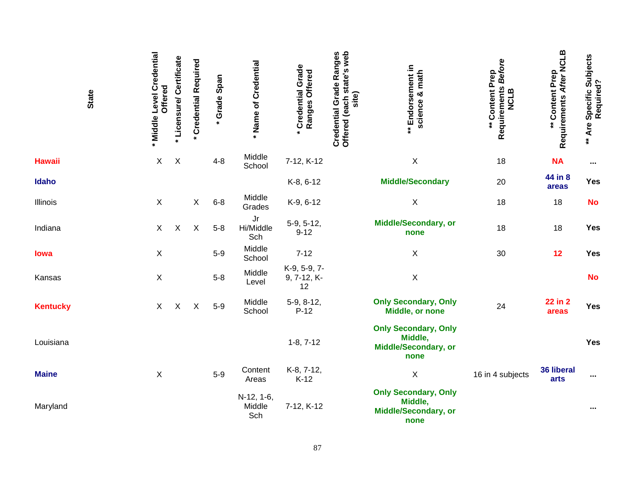| <b>State</b>    | Middle Level Credential<br>Offered | Licensure/ Certificate | * Credential Required | * Grade Span | Name of Credential                         | Credential Grade<br>Ranges Offered | Credential Grade Ranges<br>Offered (each state's web<br>site) | ** Endorsement in<br>science & math                                           | Requirements Before<br>** Content Prep<br><b>NCLB</b> | Requirements After NCLB<br>** Content Prep | ** Are Specific Subjects<br>Required? |
|-----------------|------------------------------------|------------------------|-----------------------|--------------|--------------------------------------------|------------------------------------|---------------------------------------------------------------|-------------------------------------------------------------------------------|-------------------------------------------------------|--------------------------------------------|---------------------------------------|
| <b>Hawaii</b>   | $\mathsf X$                        | $\mathsf X$            |                       | $4 - 8$      | Middle<br>School                           | 7-12, K-12                         |                                                               | X                                                                             | 18                                                    | <b>NA</b>                                  | $\cdots$                              |
| Idaho           |                                    |                        |                       |              |                                            | K-8, 6-12                          |                                                               | <b>Middle/Secondary</b>                                                       | 20                                                    | 44 in 8<br>areas                           | <b>Yes</b>                            |
| Illinois        | $\boldsymbol{\mathsf{X}}$          |                        | X                     | $6-8$        | Middle<br>Grades                           | K-9, 6-12                          |                                                               | $\mathsf X$                                                                   | 18                                                    | 18                                         | <b>No</b>                             |
| Indiana         | X                                  | X                      | Χ                     | $5-8$        | $\mathsf{J}\mathsf{r}$<br>Hi/Middle<br>Sch | 5-9, 5-12,<br>$9 - 12$             |                                                               | <b>Middle/Secondary, or</b><br>none                                           | 18                                                    | 18                                         | Yes                                   |
| lowa            | $\boldsymbol{\mathsf{X}}$          |                        |                       | $5-9$        | Middle<br>School                           | $7 - 12$                           |                                                               | Χ                                                                             | 30                                                    | 12                                         | <b>Yes</b>                            |
| Kansas          | $\boldsymbol{\mathsf{X}}$          |                        |                       | $5 - 8$      | Middle<br>Level                            | K-9, 5-9, 7-<br>9, 7-12, K-<br>12  |                                                               | X                                                                             |                                                       |                                            | <b>No</b>                             |
| <b>Kentucky</b> | $\sf X$                            | X                      | $\mathsf X$           | $5-9$        | Middle<br>School                           | 5-9, 8-12,<br>$P-12$               |                                                               | <b>Only Secondary, Only</b><br>Middle, or none                                | 24                                                    | 22 in 2<br>areas                           | <b>Yes</b>                            |
| Louisiana       |                                    |                        |                       |              |                                            | $1-8, 7-12$                        |                                                               | <b>Only Secondary, Only</b><br>Middle,<br><b>Middle/Secondary, or</b><br>none |                                                       |                                            | <b>Yes</b>                            |
| <b>Maine</b>    | $\boldsymbol{\mathsf{X}}$          |                        |                       | $5-9$        | Content<br>Areas                           | K-8, 7-12,<br>$K-12$               |                                                               | $\mathsf X$                                                                   | 16 in 4 subjects                                      | 36 liberal<br>arts                         | $\cdots$                              |
| Maryland        |                                    |                        |                       |              | N-12, 1-6,<br>Middle<br>Sch                | 7-12, K-12                         |                                                               | <b>Only Secondary, Only</b><br>Middle,<br><b>Middle/Secondary, or</b><br>none |                                                       |                                            | $\cdots$                              |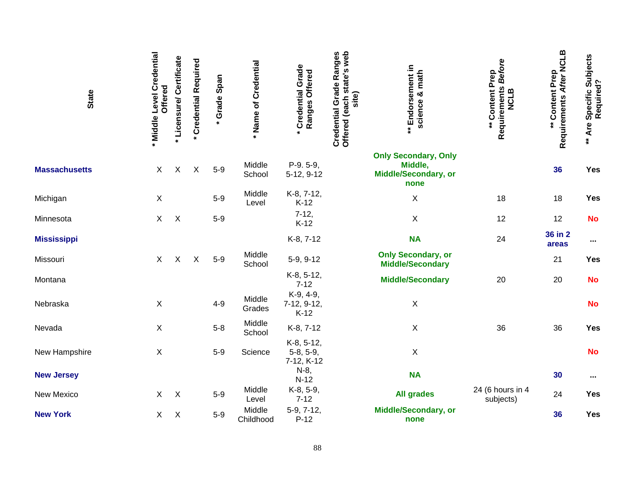| <b>State</b>         | Middle Level Credential<br>Offered | Licensure/Certificate | * Credential Required | * Grade Span | Name of Credential  | <b>Credential Grade</b><br>Ranges Offered<br>$\bullet$ | Credential Grade Ranges<br>Offered (each state's web<br>site) | ** Endorsement in<br>science & math                                           | <b>Before</b><br>** Content Prep<br>Requirements<br><b>NCLB</b> | Requirements After NCLB<br>** Content Prep | ** Are Specific Subjects<br>Required? |
|----------------------|------------------------------------|-----------------------|-----------------------|--------------|---------------------|--------------------------------------------------------|---------------------------------------------------------------|-------------------------------------------------------------------------------|-----------------------------------------------------------------|--------------------------------------------|---------------------------------------|
| <b>Massachusetts</b> | X                                  | $\mathsf X$           | $\mathsf X$           | $5-9$        | Middle<br>School    | P-9.5-9,<br>5-12, 9-12                                 |                                                               | <b>Only Secondary, Only</b><br>Middle,<br><b>Middle/Secondary, or</b><br>none |                                                                 | 36                                         | <b>Yes</b>                            |
| Michigan             | X                                  |                       |                       | $5-9$        | Middle<br>Level     | K-8, 7-12,<br>$K-12$                                   |                                                               | $\mathsf X$                                                                   | 18                                                              | 18                                         | Yes                                   |
| Minnesota            | X                                  | $\mathsf X$           |                       | $5-9$        |                     | $7 - 12,$<br>$K-12$                                    |                                                               | $\mathsf X$                                                                   | 12                                                              | 12                                         | <b>No</b>                             |
| <b>Mississippi</b>   |                                    |                       |                       |              |                     | K-8, 7-12                                              |                                                               | <b>NA</b>                                                                     | 24                                                              | 36 in 2<br>areas                           | $\cdots$                              |
| Missouri             | $\sf X$                            | $\mathsf X$           | X                     | $5-9$        | Middle<br>School    | 5-9, 9-12                                              |                                                               | <b>Only Secondary, or</b><br><b>Middle/Secondary</b>                          |                                                                 | 21                                         | Yes                                   |
| Montana              |                                    |                       |                       |              |                     | K-8, 5-12,<br>$7 - 12$                                 |                                                               | <b>Middle/Secondary</b>                                                       | 20                                                              | 20                                         | <b>No</b>                             |
| Nebraska             | $\boldsymbol{\mathsf{X}}$          |                       |                       | $4 - 9$      | Middle<br>Grades    | K-9, 4-9,<br>7-12, 9-12,<br>$K-12$                     |                                                               | $\mathsf X$                                                                   |                                                                 |                                            | <b>No</b>                             |
| Nevada               | $\boldsymbol{\mathsf{X}}$          |                       |                       | $5 - 8$      | Middle<br>School    | K-8, 7-12                                              |                                                               | $\mathsf X$                                                                   | 36                                                              | 36                                         | <b>Yes</b>                            |
| New Hampshire        | X                                  |                       |                       | $5-9$        | Science             | K-8, 5-12,<br>$5-8, 5-9,$<br>7-12, K-12                |                                                               | X                                                                             |                                                                 |                                            | <b>No</b>                             |
| <b>New Jersey</b>    |                                    |                       |                       |              |                     | N-8,<br>$N-12$                                         |                                                               | <b>NA</b>                                                                     |                                                                 | 30                                         | $\sim$ $\sim$                         |
| New Mexico           | X                                  | $\mathsf X$           |                       | $5-9$        | Middle<br>Level     | K-8, 5-9,<br>$7 - 12$                                  |                                                               | <b>All grades</b>                                                             | 24 (6 hours in 4<br>subjects)                                   | 24                                         | Yes                                   |
| <b>New York</b>      | X                                  | $\mathsf X$           |                       | $5-9$        | Middle<br>Childhood | 5-9, 7-12,<br>$P-12$                                   |                                                               | <b>Middle/Secondary, or</b><br>none                                           |                                                                 | 36                                         | <b>Yes</b>                            |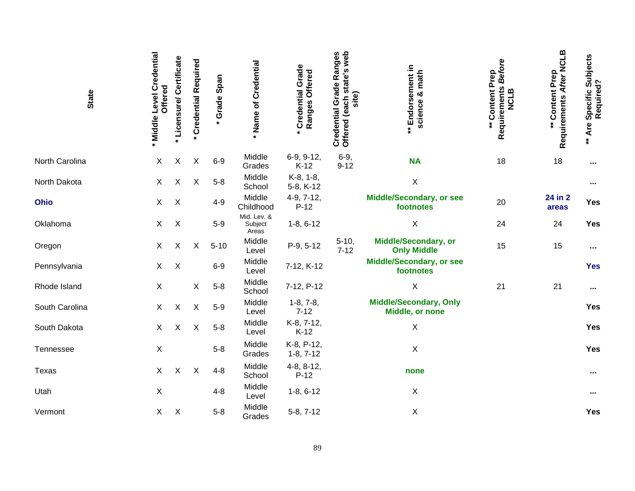| <b>State</b>   | * Middle Level Credential<br>Offered | Licensure/Certificate     | <b>Credential Required</b> | Grade Span | Name of Credential<br>$\star$   | <b>Credential Grade</b><br>Ranges Offered | Credential Grade Ranges<br>Offered (each state's web<br>site) | ** Endorsement in<br>science & math               | Requirements Before<br>** Content Prep<br><b>NCLB</b> | Requirements After NCLB<br>** Content Prep | ** Are Specific Subjects<br>Required? |
|----------------|--------------------------------------|---------------------------|----------------------------|------------|---------------------------------|-------------------------------------------|---------------------------------------------------------------|---------------------------------------------------|-------------------------------------------------------|--------------------------------------------|---------------------------------------|
| North Carolina | X                                    | X                         | Χ                          | $6-9$      | Middle<br>Grades                | 6-9, 9-12,<br>$K-12$                      | $6-9,$<br>$9 - 12$                                            | <b>NA</b>                                         | 18                                                    | 18                                         |                                       |
| North Dakota   | $\mathsf{X}$                         | X                         | $\boldsymbol{\mathsf{X}}$  | $5 - 8$    | Middle<br>School                | K-8, 1-8,<br>5-8, K-12                    |                                                               | $\mathsf X$                                       |                                                       |                                            | $\cdots$                              |
| Ohio           | $\sf X$                              | $\boldsymbol{\mathsf{X}}$ |                            | $4 - 9$    | Middle<br>Childhood             | 4-9, 7-12,<br>$P-12$                      |                                                               | <b>Middle/Secondary, or see</b><br>footnotes      | 20                                                    | 24 in 2<br>areas                           | Yes                                   |
| Oklahoma       | $\mathsf{X}$                         | $\mathsf X$               |                            | $5-9$      | Mid. Lev. &<br>Subject<br>Areas | $1-8, 6-12$                               |                                                               | $\mathsf X$                                       | 24                                                    | 24                                         | Yes                                   |
| Oregon         | X                                    | X                         | X                          | $5 - 10$   | Middle<br>Level                 | P-9, 5-12                                 | $5 - 10,$<br>$7 - 12$                                         | <b>Middle/Secondary, or</b><br><b>Only Middle</b> | 15                                                    | 15                                         | $\cdots$                              |
| Pennsylvania   | X                                    | $\mathsf X$               |                            | $6-9$      | Middle<br>Level                 | 7-12, K-12                                |                                                               | <b>Middle/Secondary, or see</b><br>footnotes      |                                                       |                                            | <b>Yes</b>                            |
| Rhode Island   | $\boldsymbol{\mathsf{X}}$            |                           | $\mathsf X$                | $5 - 8$    | Middle<br>School                | 7-12, P-12                                |                                                               | Χ                                                 | 21                                                    | 21                                         |                                       |
| South Carolina | $\mathsf{X}$                         | $\mathsf X$               | $\mathsf X$                | $5-9$      | Middle<br>Level                 | $1-8, 7-8,$<br>$7 - 12$                   |                                                               | <b>Middle/Secondary, Only</b><br>Middle, or none  |                                                       |                                            | <b>Yes</b>                            |
| South Dakota   | X                                    | X                         | $\pmb{\times}$             | $5 - 8$    | Middle<br>Level                 | K-8, 7-12,<br>$K-12$                      |                                                               | Χ                                                 |                                                       |                                            | Yes                                   |
| Tennessee      | X                                    |                           |                            | $5 - 8$    | Middle<br>Grades                | K-8, P-12,<br>$1-8, 7-12$                 |                                                               | $\mathsf X$                                       |                                                       |                                            | Yes                                   |
| Texas          | X                                    | $\sf X$                   | $\mathsf X$                | $4 - 8$    | Middle<br>School                | $4-8, 8-12,$<br>$P-12$                    |                                                               | none                                              |                                                       |                                            |                                       |
| Utah           | $\boldsymbol{\mathsf{X}}$            |                           |                            | $4 - 8$    | Middle<br>Level                 | $1-8, 6-12$                               |                                                               | X                                                 |                                                       |                                            |                                       |
| Vermont        | $\mathsf X$                          | $\mathsf X$               |                            | $5 - 8$    | Middle<br>Grades                | 5-8, 7-12                                 |                                                               | $\mathsf X$                                       |                                                       |                                            | Yes                                   |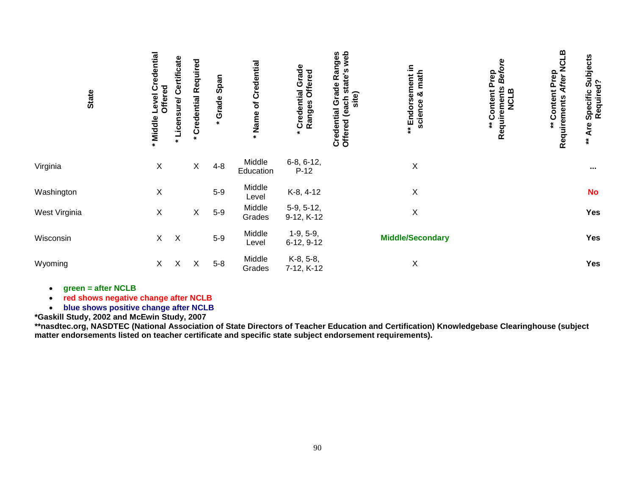| <b>State</b>  | Middle Level Credential<br>Offered | Certificate<br><b>Licensure/</b> | <b>Credential Required</b> | * Grade Span | Name of Credential  | Grade<br>Ranges Offered<br>Credential<br>$\star$ | web<br>Credential Grade Ranges<br>nstate's<br>site)<br>site<br>Offered (each | ** Endorsement in<br>& math<br>science | 9<br><b>Befo</b><br><b>Content Prep</b><br>Requirements<br>NCLB<br>$\ddot{\hat{}}$ | <b>NCLB</b><br><b>Content Prep</b><br>Requirements After | Subjects<br>Required?<br>Specific<br>** Are |
|---------------|------------------------------------|----------------------------------|----------------------------|--------------|---------------------|--------------------------------------------------|------------------------------------------------------------------------------|----------------------------------------|------------------------------------------------------------------------------------|----------------------------------------------------------|---------------------------------------------|
| Virginia      | $\mathsf X$                        |                                  | $\mathsf X$                | $4 - 8$      | Middle<br>Education | $6-8, 6-12,$<br>$P-12$                           |                                                                              | Χ                                      |                                                                                    |                                                          |                                             |
| Washington    | X                                  |                                  |                            | $5-9$        | Middle<br>Level     | K-8, 4-12                                        |                                                                              | X                                      |                                                                                    |                                                          | <b>No</b>                                   |
| West Virginia | $\mathsf X$                        |                                  | $\mathsf X$                | $5-9$        | Middle<br>Grades    | $5-9, 5-12,$<br>9-12, K-12                       |                                                                              | Χ                                      |                                                                                    |                                                          | Yes                                         |
| Wisconsin     | $\mathsf{X}$                       | $\boldsymbol{\mathsf{X}}$        |                            | $5-9$        | Middle<br>Level     | $1-9, 5-9,$<br>6-12, 9-12                        |                                                                              | <b>Middle/Secondary</b>                |                                                                                    |                                                          | Yes                                         |
| Wyoming       | X                                  | $\boldsymbol{\mathsf{X}}$        | X                          | $5-8$        | Middle<br>Grades    | K-8, 5-8,<br>7-12, K-12                          |                                                                              | X                                      |                                                                                    |                                                          | Yes                                         |

•**green = after NCLB** 

• **red shows negative change after NCLB**  • **blue shows positive change after NCLB**

\*Gaskill Study, 2002 and McEwin Study, 2007<br>\*\*nasdtec.org, NASDTEC (National Association of State Directors of Teacher Education and Certification) Knowledgebase Clearinghouse (subject<br>matter endorsements listed on teacher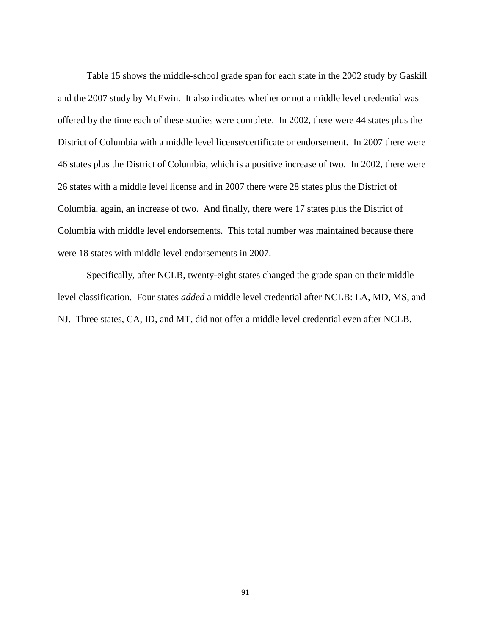Table 15 shows the middle-school grade span for each state in the 2002 study by Gaskill and the 2007 study by McEwin. It also indicates whether or not a middle level credential was offered by the time each of these studies were complete. In 2002, there were 44 states plus the District of Columbia with a middle level license/certificate or endorsement. In 2007 there were 46 states plus the District of Columbia, which is a positive increase of two. In 2002, there were 26 states with a middle level license and in 2007 there were 28 states plus the District of Columbia, again, an increase of two. And finally, there were 17 states plus the District of Columbia with middle level endorsements. This total number was maintained because there were 18 states with middle level endorsements in 2007.

Specifically, after NCLB, twenty-eight states changed the grade span on their middle level classification. Four states *added* a middle level credential after NCLB: LA, MD, MS, and NJ. Three states, CA, ID, and MT, did not offer a middle level credential even after NCLB.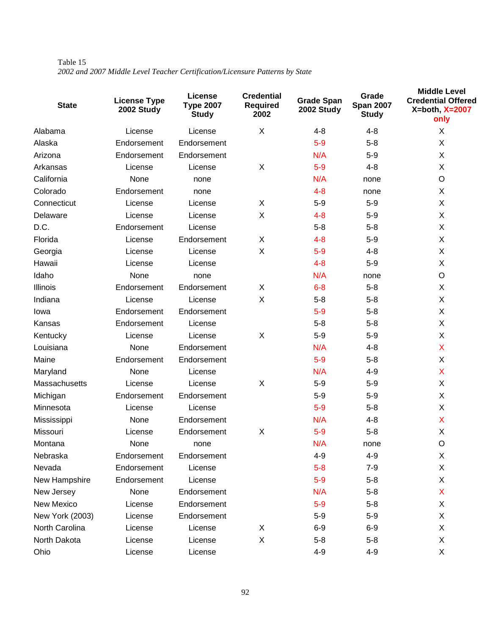| Table 15 |  |                                                                              |  |
|----------|--|------------------------------------------------------------------------------|--|
|          |  | 2002 and 2007 Middle Level Teacher Certification/Licensure Patterns by State |  |

| <b>State</b>    | <b>License Type</b><br>2002 Study | License<br><b>Type 2007</b><br><b>Study</b> | <b>Credential</b><br><b>Required</b><br>2002 | <b>Grade Span</b><br>2002 Study | Grade<br><b>Span 2007</b><br><b>Study</b> | <b>Middle Level</b><br><b>Credential Offered</b><br>$X = both, X = 2007$<br>only |
|-----------------|-----------------------------------|---------------------------------------------|----------------------------------------------|---------------------------------|-------------------------------------------|----------------------------------------------------------------------------------|
| Alabama         | License                           | License                                     | X                                            | $4 - 8$                         | 4-8                                       | X                                                                                |
| Alaska          | Endorsement                       | Endorsement                                 |                                              | $5-9$                           | $5 - 8$                                   | X                                                                                |
| Arizona         | Endorsement                       | Endorsement                                 |                                              | N/A                             | $5-9$                                     | X                                                                                |
| Arkansas        | License                           | License                                     | X                                            | $5-9$                           | $4 - 8$                                   | X                                                                                |
| California      | None                              | none                                        |                                              | N/A                             | none                                      | O                                                                                |
| Colorado        | Endorsement                       | none                                        |                                              | $4 - 8$                         | none                                      | X                                                                                |
| Connecticut     | License                           | License                                     | X                                            | $5-9$                           | $5-9$                                     | X                                                                                |
| Delaware        | License                           | License                                     | X                                            | $4 - 8$                         | $5-9$                                     | X                                                                                |
| D.C.            | Endorsement                       | License                                     |                                              | $5 - 8$                         | $5 - 8$                                   | X                                                                                |
| Florida         | License                           | Endorsement                                 | X                                            | $4 - 8$                         | $5-9$                                     | X                                                                                |
| Georgia         | License                           | License                                     | X                                            | $5-9$                           | 4-8                                       | X                                                                                |
| Hawaii          | License                           | License                                     |                                              | $4 - 8$                         | $5-9$                                     | X                                                                                |
| Idaho           | None                              | none                                        |                                              | N/A                             | none                                      | O                                                                                |
| Illinois        | Endorsement                       | Endorsement                                 | X                                            | $6 - 8$                         | $5 - 8$                                   | X                                                                                |
| Indiana         | License                           | License                                     | X                                            | $5 - 8$                         | $5 - 8$                                   | X                                                                                |
| Iowa            | Endorsement                       | Endorsement                                 |                                              | $5-9$                           | $5 - 8$                                   | X                                                                                |
| Kansas          | Endorsement                       | License                                     |                                              | $5 - 8$                         | $5 - 8$                                   | X                                                                                |
| Kentucky        | License                           | License                                     | $\mathsf X$                                  | $5-9$                           | $5-9$                                     | X                                                                                |
| Louisiana       | None                              | Endorsement                                 |                                              | N/A                             | 4-8                                       | X                                                                                |
| Maine           | Endorsement                       | Endorsement                                 |                                              | $5-9$                           | $5 - 8$                                   | X                                                                                |
| Maryland        | None                              | License                                     |                                              | N/A                             | 4-9                                       | X                                                                                |
| Massachusetts   | License                           | License                                     | $\mathsf X$                                  | $5 - 9$                         | $5-9$                                     | X                                                                                |
| Michigan        | Endorsement                       | Endorsement                                 |                                              | $5-9$                           | $5 - 9$                                   | X                                                                                |
| Minnesota       | License                           | License                                     |                                              | $5-9$                           | $5 - 8$                                   | X                                                                                |
| Mississippi     | None                              | Endorsement                                 |                                              | N/A                             | $4 - 8$                                   | X                                                                                |
| Missouri        | License                           | Endorsement                                 | X                                            | $5-9$                           | $5 - 8$                                   | X                                                                                |
| Montana         | None                              | none                                        |                                              | N/A                             | none                                      | O                                                                                |
| Nebraska        | Endorsement                       | Endorsement                                 |                                              | 4-9                             | 4-9                                       | X                                                                                |
| Nevada          | Endorsement                       | License                                     |                                              | $5-8$                           | $7 - 9$                                   | X                                                                                |
| New Hampshire   | Endorsement                       | License                                     |                                              | $5-9$                           | $5-8$                                     | X                                                                                |
| New Jersey      | None                              | Endorsement                                 |                                              | N/A                             | $5-8$                                     | X                                                                                |
| New Mexico      | License                           | Endorsement                                 |                                              | $5-9$                           | $5 - 8$                                   | X                                                                                |
| New York (2003) | License                           | Endorsement                                 |                                              | $5-9$                           | $5-9$                                     | X                                                                                |
| North Carolina  | License                           | License                                     | X                                            | $6 - 9$                         | $6-9$                                     | X                                                                                |
| North Dakota    | License                           | License                                     | $\mathsf X$                                  | $5 - 8$                         | $5 - 8$                                   | X                                                                                |
| Ohio            | License                           | License                                     |                                              | $4 - 9$                         | $4 - 9$                                   | X                                                                                |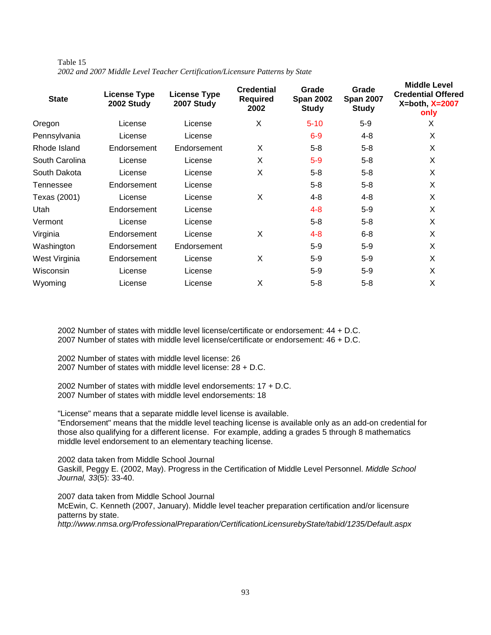| Table 15 |  |                                                                              |  |  |
|----------|--|------------------------------------------------------------------------------|--|--|
|          |  | 2002 and 2007 Middle Level Teacher Certification/Licensure Patterns by State |  |  |

| <b>State</b>   | <b>License Type</b><br>2002 Study | <b>License Type</b><br>2007 Study | <b>Credential</b><br><b>Required</b><br>2002 | Grade<br><b>Span 2002</b><br><b>Study</b> | Grade<br><b>Span 2007</b><br><b>Study</b> | <b>Middle Level</b><br><b>Credential Offered</b><br>$X = both$ , $X = 2007$<br>only |
|----------------|-----------------------------------|-----------------------------------|----------------------------------------------|-------------------------------------------|-------------------------------------------|-------------------------------------------------------------------------------------|
| Oregon         | License                           | License                           | X                                            | $5 - 10$                                  | $5-9$                                     | X                                                                                   |
| Pennsylvania   | License                           | License                           |                                              | $6-9$                                     | 4-8                                       | X                                                                                   |
| Rhode Island   | Endorsement                       | Endorsement                       | X                                            | $5 - 8$                                   | $5 - 8$                                   | X                                                                                   |
| South Carolina | License                           | License                           | X                                            | $5-9$                                     | $5 - 8$                                   | X                                                                                   |
| South Dakota   | License                           | License                           | X                                            | $5 - 8$                                   | $5 - 8$                                   | X                                                                                   |
| Tennessee      | Endorsement                       | License                           |                                              | $5 - 8$                                   | $5 - 8$                                   | X                                                                                   |
| Texas (2001)   | License                           | License                           | X                                            | 4-8                                       | 4-8                                       | X                                                                                   |
| Utah           | Endorsement                       | License                           |                                              | $4 - 8$                                   | $5 - 9$                                   | X                                                                                   |
| Vermont        | License                           | License                           |                                              | $5 - 8$                                   | $5 - 8$                                   | X                                                                                   |
| Virginia       | Endorsement                       | License                           | X                                            | $4 - 8$                                   | $6 - 8$                                   | X                                                                                   |
| Washington     | Endorsement                       | Endorsement                       |                                              | $5-9$                                     | $5 - 9$                                   | X                                                                                   |
| West Virginia  | Endorsement                       | License                           | X                                            | $5-9$                                     | $5 - 9$                                   | X                                                                                   |
| Wisconsin      | License                           | License                           |                                              | $5-9$                                     | $5 - 9$                                   | X                                                                                   |
| Wyoming        | License                           | License                           | Χ                                            | $5 - 8$                                   | $5 - 8$                                   | X                                                                                   |

2002 Number of states with middle level license/certificate or endorsement: 44 + D.C. 2007 Number of states with middle level license/certificate or endorsement: 46 + D.C.

2002 Number of states with middle level license: 26 2007 Number of states with middle level license: 28 + D.C.

2002 Number of states with middle level endorsements: 17 + D.C. 2007 Number of states with middle level endorsements: 18

"License" means that a separate middle level license is available. "Endorsement" means that the middle level teaching license is available only as an add-on credential for those also qualifying for a different license. For example, adding a grades 5 through 8 mathematics middle level endorsement to an elementary teaching license.

2002 data taken from Middle School Journal Gaskill, Peggy E. (2002, May). Progress in the Certification of Middle Level Personnel. Middle School Journal, 33(5): 33-40.

2007 data taken from Middle School Journal McEwin, C. Kenneth (2007, January). Middle level teacher preparation certification and/or licensure patterns by state. http://www.nmsa.org/ProfessionalPreparation/CertificationLicensurebyState/tabid/1235/Default.aspx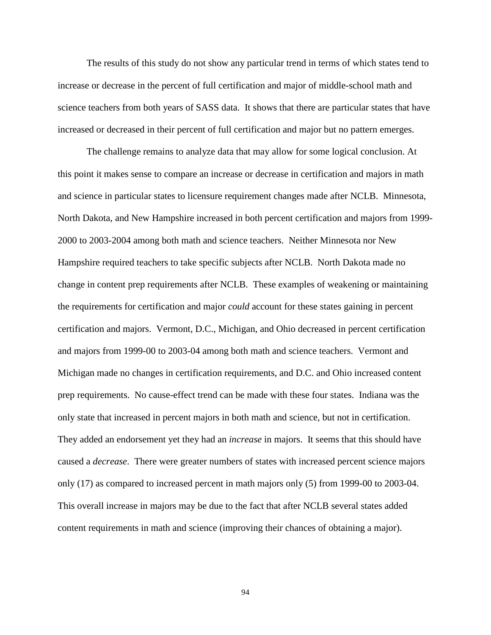The results of this study do not show any particular trend in terms of which states tend to increase or decrease in the percent of full certification and major of middle-school math and science teachers from both years of SASS data. It shows that there are particular states that have increased or decreased in their percent of full certification and major but no pattern emerges.

The challenge remains to analyze data that may allow for some logical conclusion. At this point it makes sense to compare an increase or decrease in certification and majors in math and science in particular states to licensure requirement changes made after NCLB. Minnesota, North Dakota, and New Hampshire increased in both percent certification and majors from 1999- 2000 to 2003-2004 among both math and science teachers. Neither Minnesota nor New Hampshire required teachers to take specific subjects after NCLB. North Dakota made no change in content prep requirements after NCLB. These examples of weakening or maintaining the requirements for certification and major *could* account for these states gaining in percent certification and majors. Vermont, D.C., Michigan, and Ohio decreased in percent certification and majors from 1999-00 to 2003-04 among both math and science teachers. Vermont and Michigan made no changes in certification requirements, and D.C. and Ohio increased content prep requirements. No cause-effect trend can be made with these four states. Indiana was the only state that increased in percent majors in both math and science, but not in certification. They added an endorsement yet they had an *increase* in majors. It seems that this should have caused a *decrease*. There were greater numbers of states with increased percent science majors only (17) as compared to increased percent in math majors only (5) from 1999-00 to 2003-04. This overall increase in majors may be due to the fact that after NCLB several states added content requirements in math and science (improving their chances of obtaining a major).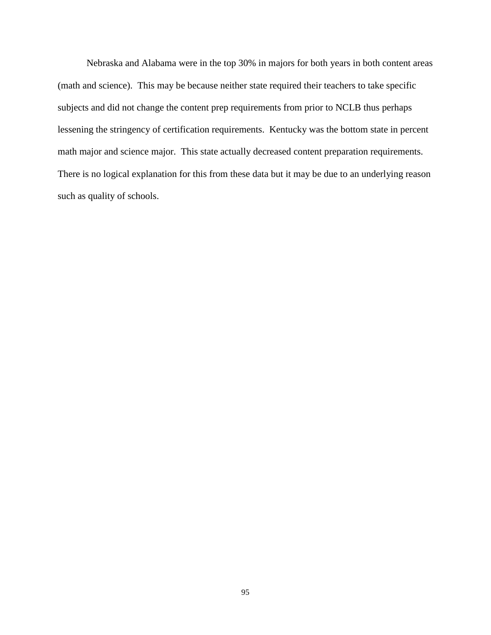Nebraska and Alabama were in the top 30% in majors for both years in both content areas (math and science). This may be because neither state required their teachers to take specific subjects and did not change the content prep requirements from prior to NCLB thus perhaps lessening the stringency of certification requirements. Kentucky was the bottom state in percent math major and science major. This state actually decreased content preparation requirements. There is no logical explanation for this from these data but it may be due to an underlying reason such as quality of schools.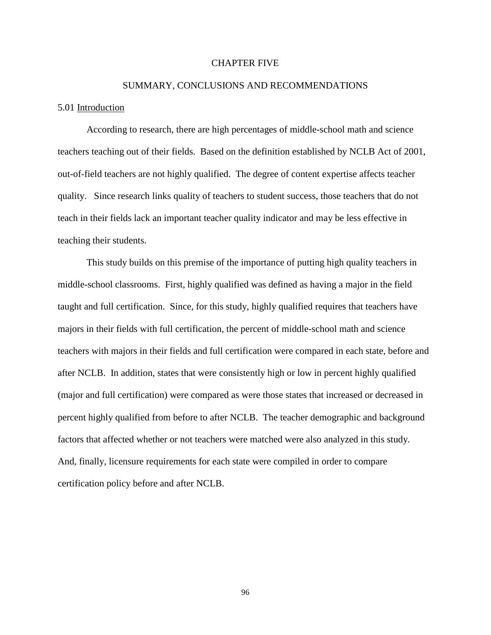### CHAPTER FIVE

# SUMMARY, CONCLUSIONS AND RECOMMENDATIONS

#### 5.01 Introduction

According to research, there are high percentages of middle-school math and science teachers teaching out of their fields. Based on the definition established by NCLB Act of 2001, out-of-field teachers are not highly qualified. The degree of content expertise affects teacher quality. Since research links quality of teachers to student success, those teachers that do not teach in their fields lack an important teacher quality indicator and may be less effective in teaching their students.

This study builds on this premise of the importance of putting high quality teachers in middle-school classrooms. First, highly qualified was defined as having a major in the field taught and full certification. Since, for this study, highly qualified requires that teachers have majors in their fields with full certification, the percent of middle-school math and science teachers with majors in their fields and full certification were compared in each state, before and after NCLB. In addition, states that were consistently high or low in percent highly qualified (major and full certification) were compared as were those states that increased or decreased in percent highly qualified from before to after NCLB. The teacher demographic and background factors that affected whether or not teachers were matched were also analyzed in this study. And, finally, licensure requirements for each state were compiled in order to compare certification policy before and after NCLB.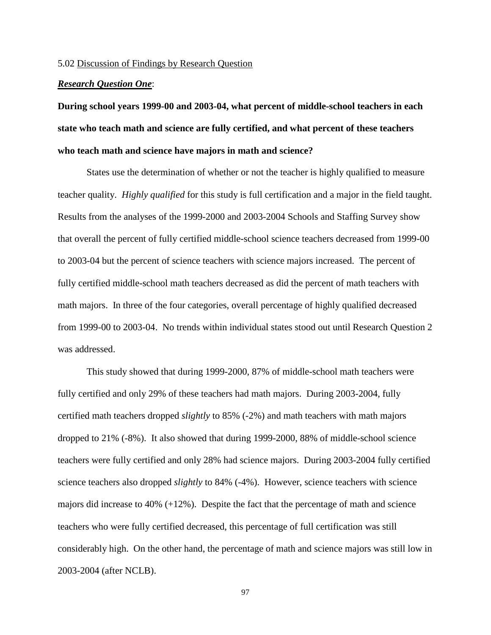#### 5.02 Discussion of Findings by Research Question

## *Research Question One*:

**During school years 1999-00 and 2003-04, what percent of middle-school teachers in each state who teach math and science are fully certified, and what percent of these teachers who teach math and science have majors in math and science?** 

States use the determination of whether or not the teacher is highly qualified to measure teacher quality. *Highly qualified* for this study is full certification and a major in the field taught. Results from the analyses of the 1999-2000 and 2003-2004 Schools and Staffing Survey show that overall the percent of fully certified middle-school science teachers decreased from 1999-00 to 2003-04 but the percent of science teachers with science majors increased. The percent of fully certified middle-school math teachers decreased as did the percent of math teachers with math majors. In three of the four categories, overall percentage of highly qualified decreased from 1999-00 to 2003-04. No trends within individual states stood out until Research Question 2 was addressed.

This study showed that during 1999-2000, 87% of middle-school math teachers were fully certified and only 29% of these teachers had math majors. During 2003-2004, fully certified math teachers dropped *slightly* to 85% (-2%) and math teachers with math majors dropped to 21% (-8%). It also showed that during 1999-2000, 88% of middle-school science teachers were fully certified and only 28% had science majors. During 2003-2004 fully certified science teachers also dropped *slightly* to 84% (-4%). However, science teachers with science majors did increase to 40% (+12%). Despite the fact that the percentage of math and science teachers who were fully certified decreased, this percentage of full certification was still considerably high. On the other hand, the percentage of math and science majors was still low in 2003-2004 (after NCLB).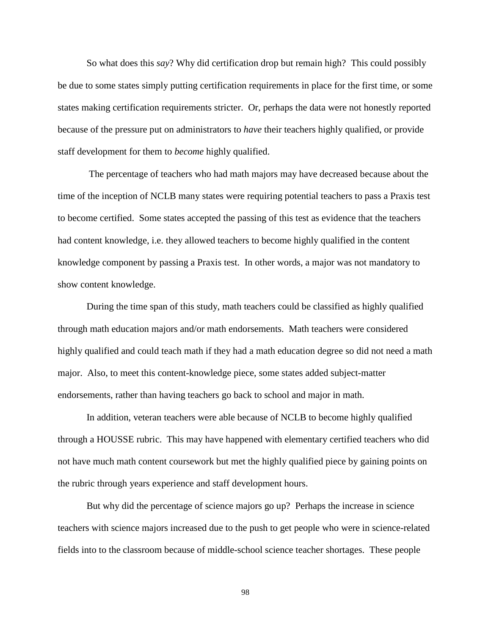So what does this *say*? Why did certification drop but remain high? This could possibly be due to some states simply putting certification requirements in place for the first time, or some states making certification requirements stricter. Or, perhaps the data were not honestly reported because of the pressure put on administrators to *have* their teachers highly qualified, or provide staff development for them to *become* highly qualified.

 The percentage of teachers who had math majors may have decreased because about the time of the inception of NCLB many states were requiring potential teachers to pass a Praxis test to become certified. Some states accepted the passing of this test as evidence that the teachers had content knowledge, i.e. they allowed teachers to become highly qualified in the content knowledge component by passing a Praxis test. In other words, a major was not mandatory to show content knowledge.

During the time span of this study, math teachers could be classified as highly qualified through math education majors and/or math endorsements. Math teachers were considered highly qualified and could teach math if they had a math education degree so did not need a math major. Also, to meet this content-knowledge piece, some states added subject-matter endorsements, rather than having teachers go back to school and major in math.

In addition, veteran teachers were able because of NCLB to become highly qualified through a HOUSSE rubric. This may have happened with elementary certified teachers who did not have much math content coursework but met the highly qualified piece by gaining points on the rubric through years experience and staff development hours.

But why did the percentage of science majors go up? Perhaps the increase in science teachers with science majors increased due to the push to get people who were in science-related fields into to the classroom because of middle-school science teacher shortages. These people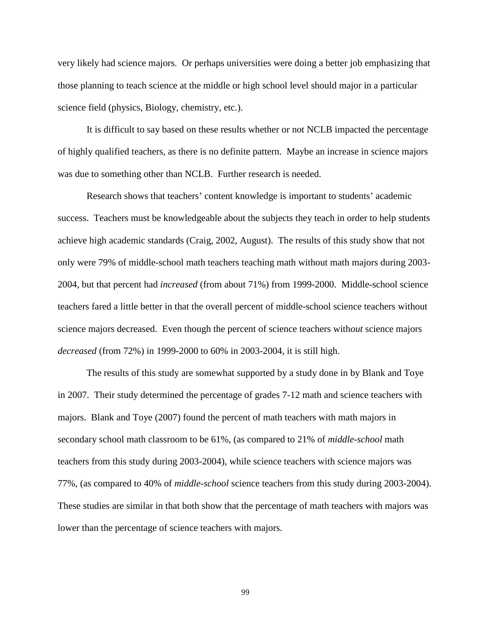very likely had science majors. Or perhaps universities were doing a better job emphasizing that those planning to teach science at the middle or high school level should major in a particular science field (physics, Biology, chemistry, etc.).

It is difficult to say based on these results whether or not NCLB impacted the percentage of highly qualified teachers, as there is no definite pattern. Maybe an increase in science majors was due to something other than NCLB. Further research is needed.

Research shows that teachers' content knowledge is important to students' academic success. Teachers must be knowledgeable about the subjects they teach in order to help students achieve high academic standards (Craig, 2002, August). The results of this study show that not only were 79% of middle-school math teachers teaching math without math majors during 2003- 2004, but that percent had *increased* (from about 71%) from 1999-2000. Middle-school science teachers fared a little better in that the overall percent of middle-school science teachers without science majors decreased. Even though the percent of science teachers with*out* science majors *decreased* (from 72%) in 1999-2000 to 60% in 2003-2004, it is still high.

 The results of this study are somewhat supported by a study done in by Blank and Toye in 2007. Their study determined the percentage of grades 7-12 math and science teachers with majors. Blank and Toye (2007) found the percent of math teachers with math majors in secondary school math classroom to be 61%, (as compared to 21% of *middle-school* math teachers from this study during 2003-2004), while science teachers with science majors was 77%, (as compared to 40% of *middle-school* science teachers from this study during 2003-2004). These studies are similar in that both show that the percentage of math teachers with majors was lower than the percentage of science teachers with majors.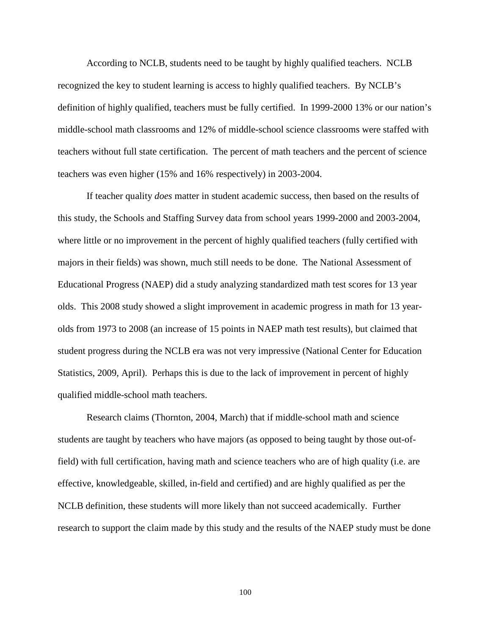According to NCLB, students need to be taught by highly qualified teachers. NCLB recognized the key to student learning is access to highly qualified teachers. By NCLB's definition of highly qualified, teachers must be fully certified. In 1999-2000 13% or our nation's middle-school math classrooms and 12% of middle-school science classrooms were staffed with teachers without full state certification. The percent of math teachers and the percent of science teachers was even higher (15% and 16% respectively) in 2003-2004.

If teacher quality *does* matter in student academic success, then based on the results of this study, the Schools and Staffing Survey data from school years 1999-2000 and 2003-2004, where little or no improvement in the percent of highly qualified teachers (fully certified with majors in their fields) was shown, much still needs to be done. The National Assessment of Educational Progress (NAEP) did a study analyzing standardized math test scores for 13 year olds. This 2008 study showed a slight improvement in academic progress in math for 13 yearolds from 1973 to 2008 (an increase of 15 points in NAEP math test results), but claimed that student progress during the NCLB era was not very impressive (National Center for Education Statistics, 2009, April). Perhaps this is due to the lack of improvement in percent of highly qualified middle-school math teachers.

Research claims (Thornton, 2004, March) that if middle-school math and science students are taught by teachers who have majors (as opposed to being taught by those out-offield) with full certification, having math and science teachers who are of high quality (i.e. are effective, knowledgeable, skilled, in-field and certified) and are highly qualified as per the NCLB definition, these students will more likely than not succeed academically. Further research to support the claim made by this study and the results of the NAEP study must be done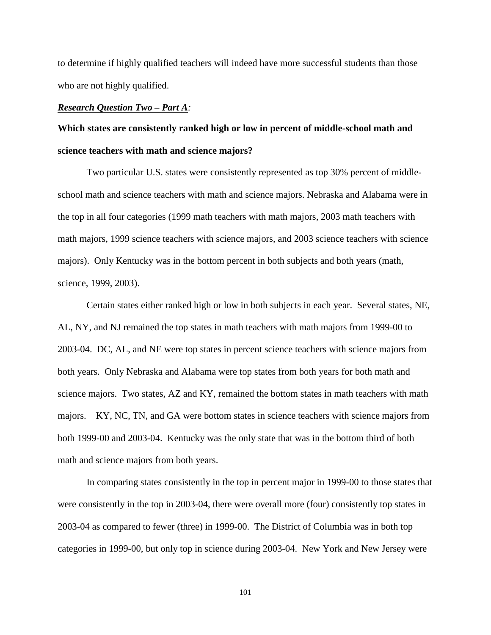to determine if highly qualified teachers will indeed have more successful students than those who are not highly qualified.

## *Research Question Two – Part A:*

# **Which states are consistently ranked high or low in percent of middle-school math and science teachers with math and science majors?**

Two particular U.S. states were consistently represented as top 30% percent of middleschool math and science teachers with math and science majors. Nebraska and Alabama were in the top in all four categories (1999 math teachers with math majors, 2003 math teachers with math majors, 1999 science teachers with science majors, and 2003 science teachers with science majors). Only Kentucky was in the bottom percent in both subjects and both years (math, science, 1999, 2003).

Certain states either ranked high or low in both subjects in each year. Several states, NE, AL, NY, and NJ remained the top states in math teachers with math majors from 1999-00 to 2003-04. DC, AL, and NE were top states in percent science teachers with science majors from both years. Only Nebraska and Alabama were top states from both years for both math and science majors. Two states, AZ and KY, remained the bottom states in math teachers with math majors. KY, NC, TN, and GA were bottom states in science teachers with science majors from both 1999-00 and 2003-04. Kentucky was the only state that was in the bottom third of both math and science majors from both years.

In comparing states consistently in the top in percent major in 1999-00 to those states that were consistently in the top in 2003-04, there were overall more (four) consistently top states in 2003-04 as compared to fewer (three) in 1999-00. The District of Columbia was in both top categories in 1999-00, but only top in science during 2003-04. New York and New Jersey were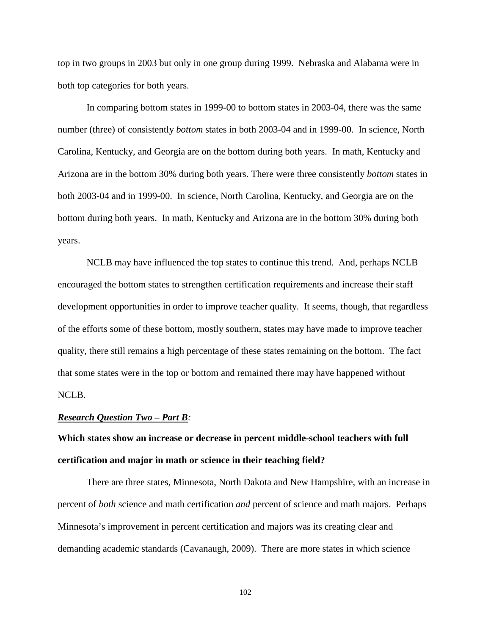top in two groups in 2003 but only in one group during 1999. Nebraska and Alabama were in both top categories for both years.

In comparing bottom states in 1999-00 to bottom states in 2003-04, there was the same number (three) of consistently *bottom* states in both 2003-04 and in 1999-00. In science, North Carolina, Kentucky, and Georgia are on the bottom during both years. In math, Kentucky and Arizona are in the bottom 30% during both years. There were three consistently *bottom* states in both 2003-04 and in 1999-00. In science, North Carolina, Kentucky, and Georgia are on the bottom during both years. In math, Kentucky and Arizona are in the bottom 30% during both years.

NCLB may have influenced the top states to continue this trend. And, perhaps NCLB encouraged the bottom states to strengthen certification requirements and increase their staff development opportunities in order to improve teacher quality. It seems, though, that regardless of the efforts some of these bottom, mostly southern, states may have made to improve teacher quality, there still remains a high percentage of these states remaining on the bottom. The fact that some states were in the top or bottom and remained there may have happened without NCLB.

#### *Research Question Two – Part B:*

**Which states show an increase or decrease in percent middle-school teachers with full certification and major in math or science in their teaching field?**

There are three states, Minnesota, North Dakota and New Hampshire, with an increase in percent of *both* science and math certification *and* percent of science and math majors. Perhaps Minnesota's improvement in percent certification and majors was its creating clear and demanding academic standards (Cavanaugh, 2009). There are more states in which science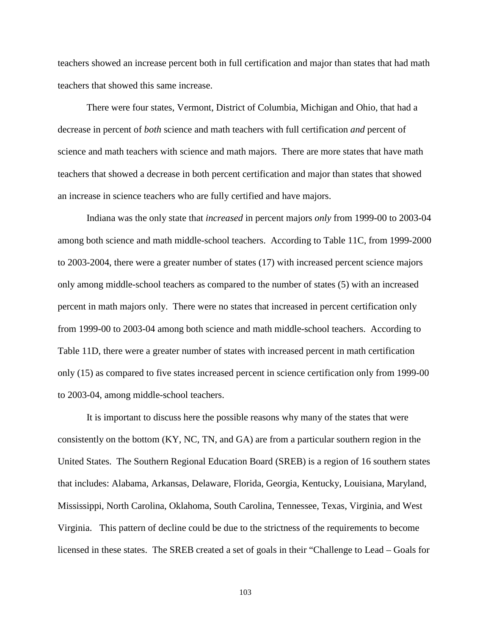teachers showed an increase percent both in full certification and major than states that had math teachers that showed this same increase.

There were four states, Vermont, District of Columbia, Michigan and Ohio, that had a decrease in percent of *both* science and math teachers with full certification *and* percent of science and math teachers with science and math majors. There are more states that have math teachers that showed a decrease in both percent certification and major than states that showed an increase in science teachers who are fully certified and have majors.

Indiana was the only state that *increased* in percent majors *only* from 1999-00 to 2003-04 among both science and math middle-school teachers. According to Table 11C, from 1999-2000 to 2003-2004, there were a greater number of states (17) with increased percent science majors only among middle-school teachers as compared to the number of states (5) with an increased percent in math majors only. There were no states that increased in percent certification only from 1999-00 to 2003-04 among both science and math middle-school teachers. According to Table 11D, there were a greater number of states with increased percent in math certification only (15) as compared to five states increased percent in science certification only from 1999-00 to 2003-04, among middle-school teachers.

 It is important to discuss here the possible reasons why many of the states that were consistently on the bottom (KY, NC, TN, and GA) are from a particular southern region in the United States. The Southern Regional Education Board (SREB) is a region of 16 southern states that includes: Alabama, Arkansas, Delaware, Florida, Georgia, Kentucky, Louisiana, Maryland, Mississippi, North Carolina, Oklahoma, South Carolina, Tennessee, Texas, Virginia, and West Virginia. This pattern of decline could be due to the strictness of the requirements to become licensed in these states. The SREB created a set of goals in their "Challenge to Lead – Goals for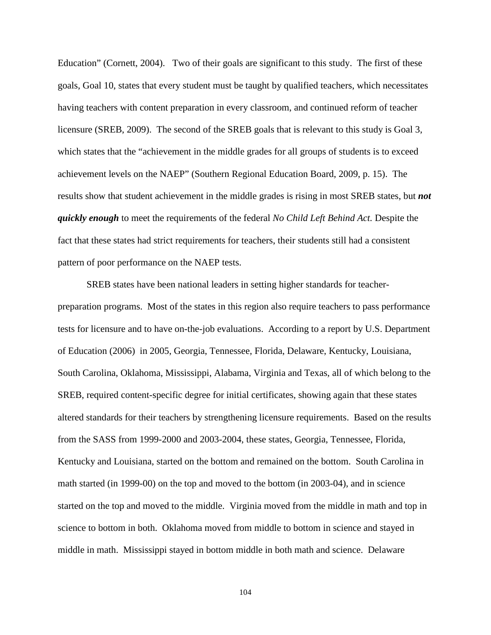Education" (Cornett, 2004). Two of their goals are significant to this study. The first of these goals, Goal 10, states that every student must be taught by qualified teachers, which necessitates having teachers with content preparation in every classroom, and continued reform of teacher licensure (SREB, 2009). The second of the SREB goals that is relevant to this study is Goal 3, which states that the "achievement in the middle grades for all groups of students is to exceed achievement levels on the NAEP" (Southern Regional Education Board, 2009, p. 15). The results show that student achievement in the middle grades is rising in most SREB states, but *not quickly enough* to meet the requirements of the federal *No Child Left Behind Act.* Despite the fact that these states had strict requirements for teachers, their students still had a consistent pattern of poor performance on the NAEP tests.

 SREB states have been national leaders in setting higher standards for teacherpreparation programs. Most of the states in this region also require teachers to pass performance tests for licensure and to have on-the-job evaluations. According to a report by U.S. Department of Education (2006) in 2005, Georgia, Tennessee, Florida, Delaware, Kentucky, Louisiana, South Carolina, Oklahoma, Mississippi, Alabama, Virginia and Texas, all of which belong to the SREB, required content-specific degree for initial certificates, showing again that these states altered standards for their teachers by strengthening licensure requirements. Based on the results from the SASS from 1999-2000 and 2003-2004, these states, Georgia, Tennessee, Florida, Kentucky and Louisiana, started on the bottom and remained on the bottom. South Carolina in math started (in 1999-00) on the top and moved to the bottom (in 2003-04), and in science started on the top and moved to the middle. Virginia moved from the middle in math and top in science to bottom in both. Oklahoma moved from middle to bottom in science and stayed in middle in math. Mississippi stayed in bottom middle in both math and science. Delaware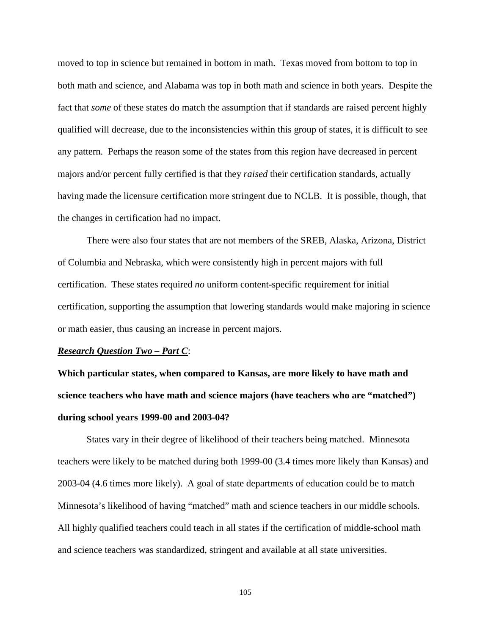moved to top in science but remained in bottom in math. Texas moved from bottom to top in both math and science, and Alabama was top in both math and science in both years. Despite the fact that *some* of these states do match the assumption that if standards are raised percent highly qualified will decrease, due to the inconsistencies within this group of states, it is difficult to see any pattern. Perhaps the reason some of the states from this region have decreased in percent majors and/or percent fully certified is that they *raised* their certification standards, actually having made the licensure certification more stringent due to NCLB. It is possible, though, that the changes in certification had no impact.

 There were also four states that are not members of the SREB, Alaska, Arizona, District of Columbia and Nebraska, which were consistently high in percent majors with full certification. These states required *no* uniform content-specific requirement for initial certification, supporting the assumption that lowering standards would make majoring in science or math easier, thus causing an increase in percent majors.

#### *Research Question Two – Part C*:

**Which particular states, when compared to Kansas, are more likely to have math and science teachers who have math and science majors (have teachers who are "matched") during school years 1999-00 and 2003-04?** 

States vary in their degree of likelihood of their teachers being matched. Minnesota teachers were likely to be matched during both 1999-00 (3.4 times more likely than Kansas) and 2003-04 (4.6 times more likely). A goal of state departments of education could be to match Minnesota's likelihood of having "matched" math and science teachers in our middle schools. All highly qualified teachers could teach in all states if the certification of middle-school math and science teachers was standardized, stringent and available at all state universities.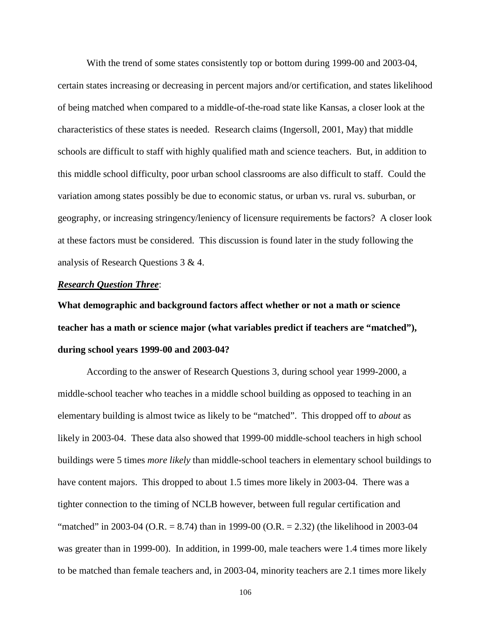With the trend of some states consistently top or bottom during 1999-00 and 2003-04, certain states increasing or decreasing in percent majors and/or certification, and states likelihood of being matched when compared to a middle-of-the-road state like Kansas, a closer look at the characteristics of these states is needed. Research claims (Ingersoll, 2001, May) that middle schools are difficult to staff with highly qualified math and science teachers. But, in addition to this middle school difficulty, poor urban school classrooms are also difficult to staff. Could the variation among states possibly be due to economic status, or urban vs. rural vs. suburban, or geography, or increasing stringency/leniency of licensure requirements be factors? A closer look at these factors must be considered. This discussion is found later in the study following the analysis of Research Questions 3 & 4.

## *Research Question Three*:

**What demographic and background factors affect whether or not a math or science teacher has a math or science major (what variables predict if teachers are "matched"), during school years 1999-00 and 2003-04?** 

According to the answer of Research Questions 3, during school year 1999-2000, a middle-school teacher who teaches in a middle school building as opposed to teaching in an elementary building is almost twice as likely to be "matched". This dropped off to *about* as likely in 2003-04. These data also showed that 1999-00 middle-school teachers in high school buildings were 5 times *more likely* than middle-school teachers in elementary school buildings to have content majors. This dropped to about 1.5 times more likely in 2003-04. There was a tighter connection to the timing of NCLB however, between full regular certification and "matched" in 2003-04 (O.R.  $= 8.74$ ) than in 1999-00 (O.R.  $= 2.32$ ) (the likelihood in 2003-04 was greater than in 1999-00). In addition, in 1999-00, male teachers were 1.4 times more likely to be matched than female teachers and, in 2003-04, minority teachers are 2.1 times more likely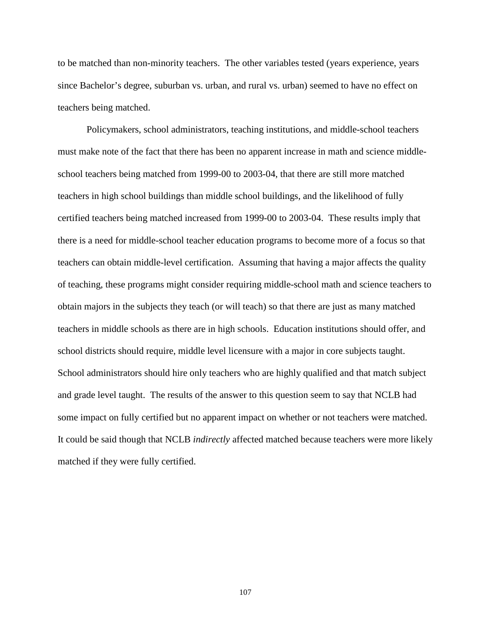to be matched than non-minority teachers. The other variables tested (years experience, years since Bachelor's degree, suburban vs. urban, and rural vs. urban) seemed to have no effect on teachers being matched.

Policymakers, school administrators, teaching institutions, and middle-school teachers must make note of the fact that there has been no apparent increase in math and science middleschool teachers being matched from 1999-00 to 2003-04, that there are still more matched teachers in high school buildings than middle school buildings, and the likelihood of fully certified teachers being matched increased from 1999-00 to 2003-04. These results imply that there is a need for middle-school teacher education programs to become more of a focus so that teachers can obtain middle-level certification. Assuming that having a major affects the quality of teaching, these programs might consider requiring middle-school math and science teachers to obtain majors in the subjects they teach (or will teach) so that there are just as many matched teachers in middle schools as there are in high schools. Education institutions should offer, and school districts should require, middle level licensure with a major in core subjects taught. School administrators should hire only teachers who are highly qualified and that match subject and grade level taught. The results of the answer to this question seem to say that NCLB had some impact on fully certified but no apparent impact on whether or not teachers were matched. It could be said though that NCLB *indirectly* affected matched because teachers were more likely matched if they were fully certified.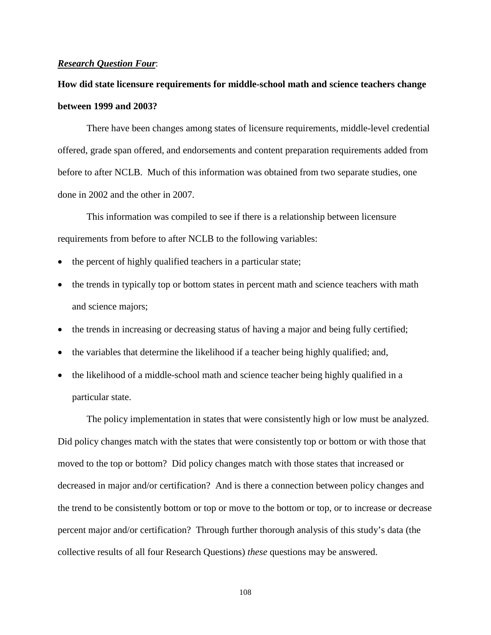### *Research Question Four*:

# **How did state licensure requirements for middle-school math and science teachers change between 1999 and 2003?**

 There have been changes among states of licensure requirements, middle-level credential offered, grade span offered, and endorsements and content preparation requirements added from before to after NCLB. Much of this information was obtained from two separate studies, one done in 2002 and the other in 2007.

This information was compiled to see if there is a relationship between licensure requirements from before to after NCLB to the following variables:

- the percent of highly qualified teachers in a particular state;
- the trends in typically top or bottom states in percent math and science teachers with math and science majors;
- the trends in increasing or decreasing status of having a major and being fully certified;
- the variables that determine the likelihood if a teacher being highly qualified; and,
- the likelihood of a middle-school math and science teacher being highly qualified in a particular state.

The policy implementation in states that were consistently high or low must be analyzed. Did policy changes match with the states that were consistently top or bottom or with those that moved to the top or bottom? Did policy changes match with those states that increased or decreased in major and/or certification? And is there a connection between policy changes and the trend to be consistently bottom or top or move to the bottom or top, or to increase or decrease percent major and/or certification? Through further thorough analysis of this study's data (the collective results of all four Research Questions) *these* questions may be answered.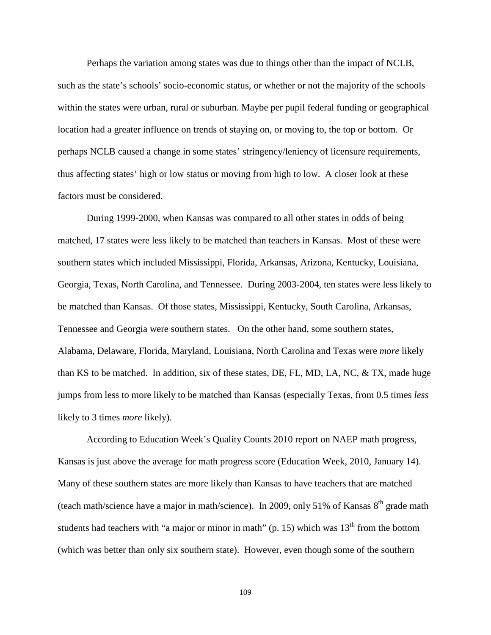Perhaps the variation among states was due to things other than the impact of NCLB, such as the state's schools' socio-economic status, or whether or not the majority of the schools within the states were urban, rural or suburban. Maybe per pupil federal funding or geographical location had a greater influence on trends of staying on, or moving to, the top or bottom. Or perhaps NCLB caused a change in some states' stringency/leniency of licensure requirements, thus affecting states' high or low status or moving from high to low. A closer look at these factors must be considered.

 During 1999-2000, when Kansas was compared to all other states in odds of being matched, 17 states were less likely to be matched than teachers in Kansas. Most of these were southern states which included Mississippi, Florida, Arkansas, Arizona, Kentucky, Louisiana, Georgia, Texas, North Carolina, and Tennessee. During 2003-2004, ten states were less likely to be matched than Kansas. Of those states, Mississippi, Kentucky, South Carolina, Arkansas, Tennessee and Georgia were southern states. On the other hand, some southern states, Alabama, Delaware, Florida, Maryland, Louisiana, North Carolina and Texas were *more* likely than KS to be matched. In addition, six of these states, DE, FL, MD, LA, NC, & TX, made huge jumps from less to more likely to be matched than Kansas (especially Texas, from 0.5 times *less* likely to 3 times *more* likely).

According to Education Week's Quality Counts 2010 report on NAEP math progress, Kansas is just above the average for math progress score (Education Week, 2010, January 14). Many of these southern states are more likely than Kansas to have teachers that are matched (teach math/science have a major in math/science). In 2009, only 51% of Kansas  $8<sup>th</sup>$  grade math students had teachers with "a major or minor in math" (p. 15) which was  $13<sup>th</sup>$  from the bottom (which was better than only six southern state). However, even though some of the southern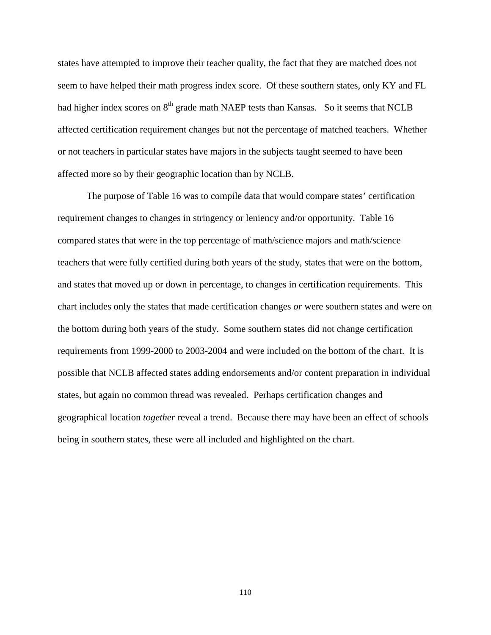states have attempted to improve their teacher quality, the fact that they are matched does not seem to have helped their math progress index score. Of these southern states, only KY and FL had higher index scores on  $8<sup>th</sup>$  grade math NAEP tests than Kansas. So it seems that NCLB affected certification requirement changes but not the percentage of matched teachers. Whether or not teachers in particular states have majors in the subjects taught seemed to have been affected more so by their geographic location than by NCLB.

 The purpose of Table 16 was to compile data that would compare states' certification requirement changes to changes in stringency or leniency and/or opportunity. Table 16 compared states that were in the top percentage of math/science majors and math/science teachers that were fully certified during both years of the study, states that were on the bottom, and states that moved up or down in percentage, to changes in certification requirements. This chart includes only the states that made certification changes *or* were southern states and were on the bottom during both years of the study. Some southern states did not change certification requirements from 1999-2000 to 2003-2004 and were included on the bottom of the chart. It is possible that NCLB affected states adding endorsements and/or content preparation in individual states, but again no common thread was revealed. Perhaps certification changes and geographical location *together* reveal a trend. Because there may have been an effect of schools being in southern states, these were all included and highlighted on the chart.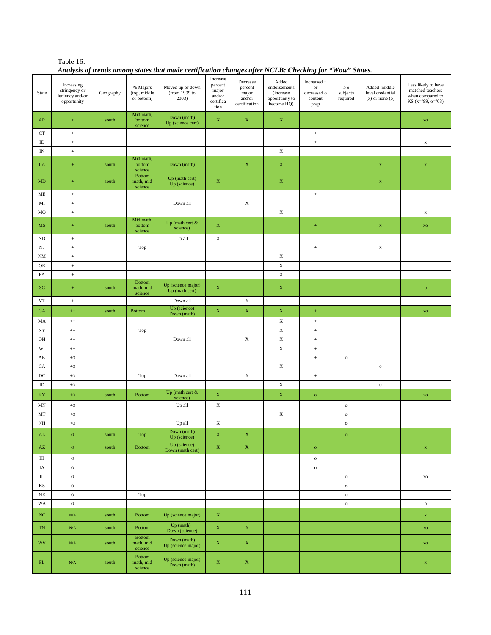| Table 16:                                                                                              |
|--------------------------------------------------------------------------------------------------------|
| Analysis of trends among states that made certification changes after NCLB: Checking for "Wow" States. |

| State                    | Increasing<br>stringency or<br>leniency and/or<br>opportunity | $\operatorname{Geography}$ | % Majors<br>(top, middle<br>or bottom) | Thatysis of irenas among states mai maat terufication enanges after TVCLD. Checking for Mow Blates.<br>Moved up or down<br>(from 1999 to<br>2003) | Increase<br>percent<br>major<br>and/or<br>certifica<br>tion | Decrease<br>percent<br>major<br>and/or<br>certification | Added<br>endorsements<br>(increase)<br>opportunity to<br>become HQ) | Increased +<br>$_{\mathrm{or}}$<br>decreased o<br>content<br>prep | No<br>subjects<br>required | Added middle<br>level credential<br>$(x)$ or none $(o)$ | Less likely to have<br>matched teachers<br>when compared to<br>KS (x='99, o='03) |
|--------------------------|---------------------------------------------------------------|----------------------------|----------------------------------------|---------------------------------------------------------------------------------------------------------------------------------------------------|-------------------------------------------------------------|---------------------------------------------------------|---------------------------------------------------------------------|-------------------------------------------------------------------|----------------------------|---------------------------------------------------------|----------------------------------------------------------------------------------|
| AR                       | $\pm$                                                         | south                      | Mid math,<br>bottom<br>science         | Down (math)<br>Up (science cert)                                                                                                                  | $\mathbf X$                                                 | $\mathbf X$                                             | $\mathbf X$                                                         |                                                                   |                            |                                                         | $\mathbf{X}\mathbf{O}$                                                           |
| CT                       | $^+$                                                          |                            |                                        |                                                                                                                                                   |                                                             |                                                         |                                                                     | $\,$ + $\,$                                                       |                            |                                                         |                                                                                  |
| $\rm ID$                 | $^+$                                                          |                            |                                        |                                                                                                                                                   |                                                             |                                                         |                                                                     | $^+$                                                              |                            |                                                         | $\mathbf x$                                                                      |
| $\ensuremath{\text{IN}}$ | $^+$                                                          |                            |                                        |                                                                                                                                                   |                                                             |                                                         | $\mathbf X$                                                         |                                                                   |                            |                                                         |                                                                                  |
| LA                       | $\pm$                                                         | south                      | Mid math,<br>bottom<br>science         | Down (math)                                                                                                                                       |                                                             | $\mathbf X$                                             | $\mathbf X$                                                         |                                                                   |                            | $\mathbf x$                                             | $\mathbf x$                                                                      |
| $\mbox{MD}$              | $\pm$                                                         | south                      | <b>Bottom</b><br>math, mid<br>science  | Up (math cert)<br>Up (science)                                                                                                                    | $\mathbf X$                                                 |                                                         | $\mathbf X$                                                         |                                                                   |                            | $\mathbf x$                                             |                                                                                  |
| $ME$                     | $^+$                                                          |                            |                                        |                                                                                                                                                   |                                                             |                                                         |                                                                     | $^+$                                                              |                            |                                                         |                                                                                  |
| $\mathbf{M}\mathbf{I}$   | $^+$                                                          |                            |                                        | Down all                                                                                                                                          |                                                             | $\mathbf X$                                             |                                                                     |                                                                   |                            |                                                         |                                                                                  |
| MO                       | $^+$                                                          |                            |                                        |                                                                                                                                                   |                                                             |                                                         | $\mathbf X$                                                         |                                                                   |                            |                                                         | $\mathbf x$                                                                      |
| MS                       | $\pm$                                                         | south                      | Mid math,<br>bottom<br>science         | Up (math cert &<br>science)                                                                                                                       | $\mathbf X$                                                 |                                                         |                                                                     | $^{\rm +}$                                                        |                            | $\mathbf X$                                             | $\mathbf{X}\mathbf{O}$                                                           |
| ND                       | $^+$                                                          |                            |                                        | Up all                                                                                                                                            | $\mathbf X$                                                 |                                                         |                                                                     |                                                                   |                            |                                                         |                                                                                  |
| $_{\rm NJ}$              | $^+$                                                          |                            | Top                                    |                                                                                                                                                   |                                                             |                                                         |                                                                     | $^+$                                                              |                            | $\mathbf x$                                             |                                                                                  |
| <b>NM</b>                | $^+$                                                          |                            |                                        |                                                                                                                                                   |                                                             |                                                         | $\mathbf X$                                                         |                                                                   |                            |                                                         |                                                                                  |
| <b>OR</b>                | $^+$                                                          |                            |                                        |                                                                                                                                                   |                                                             |                                                         | $\mathbf X$                                                         |                                                                   |                            |                                                         |                                                                                  |
| $\mathbf{PA}$            | $\,$ + $\,$                                                   |                            |                                        |                                                                                                                                                   |                                                             |                                                         | $\mathbf X$                                                         |                                                                   |                            |                                                         |                                                                                  |
| ${\rm SC}$               | $\pm$                                                         | south                      | <b>Bottom</b><br>math, mid<br>science  | Up (science major)<br>Up (math cert)                                                                                                              | $\mathbf X$                                                 |                                                         | $\mathbf X$                                                         |                                                                   |                            |                                                         | $\mathbf{o}$                                                                     |
| <b>VT</b>                | $^+$                                                          |                            |                                        | Down all                                                                                                                                          |                                                             | $\mathbf X$                                             |                                                                     |                                                                   |                            |                                                         |                                                                                  |
| GA                       | $^{++}$                                                       | south                      | <b>Bottom</b>                          | Up (science)<br>Down (math)                                                                                                                       | $\mathbf X$                                                 | $\mathbf X$                                             | $\mathbf X$                                                         | $^{+}$                                                            |                            |                                                         | $\mathbf{X}\mathbf{O}$                                                           |
| MA                       | $^{\rm ++}$                                                   |                            |                                        |                                                                                                                                                   |                                                             |                                                         | $\mathbf X$                                                         | $^+$                                                              |                            |                                                         |                                                                                  |
| $_{\mathrm{NY}}$         | $^{\rm ++}$                                                   |                            | Top                                    |                                                                                                                                                   |                                                             |                                                         | $\mathbf X$                                                         | $\ddot{}$                                                         |                            |                                                         |                                                                                  |
| OH                       | $^{++}\,$                                                     |                            |                                        | Down all                                                                                                                                          |                                                             | $\mathbf X$                                             | $\mathbf X$                                                         | $\,$ + $\,$                                                       |                            |                                                         |                                                                                  |
| WI                       | $^{\rm ++}$                                                   |                            |                                        |                                                                                                                                                   |                                                             |                                                         | $\mathbf X$                                                         | $^+$                                                              |                            |                                                         |                                                                                  |
| $\mathbf{A}\mathbf{K}$   | $\rm{+O}$                                                     |                            |                                        |                                                                                                                                                   |                                                             |                                                         |                                                                     | $^+$                                                              | $\,$ O                     |                                                         |                                                                                  |
| CA                       | $\rm{+O}$                                                     |                            |                                        |                                                                                                                                                   |                                                             |                                                         | $\mathbf X$                                                         |                                                                   |                            | $\,$ O                                                  |                                                                                  |
| $_{\mathrm{DC}}$         | $\rm{+O}$                                                     |                            | Top                                    | Down all                                                                                                                                          |                                                             | $\mathbf X$                                             |                                                                     | $^+$                                                              |                            |                                                         |                                                                                  |
| $\rm ID$                 | $\rm{+O}$                                                     |                            |                                        |                                                                                                                                                   |                                                             |                                                         | $\mathbf X$                                                         |                                                                   |                            | $\,$ O                                                  |                                                                                  |
| KY                       | $+\mathbf{O}$                                                 | south                      | <b>Bottom</b>                          | Up (math cert &<br>science)                                                                                                                       | $\mathbf X$                                                 |                                                         | $\mathbf X$                                                         | $\,$ O                                                            |                            |                                                         | $\mathbf{X}\mathbf{O}$                                                           |
| $\ensuremath{\text{MN}}$ | $\rm{+O}$                                                     |                            |                                        | Up all                                                                                                                                            | $\mathbf X$                                                 |                                                         |                                                                     |                                                                   | $\,$ O                     |                                                         |                                                                                  |
| MT                       | $\rm{+O}$                                                     |                            |                                        |                                                                                                                                                   |                                                             |                                                         | $\mathbf X$                                                         |                                                                   | $\,$ O                     |                                                         |                                                                                  |
| $\rm{NH}$                | $\rm{+O}$                                                     |                            |                                        | Up all                                                                                                                                            | $\mathbf X$                                                 |                                                         |                                                                     |                                                                   | $\mathbf{o}$               |                                                         |                                                                                  |
| $\mathbf{AL}$            | $\mathbf{o}$                                                  | south                      | Top                                    | Down (math)<br>Up (science)                                                                                                                       | $\mathbf X$                                                 | $\mathbf X$                                             |                                                                     |                                                                   | $\mathbf{o}$               |                                                         |                                                                                  |
| $\mathbf{A}\mathbf{Z}$   | $\mathbf O$                                                   | south                      | <b>Bottom</b>                          | Up (science)<br>Down (math cert)                                                                                                                  | $\mathbf X$                                                 | $\mathbf X$                                             |                                                                     | $\mathbf{o}$                                                      |                            |                                                         | $\mathbf x$                                                                      |
| $_{\rm HI}$              | $\rm{O}$                                                      |                            |                                        |                                                                                                                                                   |                                                             |                                                         |                                                                     | $\,$ O                                                            |                            |                                                         |                                                                                  |
| IA                       | $\rm{O}$                                                      |                            |                                        |                                                                                                                                                   |                                                             |                                                         |                                                                     | $\,$ O                                                            |                            |                                                         |                                                                                  |
| $\rm IL$                 | $\rm{O}$                                                      |                            |                                        |                                                                                                                                                   |                                                             |                                                         |                                                                     |                                                                   | $\,$ O                     |                                                         | $\rm\,XO$                                                                        |
| $_{\rm KS}$              | $\rm{O}$                                                      |                            |                                        |                                                                                                                                                   |                                                             |                                                         |                                                                     |                                                                   | $\mathbf{o}$               |                                                         |                                                                                  |
| $_{\rm NE}$              | $\rm{O}$                                                      |                            | Top                                    |                                                                                                                                                   |                                                             |                                                         |                                                                     |                                                                   | $\,$ O                     |                                                         |                                                                                  |
| WA                       | $\rm{O}$                                                      |                            |                                        |                                                                                                                                                   |                                                             |                                                         |                                                                     |                                                                   | $\,$ O                     |                                                         | $\,$ O                                                                           |
| $_{\mathrm{NC}}$         | N/A                                                           | south                      | <b>Bottom</b>                          | Up (science major)                                                                                                                                | $\mathbf X$                                                 |                                                         |                                                                     |                                                                   |                            |                                                         | $\mathbf x$                                                                      |
| TN                       | $\mathrm{N}/\mathrm{A}$                                       | south                      | <b>Bottom</b><br><b>Bottom</b>         | Up (math)<br>Down (science)                                                                                                                       | $\mathbf X$                                                 | $\mathbf X$                                             |                                                                     |                                                                   |                            |                                                         | XO                                                                               |
| <b>WV</b>                | N/A                                                           | south                      | math, mid<br>science                   | Down (math)<br>Up (science major)                                                                                                                 | $\mathbf X$                                                 | $\mathbf X$                                             |                                                                     |                                                                   |                            |                                                         | $\mathbf{X}\mathbf{O}$                                                           |
| ${\rm FL}$               | $\mathrm{N}/\mathrm{A}$                                       | south                      | <b>Bottom</b><br>math, mid<br>science  | Up (science major)<br>Down (math)                                                                                                                 | $\mathbf X$                                                 | $\mathbf X$                                             |                                                                     |                                                                   |                            |                                                         | $\mathbf x$                                                                      |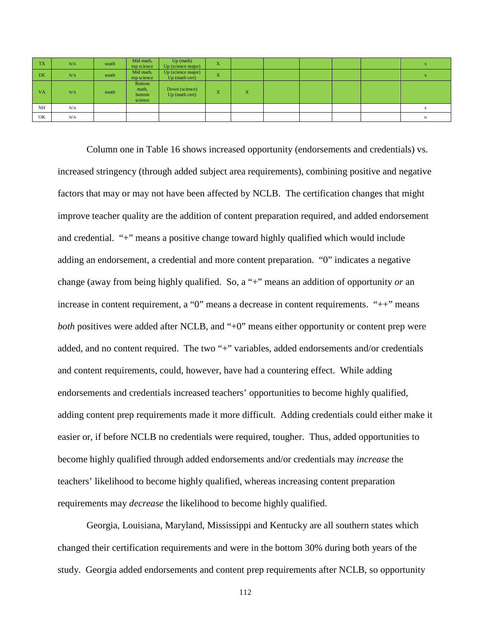| <b>TX</b> | N/A | south | Mid math,<br>top science             | $Up$ (math)<br>Up (science major)    | X              |   |  |  |         |
|-----------|-----|-------|--------------------------------------|--------------------------------------|----------------|---|--|--|---------|
| <b>DE</b> | N/A | south | Mid math,<br>top science             | Up (science major)<br>Up (math cert) | X              |   |  |  |         |
| <b>VA</b> | N/A | south | Bottom<br>math,<br>bottom<br>science | Down (science)<br>Up (math cert)     | <b>XF</b><br>A | X |  |  |         |
| NH        | N/A |       |                                      |                                      |                |   |  |  |         |
| OK        | N/A |       |                                      |                                      |                |   |  |  | $\circ$ |

Column one in Table 16 shows increased opportunity (endorsements and credentials) vs. increased stringency (through added subject area requirements), combining positive and negative factors that may or may not have been affected by NCLB. The certification changes that might improve teacher quality are the addition of content preparation required, and added endorsement and credential. "+" means a positive change toward highly qualified which would include adding an endorsement, a credential and more content preparation. "0" indicates a negative change (away from being highly qualified. So, a "+" means an addition of opportunity *or* an increase in content requirement, a "0" means a decrease in content requirements. "++" means *both* positives were added after NCLB, and "+0" means either opportunity or content prep were added, and no content required. The two "+" variables, added endorsements and/or credentials and content requirements, could, however, have had a countering effect. While adding endorsements and credentials increased teachers' opportunities to become highly qualified, adding content prep requirements made it more difficult. Adding credentials could either make it easier or, if before NCLB no credentials were required, tougher. Thus, added opportunities to become highly qualified through added endorsements and/or credentials may *increase* the teachers' likelihood to become highly qualified, whereas increasing content preparation requirements may *decrease* the likelihood to become highly qualified.

Georgia, Louisiana, Maryland, Mississippi and Kentucky are all southern states which changed their certification requirements and were in the bottom 30% during both years of the study. Georgia added endorsements and content prep requirements after NCLB, so opportunity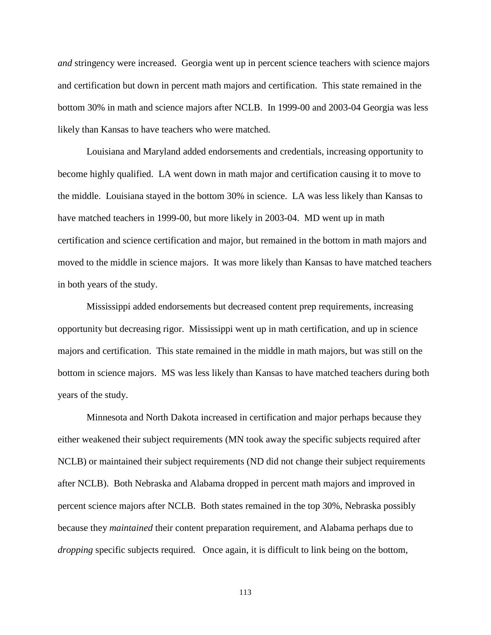*and* stringency were increased. Georgia went up in percent science teachers with science majors and certification but down in percent math majors and certification. This state remained in the bottom 30% in math and science majors after NCLB. In 1999-00 and 2003-04 Georgia was less likely than Kansas to have teachers who were matched.

Louisiana and Maryland added endorsements and credentials, increasing opportunity to become highly qualified. LA went down in math major and certification causing it to move to the middle. Louisiana stayed in the bottom 30% in science. LA was less likely than Kansas to have matched teachers in 1999-00, but more likely in 2003-04. MD went up in math certification and science certification and major, but remained in the bottom in math majors and moved to the middle in science majors. It was more likely than Kansas to have matched teachers in both years of the study.

Mississippi added endorsements but decreased content prep requirements, increasing opportunity but decreasing rigor. Mississippi went up in math certification, and up in science majors and certification. This state remained in the middle in math majors, but was still on the bottom in science majors. MS was less likely than Kansas to have matched teachers during both years of the study.

Minnesota and North Dakota increased in certification and major perhaps because they either weakened their subject requirements (MN took away the specific subjects required after NCLB) or maintained their subject requirements (ND did not change their subject requirements after NCLB). Both Nebraska and Alabama dropped in percent math majors and improved in percent science majors after NCLB. Both states remained in the top 30%, Nebraska possibly because they *maintained* their content preparation requirement, and Alabama perhaps due to *dropping* specific subjects required. Once again, it is difficult to link being on the bottom,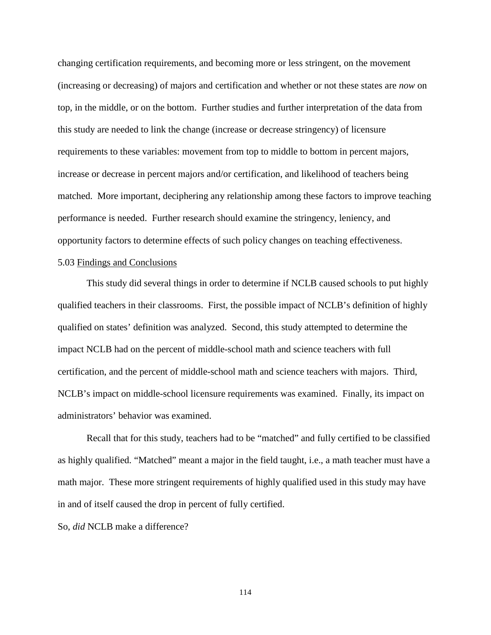changing certification requirements, and becoming more or less stringent, on the movement (increasing or decreasing) of majors and certification and whether or not these states are *now* on top, in the middle, or on the bottom. Further studies and further interpretation of the data from this study are needed to link the change (increase or decrease stringency) of licensure requirements to these variables: movement from top to middle to bottom in percent majors, increase or decrease in percent majors and/or certification, and likelihood of teachers being matched. More important, deciphering any relationship among these factors to improve teaching performance is needed. Further research should examine the stringency, leniency, and opportunity factors to determine effects of such policy changes on teaching effectiveness.

## 5.03 Findings and Conclusions

 This study did several things in order to determine if NCLB caused schools to put highly qualified teachers in their classrooms. First, the possible impact of NCLB's definition of highly qualified on states' definition was analyzed. Second, this study attempted to determine the impact NCLB had on the percent of middle-school math and science teachers with full certification, and the percent of middle-school math and science teachers with majors. Third, NCLB's impact on middle-school licensure requirements was examined. Finally, its impact on administrators' behavior was examined.

Recall that for this study, teachers had to be "matched" and fully certified to be classified as highly qualified. "Matched" meant a major in the field taught, i.e., a math teacher must have a math major. These more stringent requirements of highly qualified used in this study may have in and of itself caused the drop in percent of fully certified.

So, *did* NCLB make a difference?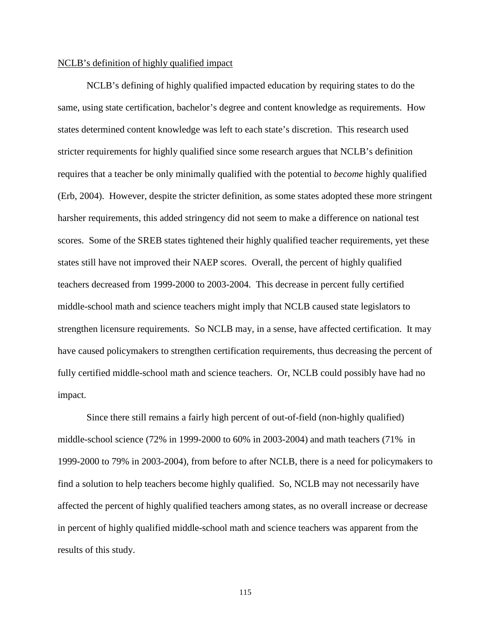#### NCLB's definition of highly qualified impact

 NCLB's defining of highly qualified impacted education by requiring states to do the same, using state certification, bachelor's degree and content knowledge as requirements. How states determined content knowledge was left to each state's discretion. This research used stricter requirements for highly qualified since some research argues that NCLB's definition requires that a teacher be only minimally qualified with the potential to *become* highly qualified (Erb, 2004). However, despite the stricter definition, as some states adopted these more stringent harsher requirements, this added stringency did not seem to make a difference on national test scores. Some of the SREB states tightened their highly qualified teacher requirements, yet these states still have not improved their NAEP scores. Overall, the percent of highly qualified teachers decreased from 1999-2000 to 2003-2004. This decrease in percent fully certified middle-school math and science teachers might imply that NCLB caused state legislators to strengthen licensure requirements. So NCLB may, in a sense, have affected certification. It may have caused policymakers to strengthen certification requirements, thus decreasing the percent of fully certified middle-school math and science teachers. Or, NCLB could possibly have had no impact.

Since there still remains a fairly high percent of out-of-field (non-highly qualified) middle-school science (72% in 1999-2000 to 60% in 2003-2004) and math teachers (71% in 1999-2000 to 79% in 2003-2004), from before to after NCLB, there is a need for policymakers to find a solution to help teachers become highly qualified. So, NCLB may not necessarily have affected the percent of highly qualified teachers among states, as no overall increase or decrease in percent of highly qualified middle-school math and science teachers was apparent from the results of this study.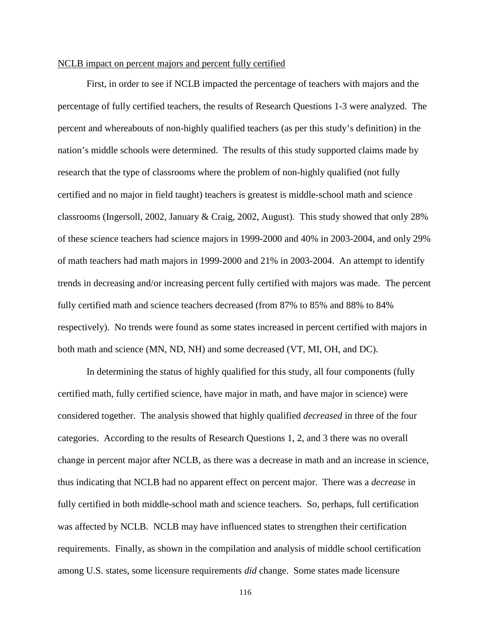# NCLB impact on percent majors and percent fully certified

First, in order to see if NCLB impacted the percentage of teachers with majors and the percentage of fully certified teachers, the results of Research Questions 1-3 were analyzed. The percent and whereabouts of non-highly qualified teachers (as per this study's definition) in the nation's middle schools were determined. The results of this study supported claims made by research that the type of classrooms where the problem of non-highly qualified (not fully certified and no major in field taught) teachers is greatest is middle-school math and science classrooms (Ingersoll, 2002, January & Craig, 2002, August). This study showed that only 28% of these science teachers had science majors in 1999-2000 and 40% in 2003-2004, and only 29% of math teachers had math majors in 1999-2000 and 21% in 2003-2004. An attempt to identify trends in decreasing and/or increasing percent fully certified with majors was made. The percent fully certified math and science teachers decreased (from 87% to 85% and 88% to 84% respectively). No trends were found as some states increased in percent certified with majors in both math and science (MN, ND, NH) and some decreased (VT, MI, OH, and DC).

In determining the status of highly qualified for this study, all four components (fully certified math, fully certified science, have major in math, and have major in science) were considered together. The analysis showed that highly qualified *decreased* in three of the four categories. According to the results of Research Questions 1, 2, and 3 there was no overall change in percent major after NCLB, as there was a decrease in math and an increase in science, thus indicating that NCLB had no apparent effect on percent major. There was a *decrease* in fully certified in both middle-school math and science teachers. So, perhaps, full certification was affected by NCLB. NCLB may have influenced states to strengthen their certification requirements. Finally, as shown in the compilation and analysis of middle school certification among U.S. states, some licensure requirements *did* change. Some states made licensure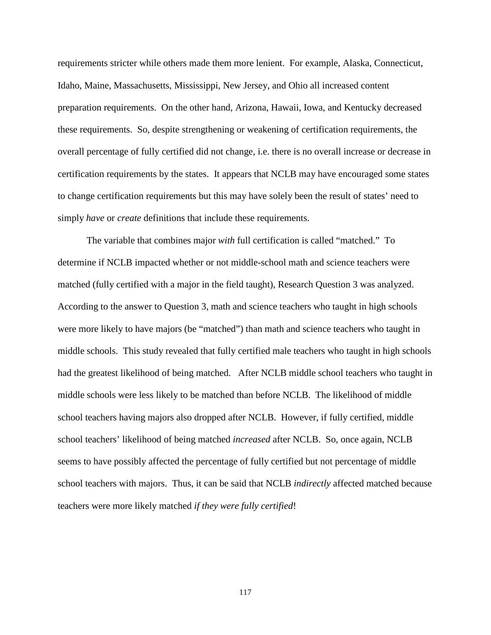requirements stricter while others made them more lenient. For example, Alaska, Connecticut, Idaho, Maine, Massachusetts, Mississippi, New Jersey, and Ohio all increased content preparation requirements. On the other hand, Arizona, Hawaii, Iowa, and Kentucky decreased these requirements. So, despite strengthening or weakening of certification requirements, the overall percentage of fully certified did not change, i.e. there is no overall increase or decrease in certification requirements by the states. It appears that NCLB may have encouraged some states to change certification requirements but this may have solely been the result of states' need to simply *have* or *create* definitions that include these requirements.

 The variable that combines major *with* full certification is called "matched." To determine if NCLB impacted whether or not middle-school math and science teachers were matched (fully certified with a major in the field taught), Research Question 3 was analyzed. According to the answer to Question 3, math and science teachers who taught in high schools were more likely to have majors (be "matched") than math and science teachers who taught in middle schools. This study revealed that fully certified male teachers who taught in high schools had the greatest likelihood of being matched. After NCLB middle school teachers who taught in middle schools were less likely to be matched than before NCLB. The likelihood of middle school teachers having majors also dropped after NCLB. However, if fully certified, middle school teachers' likelihood of being matched *increased* after NCLB. So, once again, NCLB seems to have possibly affected the percentage of fully certified but not percentage of middle school teachers with majors. Thus, it can be said that NCLB *indirectly* affected matched because teachers were more likely matched *if they were fully certified*!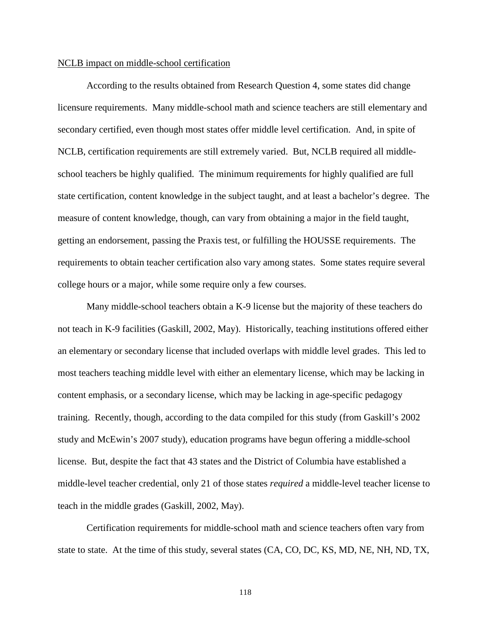#### NCLB impact on middle-school certification

According to the results obtained from Research Question 4, some states did change licensure requirements. Many middle-school math and science teachers are still elementary and secondary certified, even though most states offer middle level certification. And, in spite of NCLB, certification requirements are still extremely varied. But, NCLB required all middleschool teachers be highly qualified. The minimum requirements for highly qualified are full state certification, content knowledge in the subject taught, and at least a bachelor's degree. The measure of content knowledge, though, can vary from obtaining a major in the field taught, getting an endorsement, passing the Praxis test, or fulfilling the HOUSSE requirements. The requirements to obtain teacher certification also vary among states. Some states require several college hours or a major, while some require only a few courses.

 Many middle-school teachers obtain a K-9 license but the majority of these teachers do not teach in K-9 facilities (Gaskill, 2002, May). Historically, teaching institutions offered either an elementary or secondary license that included overlaps with middle level grades. This led to most teachers teaching middle level with either an elementary license, which may be lacking in content emphasis, or a secondary license, which may be lacking in age-specific pedagogy training. Recently, though, according to the data compiled for this study (from Gaskill's 2002 study and McEwin's 2007 study), education programs have begun offering a middle-school license. But, despite the fact that 43 states and the District of Columbia have established a middle-level teacher credential, only 21 of those states *required* a middle-level teacher license to teach in the middle grades (Gaskill, 2002, May).

Certification requirements for middle-school math and science teachers often vary from state to state. At the time of this study, several states (CA, CO, DC, KS, MD, NE, NH, ND, TX,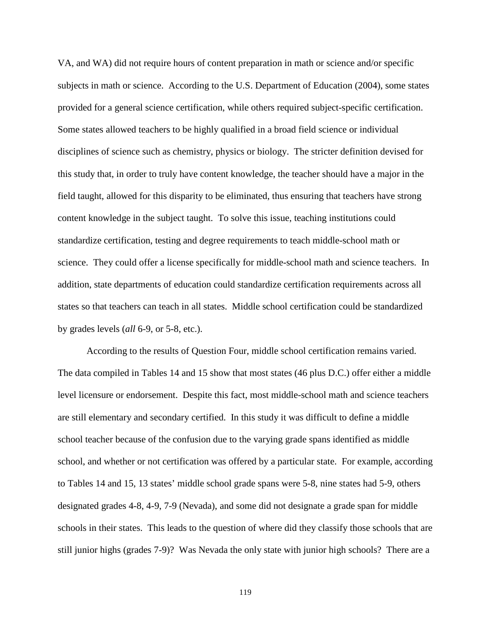VA, and WA) did not require hours of content preparation in math or science and/or specific subjects in math or science. According to the U.S. Department of Education (2004), some states provided for a general science certification, while others required subject-specific certification. Some states allowed teachers to be highly qualified in a broad field science or individual disciplines of science such as chemistry, physics or biology. The stricter definition devised for this study that, in order to truly have content knowledge, the teacher should have a major in the field taught, allowed for this disparity to be eliminated, thus ensuring that teachers have strong content knowledge in the subject taught. To solve this issue, teaching institutions could standardize certification, testing and degree requirements to teach middle-school math or science. They could offer a license specifically for middle-school math and science teachers. In addition, state departments of education could standardize certification requirements across all states so that teachers can teach in all states. Middle school certification could be standardized by grades levels (*all* 6-9, or 5-8, etc.).

According to the results of Question Four, middle school certification remains varied. The data compiled in Tables 14 and 15 show that most states (46 plus D.C.) offer either a middle level licensure or endorsement. Despite this fact, most middle-school math and science teachers are still elementary and secondary certified. In this study it was difficult to define a middle school teacher because of the confusion due to the varying grade spans identified as middle school, and whether or not certification was offered by a particular state. For example, according to Tables 14 and 15, 13 states' middle school grade spans were 5-8, nine states had 5-9, others designated grades 4-8, 4-9, 7-9 (Nevada), and some did not designate a grade span for middle schools in their states. This leads to the question of where did they classify those schools that are still junior highs (grades 7-9)? Was Nevada the only state with junior high schools? There are a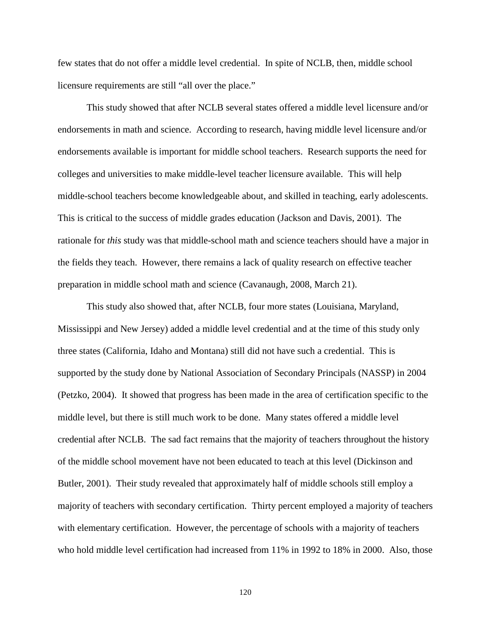few states that do not offer a middle level credential. In spite of NCLB, then, middle school licensure requirements are still "all over the place."

This study showed that after NCLB several states offered a middle level licensure and/or endorsements in math and science. According to research, having middle level licensure and/or endorsements available is important for middle school teachers. Research supports the need for colleges and universities to make middle-level teacher licensure available. This will help middle-school teachers become knowledgeable about, and skilled in teaching, early adolescents. This is critical to the success of middle grades education (Jackson and Davis, 2001). The rationale for *this* study was that middle-school math and science teachers should have a major in the fields they teach. However, there remains a lack of quality research on effective teacher preparation in middle school math and science (Cavanaugh, 2008, March 21).

This study also showed that, after NCLB, four more states (Louisiana, Maryland, Mississippi and New Jersey) added a middle level credential and at the time of this study only three states (California, Idaho and Montana) still did not have such a credential. This is supported by the study done by National Association of Secondary Principals (NASSP) in 2004 (Petzko, 2004). It showed that progress has been made in the area of certification specific to the middle level, but there is still much work to be done. Many states offered a middle level credential after NCLB. The sad fact remains that the majority of teachers throughout the history of the middle school movement have not been educated to teach at this level (Dickinson and Butler, 2001). Their study revealed that approximately half of middle schools still employ a majority of teachers with secondary certification. Thirty percent employed a majority of teachers with elementary certification. However, the percentage of schools with a majority of teachers who hold middle level certification had increased from 11% in 1992 to 18% in 2000. Also, those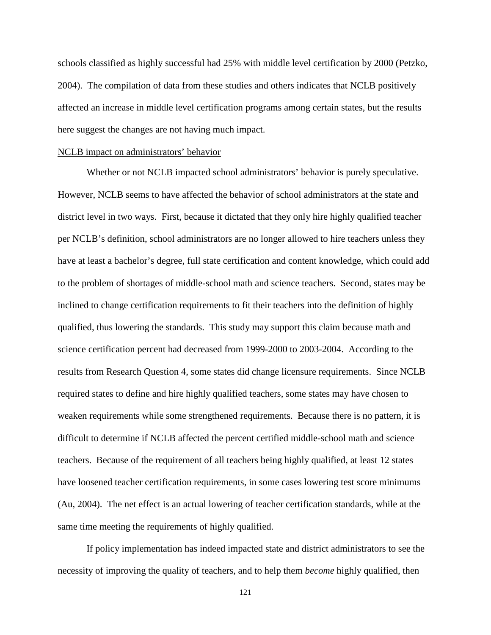schools classified as highly successful had 25% with middle level certification by 2000 (Petzko, 2004). The compilation of data from these studies and others indicates that NCLB positively affected an increase in middle level certification programs among certain states, but the results here suggest the changes are not having much impact.

#### NCLB impact on administrators' behavior

Whether or not NCLB impacted school administrators' behavior is purely speculative. However, NCLB seems to have affected the behavior of school administrators at the state and district level in two ways. First, because it dictated that they only hire highly qualified teacher per NCLB's definition, school administrators are no longer allowed to hire teachers unless they have at least a bachelor's degree, full state certification and content knowledge, which could add to the problem of shortages of middle-school math and science teachers. Second, states may be inclined to change certification requirements to fit their teachers into the definition of highly qualified, thus lowering the standards. This study may support this claim because math and science certification percent had decreased from 1999-2000 to 2003-2004. According to the results from Research Question 4, some states did change licensure requirements. Since NCLB required states to define and hire highly qualified teachers, some states may have chosen to weaken requirements while some strengthened requirements. Because there is no pattern, it is difficult to determine if NCLB affected the percent certified middle-school math and science teachers. Because of the requirement of all teachers being highly qualified, at least 12 states have loosened teacher certification requirements, in some cases lowering test score minimums (Au, 2004). The net effect is an actual lowering of teacher certification standards, while at the same time meeting the requirements of highly qualified.

 If policy implementation has indeed impacted state and district administrators to see the necessity of improving the quality of teachers, and to help them *become* highly qualified, then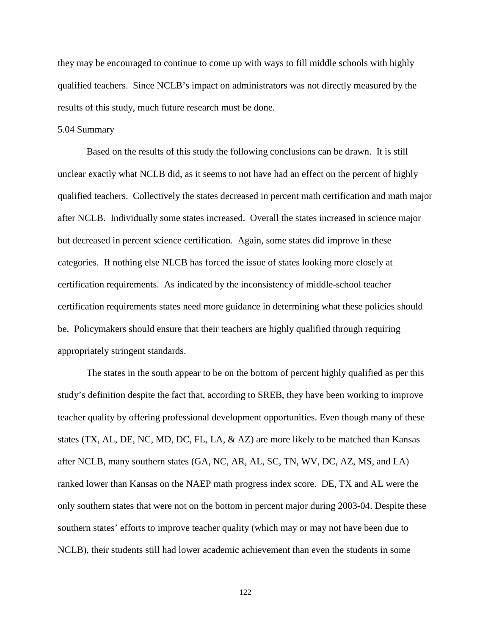they may be encouraged to continue to come up with ways to fill middle schools with highly qualified teachers. Since NCLB's impact on administrators was not directly measured by the results of this study, much future research must be done.

# 5.04 Summary

 Based on the results of this study the following conclusions can be drawn. It is still unclear exactly what NCLB did, as it seems to not have had an effect on the percent of highly qualified teachers. Collectively the states decreased in percent math certification and math major after NCLB. Individually some states increased. Overall the states increased in science major but decreased in percent science certification. Again, some states did improve in these categories. If nothing else NLCB has forced the issue of states looking more closely at certification requirements. As indicated by the inconsistency of middle-school teacher certification requirements states need more guidance in determining what these policies should be. Policymakers should ensure that their teachers are highly qualified through requiring appropriately stringent standards.

 The states in the south appear to be on the bottom of percent highly qualified as per this study's definition despite the fact that, according to SREB, they have been working to improve teacher quality by offering professional development opportunities. Even though many of these states (TX, AL, DE, NC, MD, DC, FL, LA, & AZ) are more likely to be matched than Kansas after NCLB, many southern states (GA, NC, AR, AL, SC, TN, WV, DC, AZ, MS, and LA) ranked lower than Kansas on the NAEP math progress index score. DE, TX and AL were the only southern states that were not on the bottom in percent major during 2003-04. Despite these southern states' efforts to improve teacher quality (which may or may not have been due to NCLB), their students still had lower academic achievement than even the students in some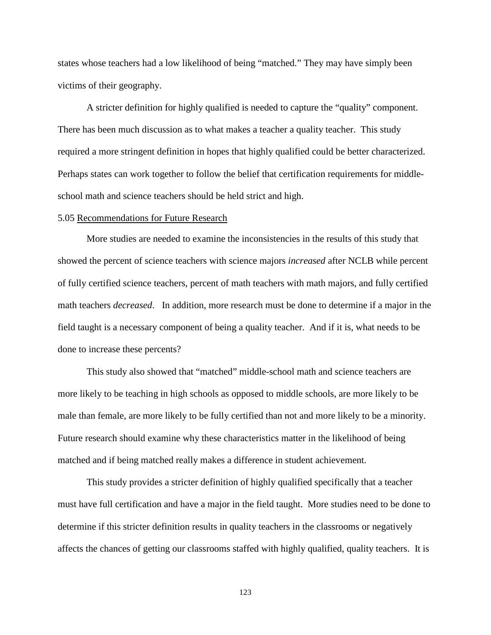states whose teachers had a low likelihood of being "matched." They may have simply been victims of their geography.

 A stricter definition for highly qualified is needed to capture the "quality" component. There has been much discussion as to what makes a teacher a quality teacher. This study required a more stringent definition in hopes that highly qualified could be better characterized. Perhaps states can work together to follow the belief that certification requirements for middleschool math and science teachers should be held strict and high.

# 5.05 Recommendations for Future Research

 More studies are needed to examine the inconsistencies in the results of this study that showed the percent of science teachers with science majors *increased* after NCLB while percent of fully certified science teachers, percent of math teachers with math majors, and fully certified math teachers *decreased*. In addition, more research must be done to determine if a major in the field taught is a necessary component of being a quality teacher. And if it is, what needs to be done to increase these percents?

This study also showed that "matched" middle-school math and science teachers are more likely to be teaching in high schools as opposed to middle schools, are more likely to be male than female, are more likely to be fully certified than not and more likely to be a minority. Future research should examine why these characteristics matter in the likelihood of being matched and if being matched really makes a difference in student achievement.

This study provides a stricter definition of highly qualified specifically that a teacher must have full certification and have a major in the field taught. More studies need to be done to determine if this stricter definition results in quality teachers in the classrooms or negatively affects the chances of getting our classrooms staffed with highly qualified, quality teachers. It is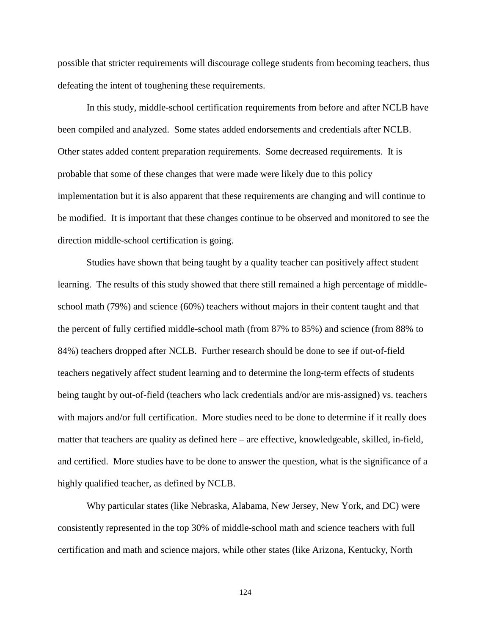possible that stricter requirements will discourage college students from becoming teachers, thus defeating the intent of toughening these requirements.

In this study, middle-school certification requirements from before and after NCLB have been compiled and analyzed. Some states added endorsements and credentials after NCLB. Other states added content preparation requirements. Some decreased requirements. It is probable that some of these changes that were made were likely due to this policy implementation but it is also apparent that these requirements are changing and will continue to be modified. It is important that these changes continue to be observed and monitored to see the direction middle-school certification is going.

Studies have shown that being taught by a quality teacher can positively affect student learning. The results of this study showed that there still remained a high percentage of middleschool math (79%) and science (60%) teachers without majors in their content taught and that the percent of fully certified middle-school math (from 87% to 85%) and science (from 88% to 84%) teachers dropped after NCLB. Further research should be done to see if out-of-field teachers negatively affect student learning and to determine the long-term effects of students being taught by out-of-field (teachers who lack credentials and/or are mis-assigned) vs. teachers with majors and/or full certification. More studies need to be done to determine if it really does matter that teachers are quality as defined here – are effective, knowledgeable, skilled, in-field, and certified. More studies have to be done to answer the question, what is the significance of a highly qualified teacher, as defined by NCLB.

 Why particular states (like Nebraska, Alabama, New Jersey, New York, and DC) were consistently represented in the top 30% of middle-school math and science teachers with full certification and math and science majors, while other states (like Arizona, Kentucky, North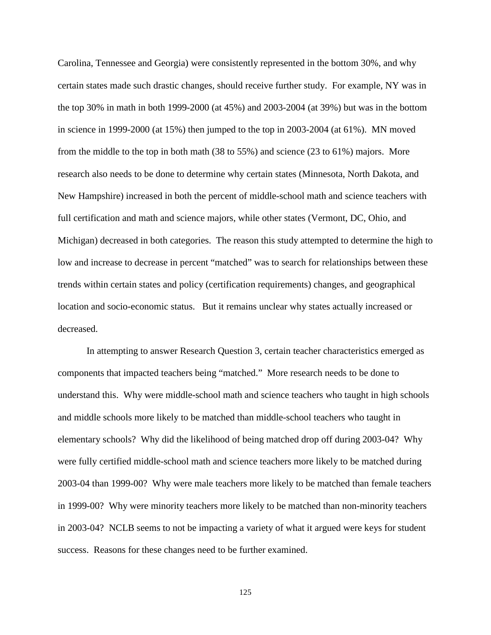Carolina, Tennessee and Georgia) were consistently represented in the bottom 30%, and why certain states made such drastic changes, should receive further study. For example, NY was in the top 30% in math in both 1999-2000 (at 45%) and 2003-2004 (at 39%) but was in the bottom in science in 1999-2000 (at 15%) then jumped to the top in 2003-2004 (at 61%). MN moved from the middle to the top in both math (38 to 55%) and science (23 to 61%) majors. More research also needs to be done to determine why certain states (Minnesota, North Dakota, and New Hampshire) increased in both the percent of middle-school math and science teachers with full certification and math and science majors, while other states (Vermont, DC, Ohio, and Michigan) decreased in both categories. The reason this study attempted to determine the high to low and increase to decrease in percent "matched" was to search for relationships between these trends within certain states and policy (certification requirements) changes, and geographical location and socio-economic status. But it remains unclear why states actually increased or decreased.

 In attempting to answer Research Question 3, certain teacher characteristics emerged as components that impacted teachers being "matched." More research needs to be done to understand this. Why were middle-school math and science teachers who taught in high schools and middle schools more likely to be matched than middle-school teachers who taught in elementary schools? Why did the likelihood of being matched drop off during 2003-04? Why were fully certified middle-school math and science teachers more likely to be matched during 2003-04 than 1999-00? Why were male teachers more likely to be matched than female teachers in 1999-00? Why were minority teachers more likely to be matched than non-minority teachers in 2003-04? NCLB seems to not be impacting a variety of what it argued were keys for student success. Reasons for these changes need to be further examined.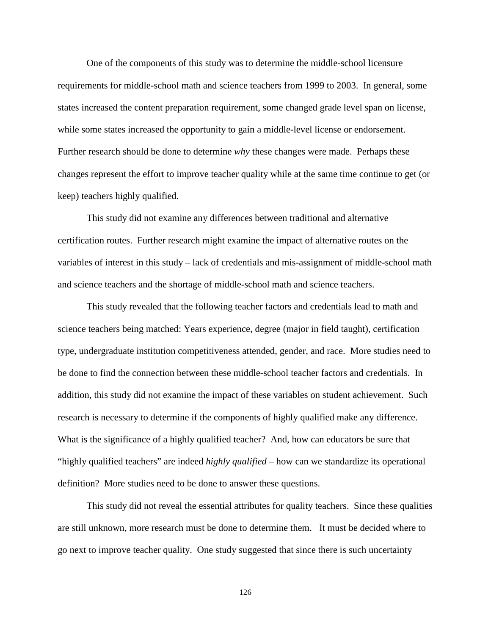One of the components of this study was to determine the middle-school licensure requirements for middle-school math and science teachers from 1999 to 2003. In general, some states increased the content preparation requirement, some changed grade level span on license, while some states increased the opportunity to gain a middle-level license or endorsement. Further research should be done to determine *why* these changes were made. Perhaps these changes represent the effort to improve teacher quality while at the same time continue to get (or keep) teachers highly qualified.

 This study did not examine any differences between traditional and alternative certification routes. Further research might examine the impact of alternative routes on the variables of interest in this study – lack of credentials and mis-assignment of middle-school math and science teachers and the shortage of middle-school math and science teachers.

 This study revealed that the following teacher factors and credentials lead to math and science teachers being matched: Years experience, degree (major in field taught), certification type, undergraduate institution competitiveness attended, gender, and race. More studies need to be done to find the connection between these middle-school teacher factors and credentials. In addition, this study did not examine the impact of these variables on student achievement. Such research is necessary to determine if the components of highly qualified make any difference. What is the significance of a highly qualified teacher? And, how can educators be sure that "highly qualified teachers" are indeed *highly qualified* – how can we standardize its operational definition? More studies need to be done to answer these questions.

 This study did not reveal the essential attributes for quality teachers. Since these qualities are still unknown, more research must be done to determine them. It must be decided where to go next to improve teacher quality. One study suggested that since there is such uncertainty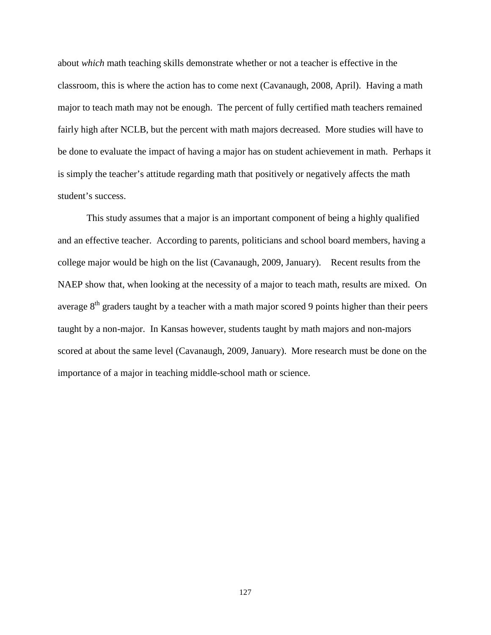about *which* math teaching skills demonstrate whether or not a teacher is effective in the classroom, this is where the action has to come next (Cavanaugh, 2008, April). Having a math major to teach math may not be enough. The percent of fully certified math teachers remained fairly high after NCLB, but the percent with math majors decreased. More studies will have to be done to evaluate the impact of having a major has on student achievement in math. Perhaps it is simply the teacher's attitude regarding math that positively or negatively affects the math student's success.

 This study assumes that a major is an important component of being a highly qualified and an effective teacher. According to parents, politicians and school board members, having a college major would be high on the list (Cavanaugh, 2009, January). Recent results from the NAEP show that, when looking at the necessity of a major to teach math, results are mixed. On average  $8<sup>th</sup>$  graders taught by a teacher with a math major scored 9 points higher than their peers taught by a non-major. In Kansas however, students taught by math majors and non-majors scored at about the same level (Cavanaugh, 2009, January). More research must be done on the importance of a major in teaching middle-school math or science.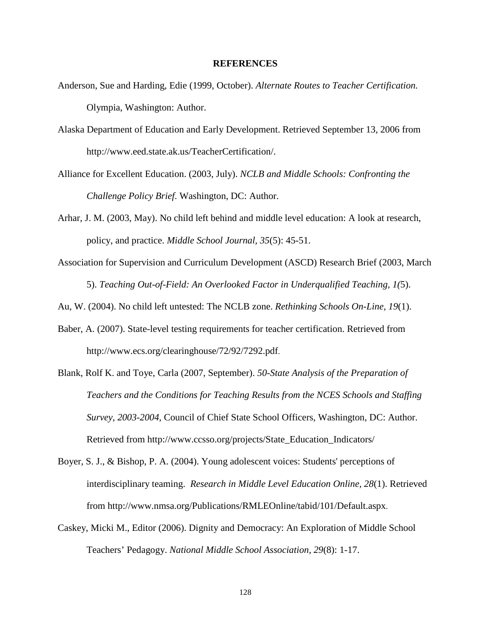### **REFERENCES**

- Anderson, Sue and Harding, Edie (1999, October). *Alternate Routes to Teacher Certification.* Olympia, Washington: Author.
- Alaska Department of Education and Early Development. Retrieved September 13, 2006 from http://www.eed.state.ak.us/TeacherCertification/.
- Alliance for Excellent Education. (2003, July). *NCLB and Middle Schools: Confronting the Challenge Policy Brief*. Washington, DC: Author.
- Arhar, J. M. (2003, May). No child left behind and middle level education: A look at research, policy, and practice. *Middle School Journal, 35*(5): 45-51.
- Association for Supervision and Curriculum Development (ASCD) Research Brief (2003, March 5). *Teaching Out-of-Field: An Overlooked Factor in Underqualified Teaching, 1(*5).

Au, W. (2004). No child left untested: The NCLB zone. *Rethinking Schools On-Line, 19*(1).

- Baber, A. (2007). State-level testing requirements for teacher certification. Retrieved from http://www.ecs.org/clearinghouse/72/92/7292.pdf.
- Blank, Rolf K. and Toye, Carla (2007, September). *50-State Analysis of the Preparation of Teachers and the Conditions for Teaching Results from the NCES Schools and Staffing Survey, 2003-2004,* Council of Chief State School Officers*,* Washington, DC: Author. Retrieved from http://www.ccsso.org/projects/State\_Education\_Indicators/
- Boyer, S. J., & Bishop, P. A. (2004). Young adolescent voices: Students' perceptions of interdisciplinary teaming. *Research in Middle Level Education Online, 28*(1). Retrieved from http://www.nmsa.org/Publications/RMLEOnline/tabid/101/Default.aspx.
- Caskey, Micki M., Editor (2006). Dignity and Democracy: An Exploration of Middle School Teachers' Pedagogy. *National Middle School Association, 29*(8): 1-17.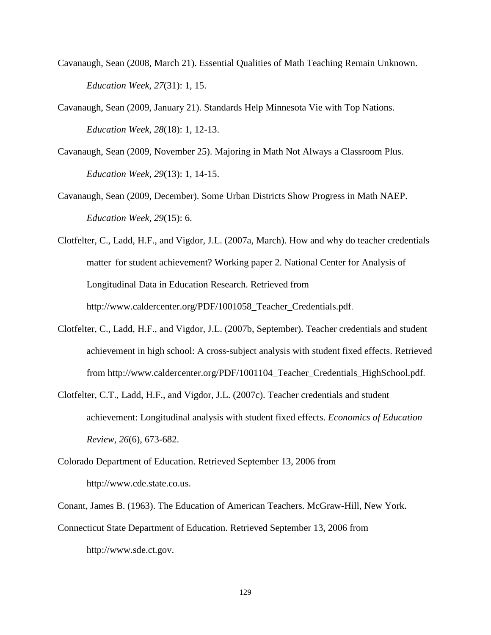- Cavanaugh, Sean (2008, March 21). Essential Qualities of Math Teaching Remain Unknown. *Education Week, 27*(31): 1, 15.
- Cavanaugh, Sean (2009, January 21). Standards Help Minnesota Vie with Top Nations. *Education Week, 28*(18): 1, 12-13.
- Cavanaugh, Sean (2009, November 25). Majoring in Math Not Always a Classroom Plus. *Education Week, 29*(13): 1, 14-15.
- Cavanaugh, Sean (2009, December). Some Urban Districts Show Progress in Math NAEP. *Education Week, 29*(15): 6.
- Clotfelter, C., Ladd, H.F., and Vigdor, J.L. (2007a, March). How and why do teacher credentials matter for student achievement? Working paper 2. National Center for Analysis of Longitudinal Data in Education Research. Retrieved from http://www.caldercenter.org/PDF/1001058\_Teacher\_Credentials.pdf.
- Clotfelter, C., Ladd, H.F., and Vigdor, J.L. (2007b, September). Teacher credentials and student achievement in high school: A cross-subject analysis with student fixed effects. Retrieved from http://www.caldercenter.org/PDF/1001104\_Teacher\_Credentials\_HighSchool.pdf.
- Clotfelter, C.T., Ladd, H.F., and Vigdor, J.L. (2007c). Teacher credentials and student achievement: Longitudinal analysis with student fixed effects. *Economics of Education Review*, *26*(6), 673-682.
- Colorado Department of Education. Retrieved September 13, 2006 from http://www.cde.state.co.us.
- Conant, James B. (1963). The Education of American Teachers. McGraw-Hill, New York.
- Connecticut State Department of Education. Retrieved September 13, 2006 from

http://www.sde.ct.gov.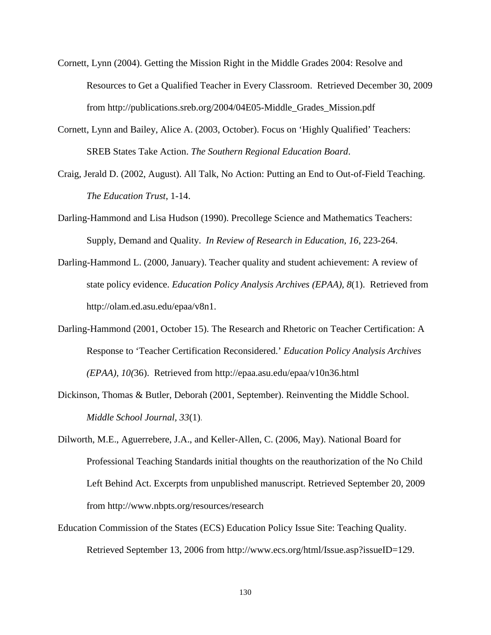- Cornett, Lynn (2004). Getting the Mission Right in the Middle Grades 2004: Resolve and Resources to Get a Qualified Teacher in Every Classroom. Retrieved December 30, 2009 from http://publications.sreb.org/2004/04E05-Middle\_Grades\_Mission.pdf
- Cornett, Lynn and Bailey, Alice A. (2003, October). Focus on 'Highly Qualified' Teachers: SREB States Take Action. *The Southern Regional Education Board*.
- Craig, Jerald D. (2002, August). All Talk, No Action: Putting an End to Out-of-Field Teaching. *The Education Trust*, 1-14.
- Darling-Hammond and Lisa Hudson (1990). Precollege Science and Mathematics Teachers: Supply, Demand and Quality. *In Review of Research in Education, 16*, 223-264.
- Darling-Hammond L. (2000, January). Teacher quality and student achievement: A review of state policy evidence. *Education Policy Analysis Archives (EPAA), 8*(1). Retrieved from http://olam.ed.asu.edu/epaa/v8n1.
- Darling-Hammond (2001, October 15). The Research and Rhetoric on Teacher Certification: A Response to 'Teacher Certification Reconsidered.' *Education Policy Analysis Archives (EPAA), 10(*36). Retrieved from http://epaa.asu.edu/epaa/v10n36.html
- Dickinson, Thomas & Butler, Deborah (2001, September). Reinventing the Middle School. *Middle School Journal, 33*(1).
- Dilworth, M.E., Aguerrebere, J.A., and Keller-Allen, C. (2006, May). National Board for Professional Teaching Standards initial thoughts on the reauthorization of the No Child Left Behind Act. Excerpts from unpublished manuscript. Retrieved September 20, 2009 from http://www.nbpts.org/resources/research
- Education Commission of the States (ECS) Education Policy Issue Site: Teaching Quality. Retrieved September 13, 2006 from http://www.ecs.org/html/Issue.asp?issueID=129.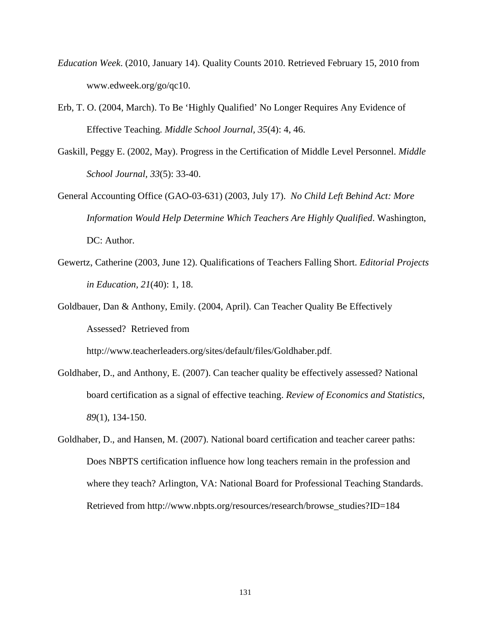- *Education Week*. (2010, January 14). Quality Counts 2010. Retrieved February 15, 2010 from www.edweek.org/go/qc10.
- Erb, T. O. (2004, March). To Be 'Highly Qualified' No Longer Requires Any Evidence of Effective Teaching. *Middle School Journal, 35*(4): 4, 46.
- Gaskill, Peggy E. (2002, May). Progress in the Certification of Middle Level Personnel. *Middle School Journal, 33*(5): 33-40.
- General Accounting Office (GAO-03-631) (2003, July 17). *No Child Left Behind Act: More Information Would Help Determine Which Teachers Are Highly Qualified*. Washington, DC: Author.
- Gewertz, Catherine (2003, June 12). Qualifications of Teachers Falling Short. *Editorial Projects in Education, 21*(40): 1, 18.
- Goldbauer, Dan & Anthony, Emily. (2004, April). Can Teacher Quality Be Effectively Assessed? Retrieved from

http://www.teacherleaders.org/sites/default/files/Goldhaber.pdf.

- Goldhaber, D., and Anthony, E. (2007). Can teacher quality be effectively assessed? National board certification as a signal of effective teaching. *Review of Economics and Statistics*, *89*(1), 134-150.
- Goldhaber, D., and Hansen, M. (2007). National board certification and teacher career paths: Does NBPTS certification influence how long teachers remain in the profession and where they teach? Arlington, VA: National Board for Professional Teaching Standards. Retrieved from http://www.nbpts.org/resources/research/browse\_studies?ID=184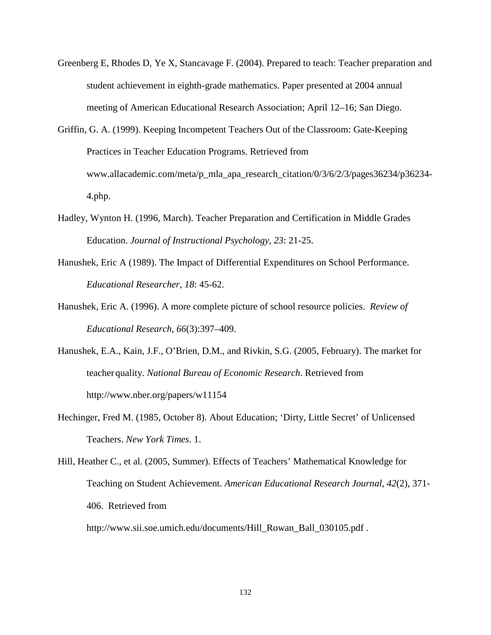- Greenberg E, Rhodes D, Ye X, Stancavage F. (2004). Prepared to teach: Teacher preparation and student achievement in eighth-grade mathematics. Paper presented at 2004 annual meeting of American Educational Research Association; April 12–16; San Diego.
- Griffin, G. A. (1999). Keeping Incompetent Teachers Out of the Classroom: Gate-Keeping Practices in Teacher Education Programs. Retrieved from www.allacademic.com/meta/p\_mla\_apa\_research\_citation/0/3/6/2/3/pages36234/p36234- 4.php.
- Hadley, Wynton H. (1996, March). Teacher Preparation and Certification in Middle Grades Education. *Journal of Instructional Psychology, 23*: 21-25.
- Hanushek, Eric A (1989). The Impact of Differential Expenditures on School Performance. *Educational Researcher*, *18*: 45-62.
- Hanushek, Eric A. (1996). A more complete picture of school resource policies. *Review of Educational Research*, *66*(3):397–409.
- Hanushek, E.A., Kain, J.F., O'Brien, D.M., and Rivkin, S.G. (2005, February). The market for teacher quality. *National Bureau of Economic Research*. Retrieved from http://www.nber.org/papers/w11154
- Hechinger, Fred M. (1985, October 8). About Education; 'Dirty, Little Secret' of Unlicensed Teachers. *New York Times*. 1.

Hill, Heather C., et al. (2005, Summer). Effects of Teachers' Mathematical Knowledge for Teaching on Student Achievement*. American Educational Research Journal*, *42*(2), 371- 406. Retrieved from

http://www.sii.soe.umich.edu/documents/Hill\_Rowan\_Ball\_030105.pdf .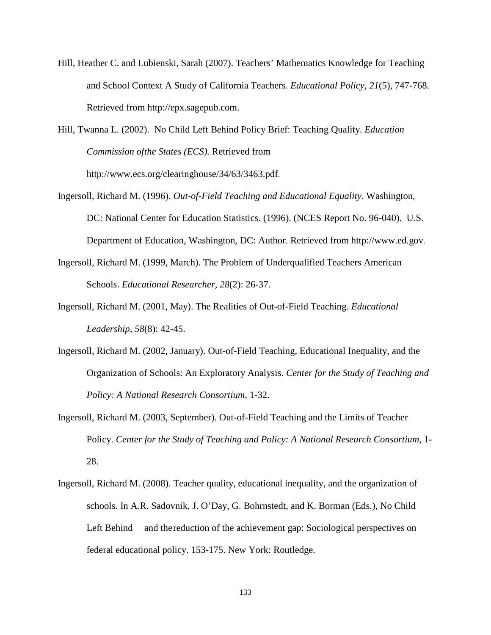Hill, Heather C. and Lubienski, Sarah (2007). Teachers' Mathematics Knowledge for Teaching and School Context A Study of California Teachers. *Educational Policy*, *21*(5), 747-768. Retrieved from http://epx.sagepub.com.

Hill, Twanna L. (2002). No Child Left Behind Policy Brief: Teaching Quality. *Education Commission of the States (ECS).* Retrieved from http://www.ecs.org/clearinghouse/34/63/3463.pdf.

- Ingersoll, Richard M. (1996). *Out-of-Field Teaching and Educational Equality*. Washington, DC: National Center for Education Statistics. (1996). (NCES Report No. 96-040). U.S. Department of Education, Washington, DC: Author. Retrieved from http://www.ed.gov.
- Ingersoll, Richard M. (1999, March). The Problem of Underqualified Teachers American Schools. *Educational Researcher, 28*(2): 26-37.
- Ingersoll, Richard M. (2001, May). The Realities of Out-of-Field Teaching. *Educational Leadership, 58*(8): 42-45.
- Ingersoll, Richard M. (2002, January). Out-of-Field Teaching, Educational Inequality, and the Organization of Schools: An Exploratory Analysis. *Center for the Study of Teaching and Policy: A National Research Consortium,* 1-32.
- Ingersoll, Richard M. (2003, September). Out-of-Field Teaching and the Limits of Teacher Policy. *Center for the Study of Teaching and Policy: A National Research Consortium*, 1- 28.
- Ingersoll, Richard M. (2008). Teacher quality, educational inequality, and the organization of schools. In A.R. Sadovnik, J. O'Day, G. Bohrnstedt, and K. Borman (Eds.), No Child Left Behind and the reduction of the achievement gap: Sociological perspectives on federal educational policy. 153-175. New York: Routledge.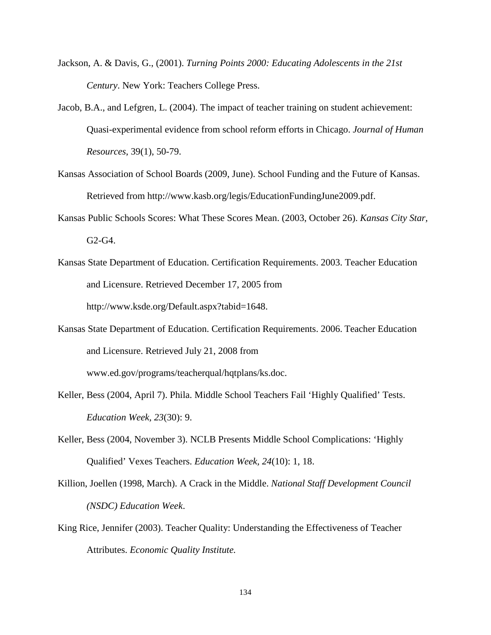- Jackson, A. & Davis, G., (2001). *Turning Points 2000: Educating Adolescents in the 21st Century*. New York: Teachers College Press.
- Jacob, B.A., and Lefgren, L. (2004). The impact of teacher training on student achievement: Quasi-experimental evidence from school reform efforts in Chicago. *Journal of Human Resources*, 39(1), 50-79.
- Kansas Association of School Boards (2009, June). School Funding and the Future of Kansas. Retrieved from http://www.kasb.org/legis/EducationFundingJune2009.pdf.
- Kansas Public Schools Scores: What These Scores Mean. (2003, October 26). *Kansas City Star,*  G2-G4.
- Kansas State Department of Education. Certification Requirements. 2003. Teacher Education and Licensure. Retrieved December 17, 2005 from http://www.ksde.org/Default.aspx?tabid=1648.
- Kansas State Department of Education. Certification Requirements. 2006. Teacher Education and Licensure. Retrieved July 21, 2008 from www.ed.gov/programs/teacherqual/hqtplans/ks.doc.
- Keller, Bess (2004, April 7). Phila. Middle School Teachers Fail 'Highly Qualified' Tests.  *Education Week, 23*(30): 9.
- Keller, Bess (2004, November 3). NCLB Presents Middle School Complications: 'Highly Qualified' Vexes Teachers. *Education Week, 24*(10): 1, 18.
- Killion, Joellen (1998, March). A Crack in the Middle. *National Staff Development Council (NSDC) Education Week*.
- King Rice, Jennifer (2003). Teacher Quality: Understanding the Effectiveness of Teacher Attributes. *Economic Quality Institute.*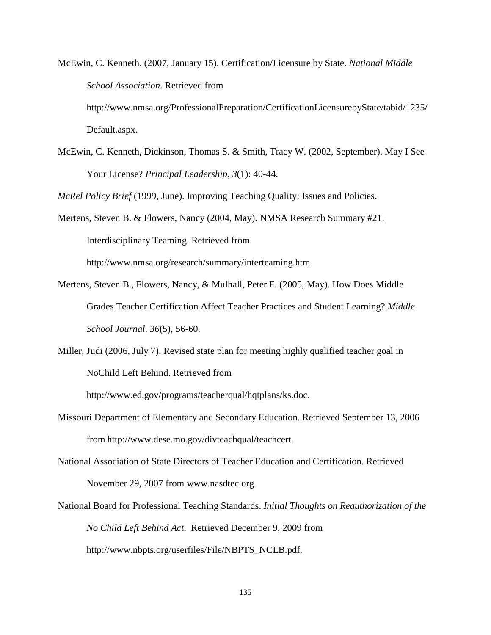McEwin, C. Kenneth. (2007, January 15). Certification/Licensure by State. *National Middle School Association*. Retrieved from http://www.nmsa.org/ProfessionalPreparation/CertificationLicensurebyState/tabid/1235/

Default.aspx.

McEwin, C. Kenneth, Dickinson, Thomas S. & Smith, Tracy W. (2002, September). May I See Your License? *Principal Leadership, 3*(1): 40-44.

*McRel Policy Brief* (1999, June). Improving Teaching Quality: Issues and Policies.

- Mertens, Steven B. & Flowers, Nancy (2004, May). NMSA Research Summary #21. Interdisciplinary Teaming. Retrieved from http://www.nmsa.org/research/summary/interteaming.htm.
- Mertens, Steven B., Flowers, Nancy, & Mulhall, Peter F. (2005, May). How Does Middle Grades Teacher Certification Affect Teacher Practices and Student Learning? *Middle School Journal*. *36*(5), 56-60.
- Miller, Judi (2006, July 7). Revised state plan for meeting highly qualified teacher goal in NoChild Left Behind. Retrieved from

http://www.ed.gov/programs/teacherqual/hqtplans/ks.doc.

- Missouri Department of Elementary and Secondary Education. Retrieved September 13, 2006 from http://www.dese.mo.gov/divteachqual/teachcert.
- National Association of State Directors of Teacher Education and Certification. Retrieved November 29, 2007 from www.nasdtec.org.
- National Board for Professional Teaching Standards. *Initial Thoughts on Reauthorization of the No Child Left Behind Act*.Retrieved December 9, 2009 from http://www.nbpts.org/userfiles/File/NBPTS\_NCLB.pdf.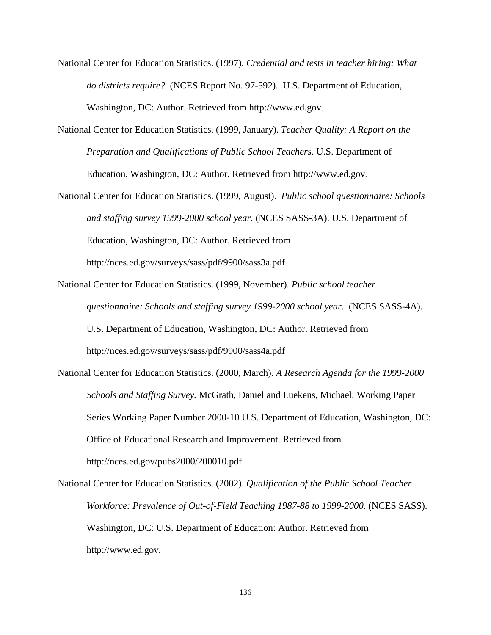- National Center for Education Statistics. (1997). *Credential and tests in teacher hiring: What do districts require?* (NCES Report No. 97-592). U.S. Department of Education, Washington, DC: Author. Retrieved from http://www.ed.gov.
- National Center for Education Statistics. (1999, January). *Teacher Quality: A Report on the Preparation and Qualifications of Public School Teachers.* U.S. Department of Education, Washington, DC: Author. Retrieved from http://www.ed.gov.
- National Center for Education Statistics. (1999, August). *Public school questionnaire: Schools and staffing survey 1999-2000 school year.* (NCES SASS-3A). U.S. Department of Education, Washington, DC: Author. Retrieved from http://nces.ed.gov/surveys/sass/pdf/9900/sass3a.pdf.
- National Center for Education Statistics. (1999, November). *Public school teacher questionnaire: Schools and staffing survey 1999-2000 school year.* (NCES SASS-4A). U.S. Department of Education, Washington, DC: Author. Retrieved from http://nces.ed.gov/surveys/sass/pdf/9900/sass4a.pdf
- National Center for Education Statistics. (2000, March). *A Research Agenda for the 1999-2000 Schools and Staffing Survey.* McGrath, Daniel and Luekens, Michael. Working Paper Series Working Paper Number 2000-10 U.S. Department of Education, Washington, DC: Office of Educational Research and Improvement. Retrieved from http://nces.ed.gov/pubs2000/200010.pdf.

National Center for Education Statistics. (2002). *Qualification of the Public School Teacher Workforce: Prevalence of Out-of-Field Teaching 1987-88 to 1999-2000*. (NCES SASS). Washington, DC: U.S. Department of Education: Author. Retrieved from http://www.ed.gov.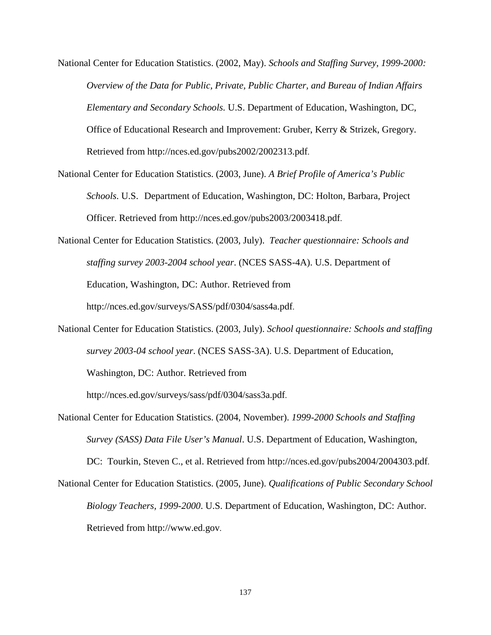- National Center for Education Statistics. (2002, May). *Schools and Staffing Survey, 1999-2000: Overview of the Data for Public, Private, Public Charter, and Bureau of Indian Affairs Elementary and Secondary Schools.* U.S. Department of Education, Washington, DC, Office of Educational Research and Improvement: Gruber, Kerry & Strizek, Gregory. Retrieved from http://nces.ed.gov/pubs2002/2002313.pdf.
- National Center for Education Statistics. (2003, June). *A Brief Profile of America's Public Schools*. U.S. Department of Education, Washington, DC: Holton, Barbara, Project Officer. Retrieved from http://nces.ed.gov/pubs2003/2003418.pdf.
- National Center for Education Statistics. (2003, July). *Teacher questionnaire: Schools and staffing survey 2003-2004 school year*. (NCES SASS-4A). U.S. Department of Education, Washington, DC: Author. Retrieved from http://nces.ed.gov/surveys/SASS/pdf/0304/sass4a.pdf.
- National Center for Education Statistics. (2003, July). *School questionnaire: Schools and staffing survey 2003-04 school year*. (NCES SASS-3A). U.S. Department of Education, Washington, DC: Author. Retrieved from

http://nces.ed.gov/surveys/sass/pdf/0304/sass3a.pdf.

National Center for Education Statistics. (2004, November). *1999-2000 Schools and Staffing Survey (SASS) Data File User's Manual*. U.S. Department of Education, Washington,

DC: Tourkin, Steven C., et al. Retrieved from http://nces.ed.gov/pubs2004/2004303.pdf.

National Center for Education Statistics. (2005, June). *Qualifications of Public Secondary School Biology Teachers, 1999-2000*. U.S. Department of Education, Washington, DC: Author. Retrieved from http://www.ed.gov.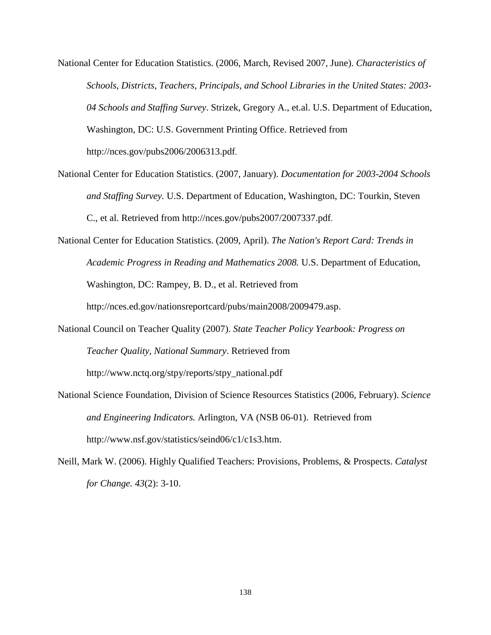- National Center for Education Statistics. (2006, March, Revised 2007, June). *Characteristics of Schools, Districts, Teachers, Principals, and School Libraries in the United States: 2003- 04 Schools and Staffing Survey*. Strizek, Gregory A., et.al. U.S. Department of Education, Washington, DC: U.S. Government Printing Office. Retrieved from http://nces.gov/pubs2006/2006313.pdf.
- National Center for Education Statistics. (2007, January). *Documentation for 2003-2004 Schools and Staffing Survey.* U.S. Department of Education, Washington, DC: Tourkin, Steven C., et al. Retrieved from http://nces.gov/pubs2007/2007337.pdf.
- National Center for Education Statistics. (2009, April). *The Nation's Report Card: Trends in Academic Progress in Reading and Mathematics 2008.* U.S. Department of Education, Washington, DC: Rampey, B. D., et al. Retrieved from http://nces.ed.gov/nationsreportcard/pubs/main2008/2009479.asp.
- National Council on Teacher Quality (2007). *State Teacher Policy Yearbook: Progress on Teacher Quality, National Summary*. Retrieved from

http://www.nctq.org/stpy/reports/stpy\_national.pdf

- National Science Foundation, Division of Science Resources Statistics (2006, February). *Science and Engineering Indicators.* Arlington, VA (NSB 06-01). Retrieved from http://www.nsf.gov/statistics/seind06/c1/c1s3.htm.
- Neill, Mark W. (2006). Highly Qualified Teachers: Provisions, Problems, & Prospects. *Catalyst for Change. 43*(2): 3-10.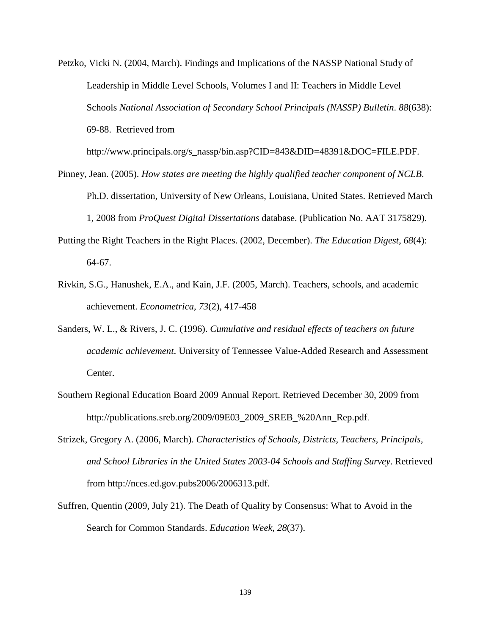Petzko, Vicki N. (2004, March). Findings and Implications of the NASSP National Study of Leadership in Middle Level Schools, Volumes I and II: Teachers in Middle Level Schools *National Association of Secondary School Principals (NASSP) Bulletin*. *88*(638): 69-88. Retrieved from

http://www.principals.org/s\_nassp/bin.asp?CID=843&DID=48391&DOC=FILE.PDF.

- Pinney, Jean. (2005). *How states are meeting the highly qualified teacher component of NCLB*. Ph.D. dissertation, University of New Orleans, Louisiana, United States. Retrieved March 1, 2008 from *ProQuest Digital Dissertations* database. (Publication No. AAT 3175829).
- Putting the Right Teachers in the Right Places. (2002, December). *The Education Digest*, *68*(4): 64-67.
- Rivkin, S.G., Hanushek, E.A., and Kain, J.F. (2005, March). Teachers, schools, and academic achievement. *Econometrica*, *73*(2), 417-458
- Sanders, W. L., & Rivers, J. C. (1996). *Cumulative and residual effects of teachers on future academic achievement*. University of Tennessee Value-Added Research and Assessment Center.
- Southern Regional Education Board 2009 Annual Report. Retrieved December 30, 2009 from http://publications.sreb.org/2009/09E03\_2009\_SREB\_%20Ann\_Rep.pdf.
- Strizek, Gregory A. (2006, March). *Characteristics of Schools, Districts, Teachers, Principals, and School Libraries in the United States 2003-04 Schools and Staffing Survey*. Retrieved from http://nces.ed.gov.pubs2006/2006313.pdf.
- Suffren, Quentin (2009, July 21). The Death of Quality by Consensus: What to Avoid in the Search for Common Standards. *Education Week, 28*(37).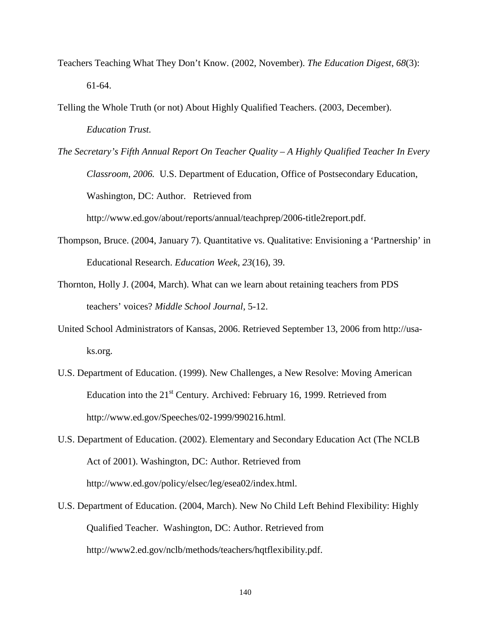- Teachers Teaching What They Don't Know. (2002, November). *The Education Digest*, *68*(3): 61-64.
- Telling the Whole Truth (or not) About Highly Qualified Teachers. (2003, December). *Education Trust.*
- *The Secretary's Fifth Annual Report On Teacher Quality A Highly Qualified Teacher In Every Classroom*, *2006.* U.S. Department of Education, Office of Postsecondary Education, Washington, DC: Author. Retrieved from http://www.ed.gov/about/reports/annual/teachprep/2006-title2report.pdf.
- Thompson, Bruce. (2004, January 7). Quantitative vs. Qualitative: Envisioning a 'Partnership' in Educational Research. *Education Week*, *23*(16), 39.
- Thornton, Holly J. (2004, March). What can we learn about retaining teachers from PDS teachers' voices? *Middle School Journal*, 5-12.
- United School Administrators of Kansas, 2006. Retrieved September 13, 2006 from http://usaks.org.
- U.S. Department of Education. (1999). New Challenges, a New Resolve: Moving American Education into the  $21<sup>st</sup>$  Century. Archived: February 16, 1999. Retrieved from http://www.ed.gov/Speeches/02-1999/990216.html.
- U.S. Department of Education. (2002). Elementary and Secondary Education Act (The NCLB Act of 2001). Washington, DC: Author. Retrieved from http://www.ed.gov/policy/elsec/leg/esea02/index.html.
- U.S. Department of Education. (2004, March). New No Child Left Behind Flexibility: Highly Qualified Teacher. Washington, DC: Author. Retrieved from http://www2.ed.gov/nclb/methods/teachers/hqtflexibility.pdf.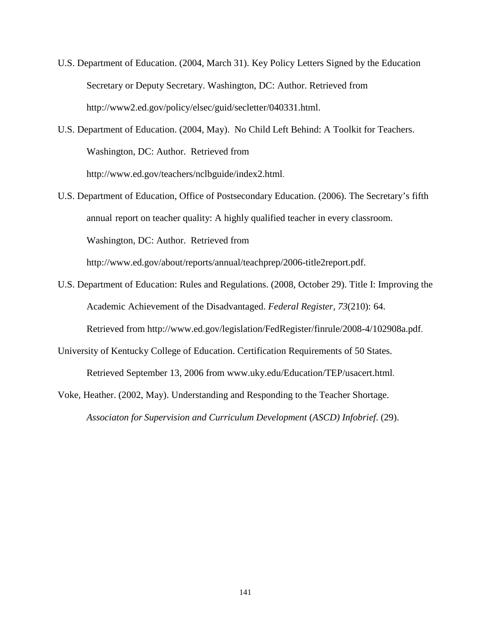- U.S. Department of Education. (2004, March 31). Key Policy Letters Signed by the Education Secretary or Deputy Secretary. Washington, DC: Author. Retrieved from http://www2.ed.gov/policy/elsec/guid/secletter/040331.html.
- U.S. Department of Education. (2004, May). No Child Left Behind: A Toolkit for Teachers. Washington, DC: Author. Retrieved from http://www.ed.gov/teachers/nclbguide/index2.html.
- U.S. Department of Education, Office of Postsecondary Education. (2006). The Secretary's fifth annual report on teacher quality: A highly qualified teacher in every classroom. Washington, DC: Author. Retrieved from

http://www.ed.gov/about/reports/annual/teachprep/2006-title2report.pdf.

- U.S. Department of Education: Rules and Regulations. (2008, October 29). Title I: Improving the Academic Achievement of the Disadvantaged. *Federal Register, 73*(210): 64. Retrieved from http://www.ed.gov/legislation/FedRegister/finrule/2008-4/102908a.pdf.
- University of Kentucky College of Education. Certification Requirements of 50 States. Retrieved September 13, 2006 from www.uky.edu/Education/TEP/usacert.html.
- Voke, Heather. (2002, May). Understanding and Responding to the Teacher Shortage. *Associaton for Supervision and Curriculum Development* (*ASCD) Infobrief*. (29).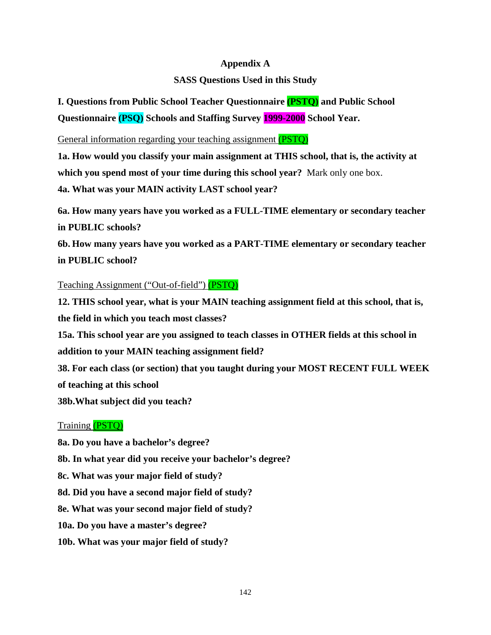## **Appendix A**

# **SASS Questions Used in this Study**

**I. Questions from Public School Teacher Questionnaire (PSTQ) and Public School Questionnaire (PSQ) Schools and Staffing Survey 1999-2000 School Year.** 

General information regarding your teaching assignment (PSTO)

**1a. How would you classify your main assignment at THIS school, that is, the activity at which you spend most of your time during this school year?** Mark only one box.

**4a. What was your MAIN activity LAST school year?** 

**6a. How many years have you worked as a FULL-TIME elementary or secondary teacher in PUBLIC schools?** 

**6b. How many years have you worked as a PART-TIME elementary or secondary teacher in PUBLIC school?**

# Teaching Assignment ("Out-of-field") (PSTQ)

**12. THIS school year, what is your MAIN teaching assignment field at this school, that is, the field in which you teach most classes? 15a. This school year are you assigned to teach classes in OTHER fields at this school in addition to your MAIN teaching assignment field? 38. For each class (or section) that you taught during your MOST RECENT FULL WEEK of teaching at this school 38b.What subject did you teach?** 

# Training (PSTQ)

**8a. Do you have a bachelor's degree? 8b. In what year did you receive your bachelor's degree? 8c. What was your major field of study? 8d. Did you have a second major field of study? 8e. What was your second major field of study? 10a. Do you have a master's degree? 10b. What was your major field of study?**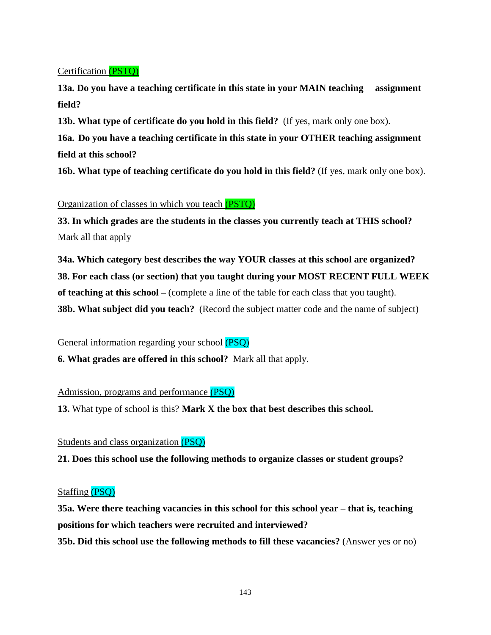Certification (PSTQ)

**13a. Do you have a teaching certificate in this state in your MAIN teaching assignment field?** 

**13b. What type of certificate do you hold in this field?** (If yes, mark only one box).

**16a. Do you have a teaching certificate in this state in your OTHER teaching assignment field at this school?** 

**16b. What type of teaching certificate do you hold in this field?** (If yes, mark only one box).

Organization of classes in which you teach (PSTQ)

**33. In which grades are the students in the classes you currently teach at THIS school?** Mark all that apply

**34a. Which category best describes the way YOUR classes at this school are organized? 38. For each class (or section) that you taught during your MOST RECENT FULL WEEK of teaching at this school –** (complete a line of the table for each class that you taught). **38b. What subject did you teach?** (Record the subject matter code and the name of subject)

General information regarding your school (PSQ)

**6. What grades are offered in this school?** Mark all that apply.

Admission, programs and performance (PSQ)

**13.** What type of school is this? **Mark X the box that best describes this school.**

Students and class organization (PSQ)

**21. Does this school use the following methods to organize classes or student groups?**

## Staffing (PSQ)

**35a. Were there teaching vacancies in this school for this school year – that is, teaching positions for which teachers were recruited and interviewed? 35b. Did this school use the following methods to fill these vacancies?** (Answer yes or no)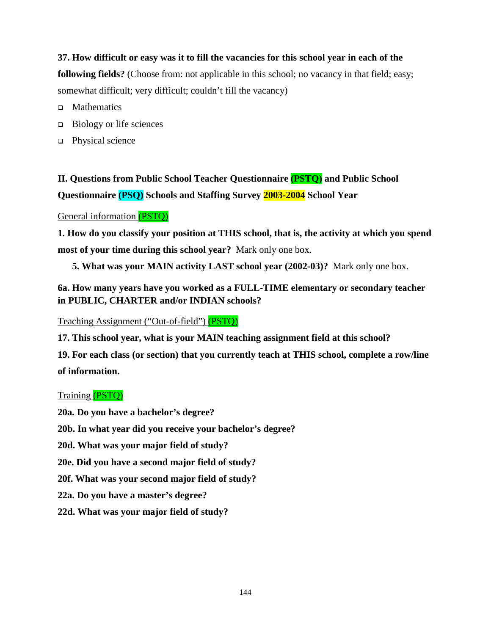# **37. How difficult or easy was it to fill the vacancies for this school year in each of the**

**following fields?** (Choose from: not applicable in this school; no vacancy in that field; easy; somewhat difficult; very difficult; couldn't fill the vacancy)

- $\Box$ **Mathematics**
- □ Biology or life sciences
- □ Physical science

**II. Questions from Public School Teacher Questionnaire (PSTQ) and Public School Questionnaire (PSQ) Schools and Staffing Survey 2003-2004 School Year** 

#### General information (PSTQ)

**1. How do you classify your position at THIS school, that is, the activity at which you spend most of your time during this school year?** Mark only one box.

**5. What was your MAIN activity LAST school year (2002-03)?** Mark only one box.

# **6a. How many years have you worked as a FULL-TIME elementary or secondary teacher in PUBLIC, CHARTER and/or INDIAN schools?**

Teaching Assignment ("Out-of-field") (PSTQ)

**17. This school year, what is your MAIN teaching assignment field at this school?**

**19. For each class (or section) that you currently teach at THIS school, complete a row/line of information.** 

## Training (PSTQ)

**20a. Do you have a bachelor's degree?** 

**20b. In what year did you receive your bachelor's degree?** 

**20d. What was your major field of study?** 

**20e. Did you have a second major field of study?**

**20f. What was your second major field of study?**

**22a. Do you have a master's degree?** 

**22d. What was your major field of study?**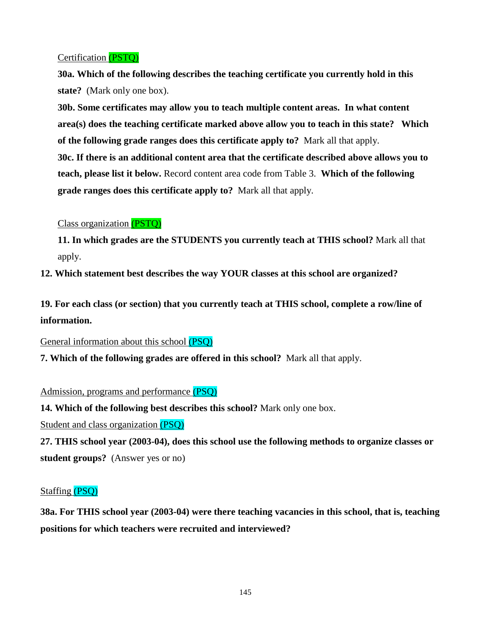# Certification (PSTQ)

**30a. Which of the following describes the teaching certificate you currently hold in this state?** (Mark only one box).

**30b. Some certificates may allow you to teach multiple content areas. In what content area(s) does the teaching certificate marked above allow you to teach in this state? Which of the following grade ranges does this certificate apply to?** Mark all that apply. **30c. If there is an additional content area that the certificate described above allows you to teach, please list it below.** Record content area code from Table 3. **Which of the following grade ranges does this certificate apply to?** Mark all that apply.

## Class organization (PSTQ)

**11. In which grades are the STUDENTS you currently teach at THIS school?** Mark all that apply.

**12. Which statement best describes the way YOUR classes at this school are organized?** 

**19. For each class (or section) that you currently teach at THIS school, complete a row/line of information.** 

General information about this school (PSQ)

**7. Which of the following grades are offered in this school?** Mark all that apply.

## Admission, programs and performance (PSQ)

**14. Which of the following best describes this school?** Mark only one box.

Student and class organization (PSQ)

**27. THIS school year (2003-04), does this school use the following methods to organize classes or student groups?** (Answer yes or no)

## Staffing (PSQ)

**38a. For THIS school year (2003-04) were there teaching vacancies in this school, that is, teaching positions for which teachers were recruited and interviewed?**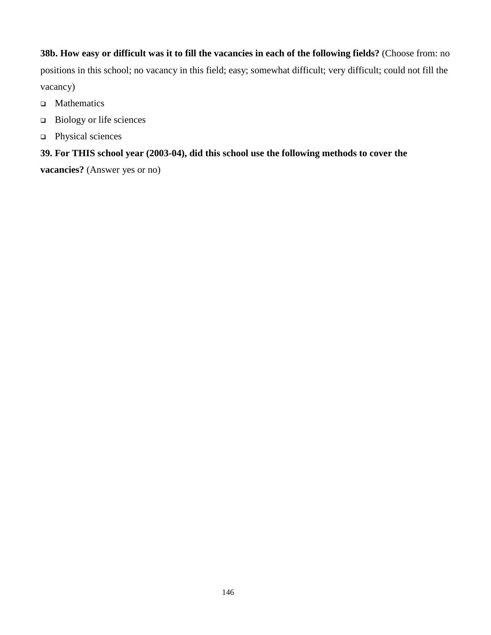**38b. How easy or difficult was it to fill the vacancies in each of the following fields?** (Choose from: no positions in this school; no vacancy in this field; easy; somewhat difficult; very difficult; could not fill the vacancy)

- □ Mathematics
- $\Box$ Biology or life sciences
- □ Physical sciences

# **39. For THIS school year (2003-04), did this school use the following methods to cover the**

**vacancies?** (Answer yes or no)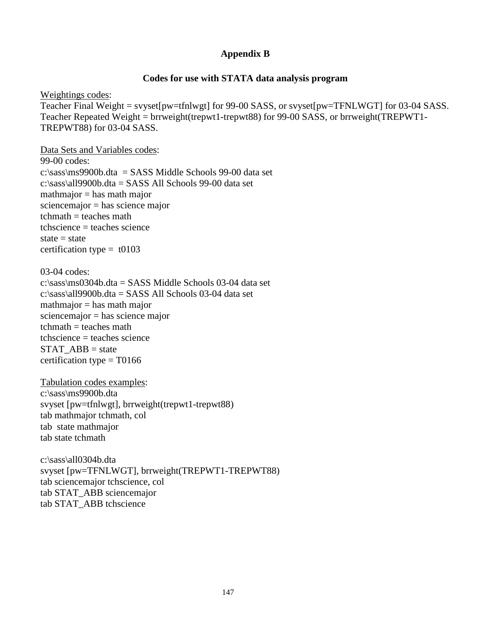## **Appendix B**

### **Codes for use with STATA data analysis program**

Weightings codes: Teacher Final Weight = svyset[pw=tfnlwgt] for 99-00 SASS, or svyset[pw=TFNLWGT] for 03-04 SASS. Teacher Repeated Weight = brrweight(trepwt1-trepwt88) for 99-00 SASS, or brrweight(TREPWT1- TREPWT88) for 03-04 SASS.

Data Sets and Variables codes: 99-00 codes: c:\sass\ms9900b.dta = SASS Middle Schools 99-00 data set c:\sass\all9900b.dta = SASS All Schools 99-00 data set  $math$ inathmajor = has mathmajor sciencemajor = has science major  $t$ chmath = teaches math tchscience = teaches science state  $=$  state certification type =  $t0103$ 

03-04 codes:

c:\sass\ms0304b.dta = SASS Middle Schools 03-04 data set c:\sass\all9900b.dta = SASS All Schools 03-04 data set  $math$ inathmajor = has mathmajor sciencemajor = has science major  $t$ chmath = teaches math tchscience = teaches science  $STAT$   $ABB = state$ certification type  $=$  T0166

Tabulation codes examples: c:\sass\ms9900b.dta svyset [pw=tfnlwgt], brrweight(trepwt1-trepwt88) tab mathmajor tchmath, col tab state mathmajor tab state tchmath

c:\sass\all0304b.dta svyset [pw=TFNLWGT], brrweight(TREPWT1-TREPWT88) tab sciencemajor tchscience, col tab STAT\_ABB sciencemajor tab STAT\_ABB tchscience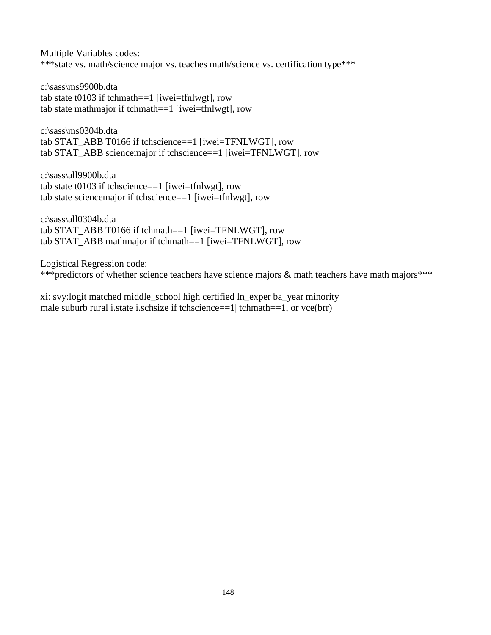Multiple Variables codes: \*\*\*state vs. math/science major vs. teaches math/science vs. certification type\*\*\*

c:\sass\ms9900b.dta tab state t0103 if tchmath==1 [iwei=tfnlwgt], row tab state mathmajor if tchmath==1 [iwei=tfnlwgt], row

c:\sass\ms0304b.dta tab STAT\_ABB T0166 if tchscience==1 [iwei=TFNLWGT], row tab STAT\_ABB sciencemajor if tchscience==1 [iwei=TFNLWGT], row

c:\sass\all9900b.dta tab state t0103 if tchscience==1 [iwei=tfnlwgt], row tab state sciencemajor if tchscience==1 [iwei=tfnlwgt], row

c:\sass\all0304b.dta tab STAT\_ABB T0166 if tchmath==1 [iwei=TFNLWGT], row tab STAT\_ABB mathmajor if tchmath==1 [iwei=TFNLWGT], row

Logistical Regression code:

\*\*\*predictors of whether science teachers have science majors & math teachers have math majors\*\*\*

xi: svy:logit matched middle\_school high certified ln\_exper ba\_year minority male suburb rural i.state i.schsize if tchscience==1| tchmath==1, or vce(brr)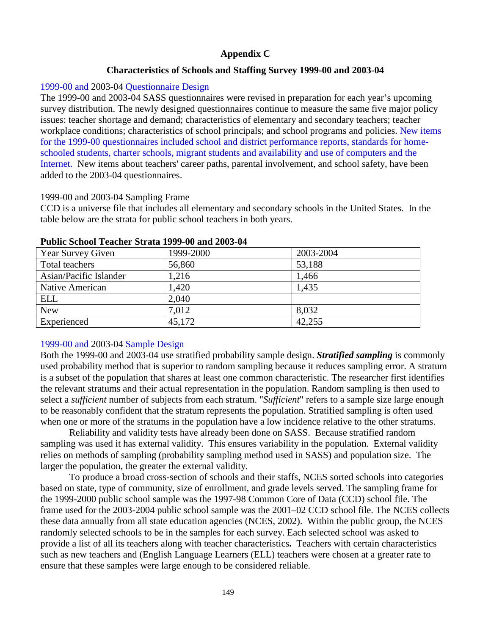# **Appendix C**

# **Characteristics of Schools and Staffing Survey 1999-00 and 2003-04**

## 1999-00 and 2003-04 Questionnaire Design

The 1999-00 and 2003-04 SASS questionnaires were revised in preparation for each year's upcoming survey distribution. The newly designed questionnaires continue to measure the same five major policy issues: teacher shortage and demand; characteristics of elementary and secondary teachers; teacher workplace conditions; characteristics of school principals; and school programs and policies. New items for the 1999-00 questionnaires included school and district performance reports, standards for homeschooled students, charter schools, migrant students and availability and use of computers and the Internet. New items about teachers' career paths, parental involvement, and school safety, have been added to the 2003-04 questionnaires.

# 1999-00 and 2003-04 Sampling Frame

CCD is a universe file that includes all elementary and secondary schools in the United States. In the table below are the strata for public school teachers in both years.

| Year Survey Given      | 1999-2000 | 2003-2004 |
|------------------------|-----------|-----------|
| Total teachers         | 56,860    | 53,188    |
| Asian/Pacific Islander | 1,216     | 1,466     |
| Native American        | 1,420     | 1,435     |
| <b>ELL</b>             | 2,040     |           |
| <b>New</b>             | 7,012     | 8,032     |
| Experienced            | 45,172    | 42,255    |

#### **Public School Teacher Strata 1999-00 and 2003-04**

# 1999-00 and 2003-04 Sample Design

Both the 1999-00 and 2003-04 use stratified probability sample design. *Stratified sampling* is commonly used probability method that is superior to random sampling because it reduces sampling error. A stratum is a subset of the population that shares at least one common characteristic. The researcher first identifies the relevant stratums and their actual representation in the population. Random sampling is then used to select a *sufficient* number of subjects from each stratum. "*Sufficient*" refers to a sample size large enough to be reasonably confident that the stratum represents the population. Stratified sampling is often used when one or more of the stratums in the population have a low incidence relative to the other stratums.

Reliability and validity tests have already been done on SASS. Because stratified random sampling was used it has external validity. This ensures variability in the population. External validity relies on methods of sampling (probability sampling method used in SASS) and population size. The larger the population, the greater the external validity.

To produce a broad cross-section of schools and their staffs, NCES sorted schools into categories based on state, type of community, size of enrollment, and grade levels served. The sampling frame for the 1999-2000 public school sample was the 1997-98 Common Core of Data (CCD) school file. The frame used for the 2003-2004 public school sample was the 2001–02 CCD school file. The NCES collects these data annually from all state education agencies (NCES, 2002).Within the public group, the NCES randomly selected schools to be in the samples for each survey. Each selected school was asked to provide a list of all its teachers along with teacher characteristics**.** Teachers with certain characteristics such as new teachers and (English Language Learners (ELL) teachers were chosen at a greater rate to ensure that these samples were large enough to be considered reliable.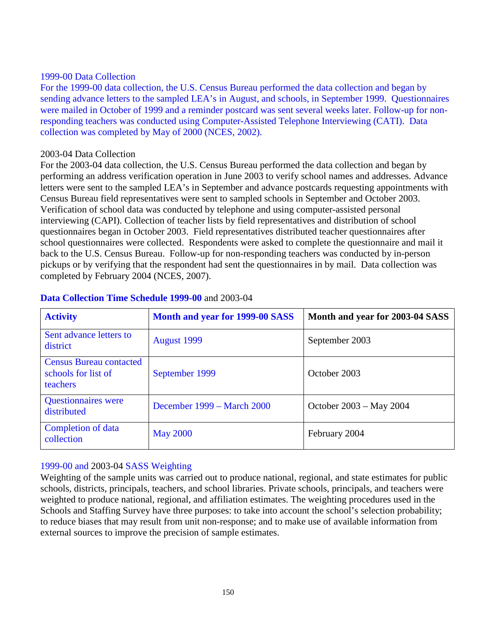## 1999-00 Data Collection

For the 1999-00 data collection, the U.S. Census Bureau performed the data collection and began by sending advance letters to the sampled LEA's in August, and schools, in September 1999. Questionnaires were mailed in October of 1999 and a reminder postcard was sent several weeks later. Follow-up for nonresponding teachers was conducted using Computer-Assisted Telephone Interviewing (CATI). Data collection was completed by May of 2000 (NCES, 2002).

## 2003-04 Data Collection

For the 2003-04 data collection, the U.S. Census Bureau performed the data collection and began by performing an address verification operation in June 2003 to verify school names and addresses. Advance letters were sent to the sampled LEA's in September and advance postcards requesting appointments with Census Bureau field representatives were sent to sampled schools in September and October 2003. Verification of school data was conducted by telephone and using computer-assisted personal interviewing (CAPI). Collection of teacher lists by field representatives and distribution of school questionnaires began in October 2003. Field representatives distributed teacher questionnaires after school questionnaires were collected. Respondents were asked to complete the questionnaire and mail it back to the U.S. Census Bureau. Follow-up for non-responding teachers was conducted by in-person pickups or by verifying that the respondent had sent the questionnaires in by mail. Data collection was completed by February 2004 (NCES, 2007).

| <b>Activity</b>                                                   | <b>Month and year for 1999-00 SASS</b> | Month and year for 2003-04 SASS |
|-------------------------------------------------------------------|----------------------------------------|---------------------------------|
| Sent advance letters to<br>district                               | <b>August 1999</b>                     | September 2003                  |
| <b>Census Bureau contacted</b><br>schools for list of<br>teachers | September 1999                         | October 2003                    |
| <b>Questionnaires</b> were<br>distributed                         | December 1999 – March 2000             | October 2003 – May 2004         |
| Completion of data<br>collection                                  | <b>May 2000</b>                        | February 2004                   |

## **Data Collection Time Schedule 1999-00** and 2003-04

## 1999-00 and 2003-04 SASS Weighting

Weighting of the sample units was carried out to produce national, regional, and state estimates for public schools, districts, principals, teachers, and school libraries. Private schools, principals, and teachers were weighted to produce national, regional, and affiliation estimates. The weighting procedures used in the Schools and Staffing Survey have three purposes: to take into account the school's selection probability; to reduce biases that may result from unit non-response; and to make use of available information from external sources to improve the precision of sample estimates.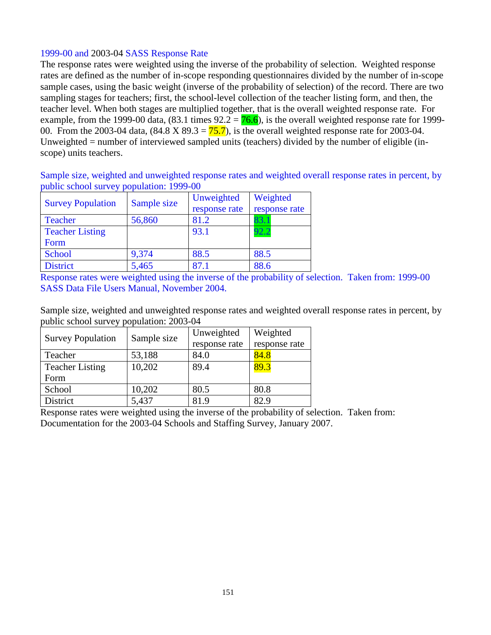# 1999-00 and 2003-04 SASS Response Rate

The response rates were weighted using the inverse of the probability of selection. Weighted response rates are defined as the number of in-scope responding questionnaires divided by the number of in-scope sample cases, using the basic weight (inverse of the probability of selection) of the record. There are two sampling stages for teachers; first, the school-level collection of the teacher listing form, and then, the teacher level. When both stages are multiplied together, that is the overall weighted response rate. For example, from the 1999-00 data,  $(83.1 \text{ times } 92.2 = 76.6)$ , is the overall weighted response rate for 1999-00. From the 2003-04 data,  $(84.8 \text{ X } 89.3 = 75.7)$ , is the overall weighted response rate for 2003-04. Unweighted = number of interviewed sampled units (teachers) divided by the number of eligible (inscope) units teachers.

Sample size, weighted and unweighted response rates and weighted overall response rates in percent, by public school survey population: 1999-00

| <b>Survey Population</b> | Sample size | Unweighted    | Weighted      |  |
|--------------------------|-------------|---------------|---------------|--|
|                          |             | response rate | response rate |  |
| <b>Teacher</b>           | 56,860      | 81.2          | 83.T          |  |
| <b>Teacher Listing</b>   |             | 93.1          | 92.2          |  |
| Form                     |             |               |               |  |
| School                   | 9,374       | 88.5          | 88.5          |  |
| <b>District</b>          | 5,465       | 87.1          | 88.6          |  |

Response rates were weighted using the inverse of the probability of selection. Taken from: 1999-00 SASS Data File Users Manual, November 2004.

Sample size, weighted and unweighted response rates and weighted overall response rates in percent, by public school survey population: 2003-04

| <b>Survey Population</b> | Sample size | Unweighted    | Weighted      |  |
|--------------------------|-------------|---------------|---------------|--|
|                          |             | response rate | response rate |  |
| Teacher                  | 53,188      | 84.0          | 84.8          |  |
| <b>Teacher Listing</b>   | 10,202      | 89.4          | 89.3          |  |
| Form                     |             |               |               |  |
| School                   | 10,202      | 80.5          | 80.8          |  |
| District                 | 5,437       | 81.9          | 82.9          |  |

Response rates were weighted using the inverse of the probability of selection. Taken from: Documentation for the 2003-04 Schools and Staffing Survey, January 2007.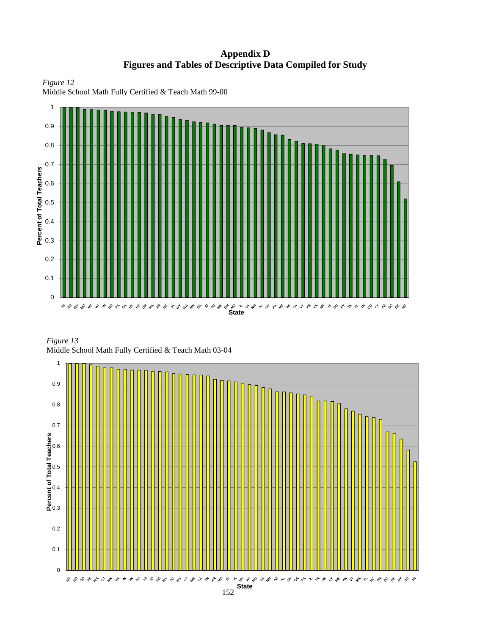**Appendix D Figures and Tables of Descriptive Data Compiled for Study**





Middle School Math Fully Certified & Teach Math 99-00

*Figure 13* Middle School Math Fully Certified & Teach Math 03-04

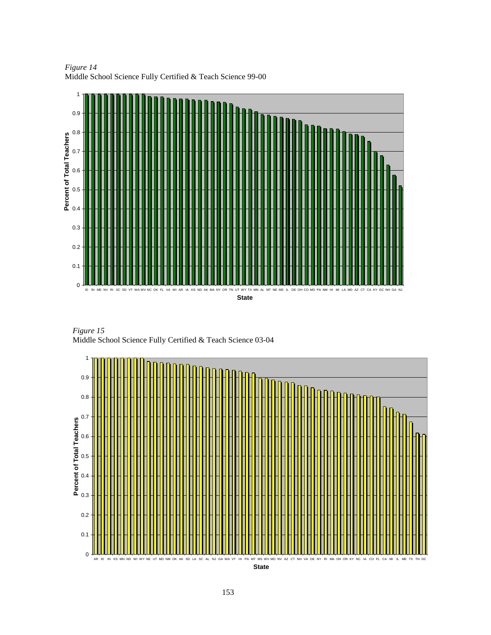0 0.1  $0.2 -$ 0.3 0.4 0.5 0.6 0.7 0.8 0.9 1 ID IN ME NV RI SC SD VT WA WV NC OK FL VA WI AR IA KS ND AK MA NY OR TN UT WY TX MN AL MT NE MS IL DE OH CO MO PA NM HI MI LA MD AZ CT CA KY DC NH GA NJ **State Percent of Total Teachers**

*Figure 14* Middle School Science Fully Certified & Teach Science 99-00

*Figure 15* Middle School Science Fully Certified & Teach Science 03-04

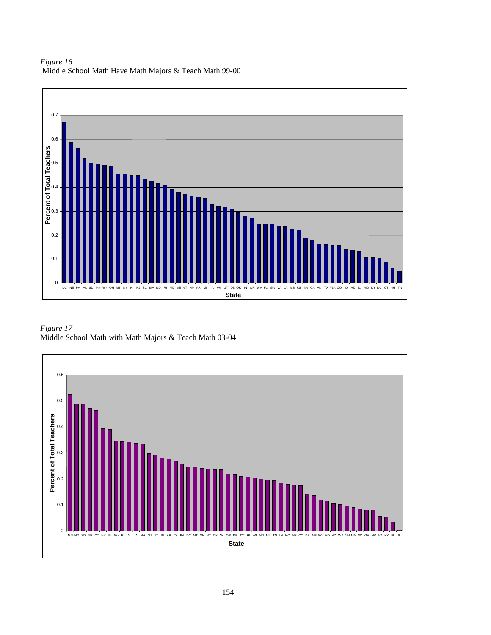*Figure 16*  Middle School Math Have Math Majors & Teach Math 99-00



*Figure 17*  Middle School Math with Math Majors & Teach Math 03-04

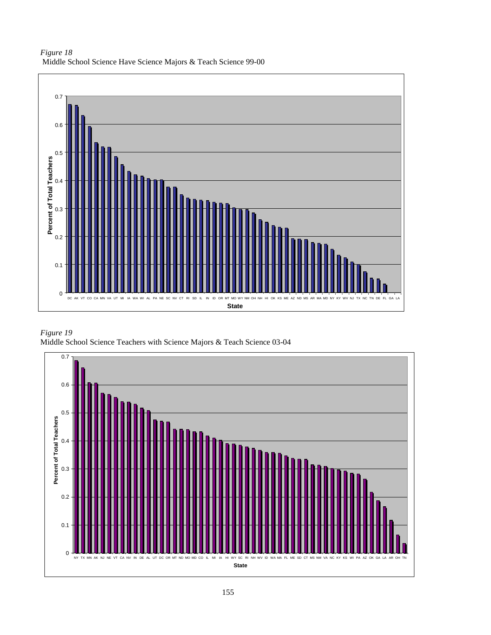



*Figure 19*  Middle School Science Teachers with Science Majors & Teach Science 03-04

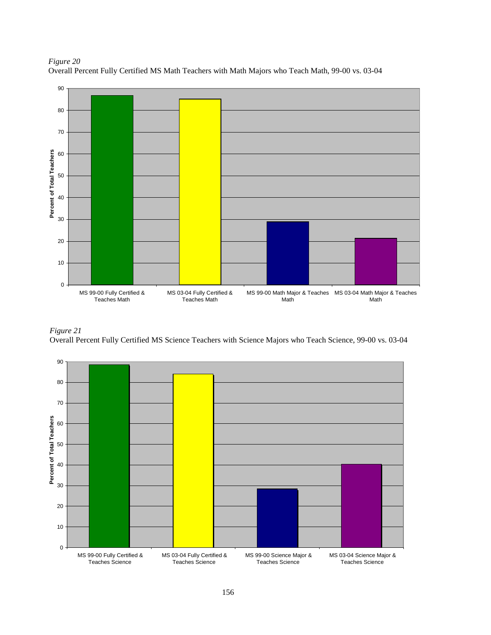



#### *Figure 21*

Overall Percent Fully Certified MS Science Teachers with Science Majors who Teach Science, 99-00 vs. 03-04

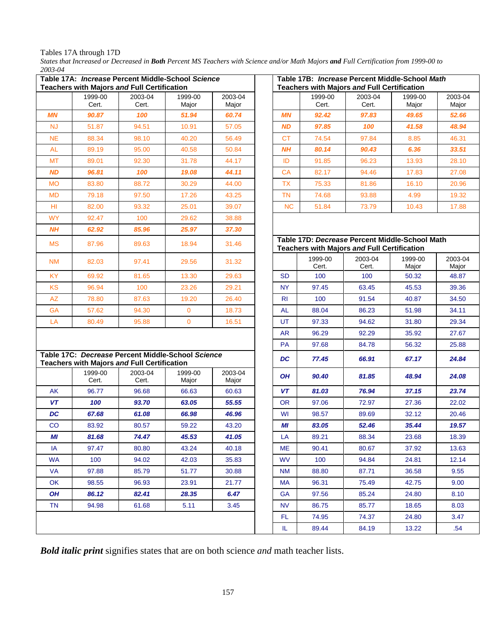Tables 17A through 17D

*States that Increased or Decreased in Both Percent MS Teachers with Science and/or Math Majors and Full Certification from 1999-00 to 2003-04* 

|           |                  | Table 17A: Increase Percent Middle-School Science<br><b>Teachers with Majors and Full Certification</b> |                  |                  |           |                  | Table 17B: Increase Percent Middle-School Math<br><b>Teachers with Majors and Full Certification</b> |                  |                  |
|-----------|------------------|---------------------------------------------------------------------------------------------------------|------------------|------------------|-----------|------------------|------------------------------------------------------------------------------------------------------|------------------|------------------|
|           | 1999-00<br>Cert. | 2003-04<br>Cert.                                                                                        | 1999-00<br>Major | 2003-04<br>Major |           | 1999-00<br>Cert. | 2003-04<br>Cert.                                                                                     | 1999-00<br>Major | 2003-04<br>Major |
| <b>MN</b> | 90.87            | 100                                                                                                     | 51.94            | 60.74            | <b>MN</b> | 92.42            | 97.83                                                                                                | 49.65            | 52.66            |
| <b>NJ</b> | 51.87            | 94.51                                                                                                   | 10.91            | 57.05            | <b>ND</b> | 97.85            | 100                                                                                                  | 41.58            | 48.94            |
| <b>NE</b> | 88.34            | 98.10                                                                                                   | 40.20            | 56.49            | <b>CT</b> | 74.54            | 97.84                                                                                                | 8.85             | 46.31            |
| <b>AL</b> | 89.19            | 95.00                                                                                                   | 40.58            | 50.84            | NΗ        | 80.14            | 90.43                                                                                                | 6.36             | 33.51            |
| <b>MT</b> | 89.01            | 92.30                                                                                                   | 31.78            | 44.17            | ID        | 91.85            | 96.23                                                                                                | 13.93            | 28.10            |
| <b>ND</b> | 96.81            | 100                                                                                                     | 19.08            | 44.11            | <b>CA</b> | 82.17            | 94.46                                                                                                | 17.83            | 27.08            |
| <b>MO</b> | 83.80            | 88.72                                                                                                   | 30.29            | 44.00            | <b>TX</b> | 75.33            | 81.86                                                                                                | 16.10            | 20.96            |
| <b>MD</b> | 79.18            | 97.50                                                                                                   | 17.26            | 43.25            | <b>TN</b> | 74.68            | 93.88                                                                                                | 4.99             | 19.32            |
| HI.       | 82.00            | 93.32                                                                                                   | 25.01            | 39.07            | <b>NC</b> | 51.84            | 73.79                                                                                                | 10.43            | 17.88            |
| <b>WY</b> | 92.47            | 100                                                                                                     | 29.62            | 38.88            |           |                  |                                                                                                      |                  |                  |
| <b>NH</b> | 62.92            | 85.96                                                                                                   | 25.97            | 37.30            |           |                  |                                                                                                      |                  |                  |
| <b>MS</b> | 87.96            | 89.63                                                                                                   | 18.94            | 31.46            |           |                  | Table 17D: Decrease Percent Middle-School Math<br><b>Teachers with Majors and Full Certification</b> |                  |                  |
| <b>NM</b> | 82.03            | 97.41                                                                                                   | 29.56            | 31.32            |           | 1999-00<br>Cert. | 2003-04<br>Cert.                                                                                     | 1999-00<br>Major | 2003-04<br>Major |
| KY.       | 69.92            | 81.65                                                                                                   | 13.30            | 29.63            | <b>SD</b> | 100              | 100                                                                                                  | 50.32            | 48.87            |
| <b>KS</b> | 96.94            | 100                                                                                                     | 23.26            | 29.21            | <b>NY</b> | 97.45            | 63.45                                                                                                | 45.53            | 39.36            |
| AZ        | 78.80            | 87.63                                                                                                   | 19.20            | 26.40            | <b>RI</b> | 100              | 91.54                                                                                                | 40.87            | 34.50            |
| GA        | 57.62            | 94.30                                                                                                   | $\mathbf{0}$     | 18.73            | <b>AL</b> | 88.04            | 86.23                                                                                                | 51.98            | 34.11            |
| LA        | 80.49            | 95.88                                                                                                   | $\mathbf 0$      | 16.51            | UT        | 97.33            | 94.62                                                                                                | 31.80            | 29.34            |
|           |                  |                                                                                                         |                  |                  | <b>AR</b> | 96.29            | 92.29                                                                                                | 35.92            | 27.67            |
|           |                  |                                                                                                         |                  |                  | PA        | 97.68            | 84.78                                                                                                | 56.32            | 25.88            |
|           |                  | Table 17C: Decrease Percent Middle-School Science<br>Teachers with Majors and Full Certification        |                  |                  | DC        | 77.45            | 66.91                                                                                                | 67.17            | 24.84            |
|           | 1999-00<br>Cert. | 2003-04<br>Cert.                                                                                        | 1999-00<br>Major | 2003-04<br>Major | <b>OH</b> | 90.40            | 81.85                                                                                                | 48.94            | 24.08            |
| AK        | 96.77            | 96.68                                                                                                   | 66.63            | 60.63            | VT        | 81.03            | 76.94                                                                                                | 37.15            | 23.74            |
| <b>VT</b> | 100              | 93.70                                                                                                   | 63.05            | 55.55            | <b>OR</b> | 97.06            | 72.97                                                                                                | 27.36            | 22.02            |
| DC        | 67.68            | 61.08                                                                                                   | 66.98            | 46.96            | WI        | 98.57            | 89.69                                                                                                | 32.12            | 20.46            |
| CO        | 83.92            | 80.57                                                                                                   | 59.22            | 43.20            | ΜI        | 83.05            | 52.46                                                                                                | 35.44            | 19.57            |
| МI        | 81.68            | 74.47                                                                                                   | 45.53            | 41.05            | LA        | 89.21            | 88.34                                                                                                | 23.68            | 18.39            |
| IA        | 97.47            | 80.80                                                                                                   | 43.24            | 40.18            | МE        | 90.41            | 80.67                                                                                                | 37.92            | 13.63            |
| <b>WA</b> | 100              | 94.02                                                                                                   | 42.03            | 35.83            | <b>WV</b> | 100              | 94.84                                                                                                | 24.81            | 12.14            |
| VA        | 97.88            | 85.79                                                                                                   | 51.77            | 30.88            | <b>NM</b> | 88.80            | 87.71                                                                                                | 36.58            | 9.55             |
| OK        | 98.55            | 96.93                                                                                                   | 23.91            | 21.77            | MA        | 96.31            | 75.49                                                                                                | 42.75            | 9.00             |
| OH        | 86.12            | 82.41                                                                                                   | 28.35            | 6.47             | <b>GA</b> | 97.56            | 85.24                                                                                                | 24.80            | 8.10             |
| TN        | 94.98            | 61.68                                                                                                   | 5.11             | 3.45             | NV.       | 86.75            | 85.77                                                                                                | 18.65            | 8.03             |
|           |                  |                                                                                                         |                  |                  | FL.       | 74.95            | 74.37                                                                                                | 24.80            | 3.47             |
|           |                  |                                                                                                         |                  |                  | IL.       | 89.44            | 84.19                                                                                                | 13.22            | .54              |

*Bold italic print* signifies states that are on both science *and* math teacher lists.